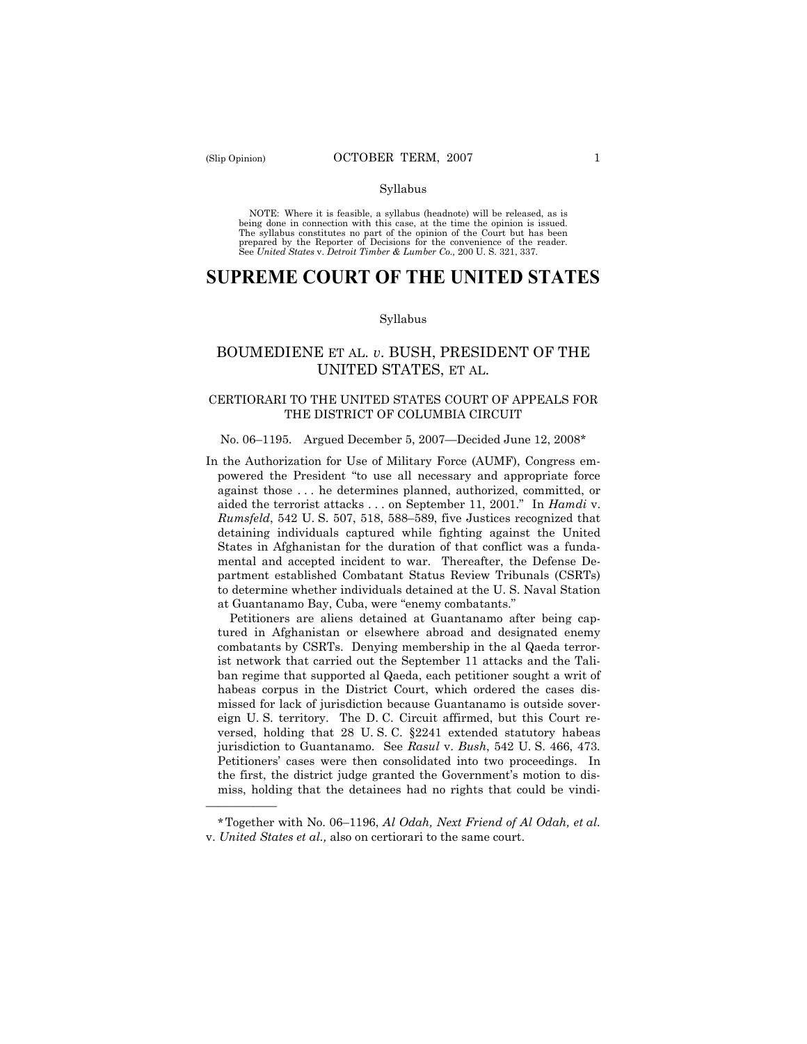——————

#### Syllabus

 NOTE: Where it is feasible, a syllabus (headnote) will be released, as is being done in connection with this case, at the time the opinion is issued. The syllabus constitutes no part of the opinion of the Court but has been<br>prepared by the Reporter of Decisions for the convenience of the reader.<br>See United States v. Detroit Timber & Lumber Co., 200 U. S. 321, 337.

# **SUPREME COURT OF THE UNITED STATES**

#### Syllabus

# BOUMEDIENE ET AL. *v*. BUSH, PRESIDENT OF THE UNITED STATES, ET AL.

# CERTIORARI TO THE UNITED STATES COURT OF APPEALS FOR THE DISTRICT OF COLUMBIA CIRCUIT

#### No. 06–1195. Argued December 5, 2007—Decided June 12, 2008\*

In the Authorization for Use of Military Force (AUMF), Congress empowered the President "to use all necessary and appropriate force against those . . . he determines planned, authorized, committed, or aided the terrorist attacks . . . on September 11, 2001." In *Hamdi* v. *Rumsfeld*, 542 U. S. 507, 518, 588–589, five Justices recognized that detaining individuals captured while fighting against the United States in Afghanistan for the duration of that conflict was a fundamental and accepted incident to war. Thereafter, the Defense Department established Combatant Status Review Tribunals (CSRTs) to determine whether individuals detained at the U. S. Naval Station at Guantanamo Bay, Cuba, were "enemy combatants."

Petitioners are aliens detained at Guantanamo after being captured in Afghanistan or elsewhere abroad and designated enemy combatants by CSRTs. Denying membership in the al Qaeda terrorist network that carried out the September 11 attacks and the Taliban regime that supported al Qaeda, each petitioner sought a writ of habeas corpus in the District Court, which ordered the cases dismissed for lack of jurisdiction because Guantanamo is outside sovereign U. S. territory. The D. C. Circuit affirmed, but this Court reversed, holding that 28 U. S. C. §2241 extended statutory habeas jurisdiction to Guantanamo. See *Rasul* v. *Bush*, 542 U. S. 466, 473*.*  Petitioners' cases were then consolidated into two proceedings. In the first, the district judge granted the Government's motion to dismiss, holding that the detainees had no rights that could be vindi-

 \*Together with No. 06–1196, *Al Odah, Next Friend of Al Odah, et al.*  v. *United States et al.,* also on certiorari to the same court.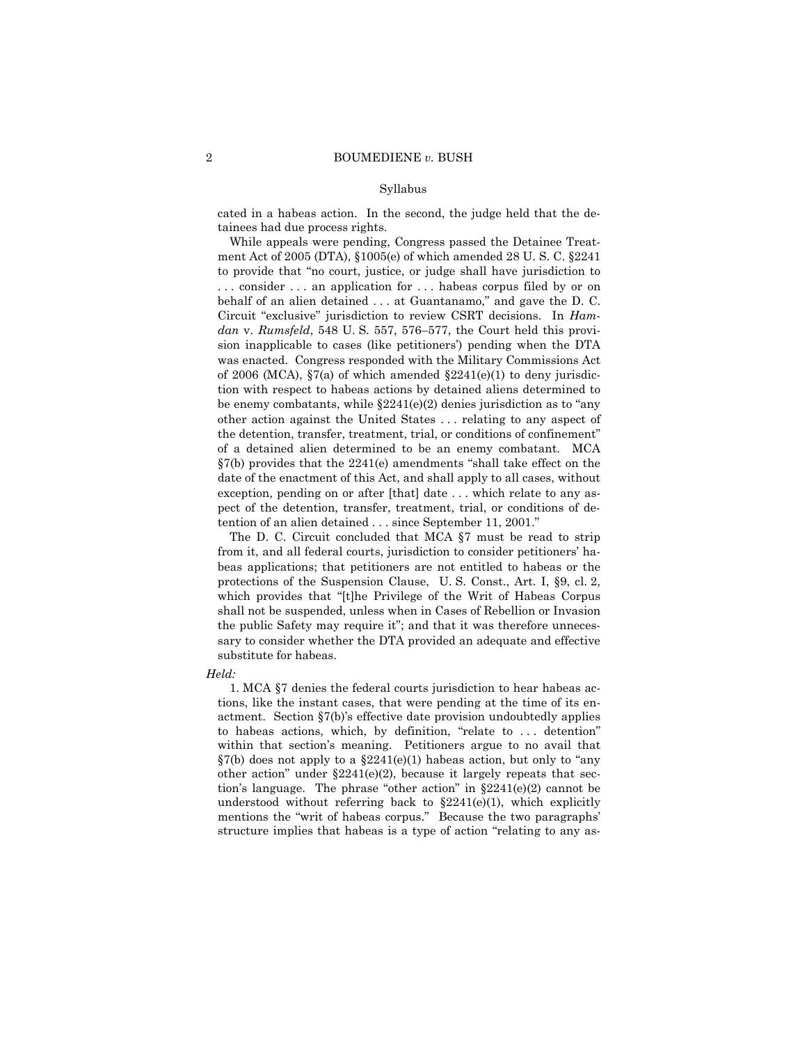cated in a habeas action. In the second, the judge held that the detainees had due process rights.

While appeals were pending, Congress passed the Detainee Treatment Act of 2005 (DTA), §1005(e) of which amended 28 U. S. C. §2241 to provide that "no court, justice, or judge shall have jurisdiction to . . . consider . . . an application for . . . habeas corpus filed by or on behalf of an alien detained . . . at Guantanamo," and gave the D. C. Circuit "exclusive" jurisdiction to review CSRT decisions. In *Hamdan* v. *Rumsfeld*, 548 U. S. 557, 576–577, the Court held this provision inapplicable to cases (like petitioners') pending when the DTA was enacted. Congress responded with the Military Commissions Act of 2006 (MCA),  $\S7(a)$  of which amended  $\S2241(e)(1)$  to deny jurisdiction with respect to habeas actions by detained aliens determined to be enemy combatants, while  $\S2241(e)(2)$  denies jurisdiction as to "any other action against the United States . . . relating to any aspect of the detention, transfer, treatment, trial, or conditions of confinement" of a detained alien determined to be an enemy combatant. MCA §7(b) provides that the 2241(e) amendments "shall take effect on the date of the enactment of this Act, and shall apply to all cases, without exception, pending on or after [that] date . . . which relate to any aspect of the detention, transfer, treatment, trial, or conditions of detention of an alien detained . . . since September 11, 2001."

The D. C. Circuit concluded that MCA §7 must be read to strip from it, and all federal courts, jurisdiction to consider petitioners' habeas applications; that petitioners are not entitled to habeas or the protections of the Suspension Clause, U. S. Const., Art. I, §9, cl. 2, which provides that "[t]he Privilege of the Writ of Habeas Corpus shall not be suspended, unless when in Cases of Rebellion or Invasion the public Safety may require it"; and that it was therefore unnecessary to consider whether the DTA provided an adequate and effective substitute for habeas.

#### *Held:*

1. MCA §7 denies the federal courts jurisdiction to hear habeas actions, like the instant cases, that were pending at the time of its enactment. Section §7(b)'s effective date provision undoubtedly applies to habeas actions, which, by definition, "relate to . . . detention" within that section's meaning. Petitioners argue to no avail that  $\S7(b)$  does not apply to a  $\S2241(e)(1)$  habeas action, but only to "any other action" under  $\S2241(e)(2)$ , because it largely repeats that section's language. The phrase "other action" in §2241(e)(2) cannot be understood without referring back to  $$2241(e)(1)$ , which explicitly mentions the "writ of habeas corpus." Because the two paragraphs' structure implies that habeas is a type of action "relating to any as-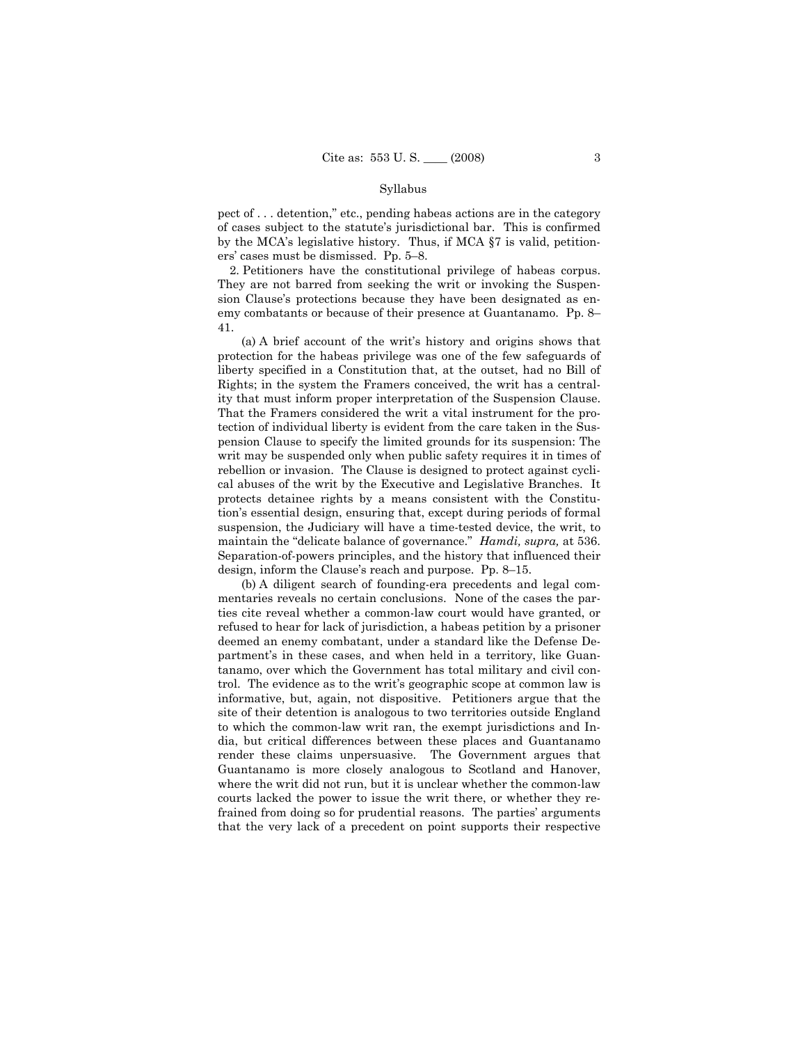pect of . . . detention," etc., pending habeas actions are in the category of cases subject to the statute's jurisdictional bar. This is confirmed by the MCA's legislative history. Thus, if MCA §7 is valid, petitioners' cases must be dismissed. Pp. 5–8.

2. Petitioners have the constitutional privilege of habeas corpus. They are not barred from seeking the writ or invoking the Suspension Clause's protections because they have been designated as enemy combatants or because of their presence at Guantanamo. Pp. 8– 41.

(a) A brief account of the writ's history and origins shows that protection for the habeas privilege was one of the few safeguards of liberty specified in a Constitution that, at the outset, had no Bill of Rights; in the system the Framers conceived, the writ has a centrality that must inform proper interpretation of the Suspension Clause. That the Framers considered the writ a vital instrument for the protection of individual liberty is evident from the care taken in the Suspension Clause to specify the limited grounds for its suspension: The writ may be suspended only when public safety requires it in times of rebellion or invasion. The Clause is designed to protect against cyclical abuses of the writ by the Executive and Legislative Branches. It protects detainee rights by a means consistent with the Constitution's essential design, ensuring that, except during periods of formal suspension, the Judiciary will have a time-tested device, the writ, to maintain the "delicate balance of governance." *Hamdi, supra,* at 536. Separation-of-powers principles, and the history that influenced their design, inform the Clause's reach and purpose. Pp. 8–15.

(b) A diligent search of founding-era precedents and legal commentaries reveals no certain conclusions. None of the cases the parties cite reveal whether a common-law court would have granted, or refused to hear for lack of jurisdiction, a habeas petition by a prisoner deemed an enemy combatant, under a standard like the Defense Department's in these cases, and when held in a territory, like Guantanamo, over which the Government has total military and civil control. The evidence as to the writ's geographic scope at common law is informative, but, again, not dispositive. Petitioners argue that the site of their detention is analogous to two territories outside England to which the common-law writ ran, the exempt jurisdictions and India, but critical differences between these places and Guantanamo render these claims unpersuasive. The Government argues that Guantanamo is more closely analogous to Scotland and Hanover, where the writ did not run, but it is unclear whether the common-law courts lacked the power to issue the writ there, or whether they refrained from doing so for prudential reasons. The parties' arguments that the very lack of a precedent on point supports their respective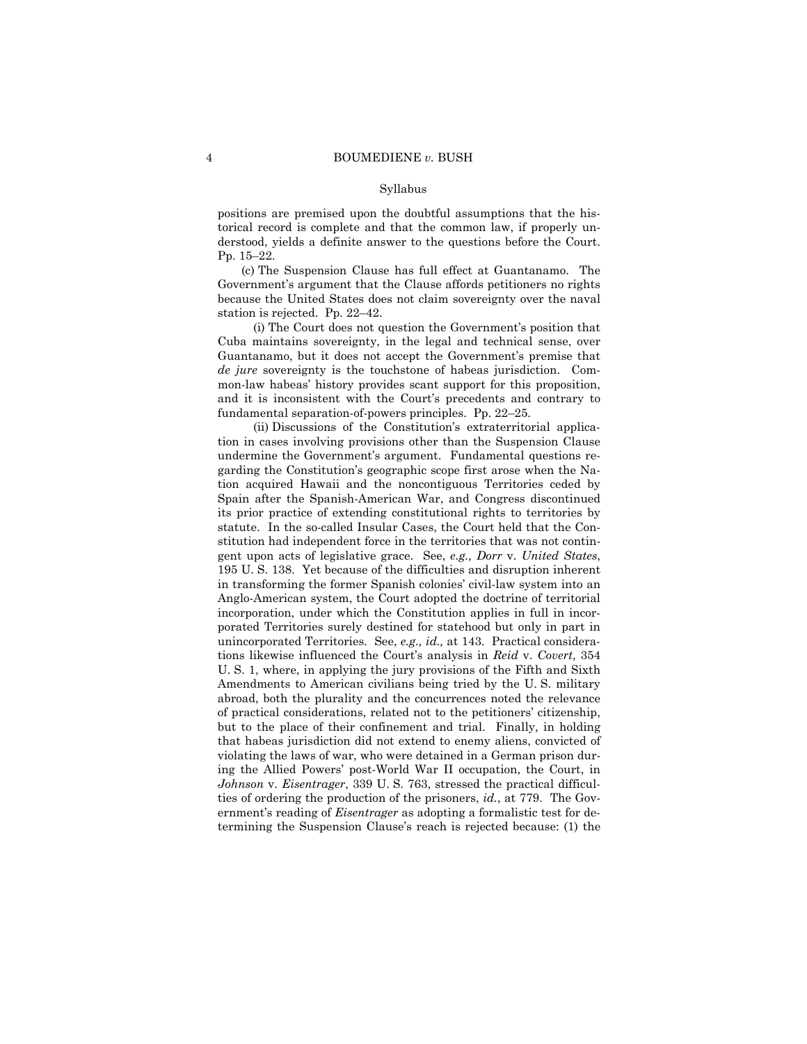derstood, yields a definite answer to the questions before the Court. positions are premised upon the doubtful assumptions that the historical record is complete and that the common law, if properly un-Pp. 15–22.

 (c) The Suspension Clause has full effect at Guantanamo. The Government's argument that the Clause affords petitioners no rights because the United States does not claim sovereignty over the naval station is rejected. Pp. 22–42.

(i) The Court does not question the Government's position that Cuba maintains sovereignty, in the legal and technical sense, over Guantanamo, but it does not accept the Government's premise that *de jure* sovereignty is the touchstone of habeas jurisdiction. Common-law habeas' history provides scant support for this proposition, and it is inconsistent with the Court's precedents and contrary to fundamental separation-of-powers principles. Pp. 22–25.

 Amendments to American civilians being tried by the U. S. military (ii) Discussions of the Constitution's extraterritorial application in cases involving provisions other than the Suspension Clause undermine the Government's argument. Fundamental questions regarding the Constitution's geographic scope first arose when the Nation acquired Hawaii and the noncontiguous Territories ceded by Spain after the Spanish-American War, and Congress discontinued its prior practice of extending constitutional rights to territories by statute. In the so-called Insular Cases, the Court held that the Constitution had independent force in the territories that was not contingent upon acts of legislative grace. See, *e.g., Dorr* v. *United States*, 195 U. S. 138. Yet because of the difficulties and disruption inherent in transforming the former Spanish colonies' civil-law system into an Anglo-American system, the Court adopted the doctrine of territorial incorporation, under which the Constitution applies in full in incorporated Territories surely destined for statehood but only in part in unincorporated Territories. See, *e.g., id.,* at 143. Practical considerations likewise influenced the Court's analysis in *Reid* v. *Covert,* 354 U. S. 1, where, in applying the jury provisions of the Fifth and Sixth abroad, both the plurality and the concurrences noted the relevance of practical considerations, related not to the petitioners' citizenship, but to the place of their confinement and trial. Finally, in holding that habeas jurisdiction did not extend to enemy aliens, convicted of violating the laws of war, who were detained in a German prison during the Allied Powers' post-World War II occupation, the Court, in *Johnson* v. *Eisentrager*, 339 U. S. 763, stressed the practical difficulties of ordering the production of the prisoners, *id.*, at 779. The Government's reading of *Eisentrager* as adopting a formalistic test for determining the Suspension Clause's reach is rejected because: (1) the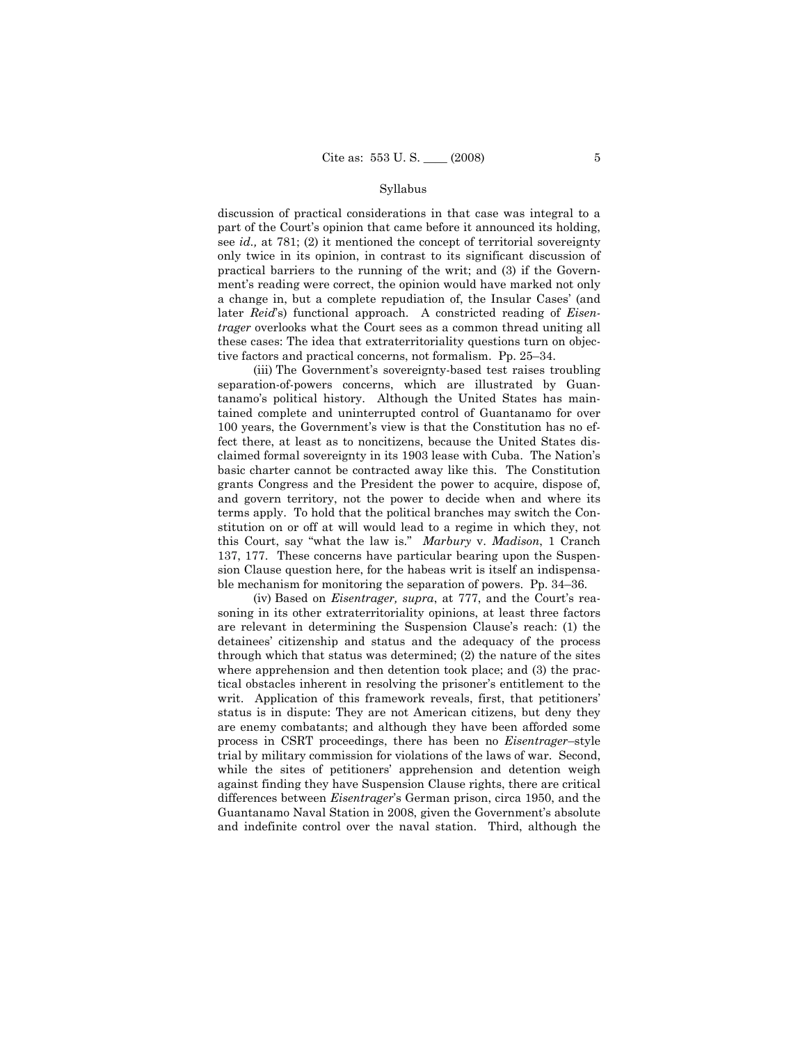discussion of practical considerations in that case was integral to a part of the Court's opinion that came before it announced its holding, see *id.,* at 781; (2) it mentioned the concept of territorial sovereignty only twice in its opinion, in contrast to its significant discussion of practical barriers to the running of the writ; and (3) if the Government's reading were correct, the opinion would have marked not only a change in, but a complete repudiation of, the Insular Cases' (and later *Reid*'s) functional approach. A constricted reading of *Eisentrager* overlooks what the Court sees as a common thread uniting all these cases: The idea that extraterritoriality questions turn on objective factors and practical concerns, not formalism. Pp. 25–34.

 this Court, say "what the law is." *Marbury* v. *Madison*, 1 Cranch (iii) The Government's sovereignty-based test raises troubling separation-of-powers concerns, which are illustrated by Guantanamo's political history. Although the United States has maintained complete and uninterrupted control of Guantanamo for over 100 years, the Government's view is that the Constitution has no effect there, at least as to noncitizens, because the United States disclaimed formal sovereignty in its 1903 lease with Cuba. The Nation's basic charter cannot be contracted away like this. The Constitution grants Congress and the President the power to acquire, dispose of, and govern territory, not the power to decide when and where its terms apply. To hold that the political branches may switch the Constitution on or off at will would lead to a regime in which they, not 137, 177. These concerns have particular bearing upon the Suspension Clause question here, for the habeas writ is itself an indispensable mechanism for monitoring the separation of powers. Pp. 34–36.

 (iv) Based on *Eisentrager, supra*, at 777, and the Court's reasoning in its other extraterritoriality opinions, at least three factors are relevant in determining the Suspension Clause's reach: (1) the detainees' citizenship and status and the adequacy of the process through which that status was determined; (2) the nature of the sites where apprehension and then detention took place; and (3) the practical obstacles inherent in resolving the prisoner's entitlement to the writ. Application of this framework reveals, first, that petitioners' status is in dispute: They are not American citizens, but deny they are enemy combatants; and although they have been afforded some process in CSRT proceedings, there has been no *Eisentrager*–style trial by military commission for violations of the laws of war. Second, while the sites of petitioners' apprehension and detention weigh against finding they have Suspension Clause rights, there are critical differences between *Eisentrager*'s German prison, circa 1950, and the Guantanamo Naval Station in 2008, given the Government's absolute and indefinite control over the naval station. Third, although the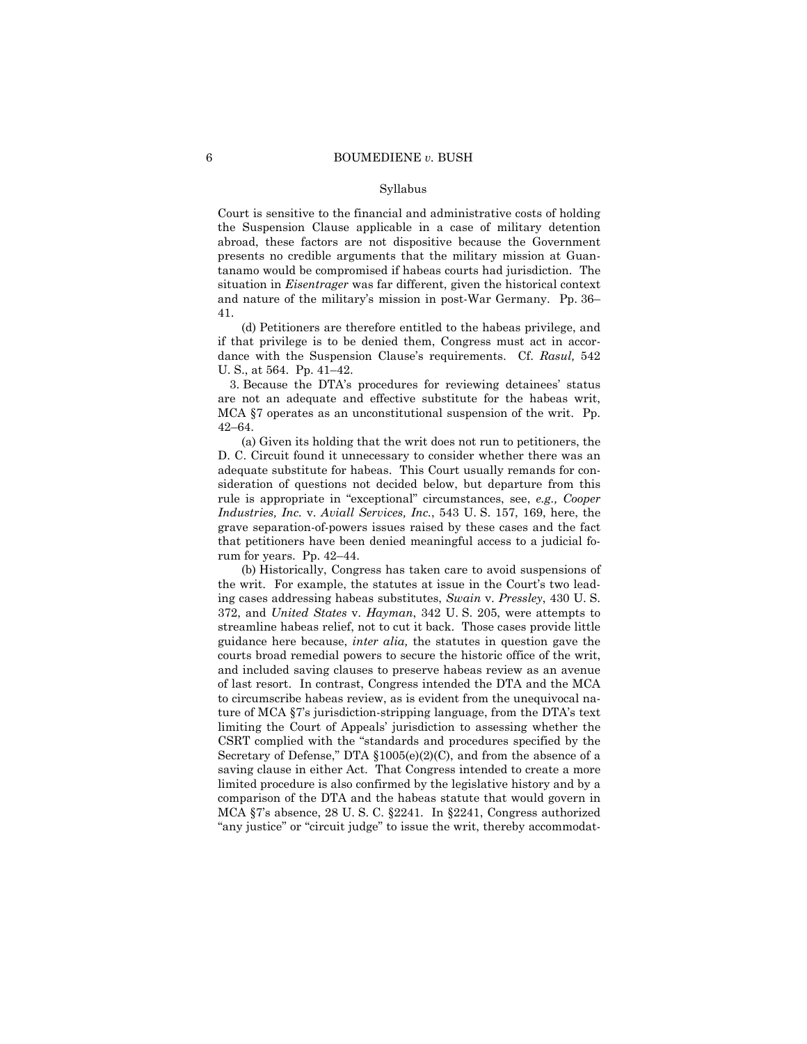Court is sensitive to the financial and administrative costs of holding the Suspension Clause applicable in a case of military detention abroad, these factors are not dispositive because the Government presents no credible arguments that the military mission at Guantanamo would be compromised if habeas courts had jurisdiction. The situation in *Eisentrager* was far different, given the historical context and nature of the military's mission in post-War Germany. Pp. 36– 41.

(d) Petitioners are therefore entitled to the habeas privilege, and if that privilege is to be denied them, Congress must act in accordance with the Suspension Clause's requirements. Cf. *Rasul,* 542 U. S., at 564. Pp. 41–42.

3. Because the DTA's procedures for reviewing detainees' status are not an adequate and effective substitute for the habeas writ, MCA §7 operates as an unconstitutional suspension of the writ. Pp. 42–64.

(a) Given its holding that the writ does not run to petitioners, the D. C. Circuit found it unnecessary to consider whether there was an adequate substitute for habeas. This Court usually remands for consideration of questions not decided below, but departure from this rule is appropriate in "exceptional" circumstances, see, *e.g., Cooper Industries, Inc.* v. *Aviall Services, Inc.*, 543 U. S. 157, 169, here, the grave separation-of-powers issues raised by these cases and the fact that petitioners have been denied meaningful access to a judicial forum for years. Pp. 42–44.

 saving clause in either Act. That Congress intended to create a more (b) Historically, Congress has taken care to avoid suspensions of the writ. For example, the statutes at issue in the Court's two leading cases addressing habeas substitutes, *Swain* v. *Pressley*, 430 U. S. 372, and *United States* v. *Hayman*, 342 U. S. 205, were attempts to streamline habeas relief, not to cut it back. Those cases provide little guidance here because, *inter alia,* the statutes in question gave the courts broad remedial powers to secure the historic office of the writ, and included saving clauses to preserve habeas review as an avenue of last resort. In contrast, Congress intended the DTA and the MCA to circumscribe habeas review, as is evident from the unequivocal nature of MCA §7's jurisdiction-stripping language, from the DTA's text limiting the Court of Appeals' jurisdiction to assessing whether the CSRT complied with the "standards and procedures specified by the Secretary of Defense," DTA §1005(e)(2)(C), and from the absence of a limited procedure is also confirmed by the legislative history and by a comparison of the DTA and the habeas statute that would govern in MCA §7's absence, 28 U. S. C. §2241. In §2241, Congress authorized "any justice" or "circuit judge" to issue the writ, thereby accommodat-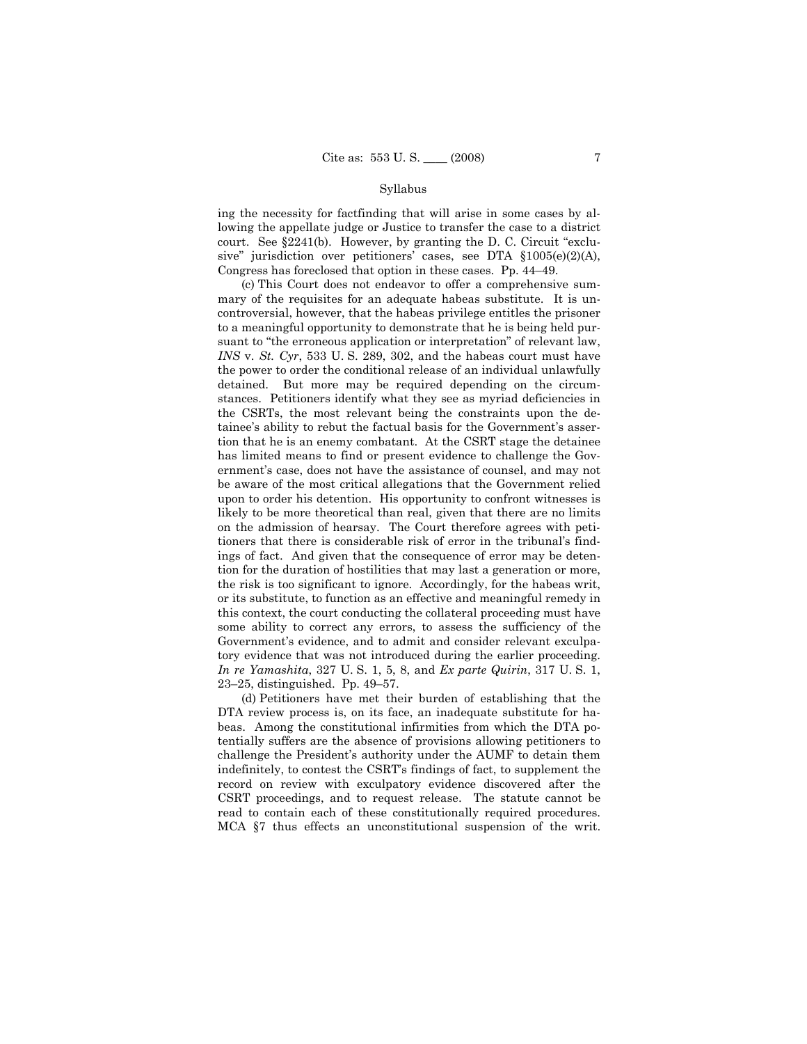ing the necessity for factfinding that will arise in some cases by allowing the appellate judge or Justice to transfer the case to a district court. See §2241(b). However, by granting the D. C. Circuit "exclusive" jurisdiction over petitioners' cases, see DTA §1005(e)(2)(A), Congress has foreclosed that option in these cases. Pp. 44–49.

 tion that he is an enemy combatant. At the CSRT stage the detainee (c) This Court does not endeavor to offer a comprehensive summary of the requisites for an adequate habeas substitute. It is uncontroversial, however, that the habeas privilege entitles the prisoner to a meaningful opportunity to demonstrate that he is being held pursuant to "the erroneous application or interpretation" of relevant law, *INS* v. *St. Cyr*, 533 U. S. 289, 302, and the habeas court must have the power to order the conditional release of an individual unlawfully detained. But more may be required depending on the circumstances. Petitioners identify what they see as myriad deficiencies in the CSRTs, the most relevant being the constraints upon the detainee's ability to rebut the factual basis for the Government's asserhas limited means to find or present evidence to challenge the Government's case, does not have the assistance of counsel, and may not be aware of the most critical allegations that the Government relied upon to order his detention. His opportunity to confront witnesses is likely to be more theoretical than real, given that there are no limits on the admission of hearsay. The Court therefore agrees with petitioners that there is considerable risk of error in the tribunal's findings of fact. And given that the consequence of error may be detention for the duration of hostilities that may last a generation or more, the risk is too significant to ignore. Accordingly, for the habeas writ, or its substitute, to function as an effective and meaningful remedy in this context, the court conducting the collateral proceeding must have some ability to correct any errors, to assess the sufficiency of the Government's evidence, and to admit and consider relevant exculpatory evidence that was not introduced during the earlier proceeding. *In re Yamashita*, 327 U. S. 1, 5, 8, and *Ex parte Quirin*, 317 U. S. 1, 23–25, distinguished. Pp. 49–57.

(d) Petitioners have met their burden of establishing that the DTA review process is, on its face, an inadequate substitute for habeas. Among the constitutional infirmities from which the DTA potentially suffers are the absence of provisions allowing petitioners to challenge the President's authority under the AUMF to detain them indefinitely, to contest the CSRT's findings of fact, to supplement the record on review with exculpatory evidence discovered after the CSRT proceedings, and to request release. The statute cannot be read to contain each of these constitutionally required procedures. MCA §7 thus effects an unconstitutional suspension of the writ.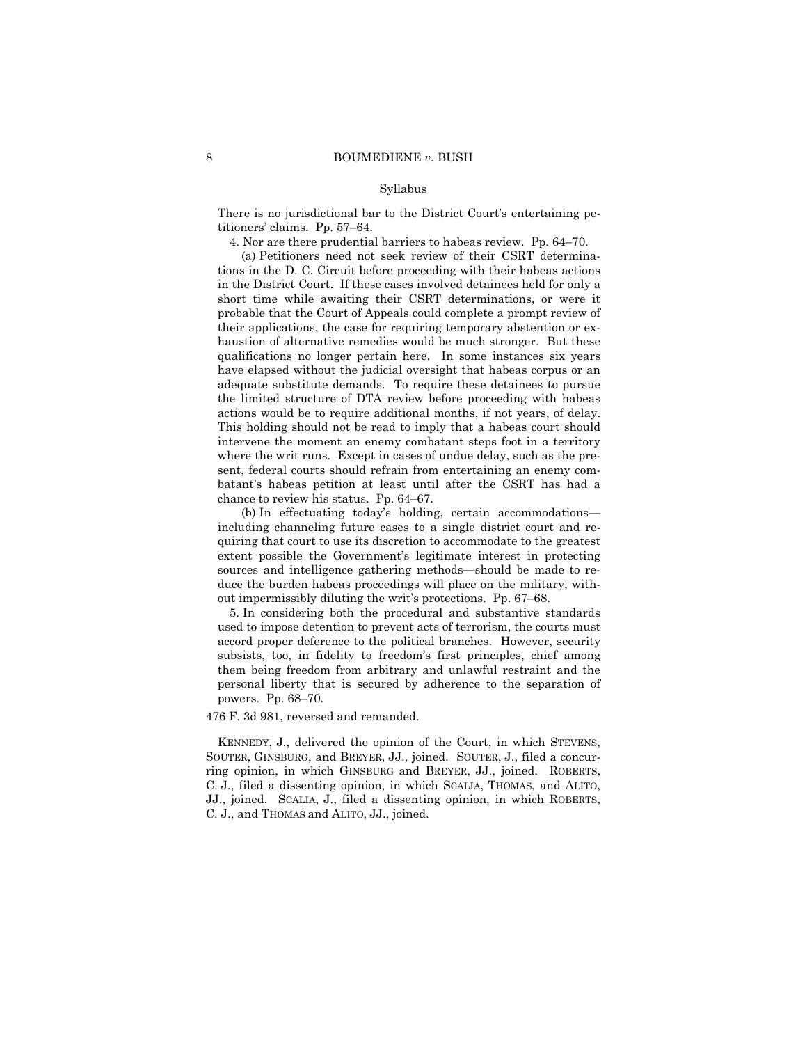There is no jurisdictional bar to the District Court's entertaining petitioners' claims. Pp. 57–64.

4. Nor are there prudential barriers to habeas review. Pp. 64–70.

 actions would be to require additional months, if not years, of delay. (a) Petitioners need not seek review of their CSRT determinations in the D. C. Circuit before proceeding with their habeas actions in the District Court. If these cases involved detainees held for only a short time while awaiting their CSRT determinations, or were it probable that the Court of Appeals could complete a prompt review of their applications, the case for requiring temporary abstention or exhaustion of alternative remedies would be much stronger. But these qualifications no longer pertain here. In some instances six years have elapsed without the judicial oversight that habeas corpus or an adequate substitute demands. To require these detainees to pursue the limited structure of DTA review before proceeding with habeas This holding should not be read to imply that a habeas court should intervene the moment an enemy combatant steps foot in a territory where the writ runs. Except in cases of undue delay, such as the present, federal courts should refrain from entertaining an enemy combatant's habeas petition at least until after the CSRT has had a chance to review his status. Pp. 64–67.

(b) In effectuating today's holding, certain accommodations including channeling future cases to a single district court and requiring that court to use its discretion to accommodate to the greatest extent possible the Government's legitimate interest in protecting sources and intelligence gathering methods—should be made to reduce the burden habeas proceedings will place on the military, without impermissibly diluting the writ's protections. Pp. 67–68.

5. In considering both the procedural and substantive standards used to impose detention to prevent acts of terrorism, the courts must accord proper deference to the political branches. However, security subsists, too, in fidelity to freedom's first principles, chief among them being freedom from arbitrary and unlawful restraint and the personal liberty that is secured by adherence to the separation of powers. Pp. 68–70.

476 F. 3d 981, reversed and remanded.

KENNEDY, J., delivered the opinion of the Court, in which STEVENS, SOUTER, GINSBURG, and BREYER, JJ., joined. SOUTER, J., filed a concurring opinion, in which GINSBURG and BREYER, JJ., joined. ROBERTS, C. J., filed a dissenting opinion, in which SCALIA, THOMAS, and ALITO, JJ., joined. SCALIA, J., filed a dissenting opinion, in which ROBERTS, C. J., and THOMAS and ALITO, JJ., joined.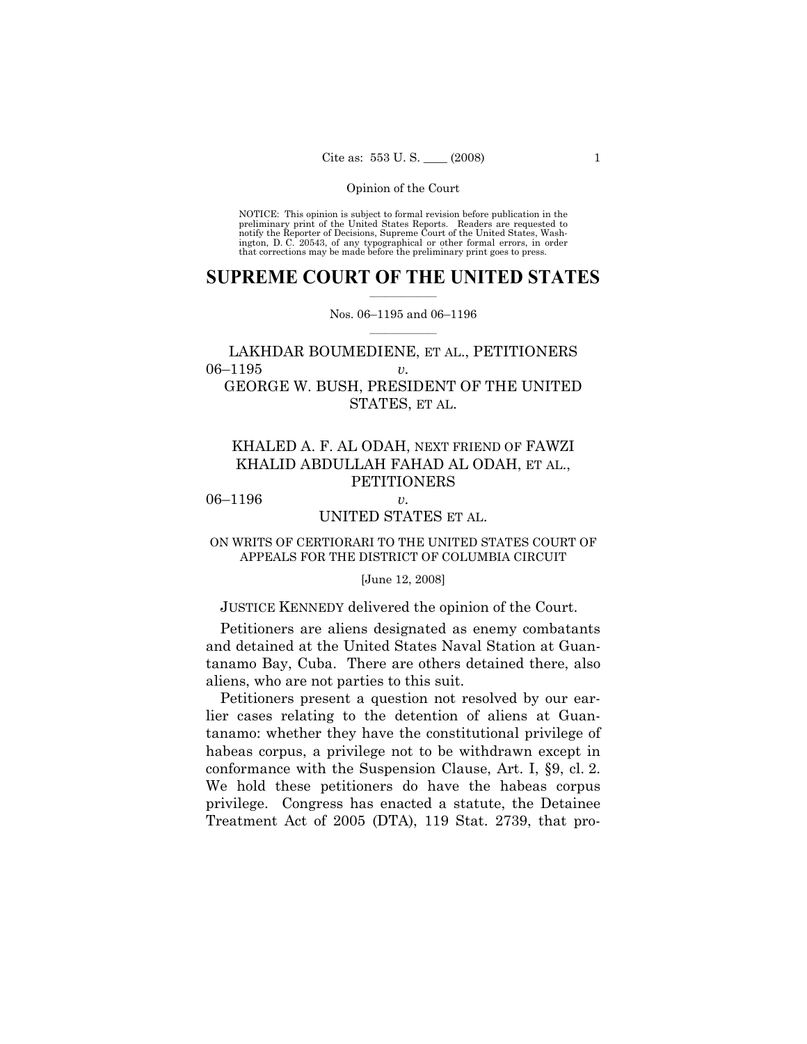preliminary print of the United States Reports. Readers are requested to notify the Reporter of Decisions, Supreme Court of the United States, Wash- ington, D. C. 20543, of any typographical or other formal errors, in order that corrections may be made before the preliminary print goes to press. NOTICE: This opinion is subject to formal revision before publication in the

# $\frac{1}{2}$  , where  $\frac{1}{2}$ **SUPREME COURT OF THE UNITED STATES**

 $\frac{1}{2}$  ,  $\frac{1}{2}$  ,  $\frac{1}{2}$  ,  $\frac{1}{2}$  ,  $\frac{1}{2}$  ,  $\frac{1}{2}$ Nos. 06–1195 and 06–1196

# LAKHDAR BOUMEDIENE, ET AL., PETITIONERS 06–1195 *v.*  GEORGE W. BUSH, PRESIDENT OF THE UNITED STATES, ET AL.

# KHALED A. F. AL ODAH, NEXT FRIEND OF FAWZI KHALID ABDULLAH FAHAD AL ODAH, ET AL., **PETITIONERS**

06–1196 *v.* 

# UNITED STATES ET AL.

# ON WRITS OF CERTIORARI TO THE UNITED STATES COURT OF APPEALS FOR THE DISTRICT OF COLUMBIA CIRCUIT

# [June 12, 2008]

# JUSTICE KENNEDY delivered the opinion of the Court.

Petitioners are aliens designated as enemy combatants and detained at the United States Naval Station at Guantanamo Bay, Cuba. There are others detained there, also aliens, who are not parties to this suit.

Petitioners present a question not resolved by our earlier cases relating to the detention of aliens at Guantanamo: whether they have the constitutional privilege of habeas corpus, a privilege not to be withdrawn except in conformance with the Suspension Clause, Art. I, §9, cl. 2. We hold these petitioners do have the habeas corpus privilege. Congress has enacted a statute, the Detainee Treatment Act of 2005 (DTA), 119 Stat. 2739, that pro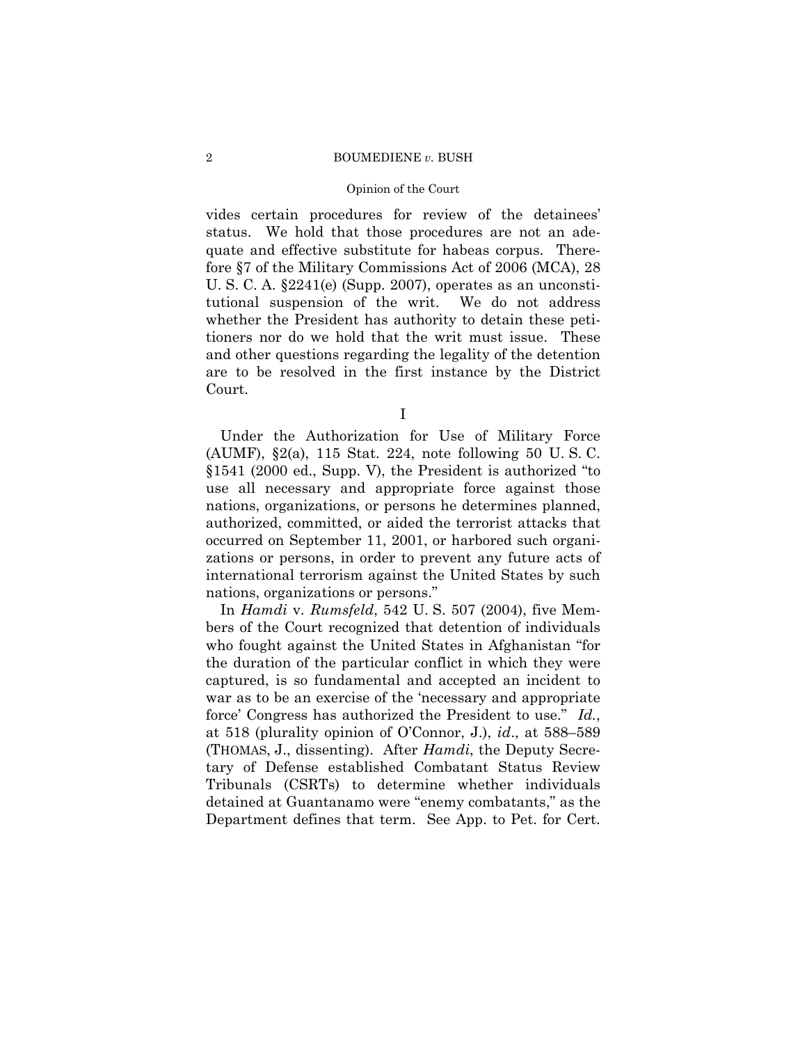# Opinion of the Court

vides certain procedures for review of the detainees' status. We hold that those procedures are not an adequate and effective substitute for habeas corpus. Therefore §7 of the Military Commissions Act of 2006 (MCA), 28 U. S. C. A. §2241(e) (Supp. 2007), operates as an unconstitutional suspension of the writ. We do not address whether the President has authority to detain these petitioners nor do we hold that the writ must issue. These and other questions regarding the legality of the detention are to be resolved in the first instance by the District Court.

I

Under the Authorization for Use of Military Force (AUMF), §2(a), 115 Stat. 224, note following 50 U. S. C. §1541 (2000 ed., Supp. V), the President is authorized "to use all necessary and appropriate force against those nations, organizations, or persons he determines planned, authorized, committed, or aided the terrorist attacks that occurred on September 11, 2001, or harbored such organizations or persons, in order to prevent any future acts of international terrorism against the United States by such nations, organizations or persons."

In *Hamdi* v. *Rumsfeld*, 542 U. S. 507 (2004), five Members of the Court recognized that detention of individuals who fought against the United States in Afghanistan "for the duration of the particular conflict in which they were captured, is so fundamental and accepted an incident to war as to be an exercise of the 'necessary and appropriate force' Congress has authorized the President to use." *Id.*, at 518 (plurality opinion of O'Connor, J.), *id*., at 588–589 (THOMAS, J., dissenting). After *Hamdi*, the Deputy Secretary of Defense established Combatant Status Review Tribunals (CSRTs) to determine whether individuals detained at Guantanamo were "enemy combatants," as the Department defines that term. See App. to Pet. for Cert.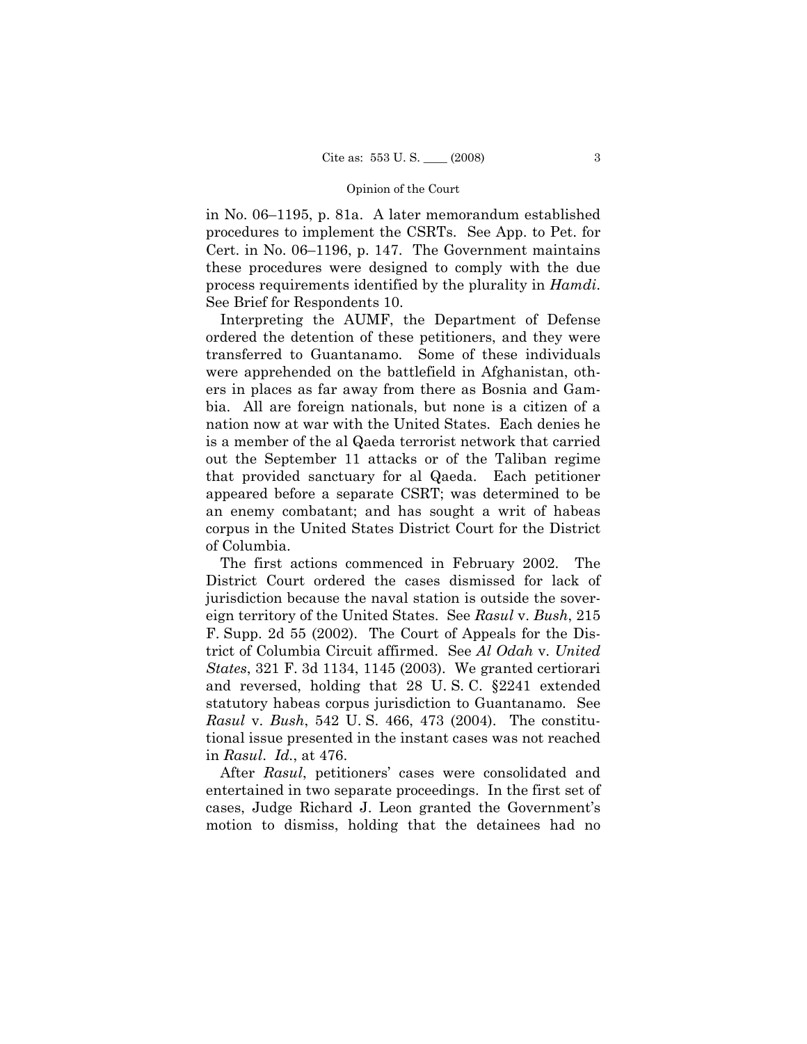in No. 06–1195, p. 81a. A later memorandum established procedures to implement the CSRTs. See App. to Pet. for Cert. in No. 06–1196, p. 147. The Government maintains these procedures were designed to comply with the due process requirements identified by the plurality in *Hamdi*. See Brief for Respondents 10.

Interpreting the AUMF, the Department of Defense ordered the detention of these petitioners, and they were transferred to Guantanamo. Some of these individuals were apprehended on the battlefield in Afghanistan, others in places as far away from there as Bosnia and Gambia. All are foreign nationals, but none is a citizen of a nation now at war with the United States. Each denies he is a member of the al Qaeda terrorist network that carried out the September 11 attacks or of the Taliban regime that provided sanctuary for al Qaeda. Each petitioner appeared before a separate CSRT; was determined to be an enemy combatant; and has sought a writ of habeas corpus in the United States District Court for the District of Columbia.

The first actions commenced in February 2002. The District Court ordered the cases dismissed for lack of jurisdiction because the naval station is outside the sovereign territory of the United States. See *Rasul* v. *Bush*, 215 F. Supp. 2d 55 (2002). The Court of Appeals for the District of Columbia Circuit affirmed. See *Al Odah* v. *United States*, 321 F. 3d 1134, 1145 (2003). We granted certiorari and reversed, holding that 28 U. S. C. §2241 extended statutory habeas corpus jurisdiction to Guantanamo. See *Rasul* v. *Bush*, 542 U. S. 466, 473 (2004). The constitutional issue presented in the instant cases was not reached in *Rasul*. *Id.*, at 476.

After *Rasul*, petitioners' cases were consolidated and entertained in two separate proceedings. In the first set of cases, Judge Richard J. Leon granted the Government's motion to dismiss, holding that the detainees had no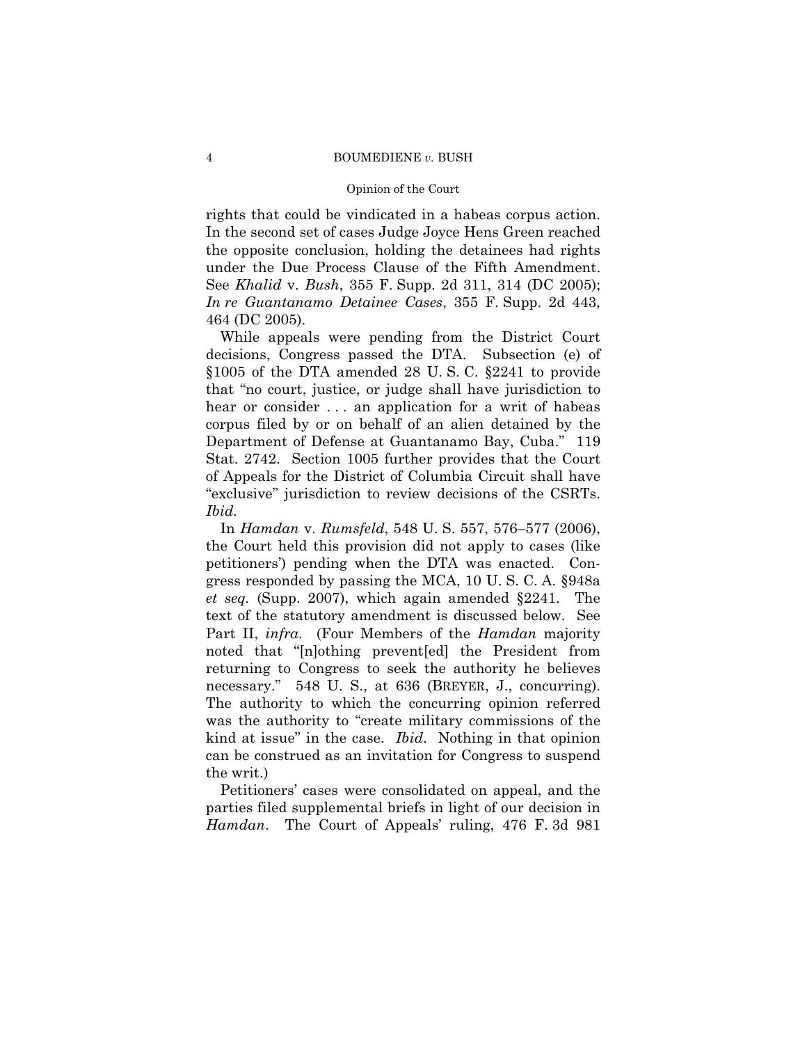## Opinion of the Court

rights that could be vindicated in a habeas corpus action. In the second set of cases Judge Joyce Hens Green reached the opposite conclusion, holding the detainees had rights under the Due Process Clause of the Fifth Amendment. See *Khalid* v. *Bush*, 355 F. Supp. 2d 311, 314 (DC 2005); *In re Guantanamo Detainee Cases*, 355 F. Supp. 2d 443, 464 (DC 2005).

While appeals were pending from the District Court decisions, Congress passed the DTA. Subsection (e) of §1005 of the DTA amended 28 U. S. C. §2241 to provide that "no court, justice, or judge shall have jurisdiction to hear or consider ... an application for a writ of habeas corpus filed by or on behalf of an alien detained by the Department of Defense at Guantanamo Bay, Cuba." 119 Stat. 2742. Section 1005 further provides that the Court of Appeals for the District of Columbia Circuit shall have "exclusive" jurisdiction to review decisions of the CSRTs. *Ibid.*

 In *Hamdan* v. *Rumsfeld*, 548 U. S. 557, 576–577 (2006), the Court held this provision did not apply to cases (like petitioners') pending when the DTA was enacted. Congress responded by passing the MCA, 10 U. S. C. A. §948a *et seq.* (Supp. 2007), which again amended §2241. The text of the statutory amendment is discussed below. See Part II, *infra*. (Four Members of the *Hamdan* majority noted that "[n]othing prevent[ed] the President from returning to Congress to seek the authority he believes necessary." 548 U.S., at 636 (BREYER, J., concurring). The authority to which the concurring opinion referred was the authority to "create military commissions of the kind at issue" in the case. *Ibid*. Nothing in that opinion can be construed as an invitation for Congress to suspend the writ.)

Petitioners' cases were consolidated on appeal, and the parties filed supplemental briefs in light of our decision in *Hamdan*. The Court of Appeals' ruling, 476 F. 3d 981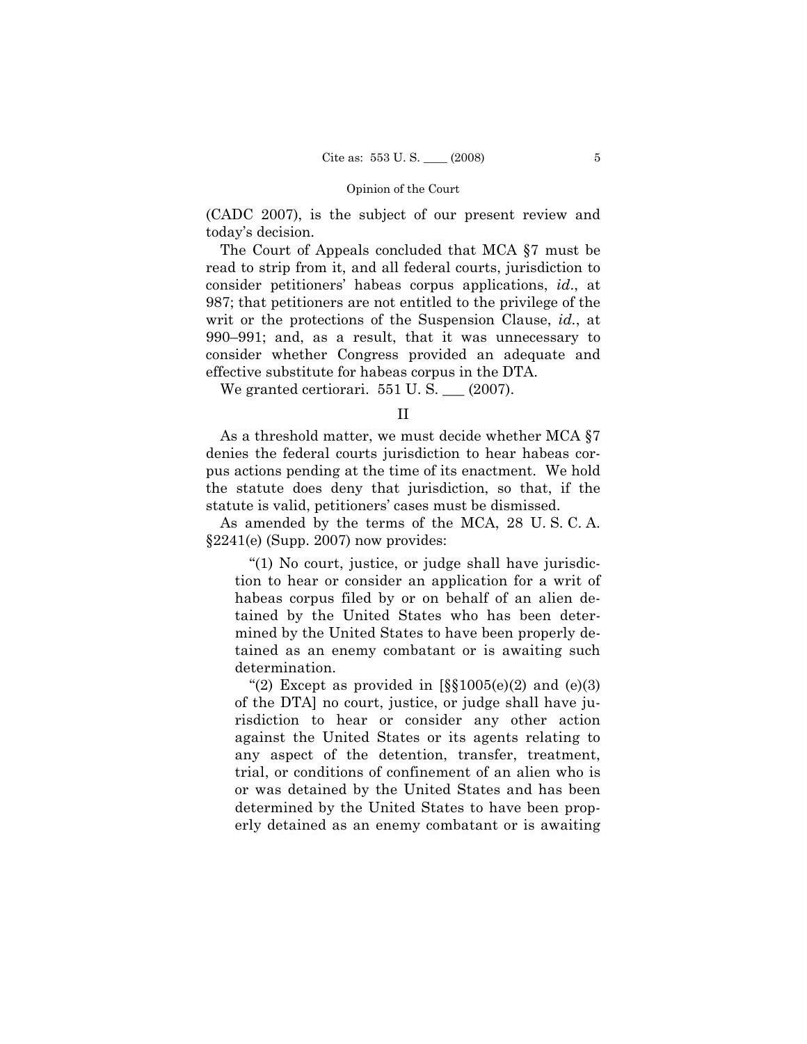(CADC 2007), is the subject of our present review and today's decision.

The Court of Appeals concluded that MCA §7 must be read to strip from it, and all federal courts, jurisdiction to consider petitioners' habeas corpus applications, *id*., at 987; that petitioners are not entitled to the privilege of the writ or the protections of the Suspension Clause, *id.*, at 990–991; and, as a result, that it was unnecessary to consider whether Congress provided an adequate and effective substitute for habeas corpus in the DTA.

We granted certiorari.  $551$  U.S.  $\_\_$  (2007).

II

As a threshold matter, we must decide whether MCA §7 denies the federal courts jurisdiction to hear habeas corpus actions pending at the time of its enactment. We hold the statute does deny that jurisdiction, so that, if the statute is valid, petitioners' cases must be dismissed.

As amended by the terms of the MCA, 28 U. S. C. A. §2241(e) (Supp. 2007) now provides:

"(1) No court, justice, or judge shall have jurisdiction to hear or consider an application for a writ of habeas corpus filed by or on behalf of an alien detained by the United States who has been determined by the United States to have been properly detained as an enemy combatant or is awaiting such determination.

"(2) Except as provided in  $\S$ §1005(e)(2) and (e)(3) of the DTA] no court, justice, or judge shall have jurisdiction to hear or consider any other action against the United States or its agents relating to any aspect of the detention, transfer, treatment, trial, or conditions of confinement of an alien who is or was detained by the United States and has been determined by the United States to have been properly detained as an enemy combatant or is awaiting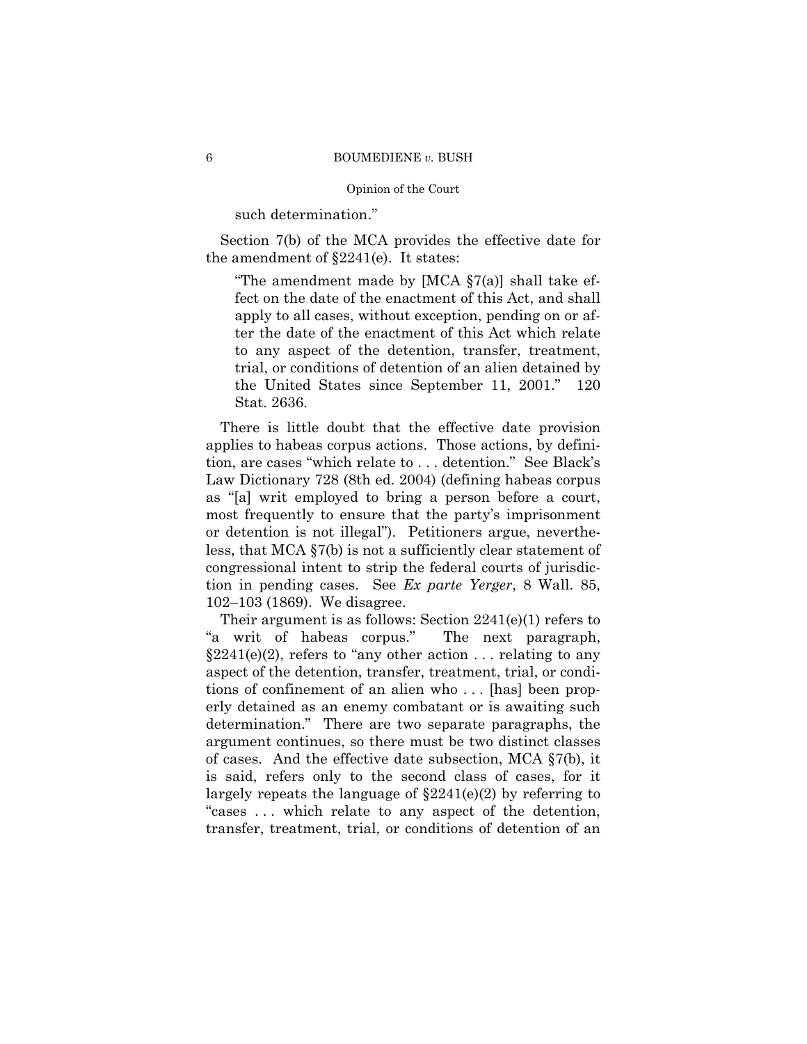such determination."

Section 7(b) of the MCA provides the effective date for the amendment of §2241(e). It states:

"The amendment made by  $[MCA \, \S7(a)]$  shall take effect on the date of the enactment of this Act, and shall apply to all cases, without exception, pending on or after the date of the enactment of this Act which relate to any aspect of the detention, transfer, treatment, trial, or conditions of detention of an alien detained by the United States since September 11, 2001." 120 Stat. 2636.

There is little doubt that the effective date provision applies to habeas corpus actions. Those actions, by definition, are cases "which relate to . . . detention." See Black's Law Dictionary 728 (8th ed. 2004) (defining habeas corpus as "[a] writ employed to bring a person before a court, most frequently to ensure that the party's imprisonment or detention is not illegal"). Petitioners argue, nevertheless, that MCA §7(b) is not a sufficiently clear statement of congressional intent to strip the federal courts of jurisdiction in pending cases. See *Ex parte Yerger*, 8 Wall. 85, 102–103 (1869). We disagree.

Their argument is as follows: Section 2241(e)(1) refers to "a writ of habeas corpus." The next paragraph,  $\S 2241(e)(2)$ , refers to "any other action ... relating to any aspect of the detention, transfer, treatment, trial, or conditions of confinement of an alien who . . . [has] been properly detained as an enemy combatant or is awaiting such determination." There are two separate paragraphs, the argument continues, so there must be two distinct classes of cases. And the effective date subsection, MCA §7(b), it is said, refers only to the second class of cases, for it largely repeats the language of  $\S2241(e)(2)$  by referring to "cases . . . which relate to any aspect of the detention, transfer, treatment, trial, or conditions of detention of an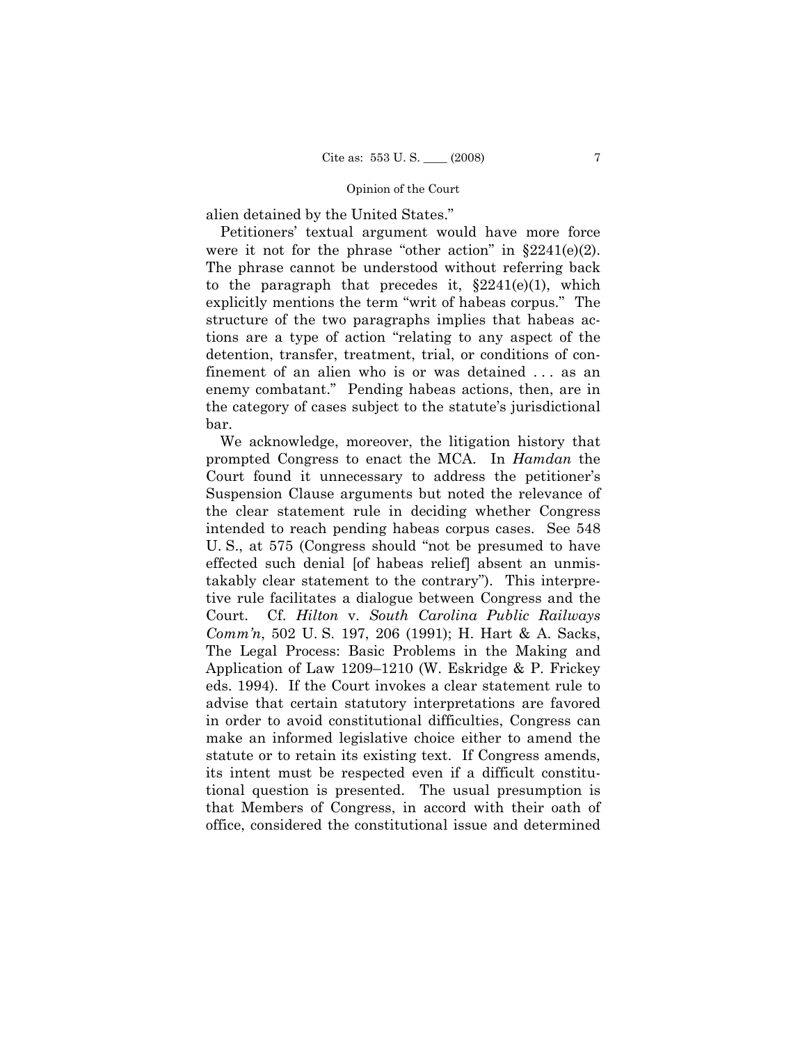alien detained by the United States."

Petitioners' textual argument would have more force were it not for the phrase "other action" in  $\S 2241(e)(2)$ . The phrase cannot be understood without referring back to the paragraph that precedes it,  $\S 2241(e)(1)$ , which explicitly mentions the term "writ of habeas corpus." The structure of the two paragraphs implies that habeas actions are a type of action "relating to any aspect of the detention, transfer, treatment, trial, or conditions of confinement of an alien who is or was detained . . . as an enemy combatant." Pending habeas actions, then, are in the category of cases subject to the statute's jurisdictional bar.

We acknowledge, moreover, the litigation history that prompted Congress to enact the MCA. In *Hamdan* the Court found it unnecessary to address the petitioner's Suspension Clause arguments but noted the relevance of the clear statement rule in deciding whether Congress intended to reach pending habeas corpus cases. See 548 U. S., at 575 (Congress should "not be presumed to have effected such denial [of habeas relief] absent an unmistakably clear statement to the contrary"). This interpretive rule facilitates a dialogue between Congress and the Court. Cf. *Hilton* v. *South Carolina Public Railways Comm'n*, 502 U. S. 197, 206 (1991); H. Hart & A. Sacks, The Legal Process: Basic Problems in the Making and Application of Law 1209–1210 (W. Eskridge & P. Frickey eds. 1994). If the Court invokes a clear statement rule to advise that certain statutory interpretations are favored in order to avoid constitutional difficulties, Congress can make an informed legislative choice either to amend the statute or to retain its existing text. If Congress amends, its intent must be respected even if a difficult constitutional question is presented. The usual presumption is that Members of Congress, in accord with their oath of office, considered the constitutional issue and determined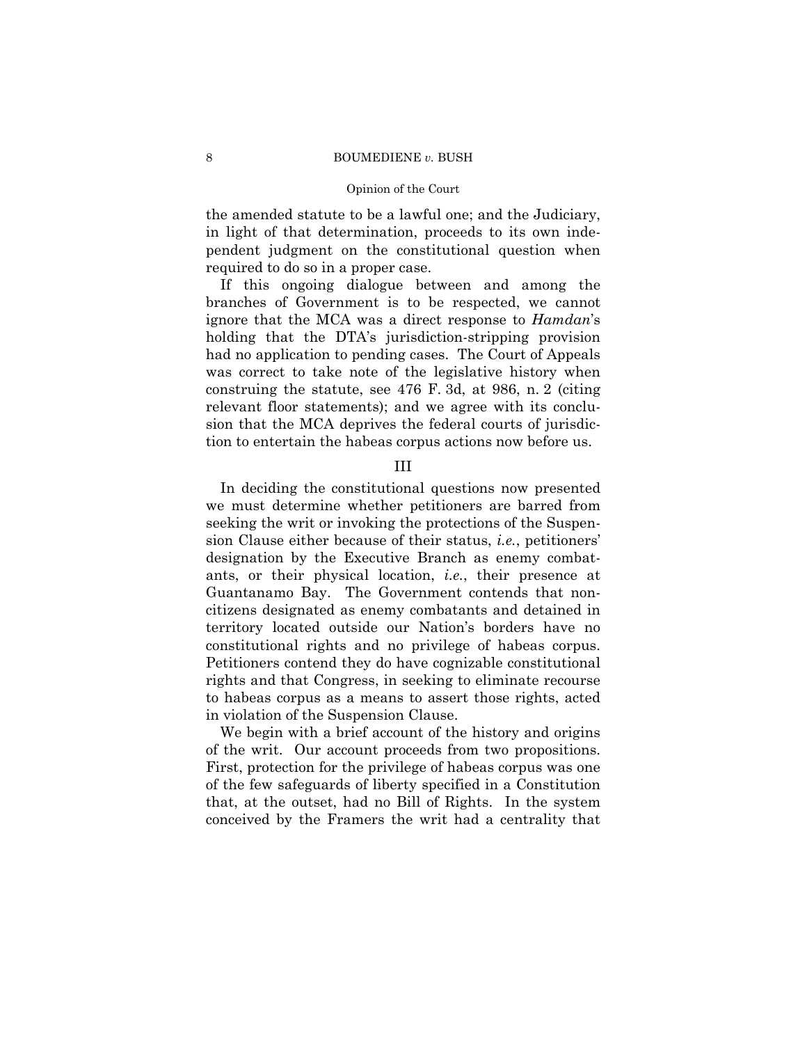# Opinion of the Court

the amended statute to be a lawful one; and the Judiciary, in light of that determination, proceeds to its own independent judgment on the constitutional question when required to do so in a proper case.

If this ongoing dialogue between and among the branches of Government is to be respected, we cannot ignore that the MCA was a direct response to *Hamdan*'s holding that the DTA's jurisdiction-stripping provision had no application to pending cases. The Court of Appeals was correct to take note of the legislative history when construing the statute, see 476 F. 3d, at 986, n. 2 (citing relevant floor statements); and we agree with its conclusion that the MCA deprives the federal courts of jurisdiction to entertain the habeas corpus actions now before us.

# III

In deciding the constitutional questions now presented we must determine whether petitioners are barred from seeking the writ or invoking the protections of the Suspension Clause either because of their status, *i.e.*, petitioners' designation by the Executive Branch as enemy combatants, or their physical location, *i.e.*, their presence at Guantanamo Bay. The Government contends that noncitizens designated as enemy combatants and detained in territory located outside our Nation's borders have no constitutional rights and no privilege of habeas corpus. Petitioners contend they do have cognizable constitutional rights and that Congress, in seeking to eliminate recourse to habeas corpus as a means to assert those rights, acted in violation of the Suspension Clause.

We begin with a brief account of the history and origins of the writ. Our account proceeds from two propositions. First, protection for the privilege of habeas corpus was one of the few safeguards of liberty specified in a Constitution that, at the outset, had no Bill of Rights. In the system conceived by the Framers the writ had a centrality that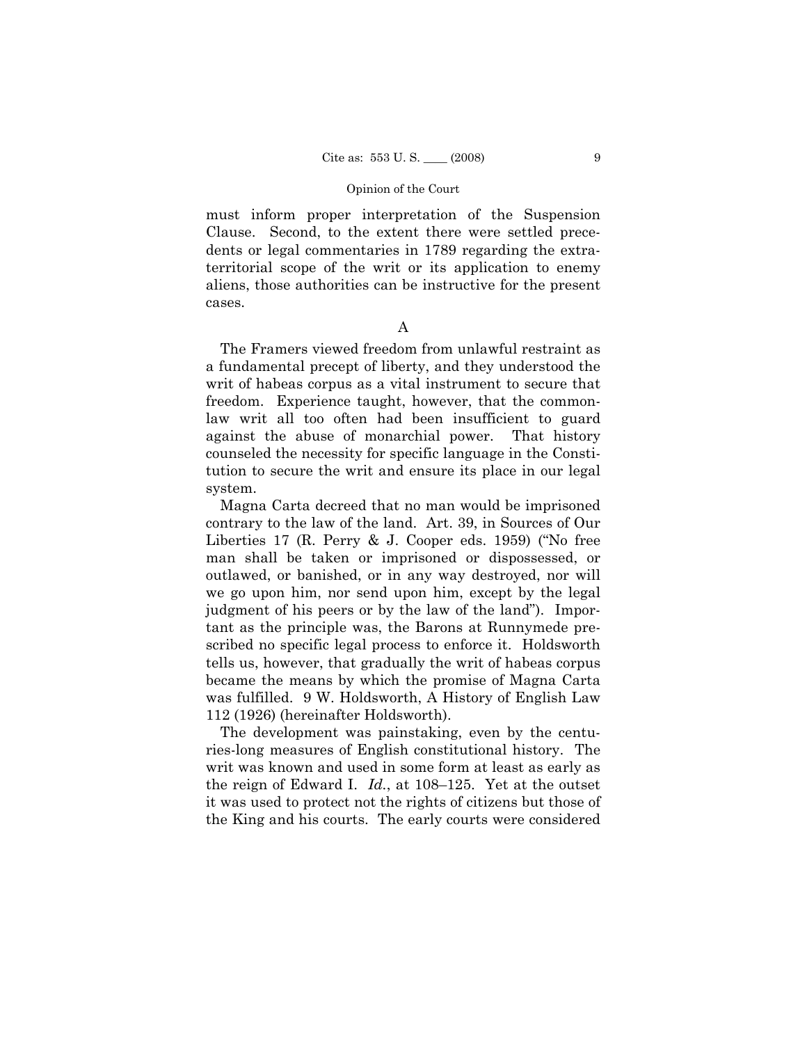must inform proper interpretation of the Suspension Clause. Second, to the extent there were settled precedents or legal commentaries in 1789 regarding the extraterritorial scope of the writ or its application to enemy aliens, those authorities can be instructive for the present cases.

A

The Framers viewed freedom from unlawful restraint as a fundamental precept of liberty, and they understood the writ of habeas corpus as a vital instrument to secure that freedom. Experience taught, however, that the commonlaw writ all too often had been insufficient to guard against the abuse of monarchial power. That history counseled the necessity for specific language in the Constitution to secure the writ and ensure its place in our legal system.

Magna Carta decreed that no man would be imprisoned contrary to the law of the land. Art. 39, in Sources of Our Liberties 17 (R. Perry & J. Cooper eds. 1959) ("No free man shall be taken or imprisoned or dispossessed, or outlawed, or banished, or in any way destroyed, nor will we go upon him, nor send upon him, except by the legal judgment of his peers or by the law of the land"). Important as the principle was, the Barons at Runnymede prescribed no specific legal process to enforce it. Holdsworth tells us, however, that gradually the writ of habeas corpus became the means by which the promise of Magna Carta was fulfilled. 9 W. Holdsworth, A History of English Law 112 (1926) (hereinafter Holdsworth).

The development was painstaking, even by the centuries-long measures of English constitutional history. The writ was known and used in some form at least as early as the reign of Edward I. *Id.*, at 108–125. Yet at the outset it was used to protect not the rights of citizens but those of the King and his courts. The early courts were considered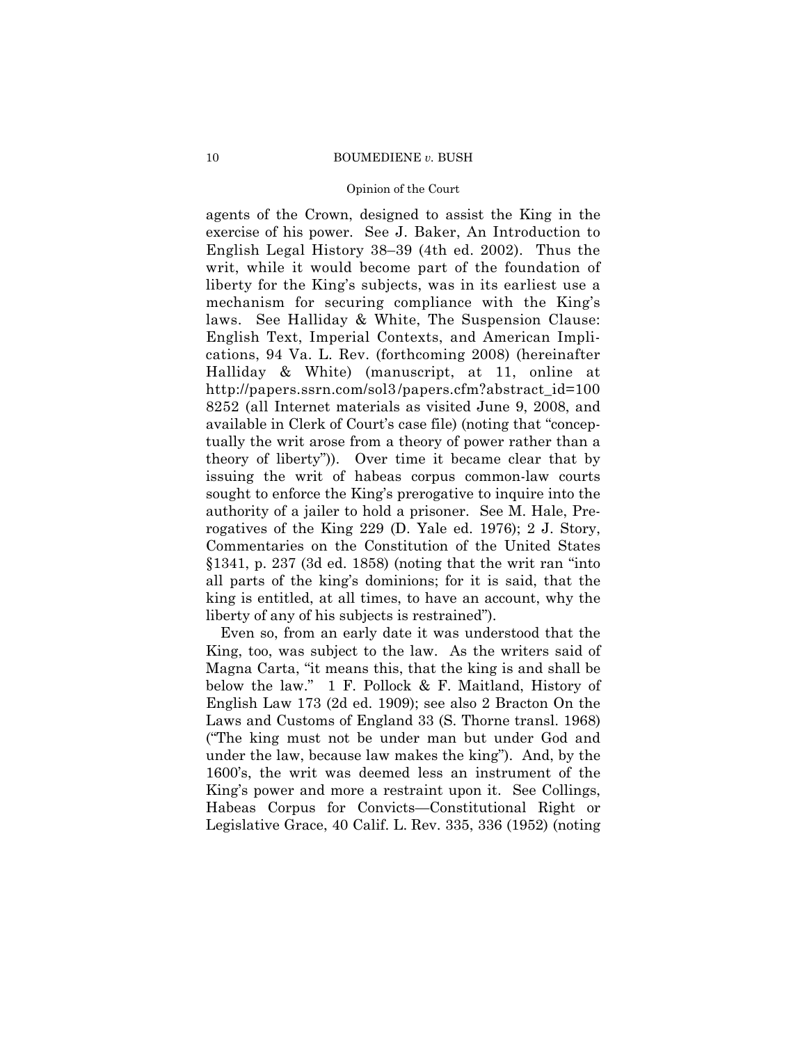## Opinion of the Court

agents of the Crown, designed to assist the King in the exercise of his power. See J. Baker, An Introduction to English Legal History 38–39 (4th ed. 2002). Thus the writ, while it would become part of the foundation of liberty for the King's subjects, was in its earliest use a mechanism for securing compliance with the King's laws. See Halliday & White, The Suspension Clause: English Text, Imperial Contexts, and American Implications, 94 Va. L. Rev. (forthcoming 2008) (hereinafter Halliday & White) (manuscript, at 11, online at http://papers.ssrn.com/sol3 /papers.cfm?abstract\_id=100 8252 (all Internet materials as visited June 9, 2008, and available in Clerk of Court's case file) (noting that "conceptually the writ arose from a theory of power rather than a theory of liberty")). Over time it became clear that by issuing the writ of habeas corpus common-law courts sought to enforce the King's prerogative to inquire into the authority of a jailer to hold a prisoner. See M. Hale, Prerogatives of the King 229 (D. Yale ed. 1976); 2 J. Story, Commentaries on the Constitution of the United States §1341, p. 237 (3d ed. 1858) (noting that the writ ran "into all parts of the king's dominions; for it is said, that the king is entitled, at all times, to have an account, why the liberty of any of his subjects is restrained").

 under the law, because law makes the king"). And, by the Even so, from an early date it was understood that the King, too, was subject to the law. As the writers said of Magna Carta, "it means this, that the king is and shall be below the law." 1 F. Pollock & F. Maitland, History of English Law 173 (2d ed. 1909); see also 2 Bracton On the Laws and Customs of England 33 (S. Thorne transl. 1968) ("The king must not be under man but under God and 1600's, the writ was deemed less an instrument of the King's power and more a restraint upon it. See Collings, Habeas Corpus for Convicts—Constitutional Right or Legislative Grace, 40 Calif. L. Rev. 335, 336 (1952) (noting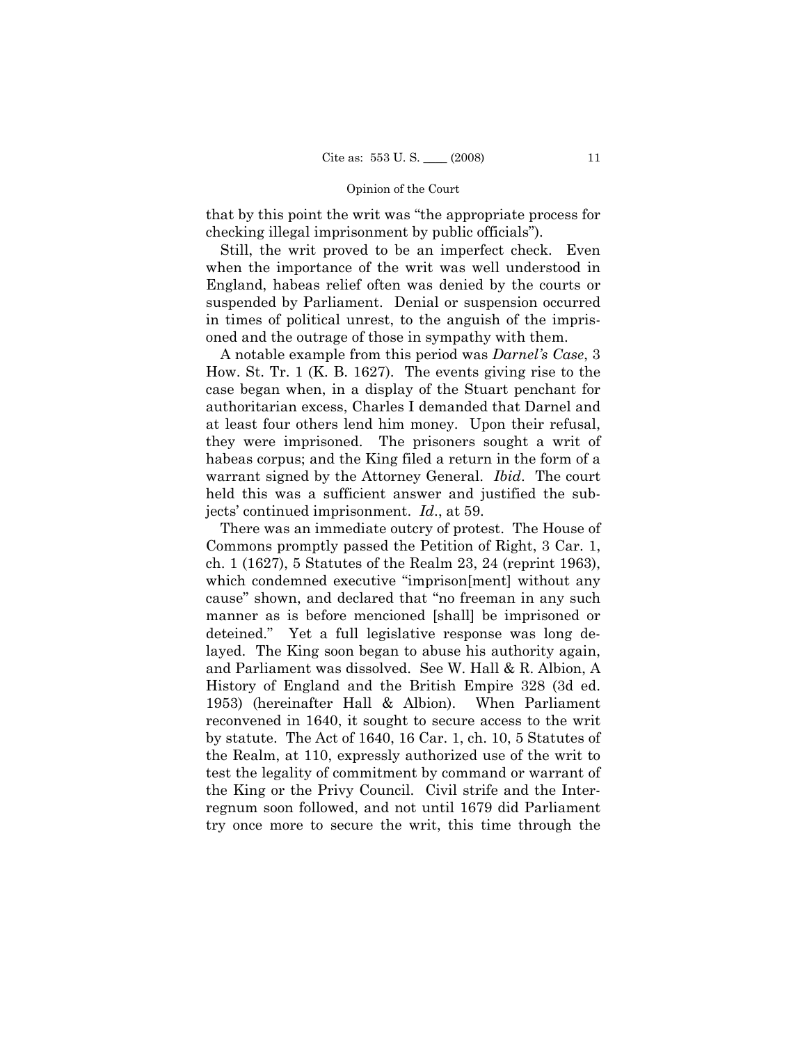that by this point the writ was "the appropriate process for checking illegal imprisonment by public officials").

Still, the writ proved to be an imperfect check. Even when the importance of the writ was well understood in England, habeas relief often was denied by the courts or suspended by Parliament. Denial or suspension occurred in times of political unrest, to the anguish of the imprisoned and the outrage of those in sympathy with them.

A notable example from this period was *Darnel's Case*, 3 How. St. Tr. 1 (K. B. 1627). The events giving rise to the case began when, in a display of the Stuart penchant for authoritarian excess, Charles I demanded that Darnel and at least four others lend him money. Upon their refusal, they were imprisoned. The prisoners sought a writ of habeas corpus; and the King filed a return in the form of a warrant signed by the Attorney General. *Ibid*. The court held this was a sufficient answer and justified the subjects' continued imprisonment. *Id*., at 59.

There was an immediate outcry of protest. The House of Commons promptly passed the Petition of Right, 3 Car. 1, ch. 1 (1627), 5 Statutes of the Realm 23, 24 (reprint 1963), which condemned executive "imprison[ment] without any cause" shown, and declared that "no freeman in any such manner as is before mencioned [shall] be imprisoned or deteined." Yet a full legislative response was long delayed. The King soon began to abuse his authority again, and Parliament was dissolved. See W. Hall & R. Albion, A History of England and the British Empire 328 (3d ed. 1953) (hereinafter Hall & Albion). When Parliament reconvened in 1640, it sought to secure access to the writ by statute. The Act of 1640, 16 Car. 1, ch. 10, 5 Statutes of the Realm, at 110, expressly authorized use of the writ to test the legality of commitment by command or warrant of the King or the Privy Council. Civil strife and the Interregnum soon followed, and not until 1679 did Parliament try once more to secure the writ, this time through the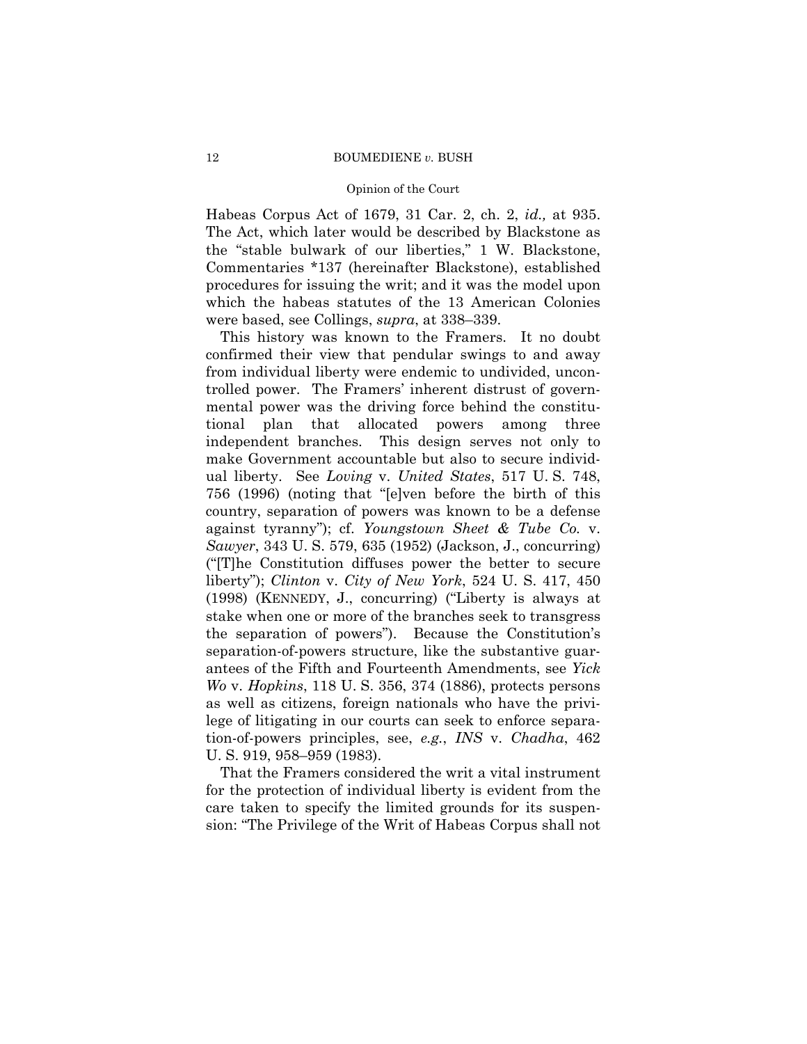## Opinion of the Court

Habeas Corpus Act of 1679, 31 Car. 2, ch. 2, *id.,* at 935. The Act, which later would be described by Blackstone as the "stable bulwark of our liberties," 1 W. Blackstone, Commentaries \*137 (hereinafter Blackstone), established procedures for issuing the writ; and it was the model upon which the habeas statutes of the 13 American Colonies were based, see Collings, *supra*, at 338–339.

This history was known to the Framers. It no doubt confirmed their view that pendular swings to and away from individual liberty were endemic to undivided, uncontrolled power. The Framers' inherent distrust of governmental power was the driving force behind the constitutional plan that allocated powers among three independent branches. This design serves not only to make Government accountable but also to secure individual liberty. See *Loving* v. *United States*, 517 U. S. 748, 756 (1996) (noting that "[e]ven before the birth of this country, separation of powers was known to be a defense against tyranny"); cf. *Youngstown Sheet & Tube Co.* v. *Sawyer*, 343 U. S. 579, 635 (1952) (Jackson, J., concurring) ("[T]he Constitution diffuses power the better to secure liberty"); *Clinton* v. *City of New York*, 524 U. S. 417, 450 (1998) (KENNEDY, J., concurring) ("Liberty is always at stake when one or more of the branches seek to transgress the separation of powers"). Because the Constitution's separation-of-powers structure, like the substantive guarantees of the Fifth and Fourteenth Amendments, see *Yick Wo* v. *Hopkins*, 118 U. S. 356, 374 (1886), protects persons as well as citizens, foreign nationals who have the privilege of litigating in our courts can seek to enforce separation-of-powers principles, see, *e.g.*, *INS* v. *Chadha*, 462 U. S. 919, 958–959 (1983).

That the Framers considered the writ a vital instrument for the protection of individual liberty is evident from the care taken to specify the limited grounds for its suspension: "The Privilege of the Writ of Habeas Corpus shall not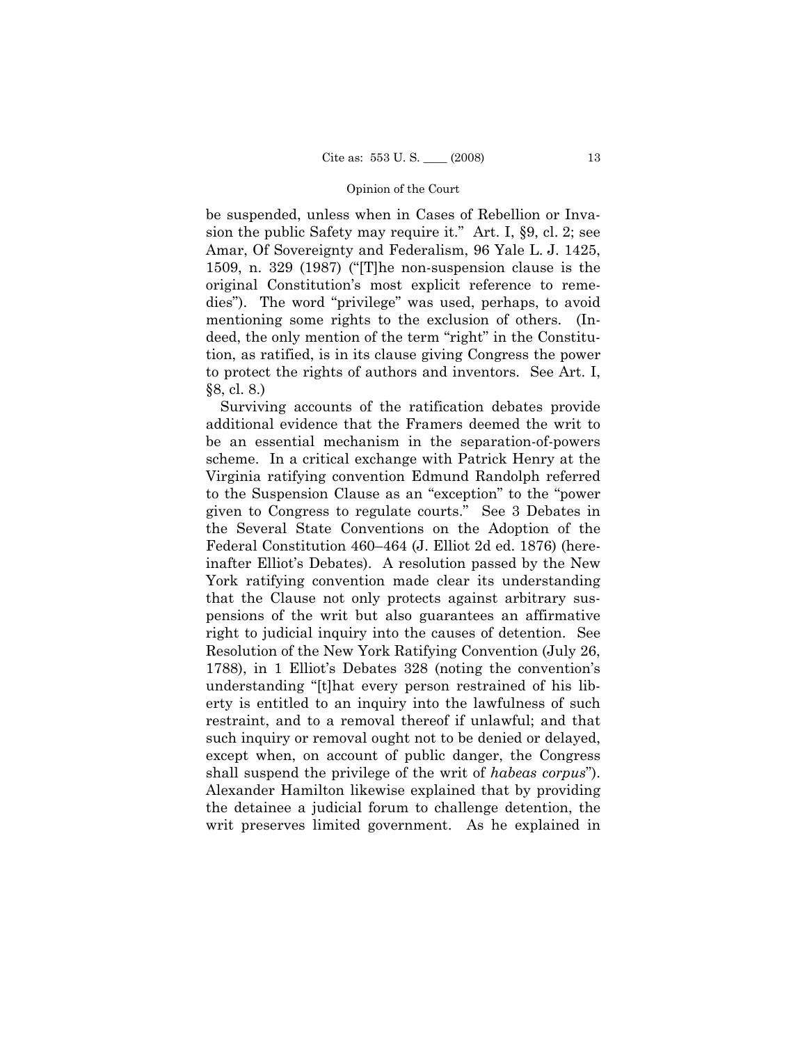be suspended, unless when in Cases of Rebellion or Invasion the public Safety may require it." Art. I, §9, cl. 2; see Amar, Of Sovereignty and Federalism, 96 Yale L. J. 1425, 1509, n. 329 (1987) ("[T]he non-suspension clause is the original Constitution's most explicit reference to remedies"). The word "privilege" was used, perhaps, to avoid mentioning some rights to the exclusion of others. (Indeed, the only mention of the term "right" in the Constitution, as ratified, is in its clause giving Congress the power to protect the rights of authors and inventors. See Art. I, §8, cl. 8.)

 shall suspend the privilege of the writ of *habeas corpus*"). Surviving accounts of the ratification debates provide additional evidence that the Framers deemed the writ to be an essential mechanism in the separation-of-powers scheme. In a critical exchange with Patrick Henry at the Virginia ratifying convention Edmund Randolph referred to the Suspension Clause as an "exception" to the "power given to Congress to regulate courts." See 3 Debates in the Several State Conventions on the Adoption of the Federal Constitution 460–464 (J. Elliot 2d ed. 1876) (hereinafter Elliot's Debates). A resolution passed by the New York ratifying convention made clear its understanding that the Clause not only protects against arbitrary suspensions of the writ but also guarantees an affirmative right to judicial inquiry into the causes of detention. See Resolution of the New York Ratifying Convention (July 26, 1788), in 1 Elliot's Debates 328 (noting the convention's understanding "[t]hat every person restrained of his liberty is entitled to an inquiry into the lawfulness of such restraint, and to a removal thereof if unlawful; and that such inquiry or removal ought not to be denied or delayed, except when, on account of public danger, the Congress Alexander Hamilton likewise explained that by providing the detainee a judicial forum to challenge detention, the writ preserves limited government. As he explained in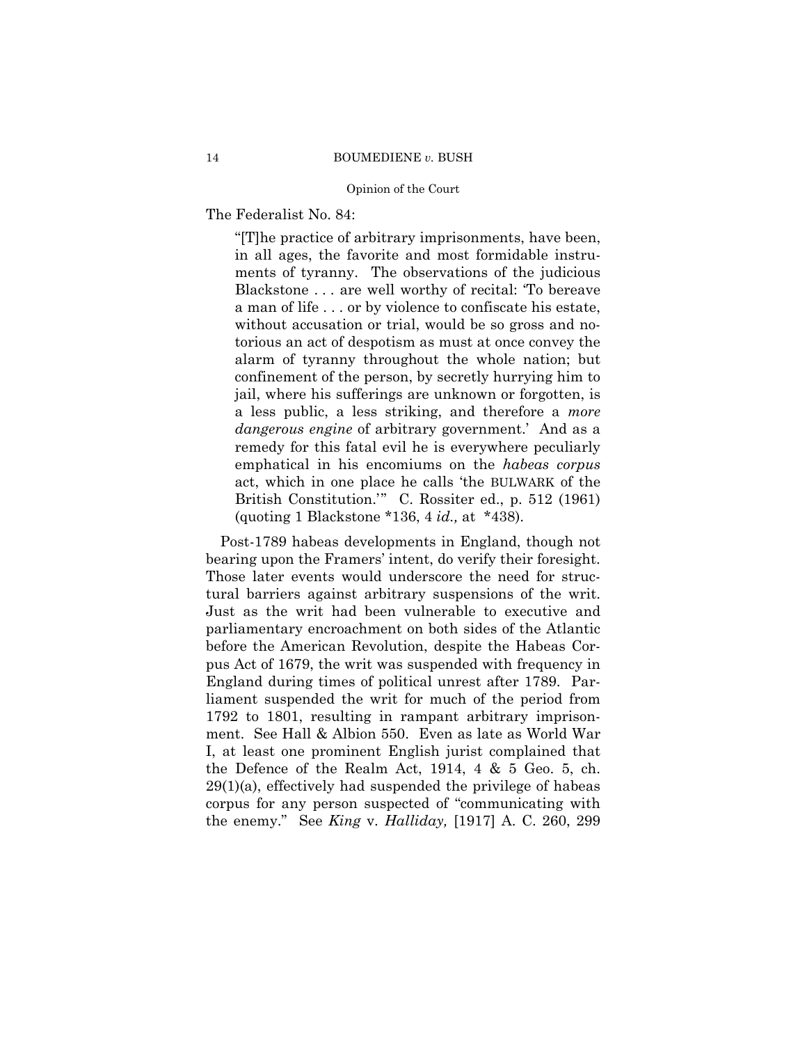The Federalist No. 84:

"[T]he practice of arbitrary imprisonments, have been, in all ages, the favorite and most formidable instruments of tyranny. The observations of the judicious Blackstone . . . are well worthy of recital: 'To bereave a man of life . . . or by violence to confiscate his estate, without accusation or trial, would be so gross and notorious an act of despotism as must at once convey the alarm of tyranny throughout the whole nation; but confinement of the person, by secretly hurrying him to jail, where his sufferings are unknown or forgotten, is a less public, a less striking, and therefore a *more dangerous engine* of arbitrary government.' And as a remedy for this fatal evil he is everywhere peculiarly emphatical in his encomiums on the *habeas corpus*  act, which in one place he calls 'the BULWARK of the British Constitution.'" C. Rossiter ed., p. 512 (1961) (quoting 1 Blackstone \*136, 4 *id.,* at \*438).

Post-1789 habeas developments in England, though not bearing upon the Framers' intent, do verify their foresight. Those later events would underscore the need for structural barriers against arbitrary suspensions of the writ. Just as the writ had been vulnerable to executive and parliamentary encroachment on both sides of the Atlantic before the American Revolution, despite the Habeas Corpus Act of 1679, the writ was suspended with frequency in England during times of political unrest after 1789. Parliament suspended the writ for much of the period from 1792 to 1801, resulting in rampant arbitrary imprisonment. See Hall & Albion 550. Even as late as World War I, at least one prominent English jurist complained that the Defence of the Realm Act, 1914, 4 & 5 Geo. 5, ch.  $29(1)(a)$ , effectively had suspended the privilege of habeas corpus for any person suspected of "communicating with the enemy." See *King* v. *Halliday,* [1917] A. C. 260, 299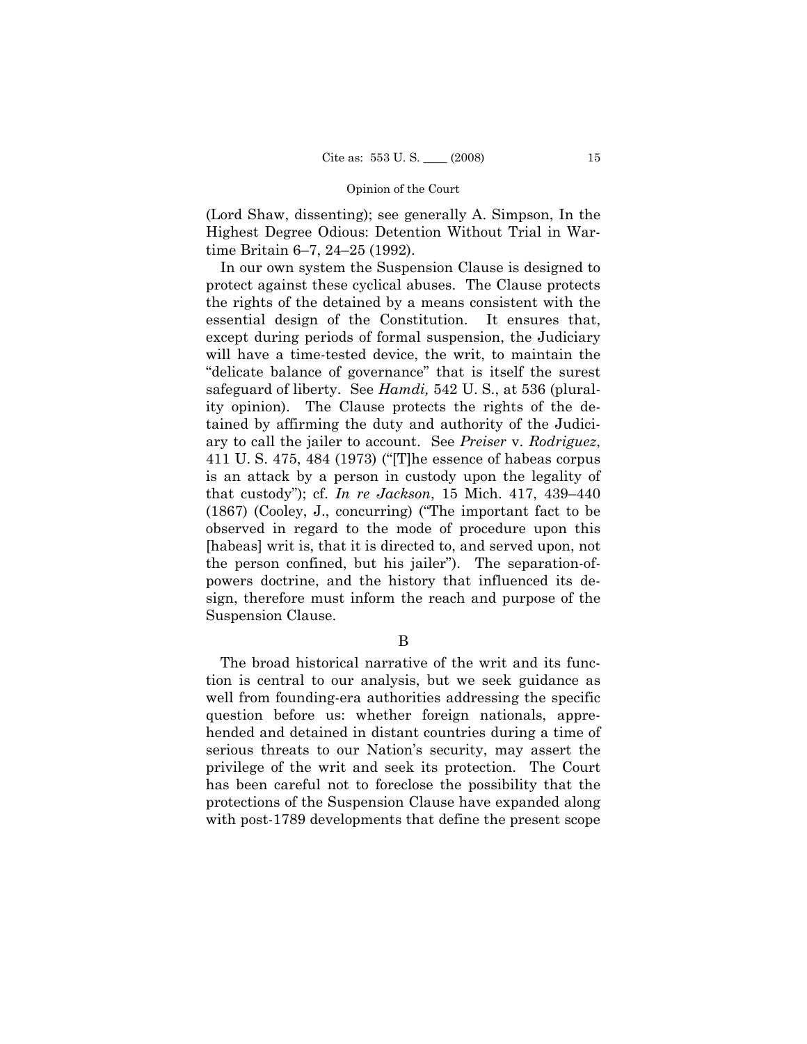(Lord Shaw, dissenting); see generally A. Simpson, In the Highest Degree Odious: Detention Without Trial in Wartime Britain 6–7, 24–25 (1992).

In our own system the Suspension Clause is designed to protect against these cyclical abuses. The Clause protects the rights of the detained by a means consistent with the essential design of the Constitution. It ensures that, except during periods of formal suspension, the Judiciary will have a time-tested device, the writ, to maintain the "delicate balance of governance" that is itself the surest safeguard of liberty. See *Hamdi,* 542 U. S., at 536 (plurality opinion). The Clause protects the rights of the detained by affirming the duty and authority of the Judiciary to call the jailer to account. See *Preiser* v. *Rodriguez*, 411 U. S. 475, 484 (1973) ("[T]he essence of habeas corpus is an attack by a person in custody upon the legality of that custody"); cf. *In re Jackson*, 15 Mich. 417, 439–440 (1867) (Cooley, J., concurring) ("The important fact to be observed in regard to the mode of procedure upon this [habeas] writ is, that it is directed to, and served upon, not the person confined, but his jailer"). The separation-ofpowers doctrine, and the history that influenced its design, therefore must inform the reach and purpose of the Suspension Clause.

# B

The broad historical narrative of the writ and its function is central to our analysis, but we seek guidance as well from founding-era authorities addressing the specific question before us: whether foreign nationals, apprehended and detained in distant countries during a time of serious threats to our Nation's security, may assert the privilege of the writ and seek its protection. The Court has been careful not to foreclose the possibility that the protections of the Suspension Clause have expanded along with post-1789 developments that define the present scope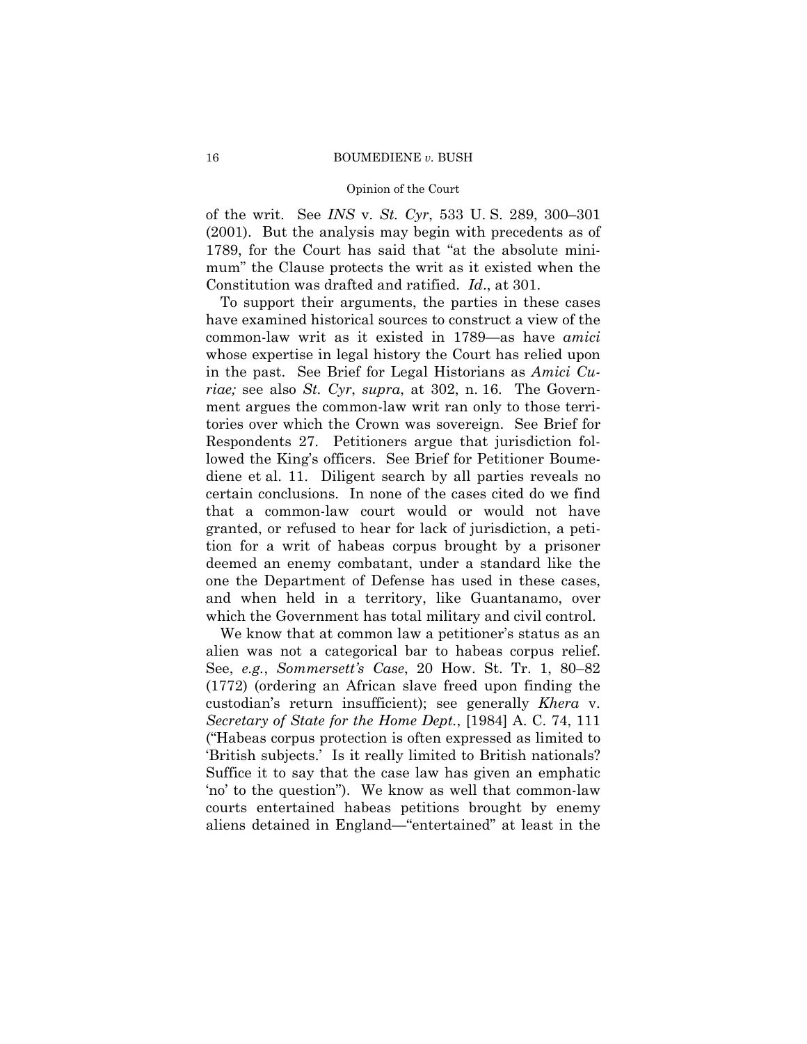## Opinion of the Court

of the writ. See *INS* v. *St. Cyr*, 533 U. S. 289, 300–301 (2001). But the analysis may begin with precedents as of 1789, for the Court has said that "at the absolute minimum" the Clause protects the writ as it existed when the Constitution was drafted and ratified. *Id*., at 301.

To support their arguments, the parties in these cases have examined historical sources to construct a view of the common-law writ as it existed in 1789—as have *amici*  whose expertise in legal history the Court has relied upon in the past. See Brief for Legal Historians as *Amici Curiae;* see also *St. Cyr*, *supra*, at 302, n. 16. The Government argues the common-law writ ran only to those territories over which the Crown was sovereign. See Brief for Respondents 27. Petitioners argue that jurisdiction followed the King's officers. See Brief for Petitioner Boumediene et al. 11. Diligent search by all parties reveals no certain conclusions. In none of the cases cited do we find that a common-law court would or would not have granted, or refused to hear for lack of jurisdiction, a petition for a writ of habeas corpus brought by a prisoner deemed an enemy combatant, under a standard like the one the Department of Defense has used in these cases, and when held in a territory, like Guantanamo, over which the Government has total military and civil control.

We know that at common law a petitioner's status as an alien was not a categorical bar to habeas corpus relief. See, *e.g.*, *Sommersett's Case*, 20 How. St. Tr. 1, 80–82 (1772) (ordering an African slave freed upon finding the custodian's return insufficient); see generally *Khera* v. *Secretary of State for the Home Dept.*, [1984] A. C. 74, 111 ("Habeas corpus protection is often expressed as limited to 'British subjects.' Is it really limited to British nationals? Suffice it to say that the case law has given an emphatic 'no' to the question"). We know as well that common-law courts entertained habeas petitions brought by enemy aliens detained in England—"entertained" at least in the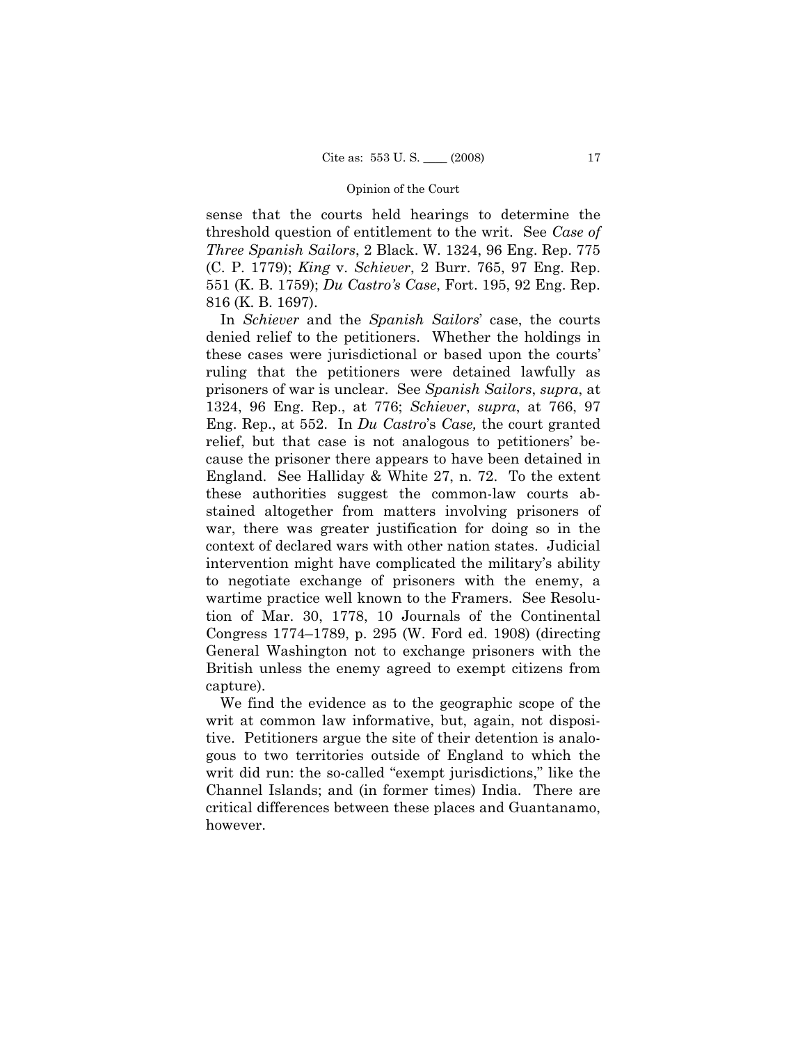sense that the courts held hearings to determine the threshold question of entitlement to the writ. See *Case of Three Spanish Sailors*, 2 Black. W. 1324, 96 Eng. Rep. 775 (C. P. 1779); *King* v. *Schiever*, 2 Burr. 765, 97 Eng. Rep. 551 (K. B. 1759); *Du Castro's Case*, Fort. 195, 92 Eng. Rep. 816 (K. B. 1697).

In *Schiever* and the *Spanish Sailors*' case, the courts denied relief to the petitioners. Whether the holdings in these cases were jurisdictional or based upon the courts' ruling that the petitioners were detained lawfully as prisoners of war is unclear. See *Spanish Sailors*, *supra*, at 1324, 96 Eng. Rep., at 776; *Schiever*, *supra*, at 766, 97 Eng. Rep., at 552. In *Du Castro*'s *Case,* the court granted relief, but that case is not analogous to petitioners' because the prisoner there appears to have been detained in England. See Halliday & White 27, n. 72. To the extent these authorities suggest the common-law courts abstained altogether from matters involving prisoners of war, there was greater justification for doing so in the context of declared wars with other nation states. Judicial intervention might have complicated the military's ability to negotiate exchange of prisoners with the enemy, a wartime practice well known to the Framers. See Resolution of Mar. 30, 1778, 10 Journals of the Continental Congress 1774–1789, p. 295 (W. Ford ed. 1908) (directing General Washington not to exchange prisoners with the British unless the enemy agreed to exempt citizens from capture).

We find the evidence as to the geographic scope of the writ at common law informative, but, again, not dispositive. Petitioners argue the site of their detention is analogous to two territories outside of England to which the writ did run: the so-called "exempt jurisdictions," like the Channel Islands; and (in former times) India. There are critical differences between these places and Guantanamo, however.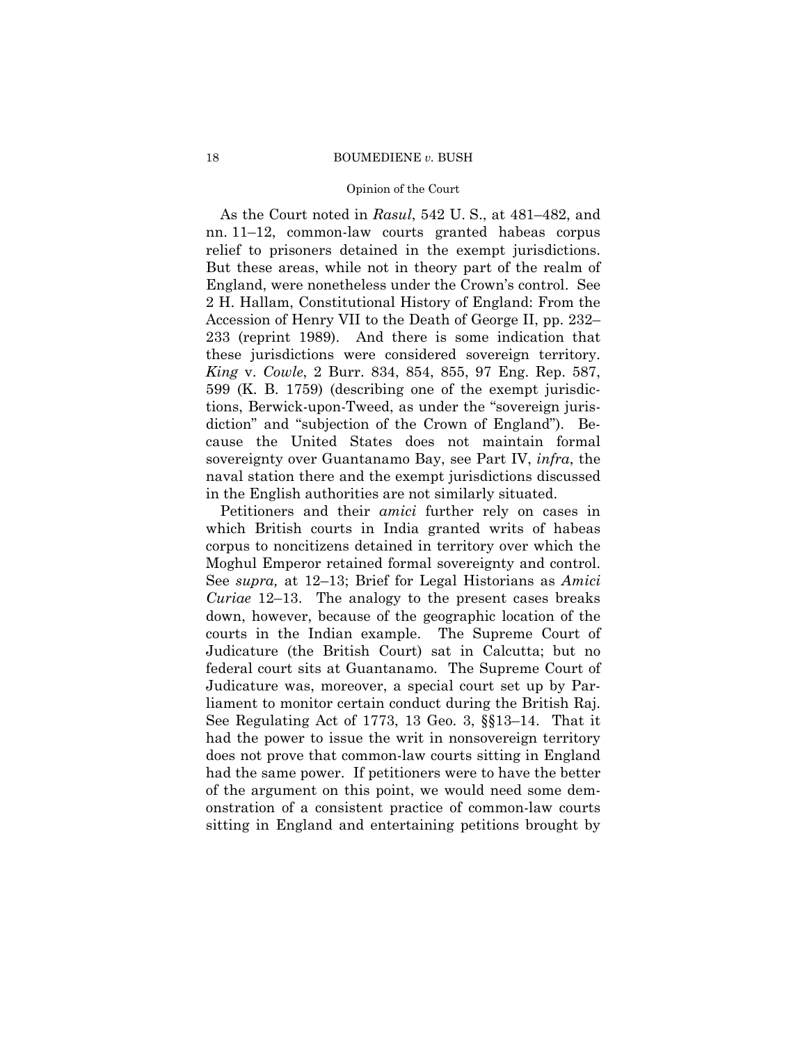## Opinion of the Court

As the Court noted in *Rasul*, 542 U. S., at 481–482, and nn. 11–12, common-law courts granted habeas corpus relief to prisoners detained in the exempt jurisdictions. But these areas, while not in theory part of the realm of England, were nonetheless under the Crown's control. See 2 H. Hallam, Constitutional History of England: From the Accession of Henry VII to the Death of George II, pp. 232– 233 (reprint 1989). And there is some indication that these jurisdictions were considered sovereign territory. *King* v. *Cowle*, 2 Burr. 834, 854, 855, 97 Eng. Rep. 587, 599 (K. B. 1759) (describing one of the exempt jurisdictions, Berwick-upon-Tweed, as under the "sovereign jurisdiction" and "subjection of the Crown of England"). Because the United States does not maintain formal sovereignty over Guantanamo Bay, see Part IV, *infra*, the naval station there and the exempt jurisdictions discussed in the English authorities are not similarly situated.

 *Curiae* 12–13. The analogy to the present cases breaks Petitioners and their *amici* further rely on cases in which British courts in India granted writs of habeas corpus to noncitizens detained in territory over which the Moghul Emperor retained formal sovereignty and control. See *supra,* at 12–13; Brief for Legal Historians as *Amici*  down, however, because of the geographic location of the courts in the Indian example. The Supreme Court of Judicature (the British Court) sat in Calcutta; but no federal court sits at Guantanamo. The Supreme Court of Judicature was, moreover, a special court set up by Parliament to monitor certain conduct during the British Raj. See Regulating Act of 1773, 13 Geo. 3, §§13–14. That it had the power to issue the writ in nonsovereign territory does not prove that common-law courts sitting in England had the same power. If petitioners were to have the better of the argument on this point, we would need some demonstration of a consistent practice of common-law courts sitting in England and entertaining petitions brought by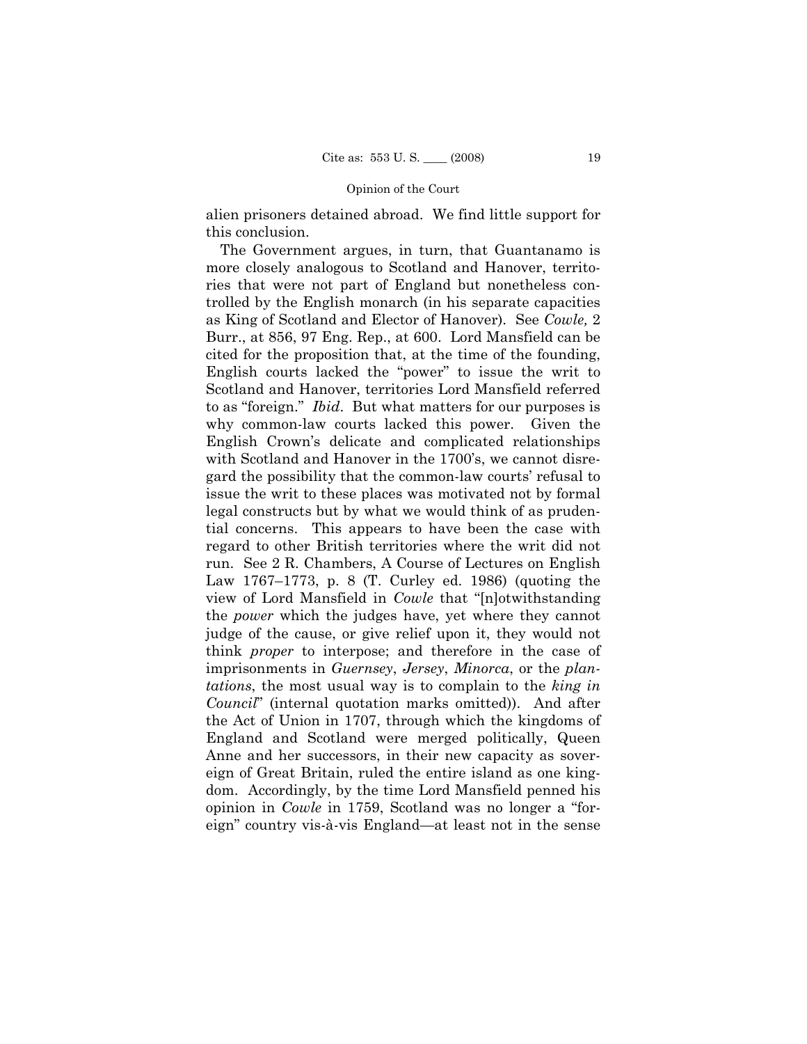alien prisoners detained abroad. We find little support for this conclusion.

tial concerns. This appears to have been the case with The Government argues, in turn, that Guantanamo is more closely analogous to Scotland and Hanover, territories that were not part of England but nonetheless controlled by the English monarch (in his separate capacities as King of Scotland and Elector of Hanover). See *Cowle,* 2 Burr., at 856, 97 Eng. Rep., at 600. Lord Mansfield can be cited for the proposition that, at the time of the founding, English courts lacked the "power" to issue the writ to Scotland and Hanover, territories Lord Mansfield referred to as "foreign." *Ibid*. But what matters for our purposes is why common-law courts lacked this power. Given the English Crown's delicate and complicated relationships with Scotland and Hanover in the 1700's, we cannot disregard the possibility that the common-law courts' refusal to issue the writ to these places was motivated not by formal legal constructs but by what we would think of as prudenregard to other British territories where the writ did not run. See 2 R. Chambers, A Course of Lectures on English Law 1767–1773, p. 8 (T. Curley ed. 1986) (quoting the view of Lord Mansfield in *Cowle* that "[n]otwithstanding the *power* which the judges have, yet where they cannot judge of the cause, or give relief upon it, they would not think *proper* to interpose; and therefore in the case of imprisonments in *Guernsey*, *Jersey*, *Minorca*, or the *plantations*, the most usual way is to complain to the *king in Council*" (internal quotation marks omitted)). And after the Act of Union in 1707, through which the kingdoms of England and Scotland were merged politically, Queen Anne and her successors, in their new capacity as sovereign of Great Britain, ruled the entire island as one kingdom. Accordingly, by the time Lord Mansfield penned his opinion in *Cowle* in 1759, Scotland was no longer a "foreign" country vis-à-vis England—at least not in the sense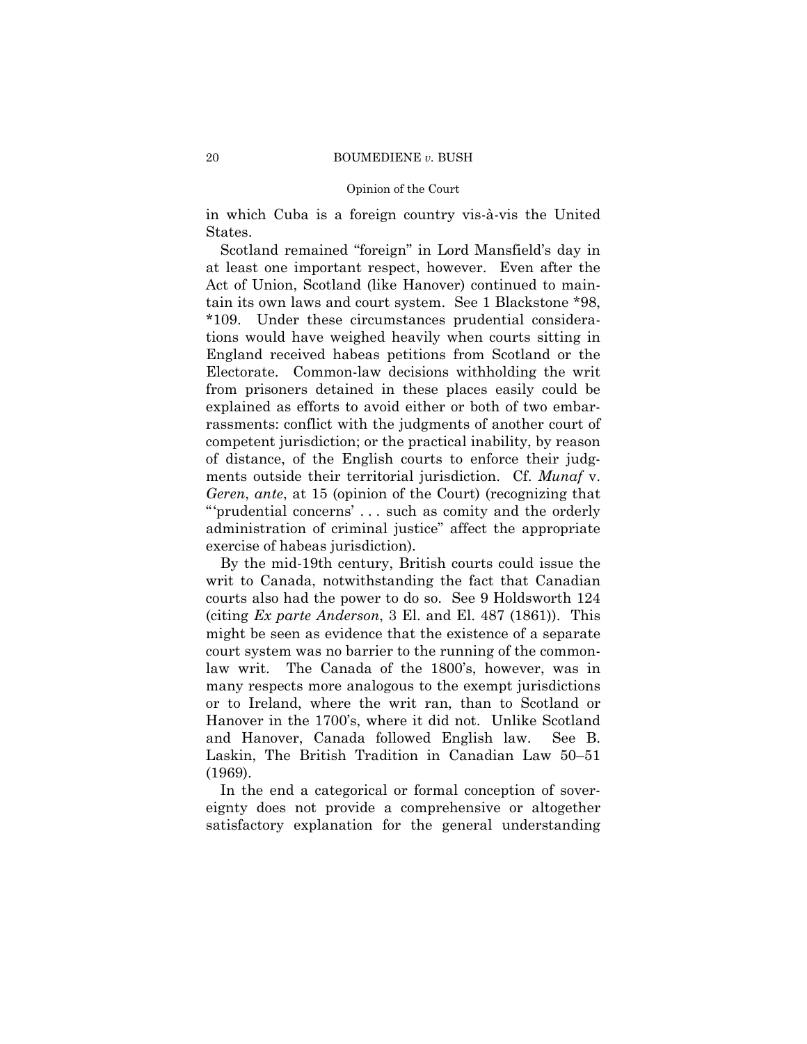## Opinion of the Court

in which Cuba is a foreign country vis-à-vis the United States.

Scotland remained "foreign" in Lord Mansfield's day in at least one important respect, however. Even after the Act of Union, Scotland (like Hanover) continued to maintain its own laws and court system. See 1 Blackstone \*98, \*109. Under these circumstances prudential considerations would have weighed heavily when courts sitting in England received habeas petitions from Scotland or the Electorate. Common-law decisions withholding the writ from prisoners detained in these places easily could be explained as efforts to avoid either or both of two embarrassments: conflict with the judgments of another court of competent jurisdiction; or the practical inability, by reason of distance, of the English courts to enforce their judgments outside their territorial jurisdiction. Cf. *Munaf* v. *Geren*, *ante*, at 15 (opinion of the Court) (recognizing that "'prudential concerns' . . . such as comity and the orderly administration of criminal justice" affect the appropriate exercise of habeas jurisdiction).

By the mid-19th century, British courts could issue the writ to Canada, notwithstanding the fact that Canadian courts also had the power to do so. See 9 Holdsworth 124 (citing *Ex parte Anderson*, 3 El. and El. 487 (1861)). This might be seen as evidence that the existence of a separate court system was no barrier to the running of the commonlaw writ. The Canada of the 1800's, however, was in many respects more analogous to the exempt jurisdictions or to Ireland, where the writ ran, than to Scotland or Hanover in the 1700's, where it did not. Unlike Scotland and Hanover, Canada followed English law. See B. Laskin, The British Tradition in Canadian Law 50–51 (1969).

In the end a categorical or formal conception of sovereignty does not provide a comprehensive or altogether satisfactory explanation for the general understanding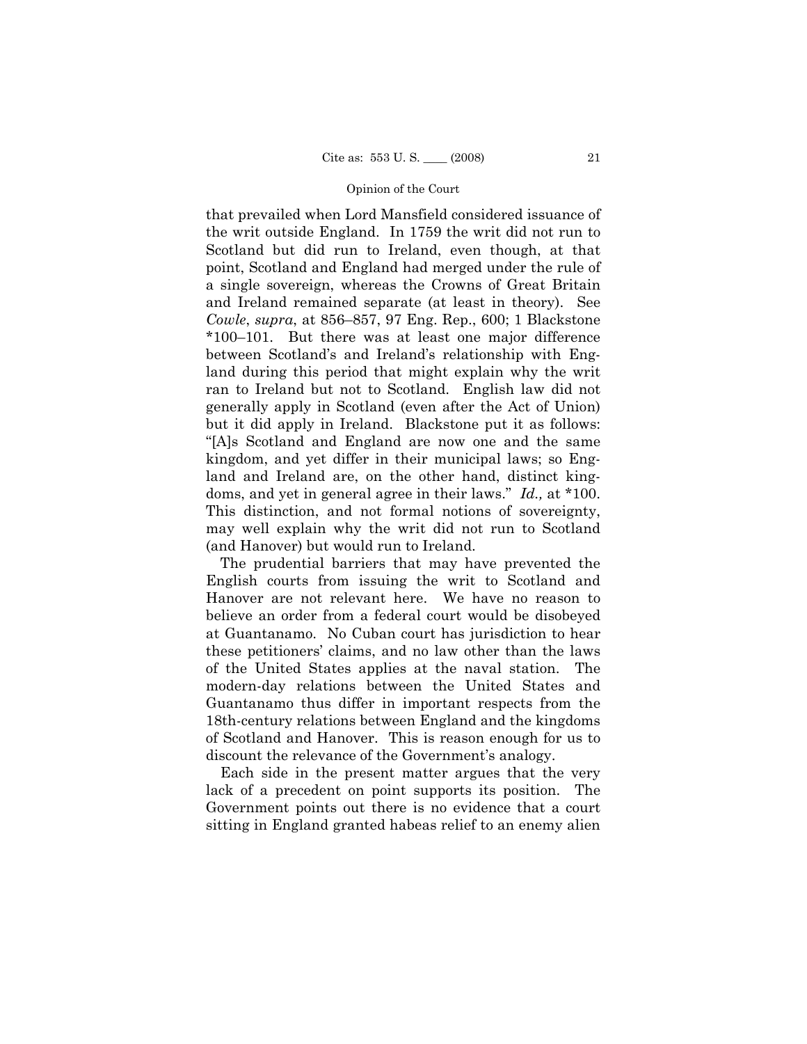that prevailed when Lord Mansfield considered issuance of the writ outside England. In 1759 the writ did not run to Scotland but did run to Ireland, even though, at that point, Scotland and England had merged under the rule of a single sovereign, whereas the Crowns of Great Britain and Ireland remained separate (at least in theory). See *Cowle*, *supra*, at 856–857, 97 Eng. Rep., 600; 1 Blackstone \*100–101. But there was at least one major difference between Scotland's and Ireland's relationship with England during this period that might explain why the writ ran to Ireland but not to Scotland. English law did not generally apply in Scotland (even after the Act of Union) but it did apply in Ireland. Blackstone put it as follows: "[A]s Scotland and England are now one and the same kingdom, and yet differ in their municipal laws; so England and Ireland are, on the other hand, distinct kingdoms, and yet in general agree in their laws." *Id.,* at \*100. This distinction, and not formal notions of sovereignty, may well explain why the writ did not run to Scotland (and Hanover) but would run to Ireland.

The prudential barriers that may have prevented the English courts from issuing the writ to Scotland and Hanover are not relevant here. We have no reason to believe an order from a federal court would be disobeyed at Guantanamo. No Cuban court has jurisdiction to hear these petitioners' claims, and no law other than the laws of the United States applies at the naval station. The modern-day relations between the United States and Guantanamo thus differ in important respects from the 18th-century relations between England and the kingdoms of Scotland and Hanover. This is reason enough for us to discount the relevance of the Government's analogy.

Each side in the present matter argues that the very lack of a precedent on point supports its position. The Government points out there is no evidence that a court sitting in England granted habeas relief to an enemy alien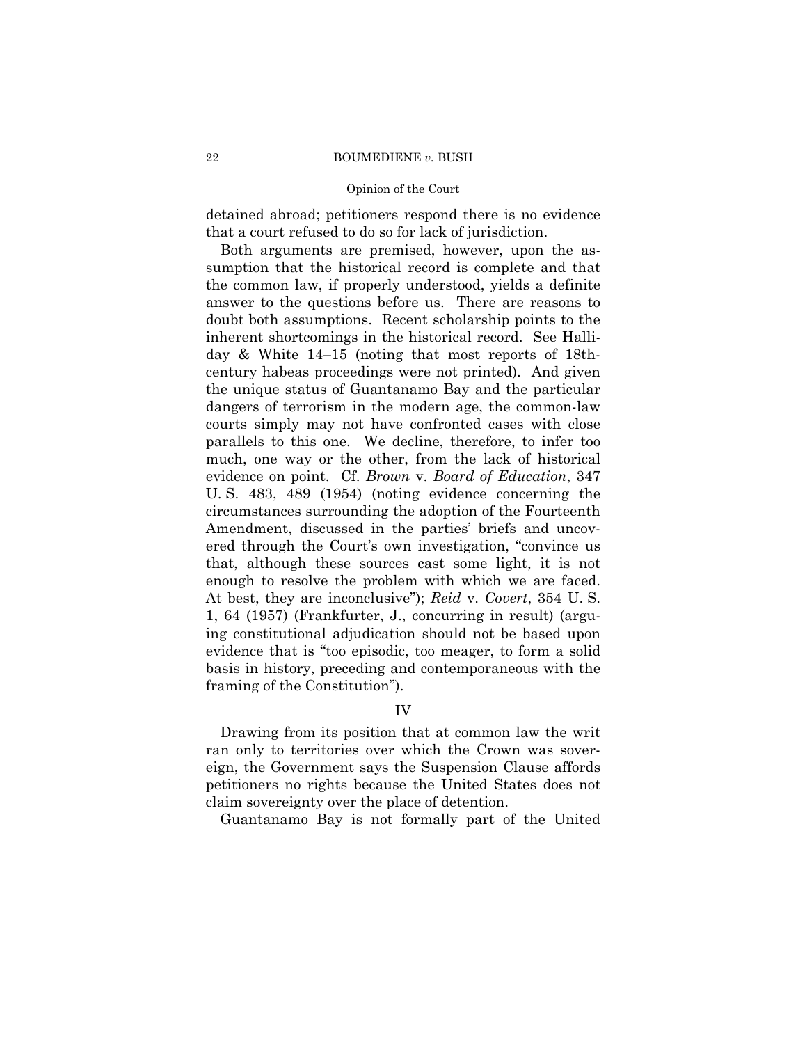# Opinion of the Court

detained abroad; petitioners respond there is no evidence that a court refused to do so for lack of jurisdiction.

Both arguments are premised, however, upon the assumption that the historical record is complete and that the common law, if properly understood, yields a definite answer to the questions before us. There are reasons to doubt both assumptions. Recent scholarship points to the inherent shortcomings in the historical record. See Halliday & White 14–15 (noting that most reports of 18thcentury habeas proceedings were not printed). And given the unique status of Guantanamo Bay and the particular dangers of terrorism in the modern age, the common-law courts simply may not have confronted cases with close parallels to this one. We decline, therefore, to infer too much, one way or the other, from the lack of historical evidence on point. Cf. *Brown* v. *Board of Education*, 347 U. S. 483, 489 (1954) (noting evidence concerning the circumstances surrounding the adoption of the Fourteenth Amendment, discussed in the parties' briefs and uncovered through the Court's own investigation, "convince us that, although these sources cast some light, it is not enough to resolve the problem with which we are faced. At best, they are inconclusive"); *Reid* v. *Covert*, 354 U. S. 1, 64 (1957) (Frankfurter, J., concurring in result) (arguing constitutional adjudication should not be based upon evidence that is "too episodic, too meager, to form a solid basis in history, preceding and contemporaneous with the framing of the Constitution").

# IV

Drawing from its position that at common law the writ ran only to territories over which the Crown was sovereign, the Government says the Suspension Clause affords petitioners no rights because the United States does not claim sovereignty over the place of detention.

Guantanamo Bay is not formally part of the United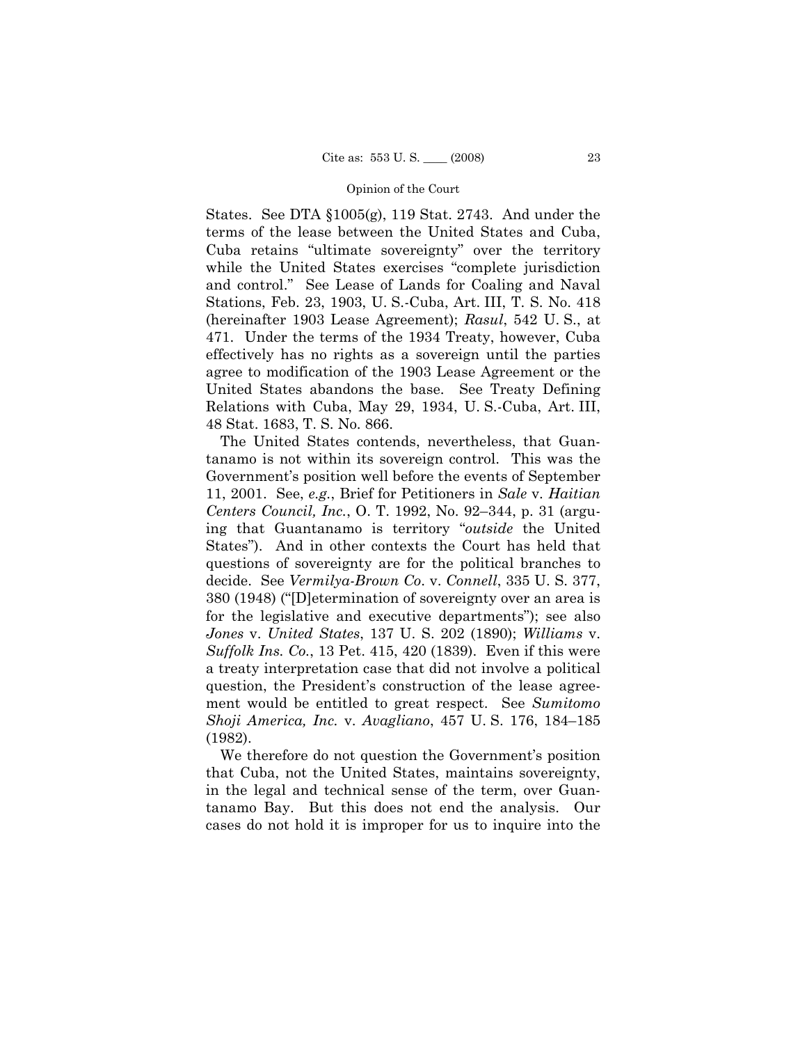States. See DTA §1005(g), 119 Stat. 2743. And under the terms of the lease between the United States and Cuba, Cuba retains "ultimate sovereignty" over the territory while the United States exercises "complete jurisdiction and control." See Lease of Lands for Coaling and Naval Stations, Feb. 23, 1903, U. S.-Cuba, Art. III, T. S. No. 418 (hereinafter 1903 Lease Agreement); *Rasul*, 542 U. S., at 471. Under the terms of the 1934 Treaty, however, Cuba effectively has no rights as a sovereign until the parties agree to modification of the 1903 Lease Agreement or the United States abandons the base. See Treaty Defining Relations with Cuba, May 29, 1934, U. S.-Cuba, Art. III, 48 Stat. 1683, T. S. No. 866.

The United States contends, nevertheless, that Guantanamo is not within its sovereign control. This was the Government's position well before the events of September 11, 2001. See, *e.g.*, Brief for Petitioners in *Sale* v. *Haitian Centers Council, Inc.*, O. T. 1992, No. 92–344, p. 31 (arguing that Guantanamo is territory "*outside* the United States"). And in other contexts the Court has held that questions of sovereignty are for the political branches to decide. See *Vermilya-Brown Co*. v. *Connell*, 335 U. S. 377, 380 (1948) ("[D]etermination of sovereignty over an area is for the legislative and executive departments"); see also *Jones* v. *United States*, 137 U. S. 202 (1890); *Williams* v. *Suffolk Ins. Co.*, 13 Pet. 415, 420 (1839). Even if this were a treaty interpretation case that did not involve a political question, the President's construction of the lease agreement would be entitled to great respect. See *Sumitomo Shoji America, Inc.* v. *Avagliano*, 457 U. S. 176, 184–185 (1982).

We therefore do not question the Government's position that Cuba, not the United States, maintains sovereignty, in the legal and technical sense of the term, over Guantanamo Bay. But this does not end the analysis. Our cases do not hold it is improper for us to inquire into the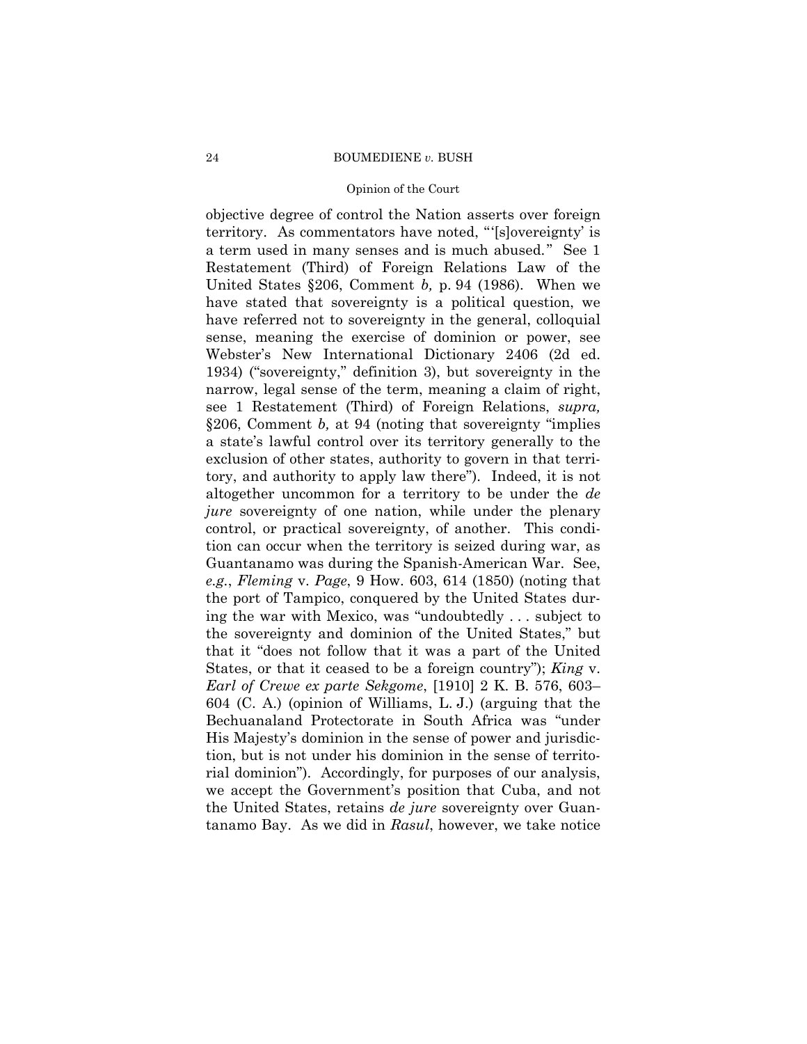## Opinion of the Court

objective degree of control the Nation asserts over foreign territory. As commentators have noted, "'[s]overeignty' is a term used in many senses and is much abused." See 1 Restatement (Third) of Foreign Relations Law of the United States §206, Comment *b,* p. 94 (1986). When we have stated that sovereignty is a political question, we have referred not to sovereignty in the general, colloquial sense, meaning the exercise of dominion or power, see Webster's New International Dictionary 2406 (2d ed. 1934) ("sovereignty," definition 3), but sovereignty in the narrow, legal sense of the term, meaning a claim of right, see 1 Restatement (Third) of Foreign Relations, *supra,* §206, Comment *b,* at 94 (noting that sovereignty "implies a state's lawful control over its territory generally to the exclusion of other states, authority to govern in that territory, and authority to apply law there"). Indeed, it is not altogether uncommon for a territory to be under the *de jure* sovereignty of one nation, while under the plenary control, or practical sovereignty, of another. This condition can occur when the territory is seized during war, as Guantanamo was during the Spanish-American War. See, *e.g.*, *Fleming* v. *Page*, 9 How. 603, 614 (1850) (noting that the port of Tampico, conquered by the United States during the war with Mexico, was "undoubtedly . . . subject to the sovereignty and dominion of the United States," but that it "does not follow that it was a part of the United States, or that it ceased to be a foreign country"); *King* v. *Earl of Crewe ex parte Sekgome*, [1910] 2 K. B. 576, 603– 604 (C. A.) (opinion of Williams, L. J.) (arguing that the Bechuanaland Protectorate in South Africa was "under His Majesty's dominion in the sense of power and jurisdiction, but is not under his dominion in the sense of territorial dominion"). Accordingly, for purposes of our analysis, we accept the Government's position that Cuba, and not the United States, retains *de jure* sovereignty over Guantanamo Bay. As we did in *Rasul*, however, we take notice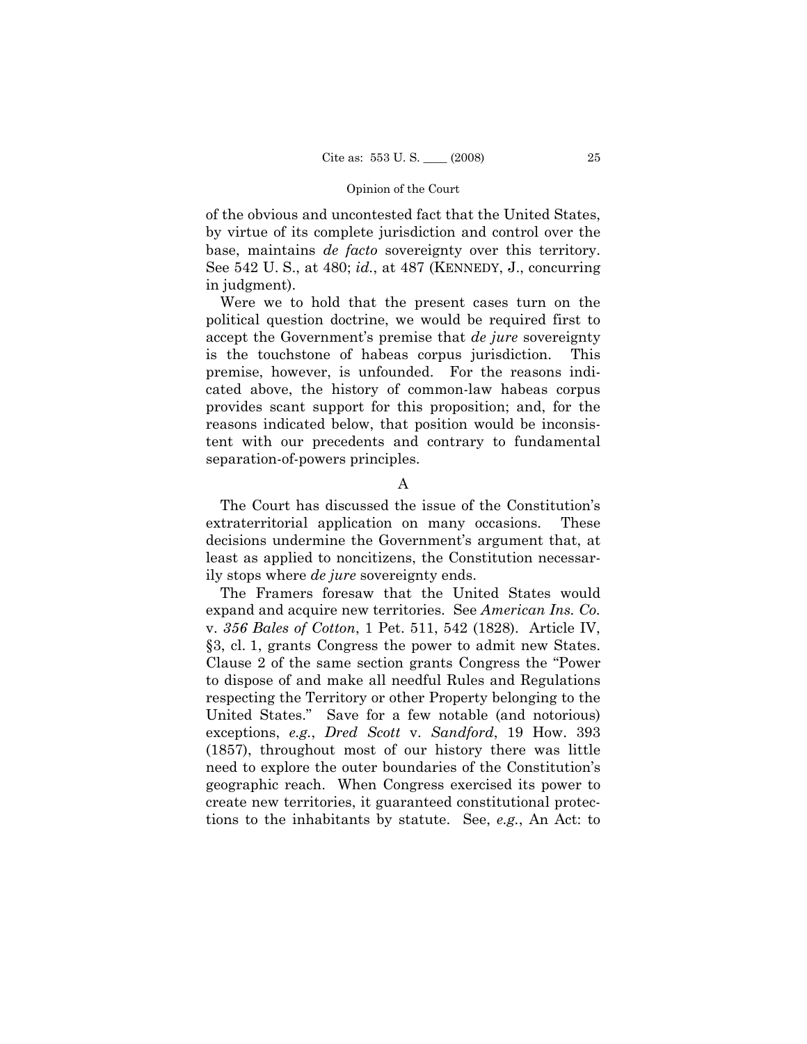of the obvious and uncontested fact that the United States, by virtue of its complete jurisdiction and control over the base, maintains *de facto* sovereignty over this territory. See 542 U. S., at 480; *id.*, at 487 (KENNEDY, J., concurring in judgment).

Were we to hold that the present cases turn on the political question doctrine, we would be required first to accept the Government's premise that *de jure* sovereignty is the touchstone of habeas corpus jurisdiction. This premise, however, is unfounded. For the reasons indicated above, the history of common-law habeas corpus provides scant support for this proposition; and, for the reasons indicated below, that position would be inconsistent with our precedents and contrary to fundamental separation-of-powers principles.

A

The Court has discussed the issue of the Constitution's extraterritorial application on many occasions. These decisions undermine the Government's argument that, at least as applied to noncitizens, the Constitution necessarily stops where *de jure* sovereignty ends.

The Framers foresaw that the United States would expand and acquire new territories. See *American Ins. Co.*  v. *356 Bales of Cotton*, 1 Pet. 511, 542 (1828). Article IV, §3, cl. 1, grants Congress the power to admit new States. Clause 2 of the same section grants Congress the "Power to dispose of and make all needful Rules and Regulations respecting the Territory or other Property belonging to the United States." Save for a few notable (and notorious) exceptions, *e.g.*, *Dred Scott* v. *Sandford*, 19 How. 393 (1857), throughout most of our history there was little need to explore the outer boundaries of the Constitution's geographic reach. When Congress exercised its power to create new territories, it guaranteed constitutional protections to the inhabitants by statute. See, *e.g.*, An Act: to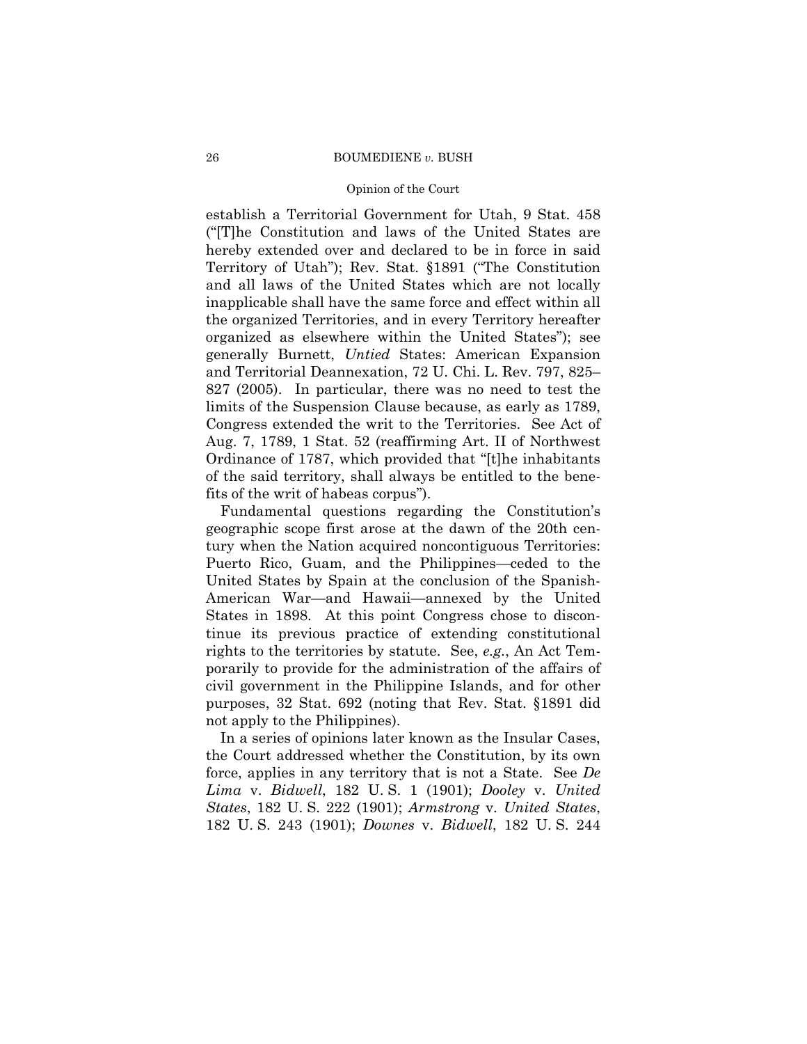# Opinion of the Court

establish a Territorial Government for Utah, 9 Stat. 458 ("[T]he Constitution and laws of the United States are hereby extended over and declared to be in force in said Territory of Utah"); Rev. Stat. §1891 ("The Constitution and all laws of the United States which are not locally inapplicable shall have the same force and effect within all the organized Territories, and in every Territory hereafter organized as elsewhere within the United States"); see generally Burnett, *Untied* States: American Expansion and Territorial Deannexation, 72 U. Chi. L. Rev. 797, 825– 827 (2005). In particular, there was no need to test the limits of the Suspension Clause because, as early as 1789, Congress extended the writ to the Territories. See Act of Aug. 7, 1789, 1 Stat. 52 (reaffirming Art. II of Northwest Ordinance of 1787, which provided that "[t]he inhabitants of the said territory, shall always be entitled to the benefits of the writ of habeas corpus").

Fundamental questions regarding the Constitution's geographic scope first arose at the dawn of the 20th century when the Nation acquired noncontiguous Territories: Puerto Rico, Guam, and the Philippines—ceded to the United States by Spain at the conclusion of the Spanish-American War—and Hawaii—annexed by the United States in 1898. At this point Congress chose to discontinue its previous practice of extending constitutional rights to the territories by statute. See, *e.g.*, An Act Temporarily to provide for the administration of the affairs of civil government in the Philippine Islands, and for other purposes, 32 Stat. 692 (noting that Rev. Stat. §1891 did not apply to the Philippines).

In a series of opinions later known as the Insular Cases, the Court addressed whether the Constitution, by its own force, applies in any territory that is not a State. See *De Lima* v. *Bidwell*, 182 U. S. 1 (1901); *Dooley* v. *United States*, 182 U. S. 222 (1901); *Armstrong* v. *United States*, 182 U. S. 243 (1901); *Downes* v. *Bidwell*, 182 U. S. 244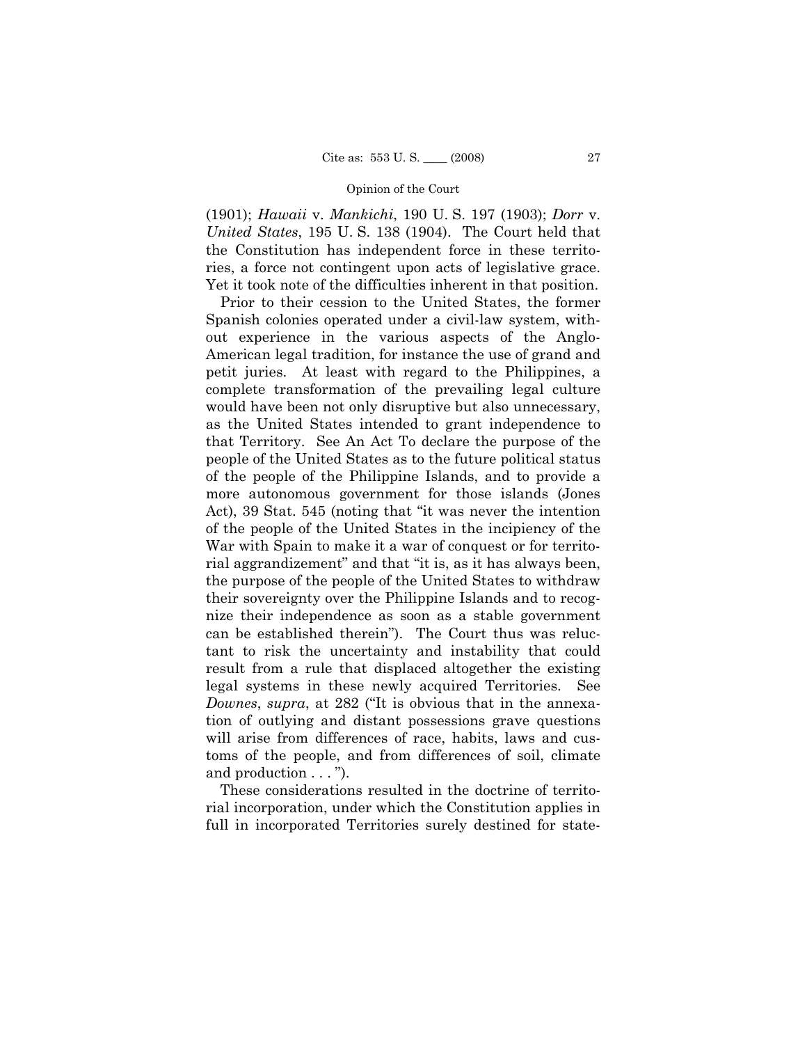(1901); *Hawaii* v. *Mankichi*, 190 U. S. 197 (1903); *Dorr* v. *United States*, 195 U. S. 138 (1904). The Court held that the Constitution has independent force in these territories, a force not contingent upon acts of legislative grace. Yet it took note of the difficulties inherent in that position.

Prior to their cession to the United States, the former Spanish colonies operated under a civil-law system, without experience in the various aspects of the Anglo-American legal tradition, for instance the use of grand and petit juries. At least with regard to the Philippines, a complete transformation of the prevailing legal culture would have been not only disruptive but also unnecessary, as the United States intended to grant independence to that Territory. See An Act To declare the purpose of the people of the United States as to the future political status of the people of the Philippine Islands, and to provide a more autonomous government for those islands (Jones Act), 39 Stat. 545 (noting that "it was never the intention of the people of the United States in the incipiency of the War with Spain to make it a war of conquest or for territorial aggrandizement" and that "it is, as it has always been, the purpose of the people of the United States to withdraw their sovereignty over the Philippine Islands and to recognize their independence as soon as a stable government can be established therein"). The Court thus was reluctant to risk the uncertainty and instability that could result from a rule that displaced altogether the existing legal systems in these newly acquired Territories. See *Downes*, *supra*, at 282 ("It is obvious that in the annexation of outlying and distant possessions grave questions will arise from differences of race, habits, laws and customs of the people, and from differences of soil, climate and production . . . ").

These considerations resulted in the doctrine of territorial incorporation, under which the Constitution applies in full in incorporated Territories surely destined for state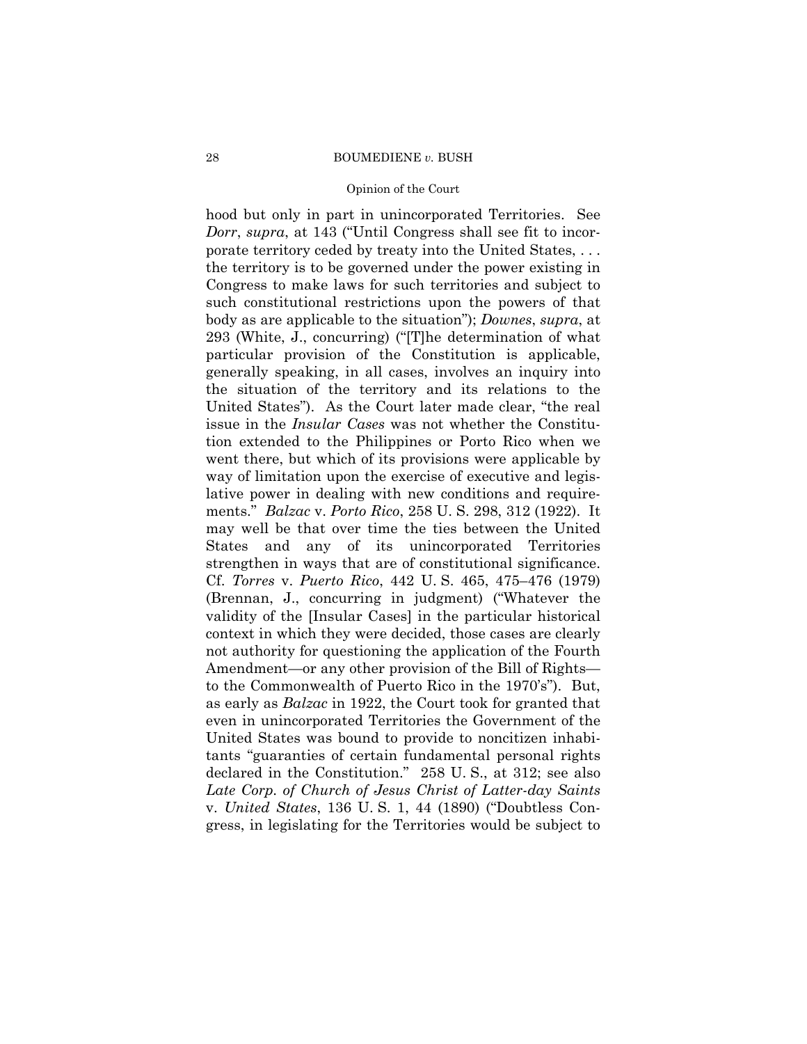# Opinion of the Court

hood but only in part in unincorporated Territories. See *Dorr*, *supra*, at 143 ("Until Congress shall see fit to incorporate territory ceded by treaty into the United States, . . . the territory is to be governed under the power existing in Congress to make laws for such territories and subject to such constitutional restrictions upon the powers of that body as are applicable to the situation"); *Downes*, *supra*, at 293 (White, J., concurring) ("[T]he determination of what particular provision of the Constitution is applicable, generally speaking, in all cases, involves an inquiry into the situation of the territory and its relations to the United States"). As the Court later made clear, "the real issue in the *Insular Cases* was not whether the Constitution extended to the Philippines or Porto Rico when we went there, but which of its provisions were applicable by way of limitation upon the exercise of executive and legislative power in dealing with new conditions and requirements." *Balzac* v. *Porto Rico*, 258 U. S. 298, 312 (1922). It may well be that over time the ties between the United States and any of its unincorporated Territories strengthen in ways that are of constitutional significance. Cf. *Torres* v. *Puerto Rico*, 442 U. S. 465, 475–476 (1979) (Brennan, J., concurring in judgment) ("Whatever the validity of the [Insular Cases] in the particular historical context in which they were decided, those cases are clearly not authority for questioning the application of the Fourth Amendment—or any other provision of the Bill of Rights to the Commonwealth of Puerto Rico in the 1970's"). But, as early as *Balzac* in 1922, the Court took for granted that even in unincorporated Territories the Government of the United States was bound to provide to noncitizen inhabitants "guaranties of certain fundamental personal rights declared in the Constitution." 258 U. S., at 312; see also *Late Corp. of Church of Jesus Christ of Latter-day Saints*  v. *United States*, 136 U. S. 1, 44 (1890) ("Doubtless Congress, in legislating for the Territories would be subject to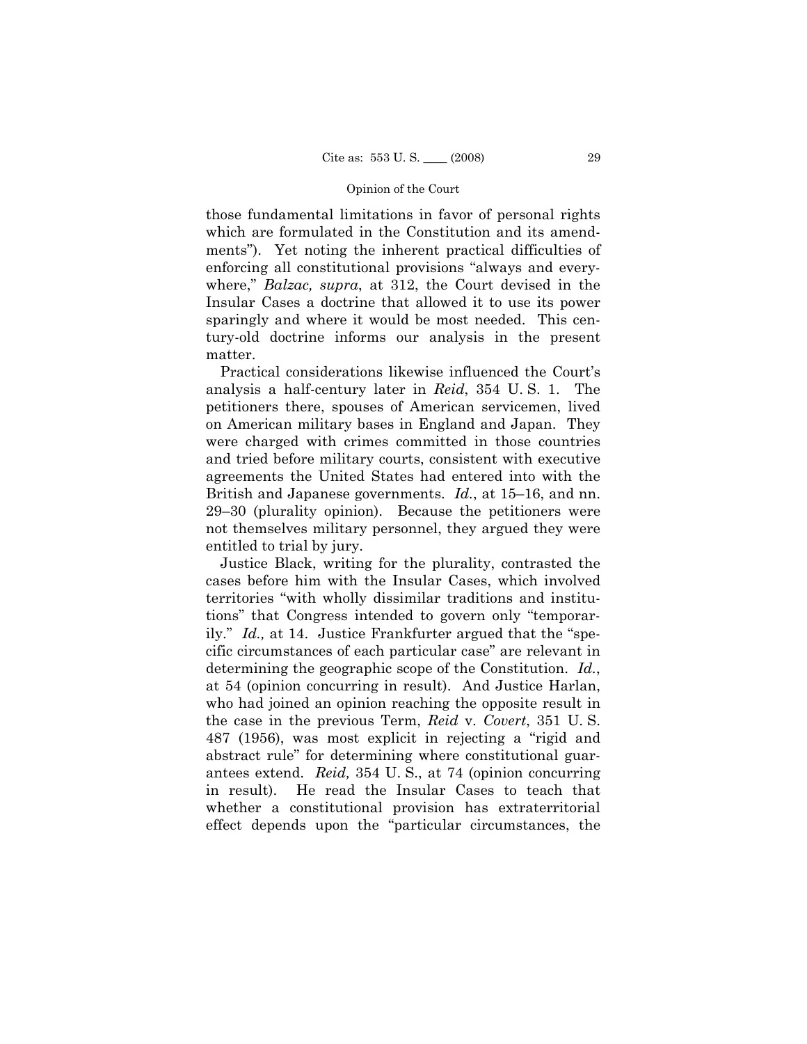those fundamental limitations in favor of personal rights which are formulated in the Constitution and its amendments"). Yet noting the inherent practical difficulties of enforcing all constitutional provisions "always and everywhere," *Balzac, supra*, at 312, the Court devised in the Insular Cases a doctrine that allowed it to use its power sparingly and where it would be most needed. This century-old doctrine informs our analysis in the present matter.

Practical considerations likewise influenced the Court's analysis a half-century later in *Reid*, 354 U. S. 1. The petitioners there, spouses of American servicemen, lived on American military bases in England and Japan. They were charged with crimes committed in those countries and tried before military courts, consistent with executive agreements the United States had entered into with the British and Japanese governments. *Id.*, at 15–16, and nn. 29–30 (plurality opinion). Because the petitioners were not themselves military personnel, they argued they were entitled to trial by jury.

Justice Black, writing for the plurality, contrasted the cases before him with the Insular Cases, which involved territories "with wholly dissimilar traditions and institutions" that Congress intended to govern only "temporarily." *Id.,* at 14. Justice Frankfurter argued that the "specific circumstances of each particular case" are relevant in determining the geographic scope of the Constitution. *Id.*, at 54 (opinion concurring in result). And Justice Harlan, who had joined an opinion reaching the opposite result in the case in the previous Term, *Reid* v. *Covert*, 351 U. S. 487 (1956), was most explicit in rejecting a "rigid and abstract rule" for determining where constitutional guarantees extend. *Reid,* 354 U. S., at 74 (opinion concurring in result). He read the Insular Cases to teach that whether a constitutional provision has extraterritorial effect depends upon the "particular circumstances, the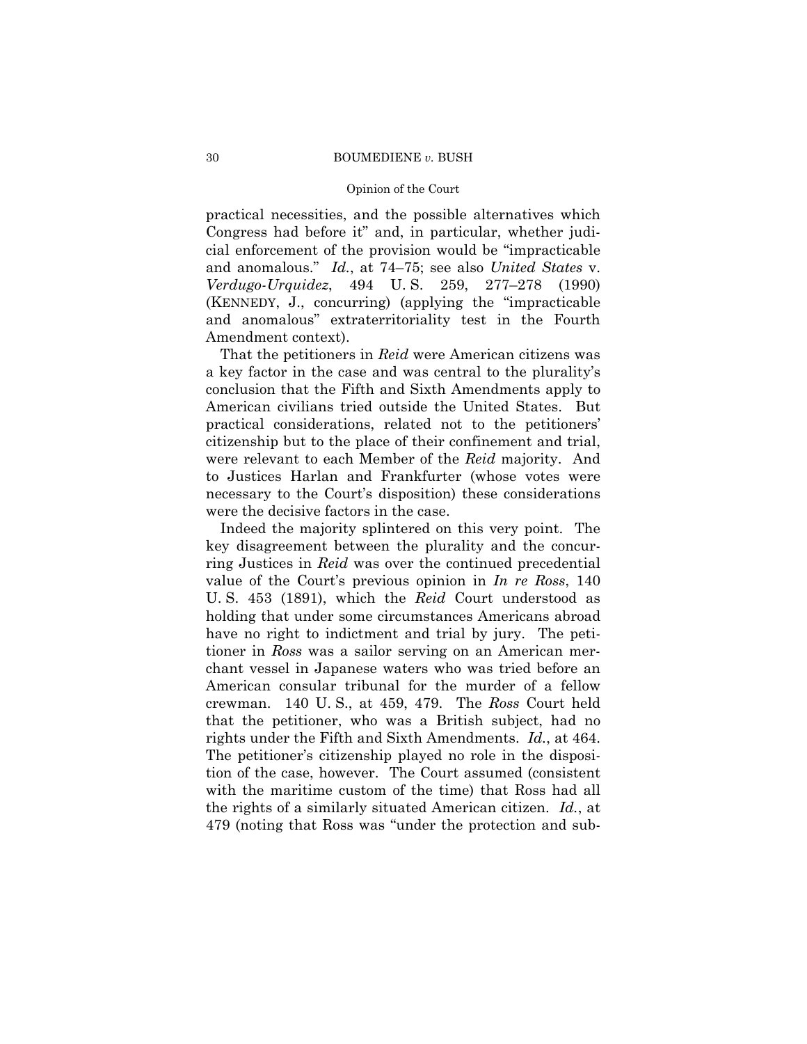# Opinion of the Court

practical necessities, and the possible alternatives which Congress had before it" and, in particular, whether judicial enforcement of the provision would be "impracticable and anomalous." *Id.*, at 74–75; see also *United States* v. *Verdugo-Urquidez*, 494 U. S. 259, 277–278 (1990) (KENNEDY, J., concurring) (applying the "impracticable and anomalous" extraterritoriality test in the Fourth Amendment context).

That the petitioners in *Reid* were American citizens was a key factor in the case and was central to the plurality's conclusion that the Fifth and Sixth Amendments apply to American civilians tried outside the United States. But practical considerations, related not to the petitioners' citizenship but to the place of their confinement and trial, were relevant to each Member of the *Reid* majority. And to Justices Harlan and Frankfurter (whose votes were necessary to the Court's disposition) these considerations were the decisive factors in the case.

Indeed the majority splintered on this very point. The key disagreement between the plurality and the concurring Justices in *Reid* was over the continued precedential value of the Court's previous opinion in *In re Ross*, 140 U. S. 453 (1891), which the *Reid* Court understood as holding that under some circumstances Americans abroad have no right to indictment and trial by jury. The petitioner in *Ross* was a sailor serving on an American merchant vessel in Japanese waters who was tried before an American consular tribunal for the murder of a fellow crewman. 140 U. S., at 459, 479. The *Ross* Court held that the petitioner, who was a British subject, had no rights under the Fifth and Sixth Amendments. *Id.*, at 464. The petitioner's citizenship played no role in the disposition of the case, however. The Court assumed (consistent with the maritime custom of the time) that Ross had all the rights of a similarly situated American citizen. *Id.*, at 479 (noting that Ross was "under the protection and sub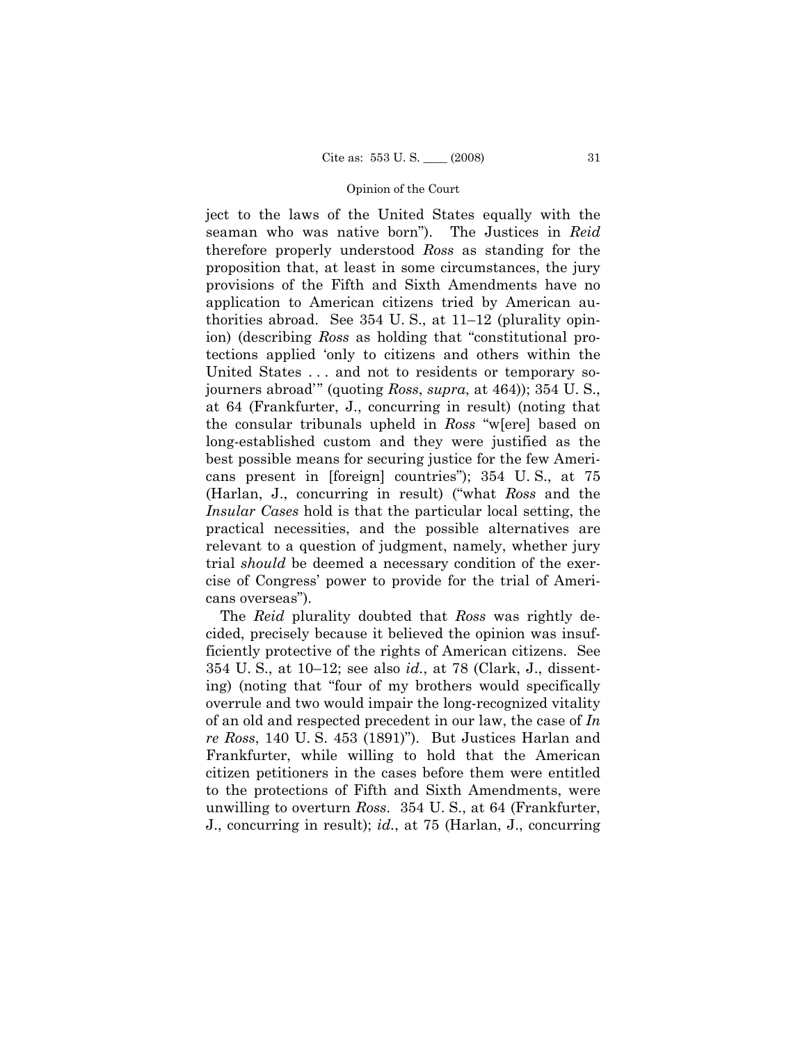ject to the laws of the United States equally with the seaman who was native born"). The Justices in *Reid*  therefore properly understood *Ross* as standing for the proposition that, at least in some circumstances, the jury provisions of the Fifth and Sixth Amendments have no application to American citizens tried by American authorities abroad. See 354 U. S., at 11–12 (plurality opinion) (describing *Ross* as holding that "constitutional protections applied 'only to citizens and others within the United States . . . and not to residents or temporary sojourners abroad'" (quoting *Ross*, *supra*, at 464)); 354 U. S., at 64 (Frankfurter, J., concurring in result) (noting that the consular tribunals upheld in *Ross* "w[ere] based on long-established custom and they were justified as the best possible means for securing justice for the few Americans present in [foreign] countries"); 354 U. S., at 75 (Harlan, J., concurring in result) ("what *Ross* and the *Insular Cases* hold is that the particular local setting, the practical necessities, and the possible alternatives are relevant to a question of judgment, namely, whether jury trial *should* be deemed a necessary condition of the exercise of Congress' power to provide for the trial of Americans overseas").

The *Reid* plurality doubted that *Ross* was rightly decided, precisely because it believed the opinion was insufficiently protective of the rights of American citizens. See 354 U. S., at 10–12; see also *id.*, at 78 (Clark, J., dissenting) (noting that "four of my brothers would specifically overrule and two would impair the long-recognized vitality of an old and respected precedent in our law, the case of *In re Ross*, 140 U. S. 453 (1891)"). But Justices Harlan and Frankfurter, while willing to hold that the American citizen petitioners in the cases before them were entitled to the protections of Fifth and Sixth Amendments, were unwilling to overturn *Ross*. 354 U. S., at 64 (Frankfurter, J., concurring in result); *id.*, at 75 (Harlan, J., concurring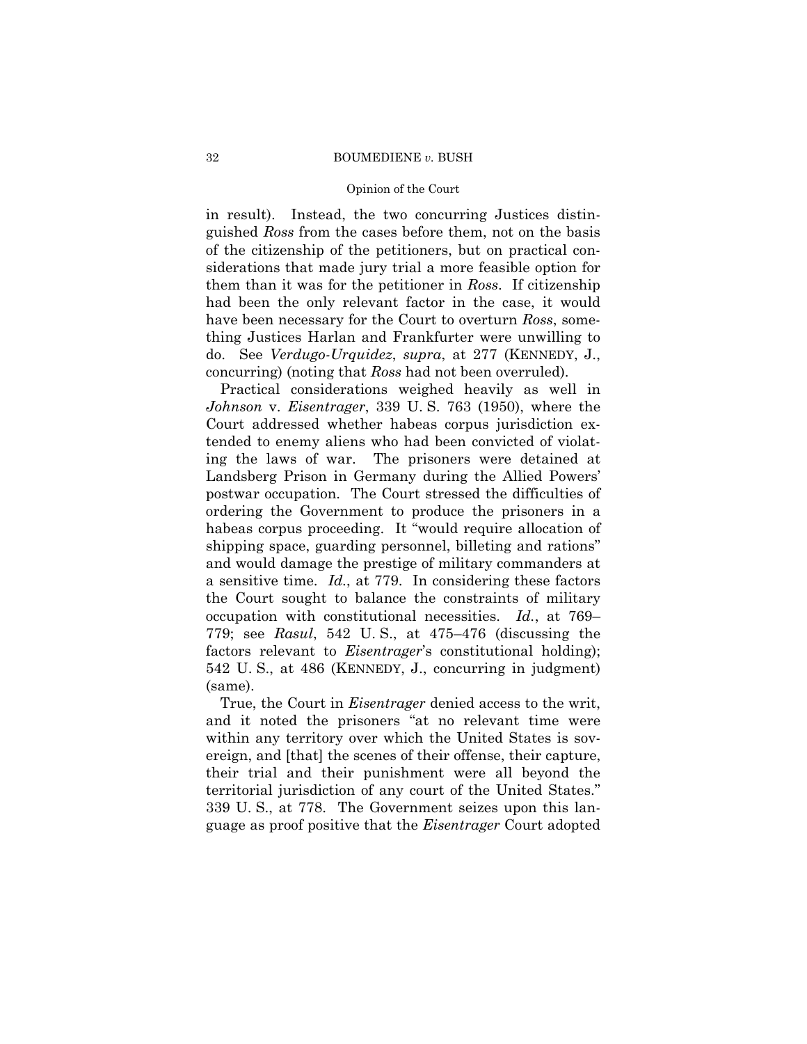# Opinion of the Court

in result). Instead, the two concurring Justices distinguished *Ross* from the cases before them, not on the basis of the citizenship of the petitioners, but on practical considerations that made jury trial a more feasible option for them than it was for the petitioner in *Ross*. If citizenship had been the only relevant factor in the case, it would have been necessary for the Court to overturn *Ross*, something Justices Harlan and Frankfurter were unwilling to do. See *Verdugo-Urquidez*, *supra*, at 277 (KENNEDY, J., concurring) (noting that *Ross* had not been overruled).

Practical considerations weighed heavily as well in *Johnson* v. *Eisentrager*, 339 U. S. 763 (1950), where the Court addressed whether habeas corpus jurisdiction extended to enemy aliens who had been convicted of violating the laws of war. The prisoners were detained at Landsberg Prison in Germany during the Allied Powers' postwar occupation. The Court stressed the difficulties of ordering the Government to produce the prisoners in a habeas corpus proceeding. It "would require allocation of shipping space, guarding personnel, billeting and rations" and would damage the prestige of military commanders at a sensitive time. *Id.*, at 779. In considering these factors the Court sought to balance the constraints of military occupation with constitutional necessities. *Id.*, at 769– 779; see *Rasul*, 542 U. S., at 475–476 (discussing the factors relevant to *Eisentrager*'s constitutional holding); 542 U. S., at 486 (KENNEDY, J., concurring in judgment) (same).

True, the Court in *Eisentrager* denied access to the writ, and it noted the prisoners "at no relevant time were within any territory over which the United States is sovereign, and [that] the scenes of their offense, their capture, their trial and their punishment were all beyond the territorial jurisdiction of any court of the United States." 339 U. S., at 778. The Government seizes upon this language as proof positive that the *Eisentrager* Court adopted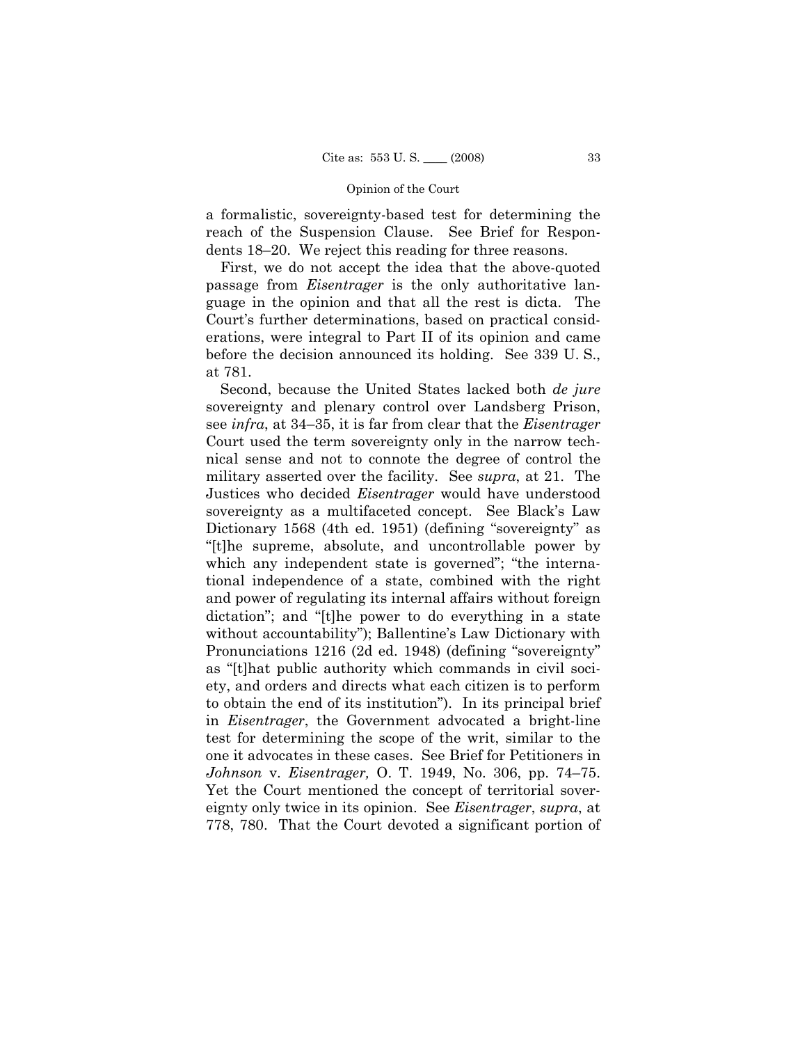a formalistic, sovereignty-based test for determining the reach of the Suspension Clause. See Brief for Respondents 18–20. We reject this reading for three reasons.

First, we do not accept the idea that the above-quoted passage from *Eisentrager* is the only authoritative language in the opinion and that all the rest is dicta. The Court's further determinations, based on practical considerations, were integral to Part II of its opinion and came before the decision announced its holding. See 339 U. S., at 781.

 *Johnson* v. *Eisentrager,* O. T. 1949, No. 306, pp. 74–75. Second, because the United States lacked both *de jure* sovereignty and plenary control over Landsberg Prison, see *infra*, at 34–35, it is far from clear that the *Eisentrager* Court used the term sovereignty only in the narrow technical sense and not to connote the degree of control the military asserted over the facility. See *supra*, at 21. The Justices who decided *Eisentrager* would have understood sovereignty as a multifaceted concept. See Black's Law Dictionary 1568 (4th ed. 1951) (defining "sovereignty" as "[t]he supreme, absolute, and uncontrollable power by which any independent state is governed"; "the international independence of a state, combined with the right and power of regulating its internal affairs without foreign dictation"; and "[t]he power to do everything in a state without accountability"); Ballentine's Law Dictionary with Pronunciations 1216 (2d ed. 1948) (defining "sovereignty" as "[t]hat public authority which commands in civil society, and orders and directs what each citizen is to perform to obtain the end of its institution"). In its principal brief in *Eisentrager*, the Government advocated a bright-line test for determining the scope of the writ, similar to the one it advocates in these cases. See Brief for Petitioners in Yet the Court mentioned the concept of territorial sovereignty only twice in its opinion. See *Eisentrager*, *supra*, at 778, 780. That the Court devoted a significant portion of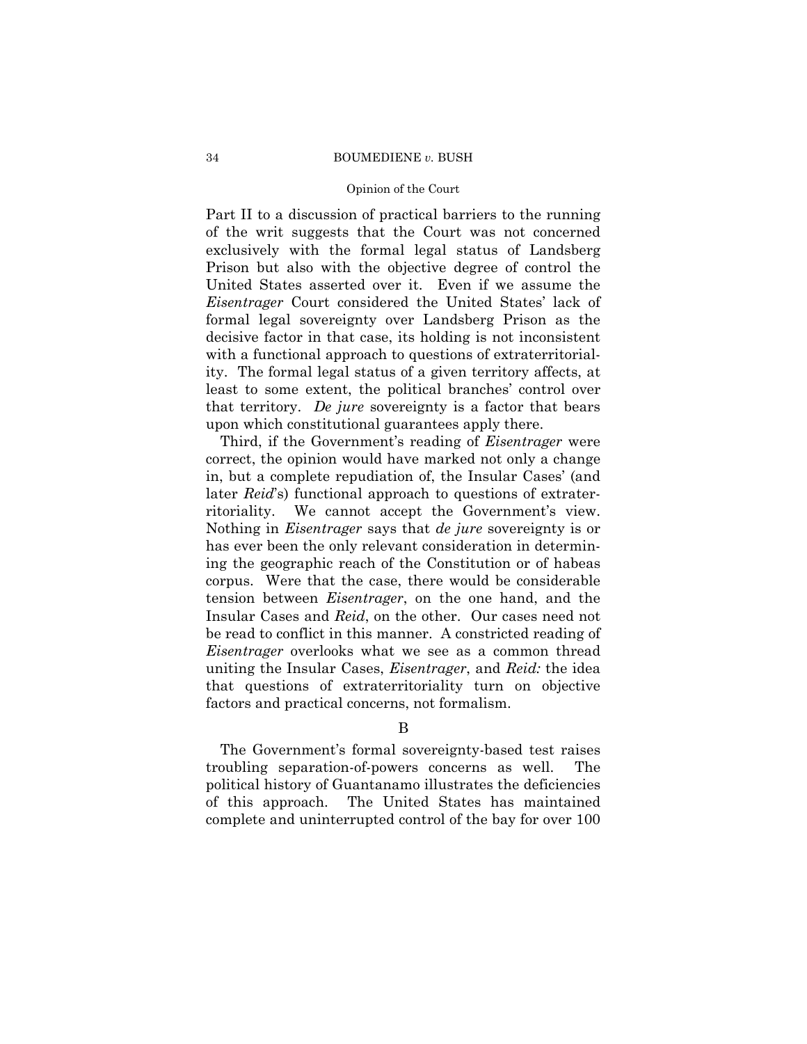# Opinion of the Court

Part II to a discussion of practical barriers to the running of the writ suggests that the Court was not concerned exclusively with the formal legal status of Landsberg Prison but also with the objective degree of control the United States asserted over it. Even if we assume the *Eisentrager* Court considered the United States' lack of formal legal sovereignty over Landsberg Prison as the decisive factor in that case, its holding is not inconsistent with a functional approach to questions of extraterritoriality. The formal legal status of a given territory affects, at least to some extent, the political branches' control over that territory. *De jure* sovereignty is a factor that bears upon which constitutional guarantees apply there.

Third, if the Government's reading of *Eisentrager* were correct, the opinion would have marked not only a change in, but a complete repudiation of, the Insular Cases' (and later *Reid*'s) functional approach to questions of extraterritoriality. We cannot accept the Government's view. Nothing in *Eisentrager* says that *de jure* sovereignty is or has ever been the only relevant consideration in determining the geographic reach of the Constitution or of habeas corpus. Were that the case, there would be considerable tension between *Eisentrager*, on the one hand, and the Insular Cases and *Reid*, on the other. Our cases need not be read to conflict in this manner. A constricted reading of *Eisentrager* overlooks what we see as a common thread uniting the Insular Cases, *Eisentrager*, and *Reid:* the idea that questions of extraterritoriality turn on objective factors and practical concerns, not formalism.

B

The Government's formal sovereignty-based test raises troubling separation-of-powers concerns as well. The political history of Guantanamo illustrates the deficiencies of this approach. The United States has maintained complete and uninterrupted control of the bay for over 100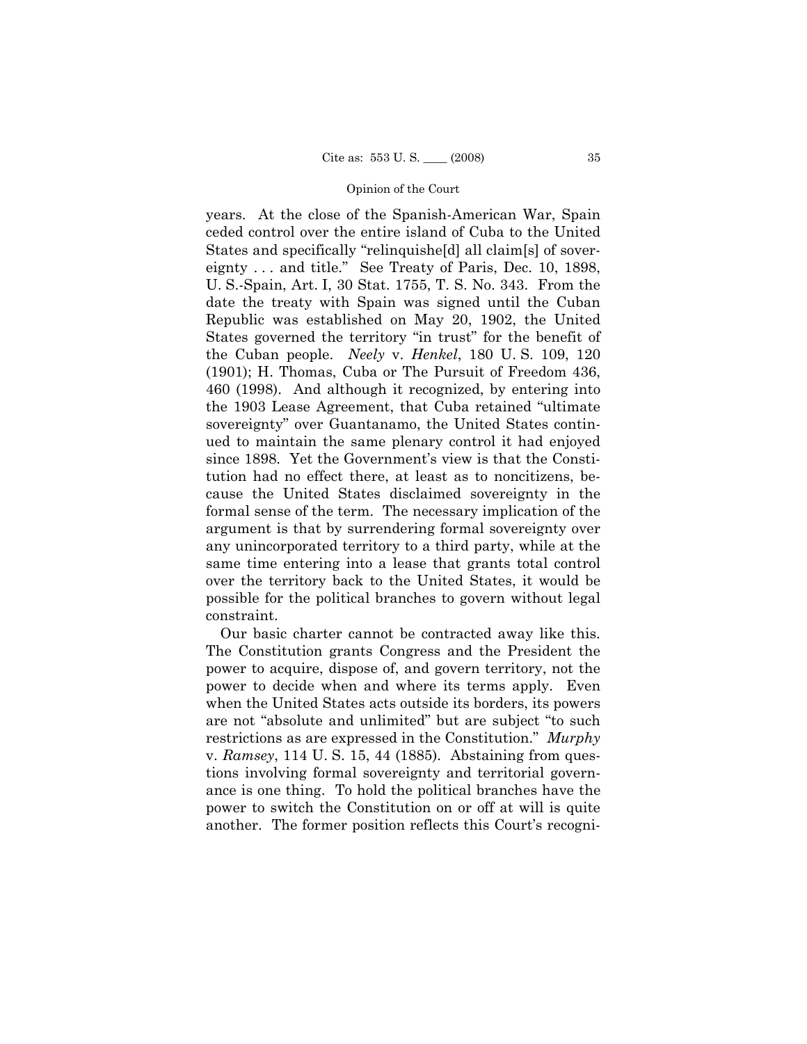years. At the close of the Spanish-American War, Spain ceded control over the entire island of Cuba to the United States and specifically "relinquishe[d] all claim[s] of sovereignty . . . and title." See Treaty of Paris, Dec. 10, 1898, U. S.-Spain, Art. I, 30 Stat. 1755, T. S. No. 343. From the date the treaty with Spain was signed until the Cuban Republic was established on May 20, 1902, the United States governed the territory "in trust" for the benefit of the Cuban people. *Neely* v. *Henkel*, 180 U. S. 109, 120 (1901); H. Thomas, Cuba or The Pursuit of Freedom 436, 460 (1998). And although it recognized, by entering into the 1903 Lease Agreement, that Cuba retained "ultimate sovereignty" over Guantanamo, the United States continued to maintain the same plenary control it had enjoyed since 1898. Yet the Government's view is that the Constitution had no effect there, at least as to noncitizens, because the United States disclaimed sovereignty in the formal sense of the term. The necessary implication of the argument is that by surrendering formal sovereignty over any unincorporated territory to a third party, while at the same time entering into a lease that grants total control over the territory back to the United States, it would be possible for the political branches to govern without legal constraint.

Our basic charter cannot be contracted away like this. The Constitution grants Congress and the President the power to acquire, dispose of, and govern territory, not the power to decide when and where its terms apply. Even when the United States acts outside its borders, its powers are not "absolute and unlimited" but are subject "to such restrictions as are expressed in the Constitution." *Murphy*  v. *Ramsey*, 114 U. S. 15, 44 (1885). Abstaining from questions involving formal sovereignty and territorial governance is one thing. To hold the political branches have the power to switch the Constitution on or off at will is quite another. The former position reflects this Court's recogni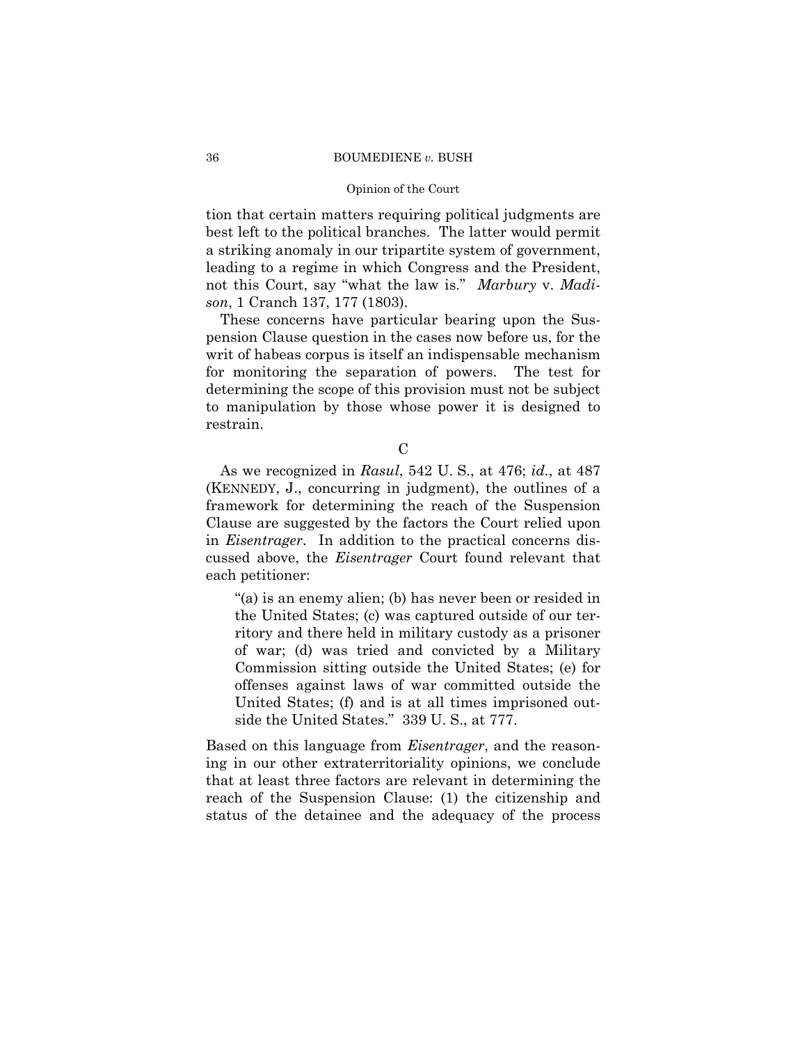# Opinion of the Court

tion that certain matters requiring political judgments are best left to the political branches. The latter would permit a striking anomaly in our tripartite system of government, leading to a regime in which Congress and the President, not this Court, say "what the law is." *Marbury* v. *Madison*, 1 Cranch 137, 177 (1803).

These concerns have particular bearing upon the Suspension Clause question in the cases now before us, for the writ of habeas corpus is itself an indispensable mechanism for monitoring the separation of powers. The test for determining the scope of this provision must not be subject to manipulation by those whose power it is designed to restrain.

C

As we recognized in *Rasul*, 542 U. S., at 476; *id.*, at 487 (KENNEDY, J., concurring in judgment), the outlines of a framework for determining the reach of the Suspension Clause are suggested by the factors the Court relied upon in *Eisentrager*. In addition to the practical concerns discussed above, the *Eisentrager* Court found relevant that each petitioner:

"(a) is an enemy alien; (b) has never been or resided in the United States; (c) was captured outside of our territory and there held in military custody as a prisoner of war; (d) was tried and convicted by a Military Commission sitting outside the United States; (e) for offenses against laws of war committed outside the United States; (f) and is at all times imprisoned outside the United States." 339 U. S., at 777.

Based on this language from *Eisentrager*, and the reasoning in our other extraterritoriality opinions, we conclude that at least three factors are relevant in determining the reach of the Suspension Clause: (1) the citizenship and status of the detainee and the adequacy of the process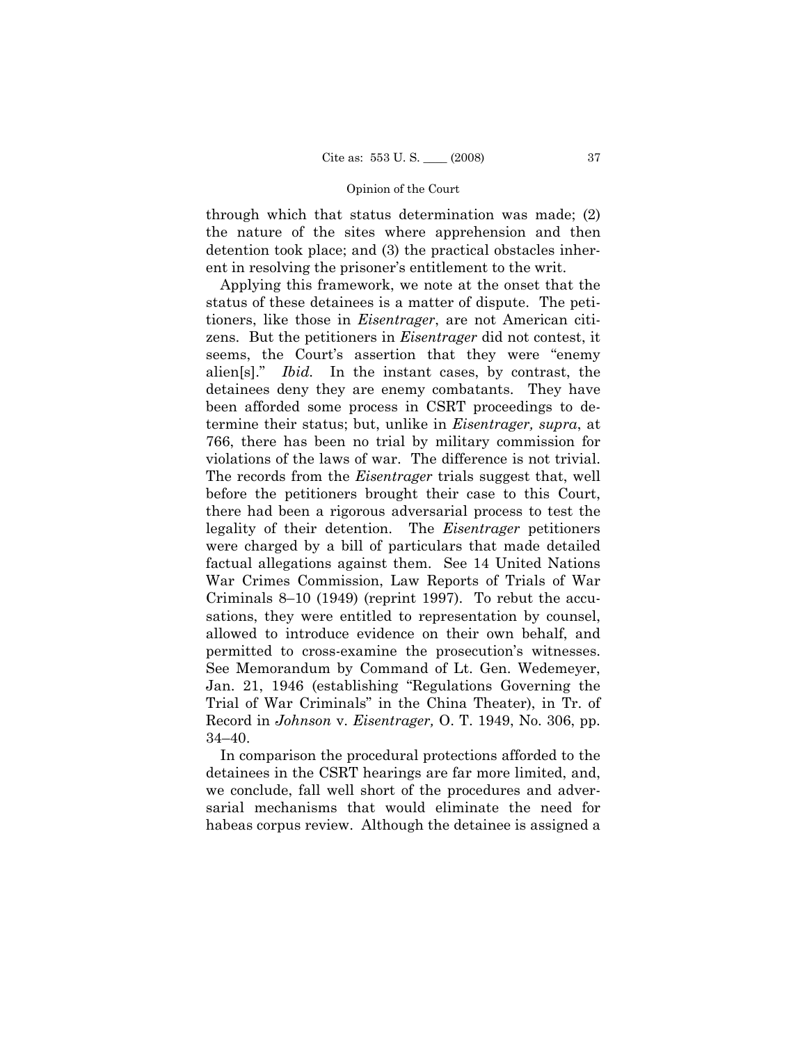through which that status determination was made; (2) the nature of the sites where apprehension and then detention took place; and (3) the practical obstacles inherent in resolving the prisoner's entitlement to the writ.

 violations of the laws of war. The difference is not trivial. The records from the *Eisentrager* trials suggest that, well Applying this framework, we note at the onset that the status of these detainees is a matter of dispute. The petitioners, like those in *Eisentrager*, are not American citizens. But the petitioners in *Eisentrager* did not contest, it seems, the Court's assertion that they were "enemy alien[s]." *Ibid.* In the instant cases, by contrast, the detainees deny they are enemy combatants. They have been afforded some process in CSRT proceedings to determine their status; but, unlike in *Eisentrager, supra*, at 766, there has been no trial by military commission for before the petitioners brought their case to this Court, there had been a rigorous adversarial process to test the legality of their detention. The *Eisentrager* petitioners were charged by a bill of particulars that made detailed factual allegations against them. See 14 United Nations War Crimes Commission, Law Reports of Trials of War Criminals 8–10 (1949) (reprint 1997). To rebut the accusations, they were entitled to representation by counsel, allowed to introduce evidence on their own behalf, and permitted to cross-examine the prosecution's witnesses. See Memorandum by Command of Lt. Gen. Wedemeyer, Jan. 21, 1946 (establishing "Regulations Governing the Trial of War Criminals" in the China Theater), in Tr. of Record in *Johnson* v. *Eisentrager,* O. T. 1949, No. 306, pp. 34–40.

In comparison the procedural protections afforded to the detainees in the CSRT hearings are far more limited, and, we conclude, fall well short of the procedures and adversarial mechanisms that would eliminate the need for habeas corpus review. Although the detainee is assigned a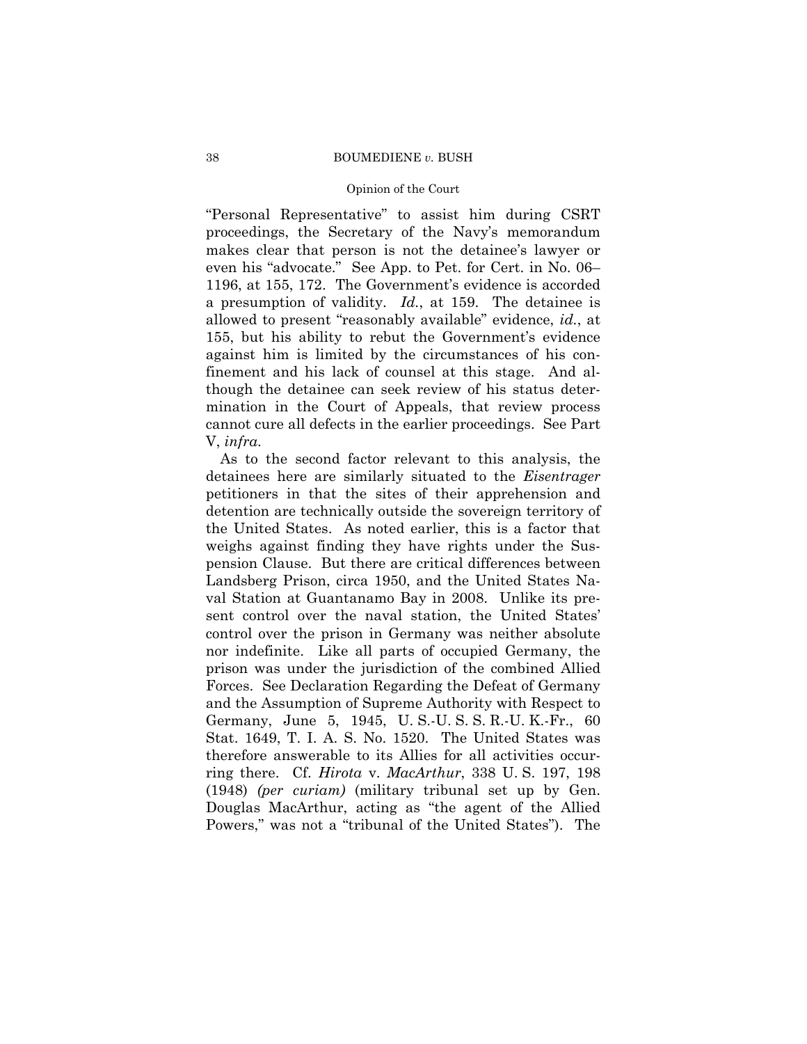# Opinion of the Court

"Personal Representative" to assist him during CSRT proceedings, the Secretary of the Navy's memorandum makes clear that person is not the detainee's lawyer or even his "advocate." See App. to Pet. for Cert. in No. 06– 1196, at 155, 172. The Government's evidence is accorded a presumption of validity. *Id.*, at 159. The detainee is allowed to present "reasonably available" evidence, *id.*, at 155, but his ability to rebut the Government's evidence against him is limited by the circumstances of his confinement and his lack of counsel at this stage. And although the detainee can seek review of his status determination in the Court of Appeals, that review process cannot cure all defects in the earlier proceedings. See Part V, *infra*.

As to the second factor relevant to this analysis, the detainees here are similarly situated to the *Eisentrager* petitioners in that the sites of their apprehension and detention are technically outside the sovereign territory of the United States. As noted earlier, this is a factor that weighs against finding they have rights under the Suspension Clause. But there are critical differences between Landsberg Prison, circa 1950, and the United States Naval Station at Guantanamo Bay in 2008. Unlike its present control over the naval station, the United States' control over the prison in Germany was neither absolute nor indefinite. Like all parts of occupied Germany, the prison was under the jurisdiction of the combined Allied Forces. See Declaration Regarding the Defeat of Germany and the Assumption of Supreme Authority with Respect to Germany, June 5, 1945, U. S.-U. S. S. R.-U. K.-Fr., 60 Stat. 1649, T. I. A. S. No. 1520. The United States was therefore answerable to its Allies for all activities occurring there. Cf. *Hirota* v. *MacArthur*, 338 U. S. 197, 198 (1948) *(per curiam)* (military tribunal set up by Gen. Douglas MacArthur, acting as "the agent of the Allied Powers," was not a "tribunal of the United States"). The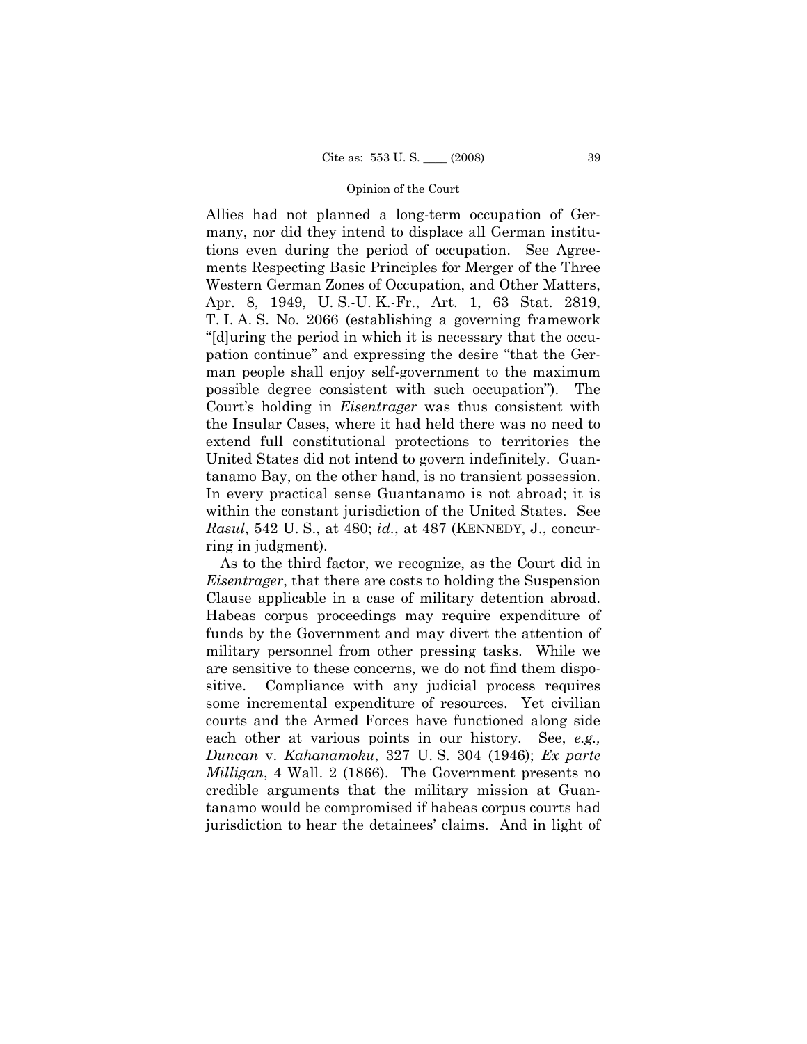Allies had not planned a long-term occupation of Germany, nor did they intend to displace all German institutions even during the period of occupation. See Agreements Respecting Basic Principles for Merger of the Three Western German Zones of Occupation, and Other Matters, Apr. 8, 1949, U. S.-U. K.-Fr., Art. 1, 63 Stat. 2819, T. I. A. S. No. 2066 (establishing a governing framework "[d]uring the period in which it is necessary that the occupation continue" and expressing the desire "that the German people shall enjoy self-government to the maximum possible degree consistent with such occupation"). The Court's holding in *Eisentrager* was thus consistent with the Insular Cases, where it had held there was no need to extend full constitutional protections to territories the United States did not intend to govern indefinitely. Guantanamo Bay, on the other hand, is no transient possession. In every practical sense Guantanamo is not abroad; it is within the constant jurisdiction of the United States. See *Rasul*, 542 U. S., at 480; *id.*, at 487 (KENNEDY, J., concurring in judgment).

As to the third factor, we recognize, as the Court did in *Eisentrager*, that there are costs to holding the Suspension Clause applicable in a case of military detention abroad. Habeas corpus proceedings may require expenditure of funds by the Government and may divert the attention of military personnel from other pressing tasks. While we are sensitive to these concerns, we do not find them dispositive. Compliance with any judicial process requires some incremental expenditure of resources. Yet civilian courts and the Armed Forces have functioned along side each other at various points in our history. See, *e.g., Duncan* v. *Kahanamoku*, 327 U. S. 304 (1946); *Ex parte Milligan*, 4 Wall. 2 (1866). The Government presents no credible arguments that the military mission at Guantanamo would be compromised if habeas corpus courts had jurisdiction to hear the detainees' claims. And in light of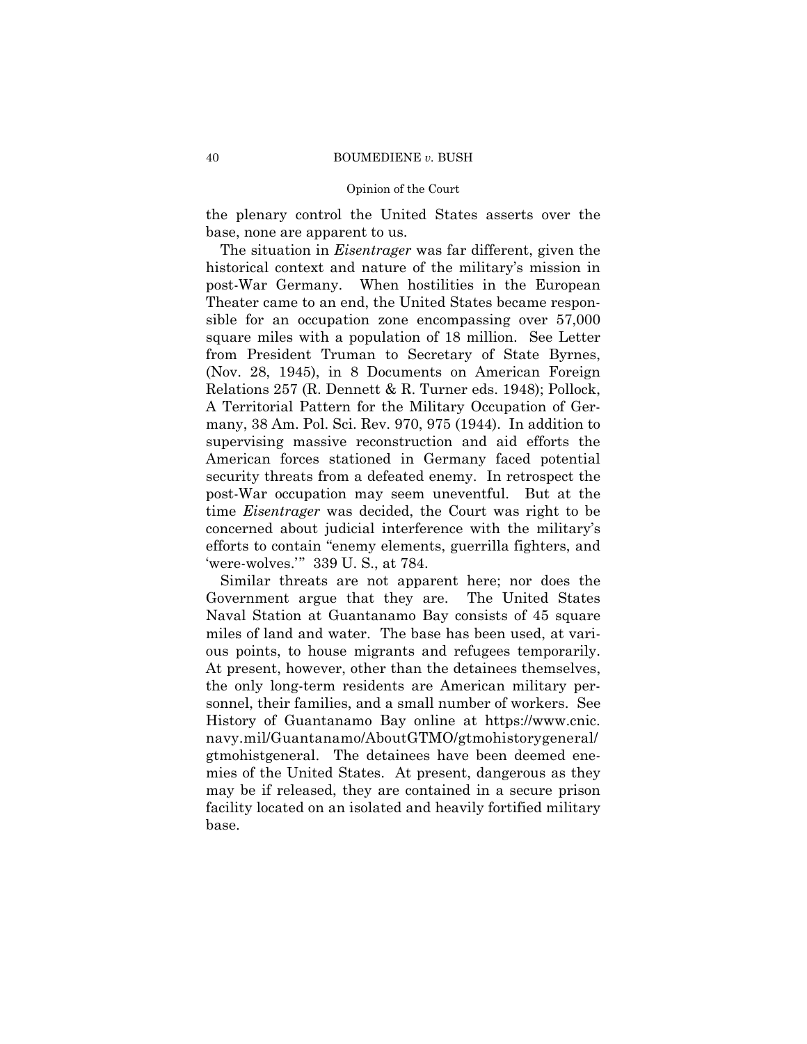## Opinion of the Court

the plenary control the United States asserts over the base, none are apparent to us.

The situation in *Eisentrager* was far different, given the historical context and nature of the military's mission in post-War Germany. When hostilities in the European Theater came to an end, the United States became responsible for an occupation zone encompassing over 57,000 square miles with a population of 18 million. See Letter from President Truman to Secretary of State Byrnes, (Nov. 28, 1945), in 8 Documents on American Foreign Relations 257 (R. Dennett & R. Turner eds. 1948); Pollock, A Territorial Pattern for the Military Occupation of Germany, 38 Am. Pol. Sci. Rev. 970, 975 (1944). In addition to supervising massive reconstruction and aid efforts the American forces stationed in Germany faced potential security threats from a defeated enemy. In retrospect the post-War occupation may seem uneventful. But at the time *Eisentrager* was decided, the Court was right to be concerned about judicial interference with the military's efforts to contain "enemy elements, guerrilla fighters, and 'were-wolves.'" 339 U. S., at 784.

Similar threats are not apparent here; nor does the Government argue that they are. The United States Naval Station at Guantanamo Bay consists of 45 square miles of land and water. The base has been used, at various points, to house migrants and refugees temporarily. At present, however, other than the detainees themselves, the only long-term residents are American military personnel, their families, and a small number of workers. See History of Guantanamo Bay online at https://www.cnic. navy.mil/Guantanamo/AboutGTMO/gtmohistorygeneral/ gtmohistgeneral. The detainees have been deemed enemies of the United States. At present, dangerous as they may be if released, they are contained in a secure prison facility located on an isolated and heavily fortified military base.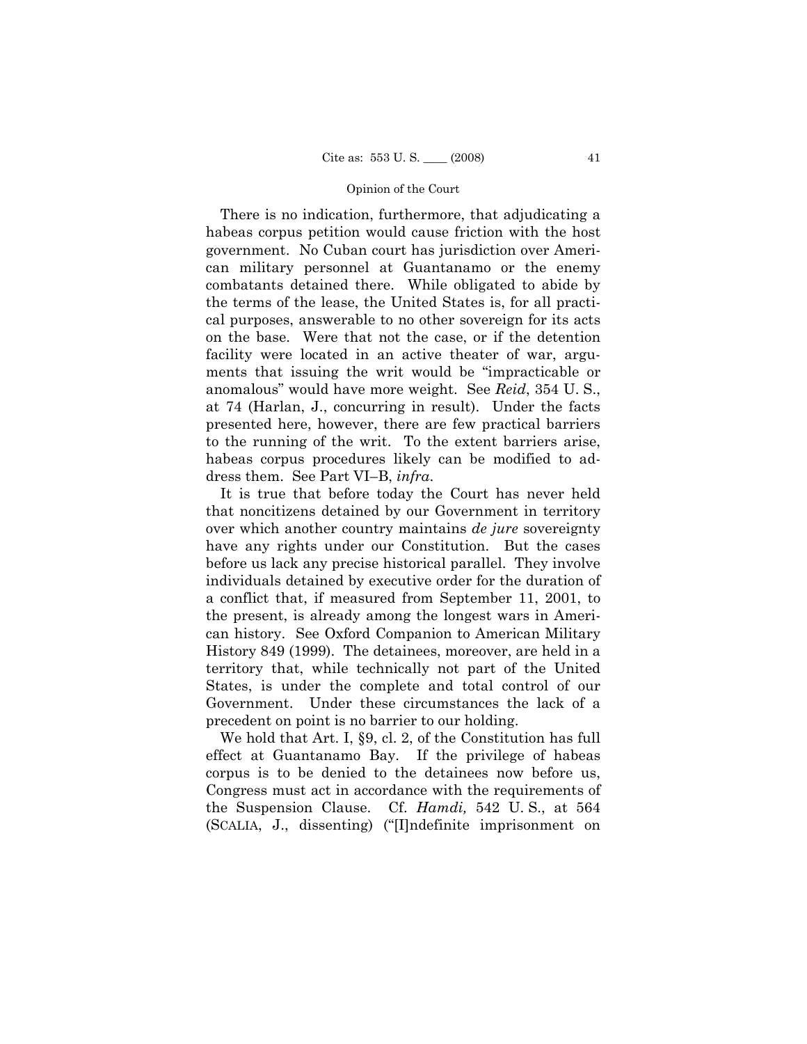There is no indication, furthermore, that adjudicating a habeas corpus petition would cause friction with the host government. No Cuban court has jurisdiction over American military personnel at Guantanamo or the enemy combatants detained there. While obligated to abide by the terms of the lease, the United States is, for all practical purposes, answerable to no other sovereign for its acts on the base. Were that not the case, or if the detention facility were located in an active theater of war, arguments that issuing the writ would be "impracticable or anomalous" would have more weight. See *Reid*, 354 U. S., at 74 (Harlan, J., concurring in result). Under the facts presented here, however, there are few practical barriers to the running of the writ. To the extent barriers arise, habeas corpus procedures likely can be modified to address them. See Part VI–B, *infra*.

 History 849 (1999). The detainees, moreover, are held in a It is true that before today the Court has never held that noncitizens detained by our Government in territory over which another country maintains *de jure* sovereignty have any rights under our Constitution. But the cases before us lack any precise historical parallel. They involve individuals detained by executive order for the duration of a conflict that, if measured from September 11, 2001, to the present, is already among the longest wars in American history. See Oxford Companion to American Military territory that, while technically not part of the United States, is under the complete and total control of our Government. Under these circumstances the lack of a precedent on point is no barrier to our holding.

We hold that Art. I, §9, cl. 2, of the Constitution has full effect at Guantanamo Bay. If the privilege of habeas corpus is to be denied to the detainees now before us, Congress must act in accordance with the requirements of the Suspension Clause. Cf. *Hamdi,* 542 U. S., at 564 (SCALIA, J., dissenting) ("[I]ndefinite imprisonment on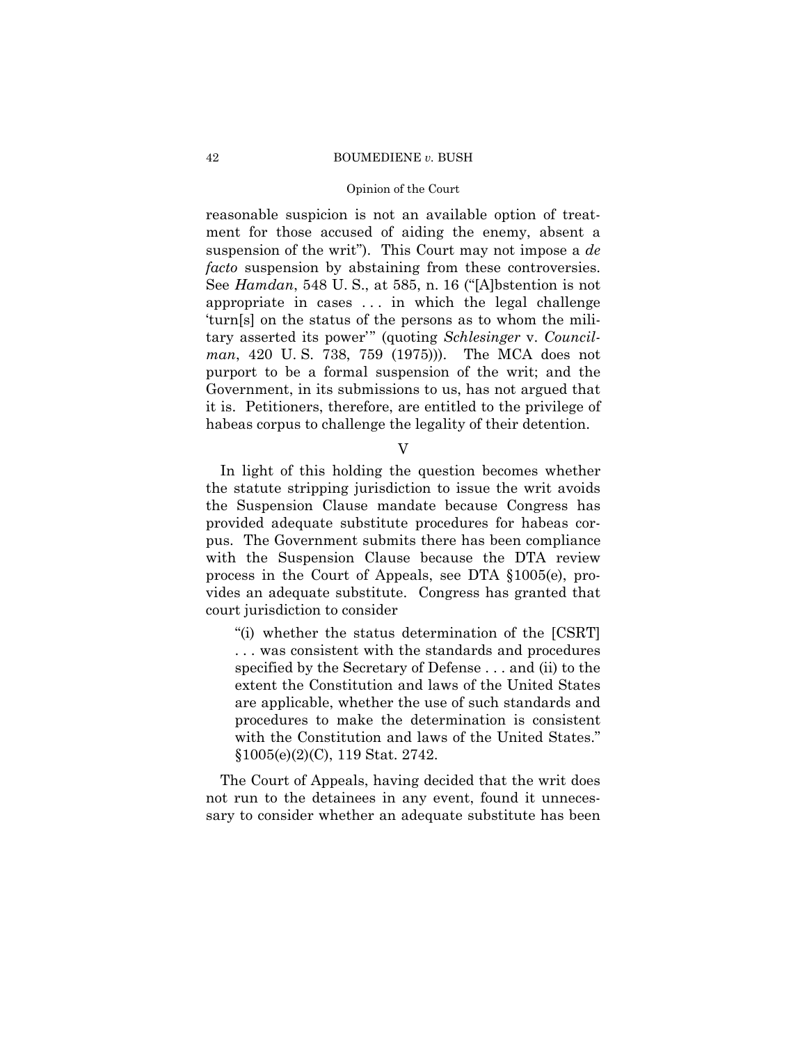# Opinion of the Court

reasonable suspicion is not an available option of treatment for those accused of aiding the enemy, absent a suspension of the writ"). This Court may not impose a *de facto* suspension by abstaining from these controversies. See *Hamdan*, 548 U. S., at 585, n. 16 ("[A]bstention is not appropriate in cases . . . in which the legal challenge 'turn[s] on the status of the persons as to whom the military asserted its power'" (quoting *Schlesinger* v. *Councilman*, 420 U. S. 738, 759 (1975))). The MCA does not purport to be a formal suspension of the writ; and the Government, in its submissions to us, has not argued that it is. Petitioners, therefore, are entitled to the privilege of habeas corpus to challenge the legality of their detention.

V

In light of this holding the question becomes whether the statute stripping jurisdiction to issue the writ avoids the Suspension Clause mandate because Congress has provided adequate substitute procedures for habeas corpus. The Government submits there has been compliance with the Suspension Clause because the DTA review process in the Court of Appeals, see DTA §1005(e), provides an adequate substitute. Congress has granted that court jurisdiction to consider

"(i) whether the status determination of the [CSRT] . . . was consistent with the standards and procedures specified by the Secretary of Defense . . . and (ii) to the extent the Constitution and laws of the United States are applicable, whether the use of such standards and procedures to make the determination is consistent with the Constitution and laws of the United States."  $\S 1005(e)(2)(C)$ , 119 Stat. 2742.

The Court of Appeals, having decided that the writ does not run to the detainees in any event, found it unnecessary to consider whether an adequate substitute has been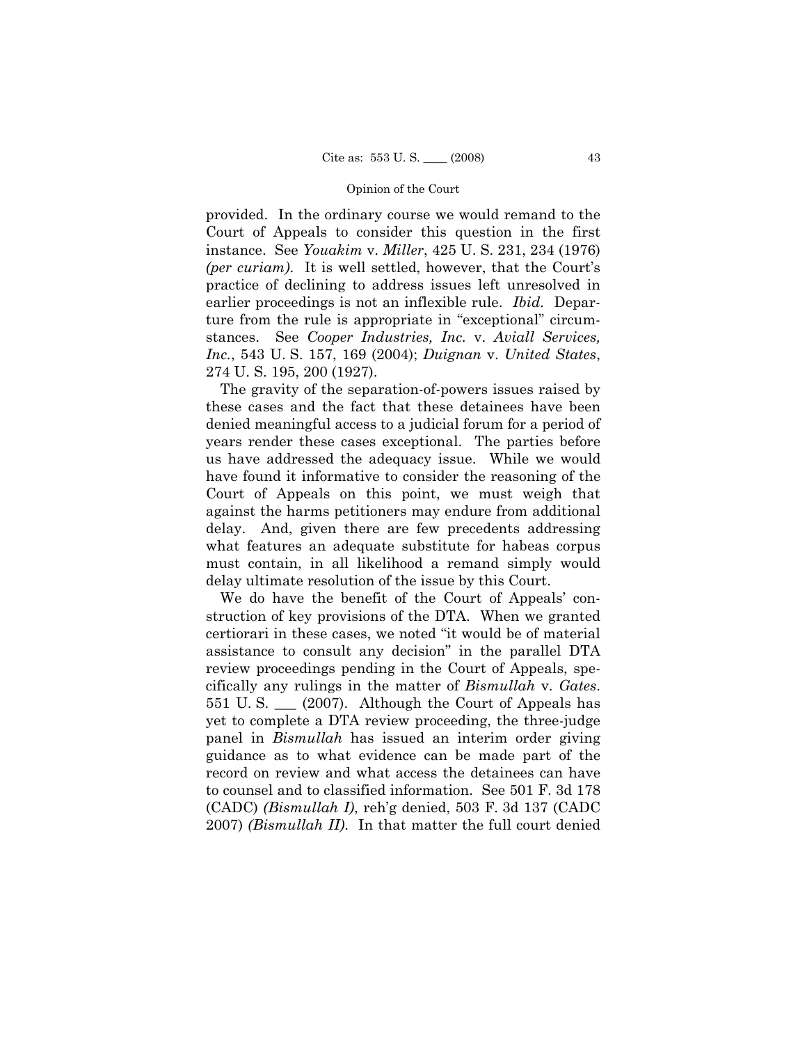provided. In the ordinary course we would remand to the Court of Appeals to consider this question in the first instance. See *Youakim* v. *Miller*, 425 U. S. 231, 234 (1976) *(per curiam)*. It is well settled, however, that the Court's practice of declining to address issues left unresolved in earlier proceedings is not an inflexible rule. *Ibid.* Departure from the rule is appropriate in "exceptional" circumstances. See *Cooper Industries, Inc.* v. *Aviall Services, Inc.*, 543 U. S. 157, 169 (2004); *Duignan* v. *United States*, 274 U. S. 195, 200 (1927).

The gravity of the separation-of-powers issues raised by these cases and the fact that these detainees have been denied meaningful access to a judicial forum for a period of years render these cases exceptional. The parties before us have addressed the adequacy issue. While we would have found it informative to consider the reasoning of the Court of Appeals on this point, we must weigh that against the harms petitioners may endure from additional delay. And, given there are few precedents addressing what features an adequate substitute for habeas corpus must contain, in all likelihood a remand simply would delay ultimate resolution of the issue by this Court.

We do have the benefit of the Court of Appeals' construction of key provisions of the DTA. When we granted certiorari in these cases, we noted "it would be of material assistance to consult any decision" in the parallel DTA review proceedings pending in the Court of Appeals, specifically any rulings in the matter of *Bismullah* v. *Gates*. 551 U. S. \_\_\_ (2007). Although the Court of Appeals has yet to complete a DTA review proceeding, the three-judge panel in *Bismullah* has issued an interim order giving guidance as to what evidence can be made part of the record on review and what access the detainees can have to counsel and to classified information. See 501 F. 3d 178 (CADC) *(Bismullah I)*, reh'g denied, 503 F. 3d 137 (CADC 2007) *(Bismullah II)*. In that matter the full court denied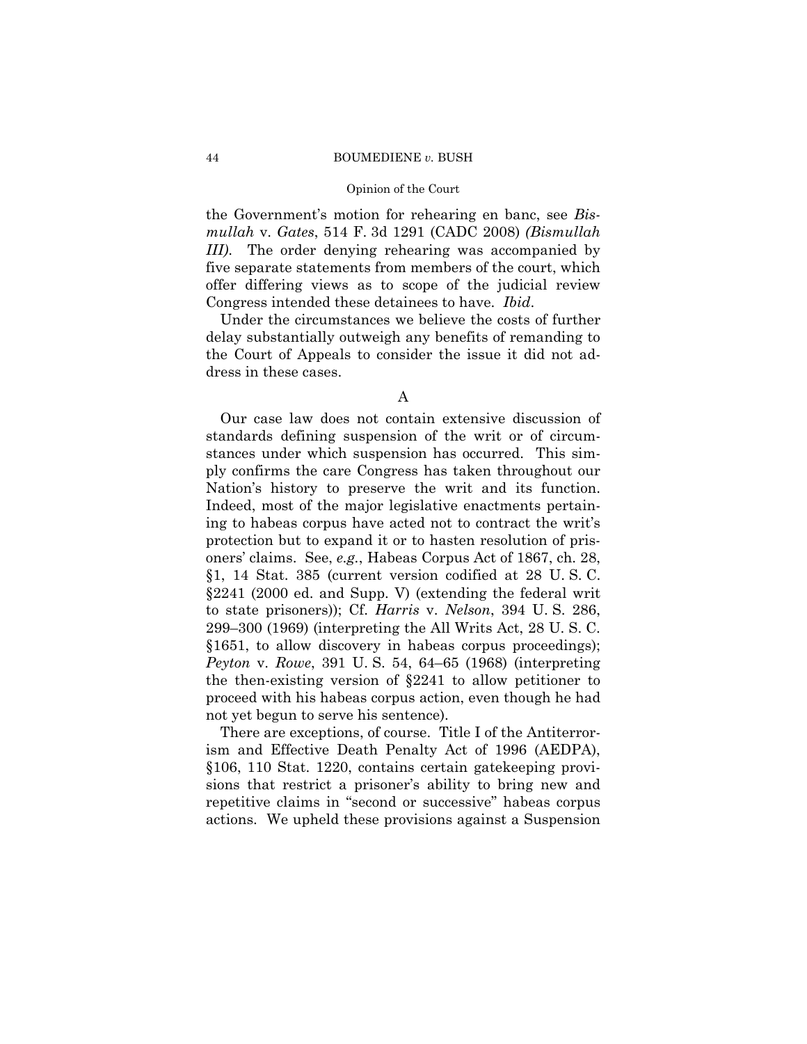# Opinion of the Court

the Government's motion for rehearing en banc, see *Bismullah* v. *Gates*, 514 F. 3d 1291 (CADC 2008) *(Bismullah III)*. The order denying rehearing was accompanied by five separate statements from members of the court, which offer differing views as to scope of the judicial review Congress intended these detainees to have. *Ibid*.

Under the circumstances we believe the costs of further delay substantially outweigh any benefits of remanding to the Court of Appeals to consider the issue it did not address in these cases.

Our case law does not contain extensive discussion of standards defining suspension of the writ or of circumstances under which suspension has occurred. This simply confirms the care Congress has taken throughout our Nation's history to preserve the writ and its function. Indeed, most of the major legislative enactments pertaining to habeas corpus have acted not to contract the writ's protection but to expand it or to hasten resolution of prisoners' claims. See, *e.g.*, Habeas Corpus Act of 1867, ch. 28, §1, 14 Stat. 385 (current version codified at 28 U. S. C. §2241 (2000 ed. and Supp. V) (extending the federal writ to state prisoners)); Cf. *Harris* v. *Nelson*, 394 U. S. 286, 299–300 (1969) (interpreting the All Writs Act, 28 U. S. C. §1651, to allow discovery in habeas corpus proceedings); *Peyton* v. *Rowe*, 391 U. S. 54, 64–65 (1968) (interpreting the then-existing version of §2241 to allow petitioner to proceed with his habeas corpus action, even though he had not yet begun to serve his sentence).

There are exceptions, of course. Title I of the Antiterrorism and Effective Death Penalty Act of 1996 (AEDPA), §106, 110 Stat. 1220, contains certain gatekeeping provisions that restrict a prisoner's ability to bring new and repetitive claims in "second or successive" habeas corpus actions. We upheld these provisions against a Suspension

A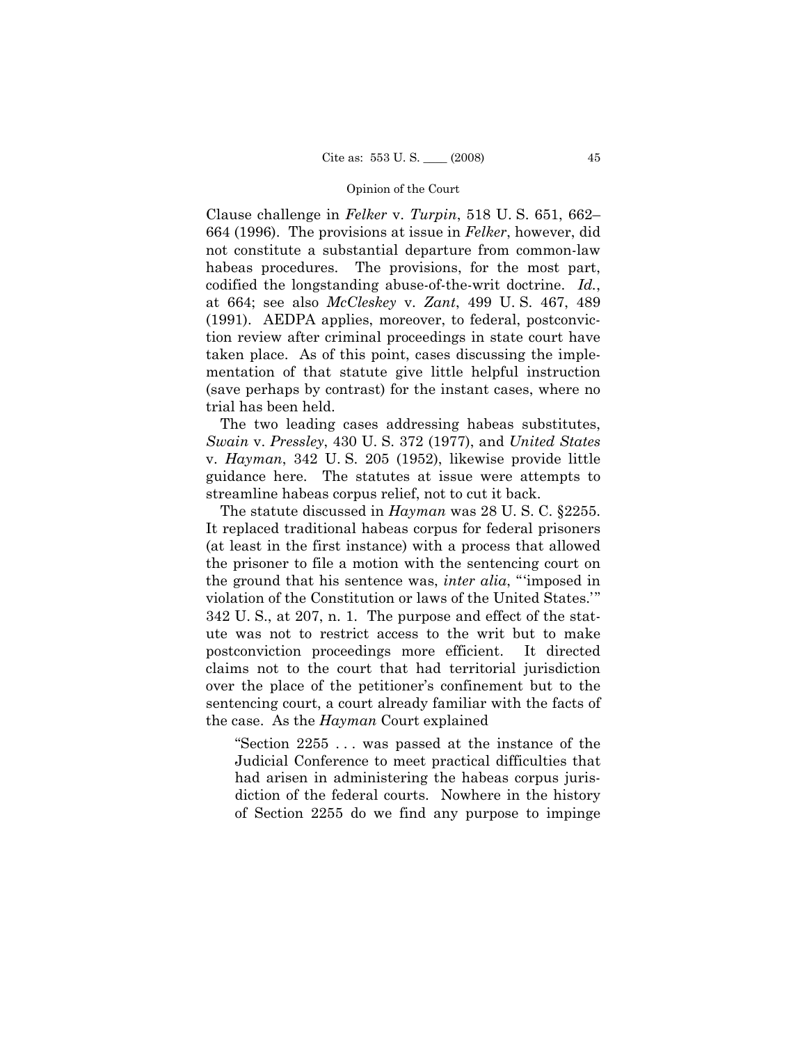Clause challenge in *Felker* v. *Turpin*, 518 U. S. 651, 662– 664 (1996). The provisions at issue in *Felker*, however, did not constitute a substantial departure from common-law habeas procedures. The provisions, for the most part, codified the longstanding abuse-of-the-writ doctrine. *Id.*, at 664; see also *McCleskey* v. *Zant*, 499 U. S. 467, 489 (1991). AEDPA applies, moreover, to federal, postconviction review after criminal proceedings in state court have taken place. As of this point, cases discussing the implementation of that statute give little helpful instruction (save perhaps by contrast) for the instant cases, where no trial has been held.

The two leading cases addressing habeas substitutes, *Swain* v. *Pressley*, 430 U. S. 372 (1977), and *United States*  v. *Hayman*, 342 U. S. 205 (1952), likewise provide little guidance here. The statutes at issue were attempts to streamline habeas corpus relief, not to cut it back.

The statute discussed in *Hayman* was 28 U. S. C. §2255. It replaced traditional habeas corpus for federal prisoners (at least in the first instance) with a process that allowed the prisoner to file a motion with the sentencing court on the ground that his sentence was, *inter alia*, "'imposed in violation of the Constitution or laws of the United States.'" 342 U. S., at 207, n. 1. The purpose and effect of the statute was not to restrict access to the writ but to make postconviction proceedings more efficient. It directed claims not to the court that had territorial jurisdiction over the place of the petitioner's confinement but to the sentencing court, a court already familiar with the facts of the case. As the *Hayman* Court explained

"Section 2255 . . . was passed at the instance of the Judicial Conference to meet practical difficulties that had arisen in administering the habeas corpus jurisdiction of the federal courts. Nowhere in the history of Section 2255 do we find any purpose to impinge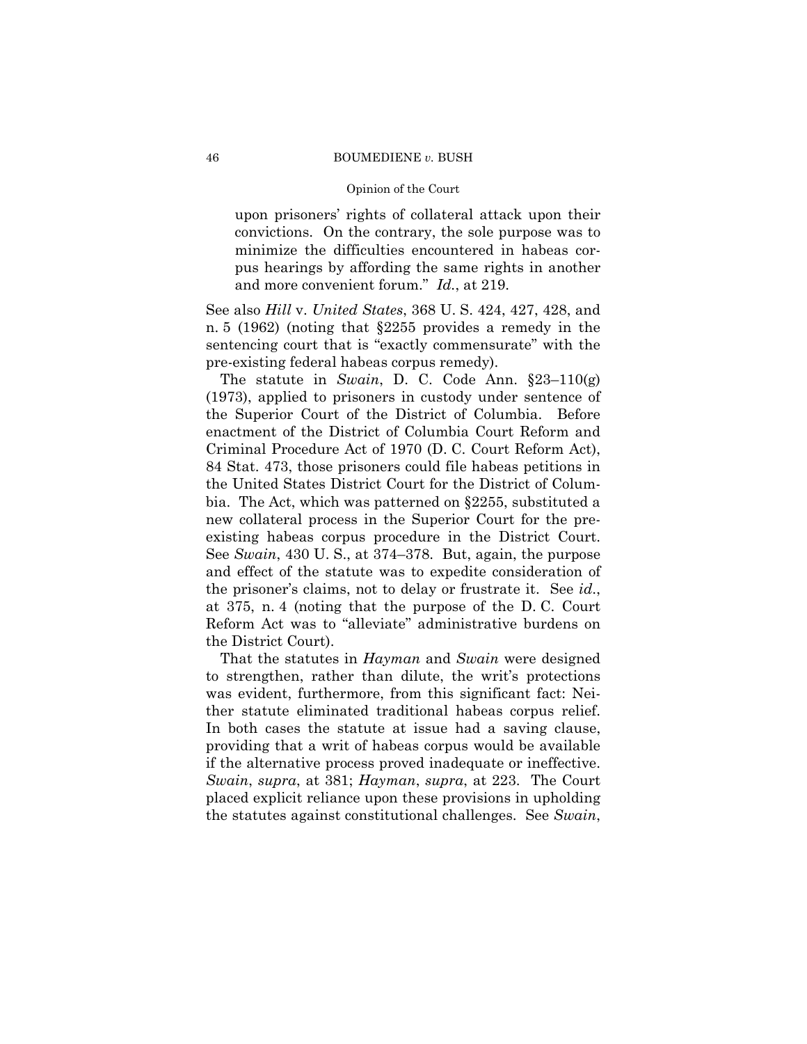# Opinion of the Court

upon prisoners' rights of collateral attack upon their convictions. On the contrary, the sole purpose was to minimize the difficulties encountered in habeas corpus hearings by affording the same rights in another and more convenient forum." *Id.*, at 219.

See also *Hill* v. *United States*, 368 U. S. 424, 427, 428, and n. 5 (1962) (noting that §2255 provides a remedy in the sentencing court that is "exactly commensurate" with the pre-existing federal habeas corpus remedy).

The statute in *Swain*, D. C. Code Ann. §23–110(g) (1973), applied to prisoners in custody under sentence of the Superior Court of the District of Columbia. Before enactment of the District of Columbia Court Reform and Criminal Procedure Act of 1970 (D. C. Court Reform Act), 84 Stat. 473, those prisoners could file habeas petitions in the United States District Court for the District of Columbia. The Act, which was patterned on §2255, substituted a new collateral process in the Superior Court for the preexisting habeas corpus procedure in the District Court. See *Swain*, 430 U. S., at 374–378. But, again, the purpose and effect of the statute was to expedite consideration of the prisoner's claims, not to delay or frustrate it. See *id*., at 375, n. 4 (noting that the purpose of the D. C. Court Reform Act was to "alleviate" administrative burdens on the District Court).

That the statutes in *Hayman* and *Swain* were designed to strengthen, rather than dilute, the writ's protections was evident, furthermore, from this significant fact: Neither statute eliminated traditional habeas corpus relief. In both cases the statute at issue had a saving clause, providing that a writ of habeas corpus would be available if the alternative process proved inadequate or ineffective. *Swain*, *supra*, at 381; *Hayman*, *supra*, at 223. The Court placed explicit reliance upon these provisions in upholding the statutes against constitutional challenges. See *Swain*,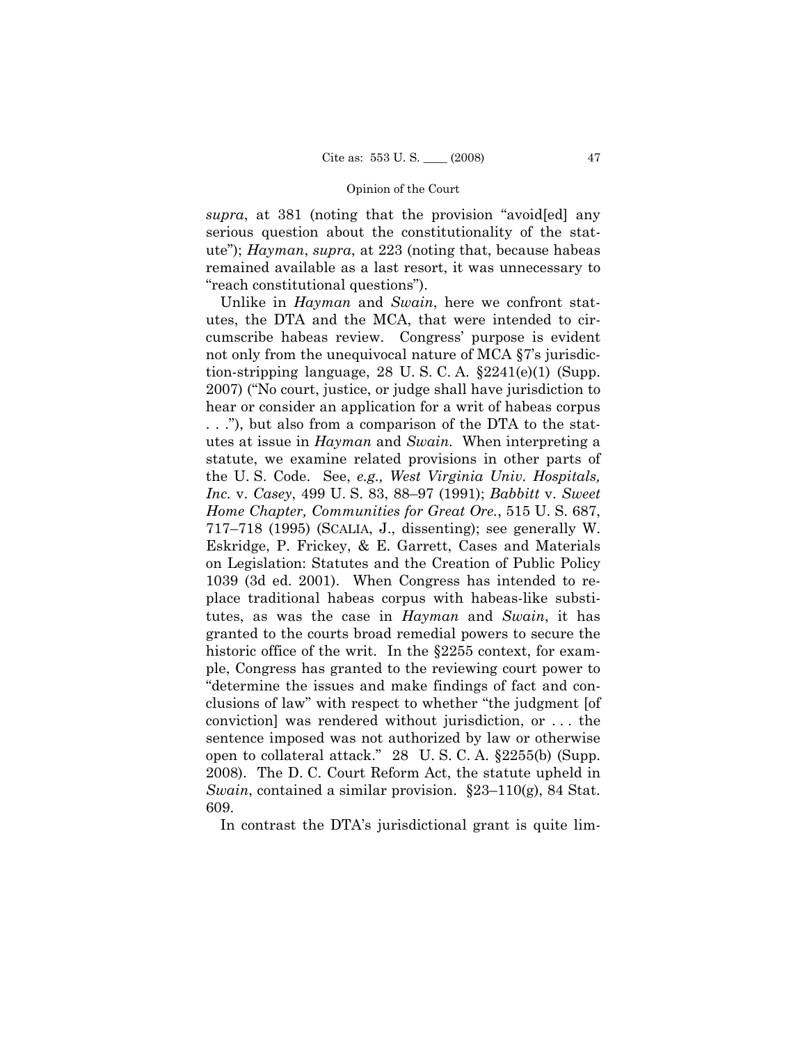*supra*, at 381 (noting that the provision "avoid[ed] any serious question about the constitutionality of the statute"); *Hayman*, *supra*, at 223 (noting that, because habeas remained available as a last resort, it was unnecessary to "reach constitutional questions").

 Unlike in *Hayman* and *Swain*, here we confront statutes, the DTA and the MCA, that were intended to circumscribe habeas review. Congress' purpose is evident not only from the unequivocal nature of MCA §7's jurisdiction-stripping language, 28 U. S. C. A. §2241(e)(1) (Supp. 2007) ("No court, justice, or judge shall have jurisdiction to hear or consider an application for a writ of habeas corpus . . ."), but also from a comparison of the DTA to the statutes at issue in *Hayman* and *Swain.* When interpreting a statute, we examine related provisions in other parts of the U. S. Code. See, *e.g., West Virginia Univ. Hospitals, Inc.* v. *Casey*, 499 U. S. 83, 88–97 (1991); *Babbitt* v. *Sweet Home Chapter, Communities for Great Ore.*, 515 U. S. 687, 717–718 (1995) (SCALIA, J., dissenting); see generally W. Eskridge, P. Frickey, & E. Garrett, Cases and Materials on Legislation: Statutes and the Creation of Public Policy 1039 (3d ed. 2001). When Congress has intended to replace traditional habeas corpus with habeas-like substitutes, as was the case in *Hayman* and *Swain*, it has granted to the courts broad remedial powers to secure the historic office of the writ. In the §2255 context, for example, Congress has granted to the reviewing court power to "determine the issues and make findings of fact and conclusions of law" with respect to whether "the judgment [of conviction] was rendered without jurisdiction, or . . . the sentence imposed was not authorized by law or otherwise open to collateral attack." 28 U. S. C. A. §2255(b) (Supp. 2008). The D. C. Court Reform Act, the statute upheld in *Swain*, contained a similar provision. §23–110(g), 84 Stat. 609.

In contrast the DTA's jurisdictional grant is quite lim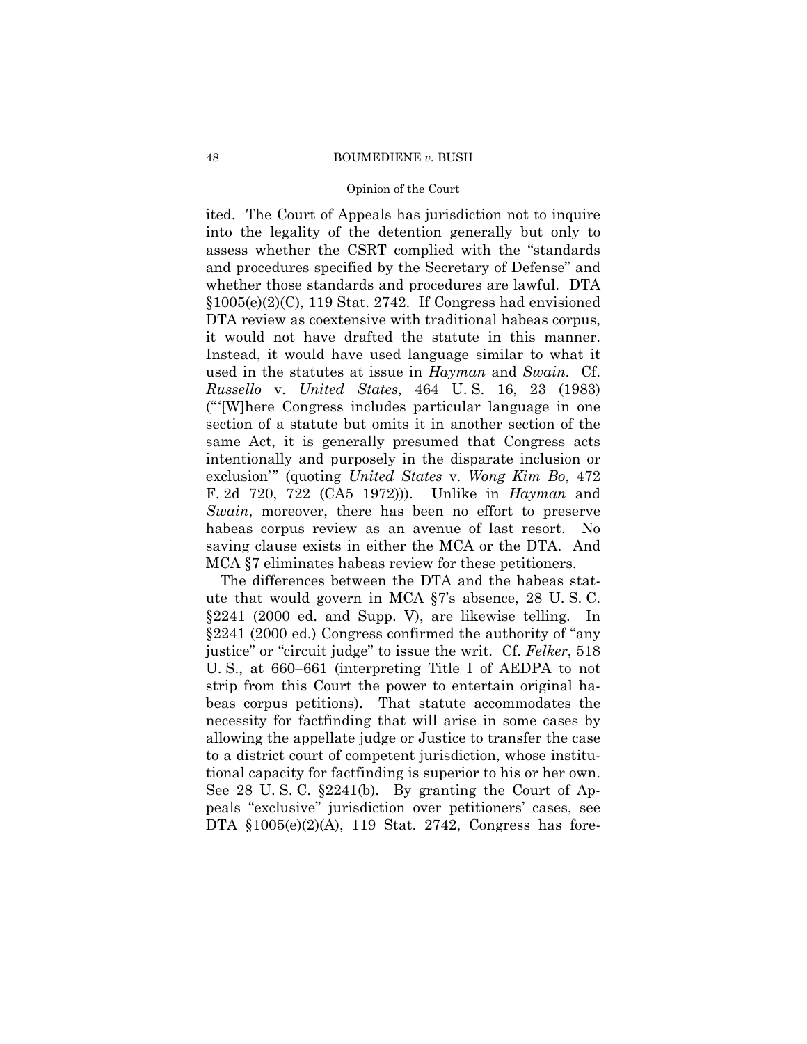# Opinion of the Court

ited. The Court of Appeals has jurisdiction not to inquire into the legality of the detention generally but only to assess whether the CSRT complied with the "standards and procedures specified by the Secretary of Defense" and whether those standards and procedures are lawful. DTA §1005(e)(2)(C), 119 Stat. 2742. If Congress had envisioned DTA review as coextensive with traditional habeas corpus, it would not have drafted the statute in this manner. Instead, it would have used language similar to what it used in the statutes at issue in *Hayman* and *Swain*. Cf. *Russello* v. *United States*, 464 U. S. 16, 23 (1983) ("'[W]here Congress includes particular language in one section of a statute but omits it in another section of the same Act, it is generally presumed that Congress acts intentionally and purposely in the disparate inclusion or exclusion'" (quoting *United States* v. *Wong Kim Bo*, 472 F. 2d 720, 722 (CA5 1972))). Unlike in *Hayman* and *Swain*, moreover, there has been no effort to preserve habeas corpus review as an avenue of last resort. No saving clause exists in either the MCA or the DTA. And MCA §7 eliminates habeas review for these petitioners.

The differences between the DTA and the habeas statute that would govern in MCA §7's absence, 28 U. S. C. §2241 (2000 ed. and Supp. V), are likewise telling. In §2241 (2000 ed.) Congress confirmed the authority of "any justice" or "circuit judge" to issue the writ. Cf. *Felker*, 518 U. S., at 660–661 (interpreting Title I of AEDPA to not strip from this Court the power to entertain original habeas corpus petitions). That statute accommodates the necessity for factfinding that will arise in some cases by allowing the appellate judge or Justice to transfer the case to a district court of competent jurisdiction, whose institutional capacity for factfinding is superior to his or her own. See 28 U. S. C. §2241(b). By granting the Court of Appeals "exclusive" jurisdiction over petitioners' cases, see DTA §1005(e)(2)(A), 119 Stat. 2742, Congress has fore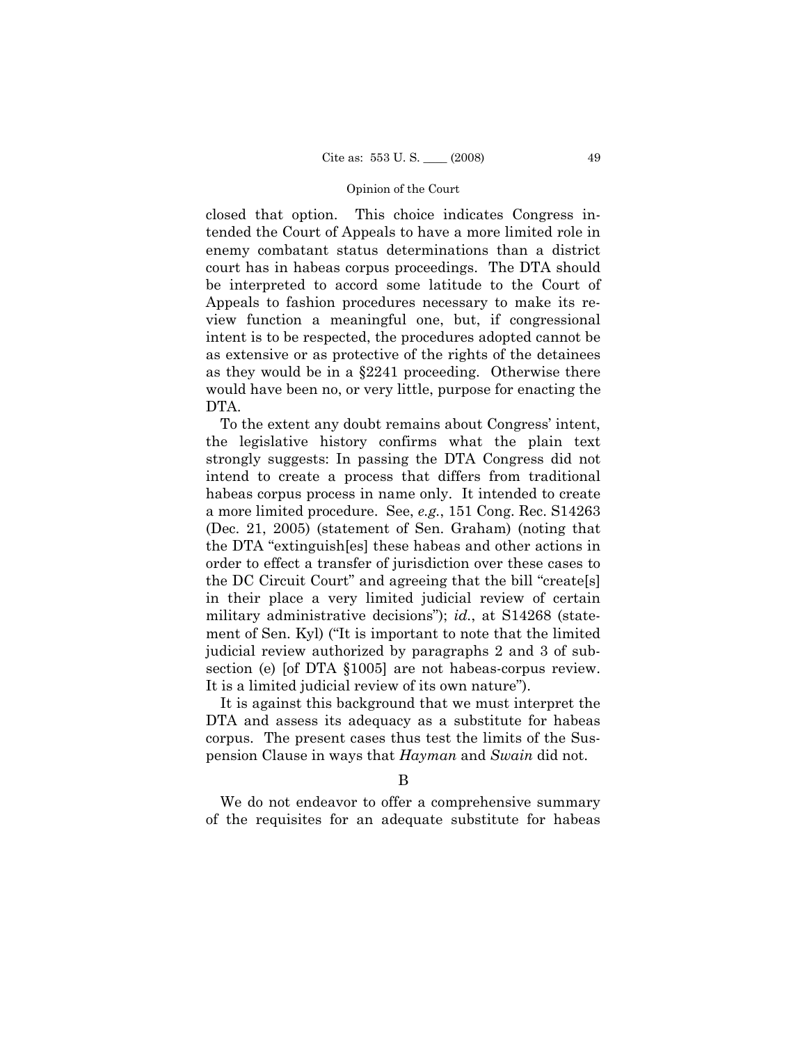closed that option. This choice indicates Congress intended the Court of Appeals to have a more limited role in enemy combatant status determinations than a district court has in habeas corpus proceedings. The DTA should be interpreted to accord some latitude to the Court of Appeals to fashion procedures necessary to make its review function a meaningful one, but, if congressional intent is to be respected, the procedures adopted cannot be as extensive or as protective of the rights of the detainees as they would be in a §2241 proceeding. Otherwise there would have been no, or very little, purpose for enacting the DTA.

To the extent any doubt remains about Congress' intent, the legislative history confirms what the plain text strongly suggests: In passing the DTA Congress did not intend to create a process that differs from traditional habeas corpus process in name only. It intended to create a more limited procedure. See, *e.g.*, 151 Cong. Rec. S14263 (Dec. 21, 2005) (statement of Sen. Graham) (noting that the DTA "extinguish[es] these habeas and other actions in order to effect a transfer of jurisdiction over these cases to the DC Circuit Court" and agreeing that the bill "create[s] in their place a very limited judicial review of certain military administrative decisions"); *id.*, at S14268 (statement of Sen. Kyl) ("It is important to note that the limited judicial review authorized by paragraphs 2 and 3 of subsection (e) [of DTA §1005] are not habeas-corpus review. It is a limited judicial review of its own nature").

It is against this background that we must interpret the DTA and assess its adequacy as a substitute for habeas corpus. The present cases thus test the limits of the Suspension Clause in ways that *Hayman* and *Swain* did not.

We do not endeavor to offer a comprehensive summary of the requisites for an adequate substitute for habeas

B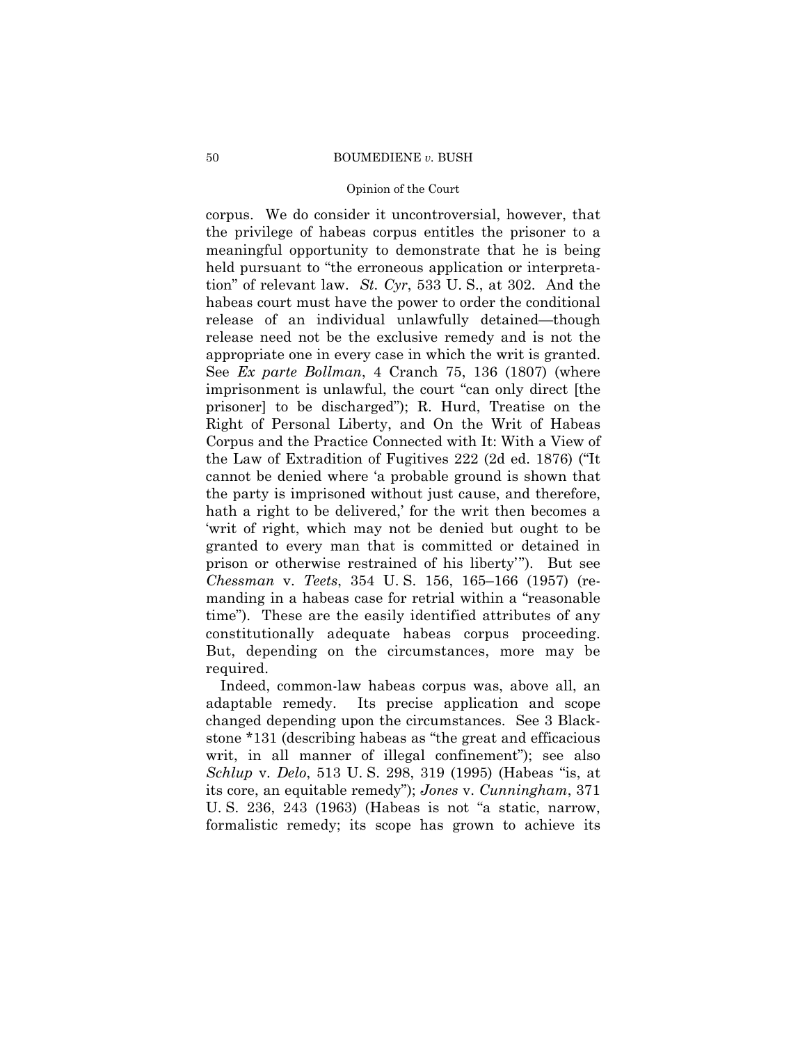# Opinion of the Court

 time"). These are the easily identified attributes of any corpus. We do consider it uncontroversial, however, that the privilege of habeas corpus entitles the prisoner to a meaningful opportunity to demonstrate that he is being held pursuant to "the erroneous application or interpretation" of relevant law. *St. Cyr*, 533 U. S., at 302. And the habeas court must have the power to order the conditional release of an individual unlawfully detained—though release need not be the exclusive remedy and is not the appropriate one in every case in which the writ is granted. See *Ex parte Bollman*, 4 Cranch 75, 136 (1807) (where imprisonment is unlawful, the court "can only direct [the prisoner] to be discharged"); R. Hurd, Treatise on the Right of Personal Liberty, and On the Writ of Habeas Corpus and the Practice Connected with It: With a View of the Law of Extradition of Fugitives 222 (2d ed. 1876) ("It cannot be denied where 'a probable ground is shown that the party is imprisoned without just cause, and therefore, hath a right to be delivered,' for the writ then becomes a 'writ of right, which may not be denied but ought to be granted to every man that is committed or detained in prison or otherwise restrained of his liberty'"). But see *Chessman* v. *Teets*, 354 U. S. 156, 165–166 (1957) (remanding in a habeas case for retrial within a "reasonable constitutionally adequate habeas corpus proceeding. But, depending on the circumstances, more may be required.

Indeed, common-law habeas corpus was, above all, an adaptable remedy. Its precise application and scope changed depending upon the circumstances. See 3 Blackstone \*131 (describing habeas as "the great and efficacious writ, in all manner of illegal confinement"); see also *Schlup* v. *Delo*, 513 U. S. 298, 319 (1995) (Habeas "is, at its core, an equitable remedy"); *Jones* v. *Cunningham*, 371 U. S. 236, 243 (1963) (Habeas is not "a static, narrow, formalistic remedy; its scope has grown to achieve its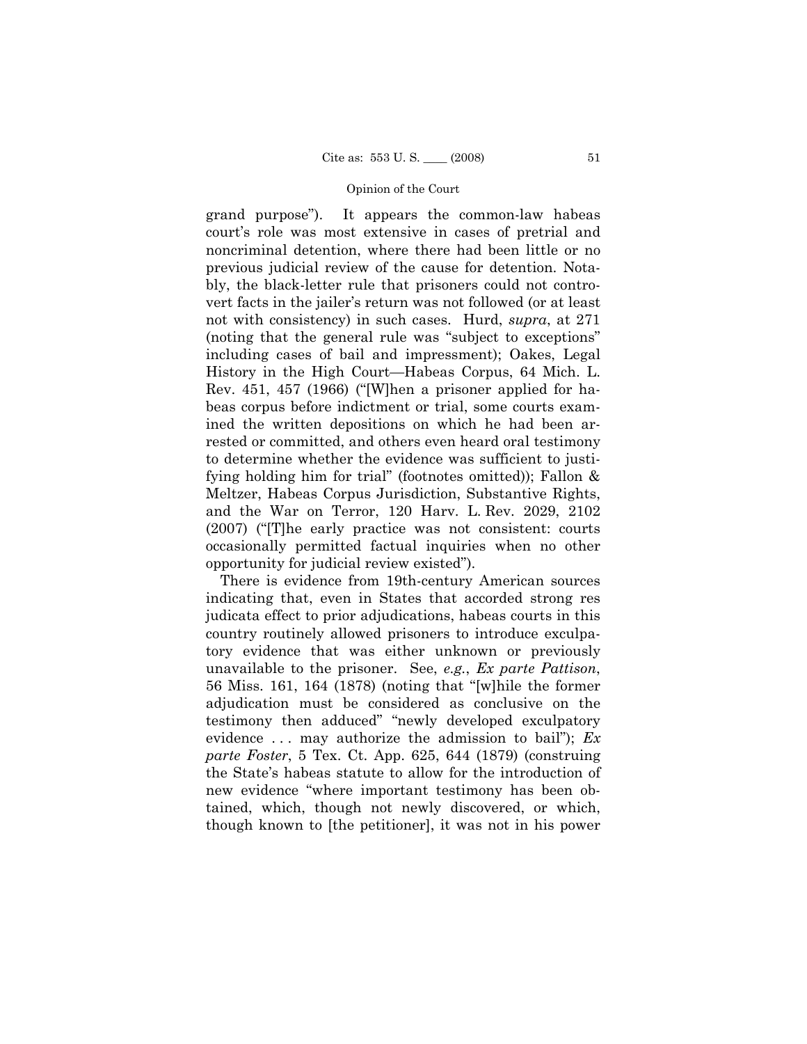grand purpose"). It appears the common-law habeas court's role was most extensive in cases of pretrial and noncriminal detention, where there had been little or no previous judicial review of the cause for detention. Notably, the black-letter rule that prisoners could not controvert facts in the jailer's return was not followed (or at least not with consistency) in such cases. Hurd, *supra*, at 271 (noting that the general rule was "subject to exceptions" including cases of bail and impressment); Oakes, Legal History in the High Court—Habeas Corpus, 64 Mich. L. Rev. 451, 457 (1966) ("[W]hen a prisoner applied for habeas corpus before indictment or trial, some courts examined the written depositions on which he had been arrested or committed, and others even heard oral testimony to determine whether the evidence was sufficient to justifying holding him for trial" (footnotes omitted)); Fallon & Meltzer, Habeas Corpus Jurisdiction, Substantive Rights, and the War on Terror, 120 Harv. L. Rev. 2029, 2102 (2007) ("[T]he early practice was not consistent: courts occasionally permitted factual inquiries when no other opportunity for judicial review existed").

 There is evidence from 19th-century American sources indicating that, even in States that accorded strong res judicata effect to prior adjudications, habeas courts in this country routinely allowed prisoners to introduce exculpatory evidence that was either unknown or previously unavailable to the prisoner. See, *e.g.*, *Ex parte Pattison*, 56 Miss. 161, 164 (1878) (noting that "[w]hile the former adjudication must be considered as conclusive on the testimony then adduced" "newly developed exculpatory evidence . . . may authorize the admission to bail"); *Ex parte Foster*, 5 Tex. Ct. App. 625, 644 (1879) (construing the State's habeas statute to allow for the introduction of new evidence "where important testimony has been obtained, which, though not newly discovered, or which, though known to [the petitioner], it was not in his power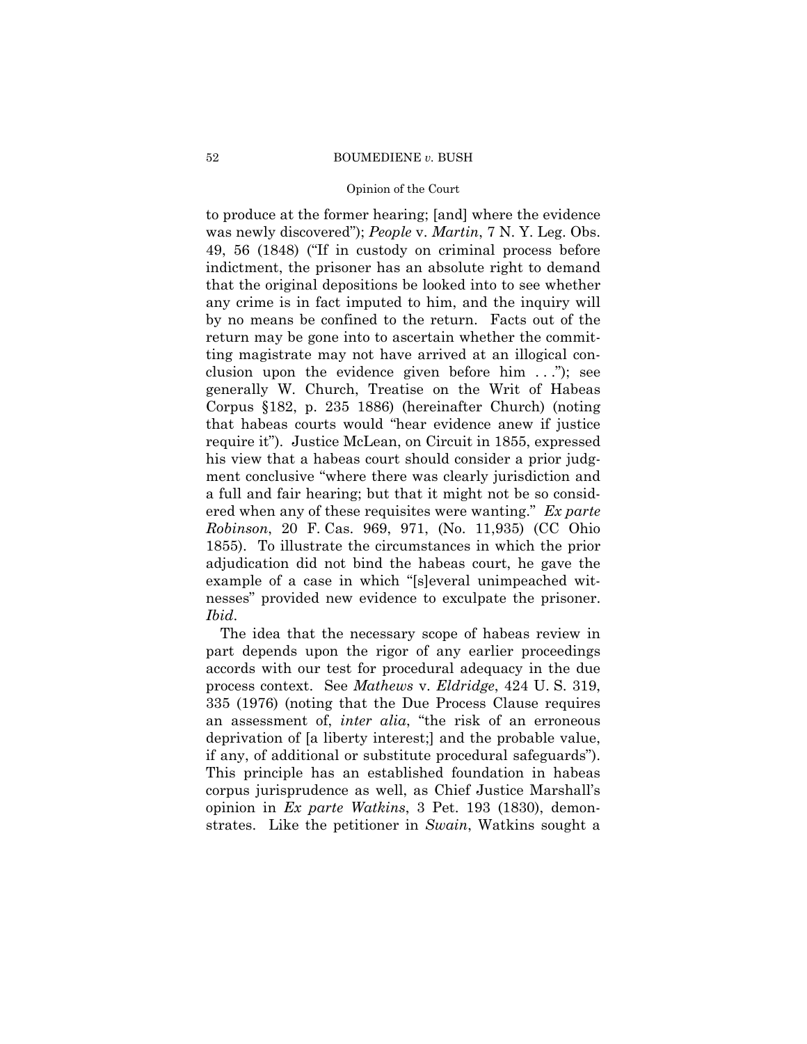# Opinion of the Court

to produce at the former hearing; [and] where the evidence was newly discovered"); *People* v. *Martin*, 7 N. Y. Leg. Obs. 49, 56 (1848) ("If in custody on criminal process before indictment, the prisoner has an absolute right to demand that the original depositions be looked into to see whether any crime is in fact imputed to him, and the inquiry will by no means be confined to the return. Facts out of the return may be gone into to ascertain whether the committing magistrate may not have arrived at an illogical conclusion upon the evidence given before him . . ."); see generally W. Church, Treatise on the Writ of Habeas Corpus §182, p. 235 1886) (hereinafter Church) (noting that habeas courts would "hear evidence anew if justice require it"). Justice McLean, on Circuit in 1855, expressed his view that a habeas court should consider a prior judgment conclusive "where there was clearly jurisdiction and a full and fair hearing; but that it might not be so considered when any of these requisites were wanting." *Ex parte Robinson*, 20 F. Cas. 969, 971, (No. 11,935) (CC Ohio 1855). To illustrate the circumstances in which the prior adjudication did not bind the habeas court, he gave the example of a case in which "[s]everal unimpeached witnesses" provided new evidence to exculpate the prisoner. *Ibid*.

The idea that the necessary scope of habeas review in part depends upon the rigor of any earlier proceedings accords with our test for procedural adequacy in the due process context. See *Mathews* v. *Eldridge*, 424 U. S. 319, 335 (1976) (noting that the Due Process Clause requires an assessment of, *inter alia*, "the risk of an erroneous deprivation of [a liberty interest;] and the probable value, if any, of additional or substitute procedural safeguards"). This principle has an established foundation in habeas corpus jurisprudence as well, as Chief Justice Marshall's opinion in *Ex parte Watkins*, 3 Pet. 193 (1830), demonstrates. Like the petitioner in *Swain*, Watkins sought a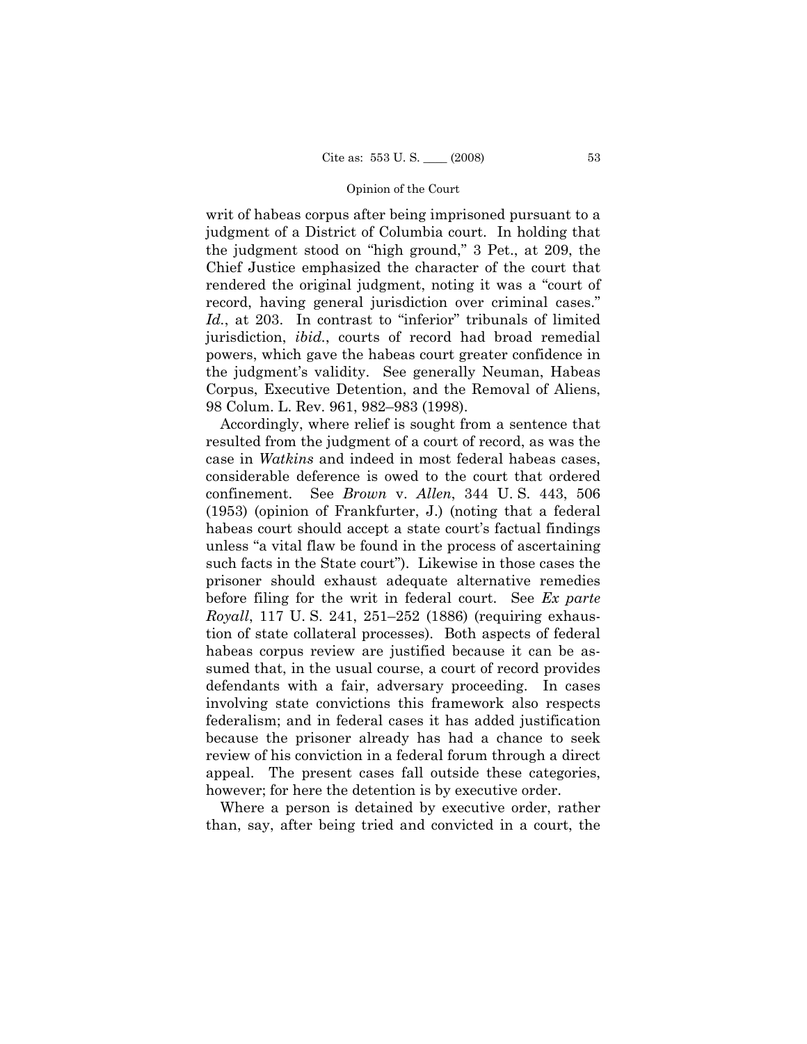record, having general jurisdiction over criminal cases." writ of habeas corpus after being imprisoned pursuant to a judgment of a District of Columbia court. In holding that the judgment stood on "high ground," 3 Pet., at 209, the Chief Justice emphasized the character of the court that rendered the original judgment, noting it was a "court of *Id.*, at 203. In contrast to "inferior" tribunals of limited jurisdiction, *ibid.*, courts of record had broad remedial powers, which gave the habeas court greater confidence in the judgment's validity. See generally Neuman, Habeas Corpus, Executive Detention, and the Removal of Aliens, 98 Colum. L. Rev. 961, 982–983 (1998).

Accordingly, where relief is sought from a sentence that resulted from the judgment of a court of record, as was the case in *Watkins* and indeed in most federal habeas cases, considerable deference is owed to the court that ordered confinement. See *Brown* v. *Allen*, 344 U. S. 443, 506 (1953) (opinion of Frankfurter, J.) (noting that a federal habeas court should accept a state court's factual findings unless "a vital flaw be found in the process of ascertaining such facts in the State court"). Likewise in those cases the prisoner should exhaust adequate alternative remedies before filing for the writ in federal court. See *Ex parte Royall*, 117 U. S. 241, 251–252 (1886) (requiring exhaustion of state collateral processes). Both aspects of federal habeas corpus review are justified because it can be assumed that, in the usual course, a court of record provides defendants with a fair, adversary proceeding. In cases involving state convictions this framework also respects federalism; and in federal cases it has added justification because the prisoner already has had a chance to seek review of his conviction in a federal forum through a direct appeal. The present cases fall outside these categories, however; for here the detention is by executive order.

Where a person is detained by executive order, rather than, say, after being tried and convicted in a court, the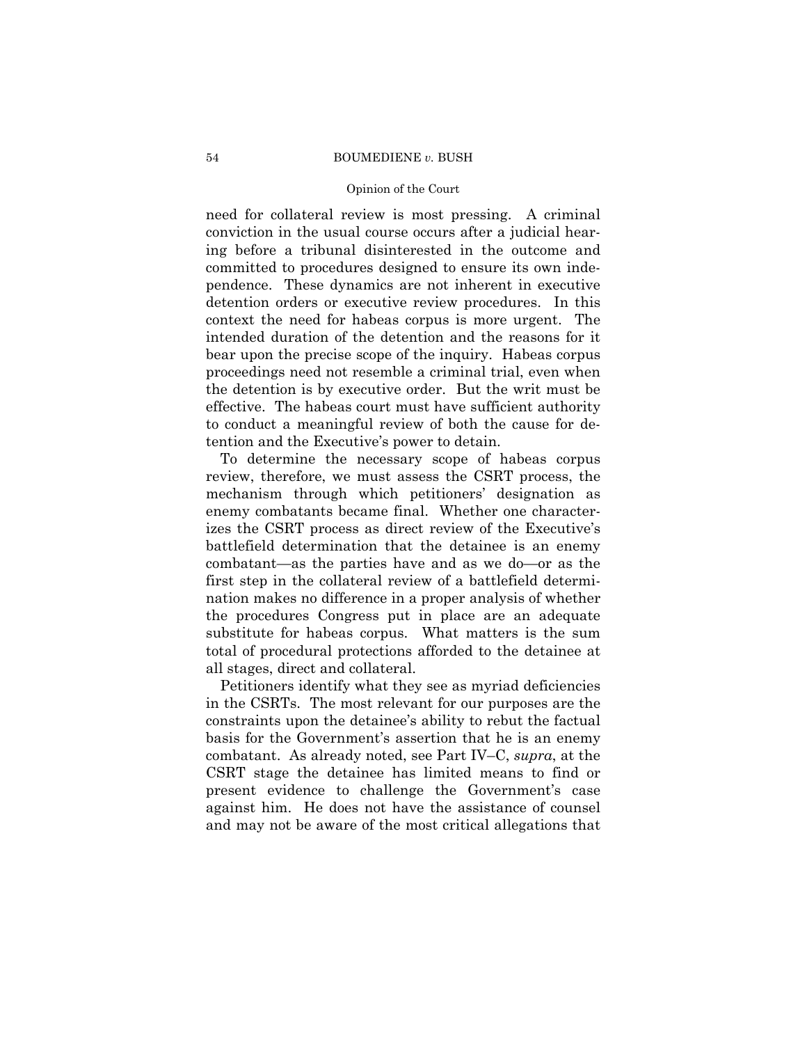# Opinion of the Court

need for collateral review is most pressing. A criminal conviction in the usual course occurs after a judicial hearing before a tribunal disinterested in the outcome and committed to procedures designed to ensure its own independence. These dynamics are not inherent in executive detention orders or executive review procedures. In this context the need for habeas corpus is more urgent. The intended duration of the detention and the reasons for it bear upon the precise scope of the inquiry. Habeas corpus proceedings need not resemble a criminal trial, even when the detention is by executive order. But the writ must be effective. The habeas court must have sufficient authority to conduct a meaningful review of both the cause for detention and the Executive's power to detain.

 enemy combatants became final. Whether one character-To determine the necessary scope of habeas corpus review, therefore, we must assess the CSRT process, the mechanism through which petitioners' designation as izes the CSRT process as direct review of the Executive's battlefield determination that the detainee is an enemy combatant—as the parties have and as we do—or as the first step in the collateral review of a battlefield determination makes no difference in a proper analysis of whether the procedures Congress put in place are an adequate substitute for habeas corpus. What matters is the sum total of procedural protections afforded to the detainee at all stages, direct and collateral.

Petitioners identify what they see as myriad deficiencies in the CSRTs. The most relevant for our purposes are the constraints upon the detainee's ability to rebut the factual basis for the Government's assertion that he is an enemy combatant. As already noted, see Part IV–C, *supra*, at the CSRT stage the detainee has limited means to find or present evidence to challenge the Government's case against him. He does not have the assistance of counsel and may not be aware of the most critical allegations that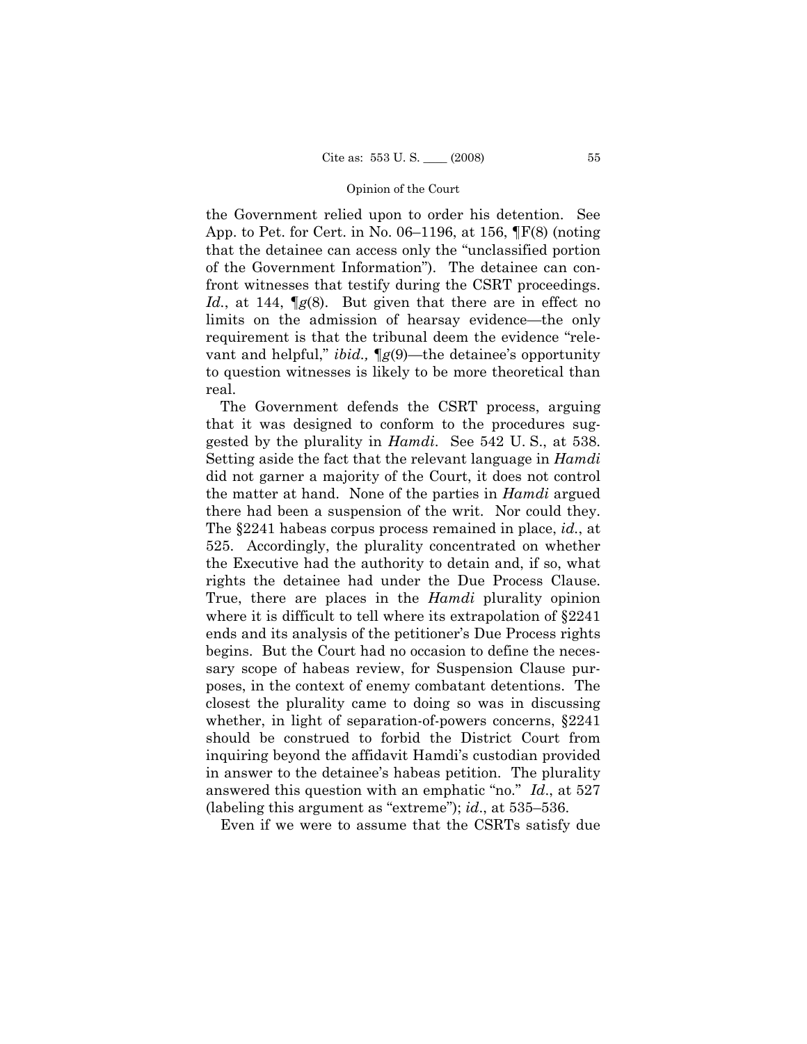the Government relied upon to order his detention. See App. to Pet. for Cert. in No. 06–1196, at 156, ¶F(8) (noting that the detainee can access only the "unclassified portion of the Government Information"). The detainee can confront witnesses that testify during the CSRT proceedings. *Id.*, at 144, ¶*g*(8). But given that there are in effect no limits on the admission of hearsay evidence—the only requirement is that the tribunal deem the evidence "relevant and helpful," *ibid.,* ¶*g*(9)—the detainee's opportunity to question witnesses is likely to be more theoretical than real.

The Government defends the CSRT process, arguing that it was designed to conform to the procedures suggested by the plurality in *Hamdi*. See 542 U. S., at 538. Setting aside the fact that the relevant language in *Hamdi*  did not garner a majority of the Court, it does not control the matter at hand. None of the parties in *Hamdi* argued there had been a suspension of the writ. Nor could they. The §2241 habeas corpus process remained in place, *id.*, at 525. Accordingly, the plurality concentrated on whether the Executive had the authority to detain and, if so, what rights the detainee had under the Due Process Clause. True, there are places in the *Hamdi* plurality opinion where it is difficult to tell where its extrapolation of §2241 ends and its analysis of the petitioner's Due Process rights begins. But the Court had no occasion to define the necessary scope of habeas review, for Suspension Clause purposes, in the context of enemy combatant detentions. The closest the plurality came to doing so was in discussing whether, in light of separation-of-powers concerns, §2241 should be construed to forbid the District Court from inquiring beyond the affidavit Hamdi's custodian provided in answer to the detainee's habeas petition. The plurality answered this question with an emphatic "no." *Id*., at 527 (labeling this argument as "extreme"); *id*., at 535–536.

Even if we were to assume that the CSRTs satisfy due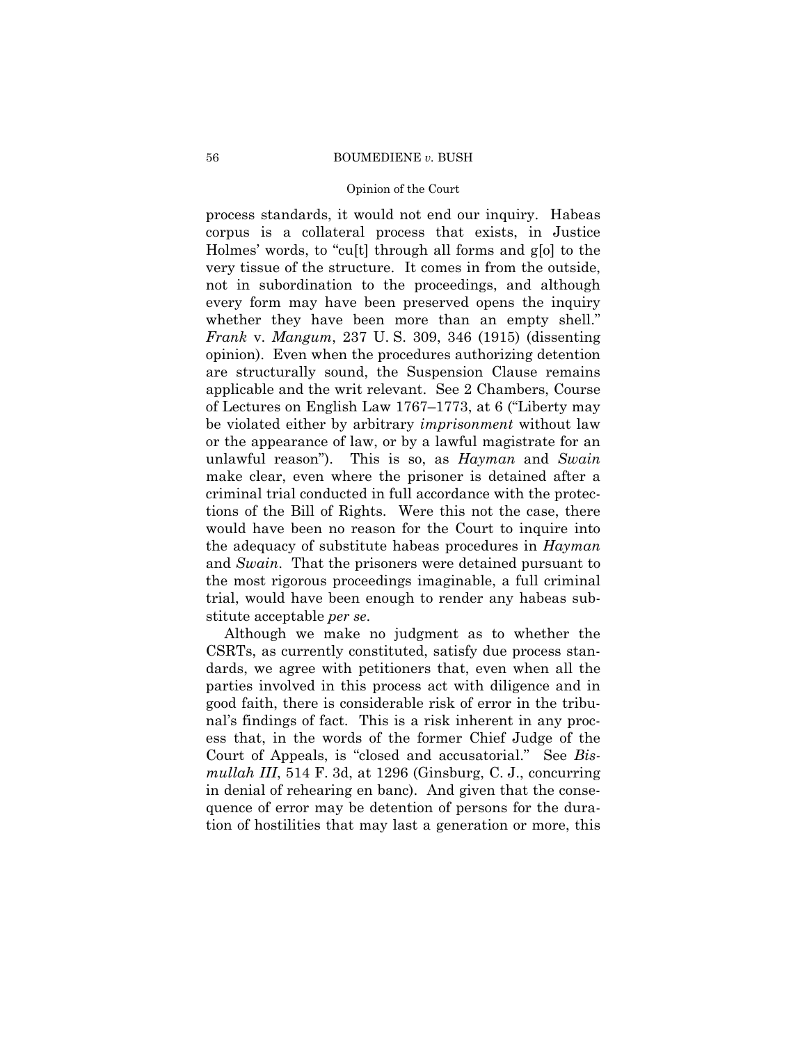# Opinion of the Court

process standards, it would not end our inquiry. Habeas corpus is a collateral process that exists, in Justice Holmes' words, to "cu[t] through all forms and g[o] to the very tissue of the structure. It comes in from the outside, not in subordination to the proceedings, and although every form may have been preserved opens the inquiry whether they have been more than an empty shell." *Frank* v. *Mangum*, 237 U. S. 309, 346 (1915) (dissenting opinion). Even when the procedures authorizing detention are structurally sound, the Suspension Clause remains applicable and the writ relevant. See 2 Chambers, Course of Lectures on English Law 1767–1773, at 6 ("Liberty may be violated either by arbitrary *imprisonment* without law or the appearance of law, or by a lawful magistrate for an unlawful reason"). This is so, as *Hayman* and *Swain*  make clear, even where the prisoner is detained after a criminal trial conducted in full accordance with the protections of the Bill of Rights. Were this not the case, there would have been no reason for the Court to inquire into the adequacy of substitute habeas procedures in *Hayman*  and *Swain*. That the prisoners were detained pursuant to the most rigorous proceedings imaginable, a full criminal trial, would have been enough to render any habeas substitute acceptable *per se*.

Although we make no judgment as to whether the CSRTs, as currently constituted, satisfy due process standards, we agree with petitioners that, even when all the parties involved in this process act with diligence and in good faith, there is considerable risk of error in the tribunal's findings of fact. This is a risk inherent in any process that, in the words of the former Chief Judge of the Court of Appeals, is "closed and accusatorial." See *Bismullah III*, 514 F. 3d, at 1296 (Ginsburg, C. J., concurring in denial of rehearing en banc). And given that the consequence of error may be detention of persons for the duration of hostilities that may last a generation or more, this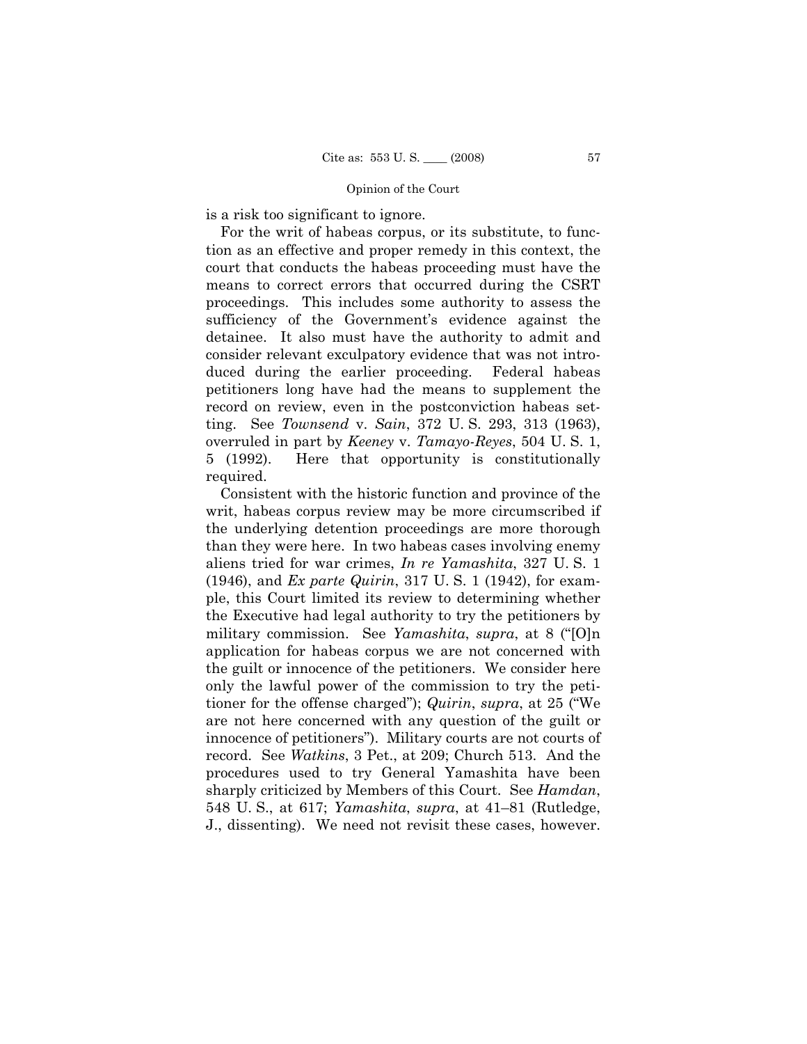is a risk too significant to ignore.

For the writ of habeas corpus, or its substitute, to function as an effective and proper remedy in this context, the court that conducts the habeas proceeding must have the means to correct errors that occurred during the CSRT proceedings. This includes some authority to assess the sufficiency of the Government's evidence against the detainee. It also must have the authority to admit and consider relevant exculpatory evidence that was not introduced during the earlier proceeding. Federal habeas petitioners long have had the means to supplement the record on review, even in the postconviction habeas setting. See *Townsend* v. *Sain*, 372 U. S. 293, 313 (1963), overruled in part by *Keeney* v. *Tamayo-Reyes*, 504 U. S. 1, 5 (1992). Here that opportunity is constitutionally required.

Consistent with the historic function and province of the writ, habeas corpus review may be more circumscribed if the underlying detention proceedings are more thorough than they were here. In two habeas cases involving enemy aliens tried for war crimes, *In re Yamashita*, 327 U. S. 1 (1946), and *Ex parte Quirin*, 317 U. S. 1 (1942), for example, this Court limited its review to determining whether the Executive had legal authority to try the petitioners by military commission. See *Yamashita*, *supra*, at 8 ("[O]n application for habeas corpus we are not concerned with the guilt or innocence of the petitioners. We consider here only the lawful power of the commission to try the petitioner for the offense charged"); *Quirin*, *supra*, at 25 ("We are not here concerned with any question of the guilt or innocence of petitioners"). Military courts are not courts of record. See *Watkins*, 3 Pet., at 209; Church 513. And the procedures used to try General Yamashita have been sharply criticized by Members of this Court. See *Hamdan*, 548 U. S., at 617; *Yamashita*, *supra*, at 41–81 (Rutledge, J., dissenting). We need not revisit these cases, however.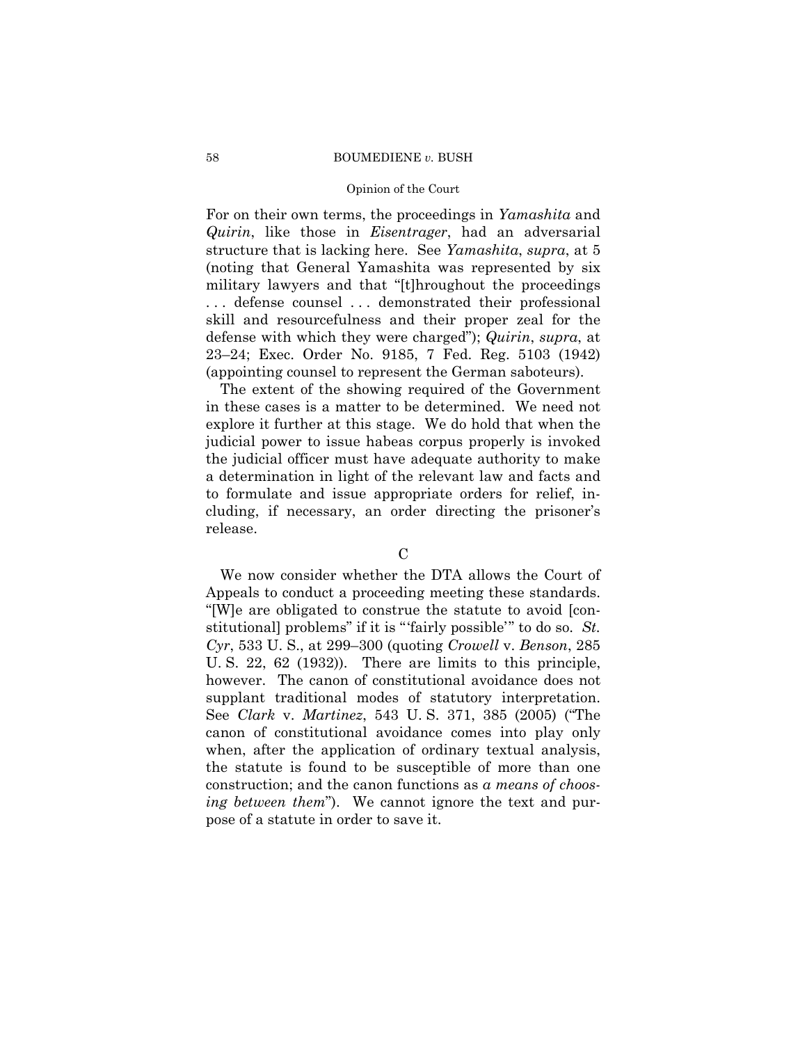# Opinion of the Court

For on their own terms, the proceedings in *Yamashita* and *Quirin*, like those in *Eisentrager*, had an adversarial structure that is lacking here. See *Yamashita*, *supra*, at 5 (noting that General Yamashita was represented by six military lawyers and that "[t]hroughout the proceedings . . . defense counsel . . . demonstrated their professional skill and resourcefulness and their proper zeal for the defense with which they were charged"); *Quirin*, *supra*, at 23–24; Exec. Order No. 9185, 7 Fed. Reg. 5103 (1942) (appointing counsel to represent the German saboteurs).

The extent of the showing required of the Government in these cases is a matter to be determined. We need not explore it further at this stage. We do hold that when the judicial power to issue habeas corpus properly is invoked the judicial officer must have adequate authority to make a determination in light of the relevant law and facts and to formulate and issue appropriate orders for relief, including, if necessary, an order directing the prisoner's release.

We now consider whether the DTA allows the Court of Appeals to conduct a proceeding meeting these standards. "[W]e are obligated to construe the statute to avoid [constitutional] problems" if it is "'fairly possible'" to do so. *St. Cyr*, 533 U. S., at 299–300 (quoting *Crowell* v. *Benson*, 285 U. S. 22, 62 (1932)). There are limits to this principle, however. The canon of constitutional avoidance does not supplant traditional modes of statutory interpretation. See *Clark* v. *Martinez*, 543 U. S. 371, 385 (2005) ("The canon of constitutional avoidance comes into play only when, after the application of ordinary textual analysis, the statute is found to be susceptible of more than one construction; and the canon functions as *a means of choosing between them*"). We cannot ignore the text and purpose of a statute in order to save it.

 $\mathcal{C}$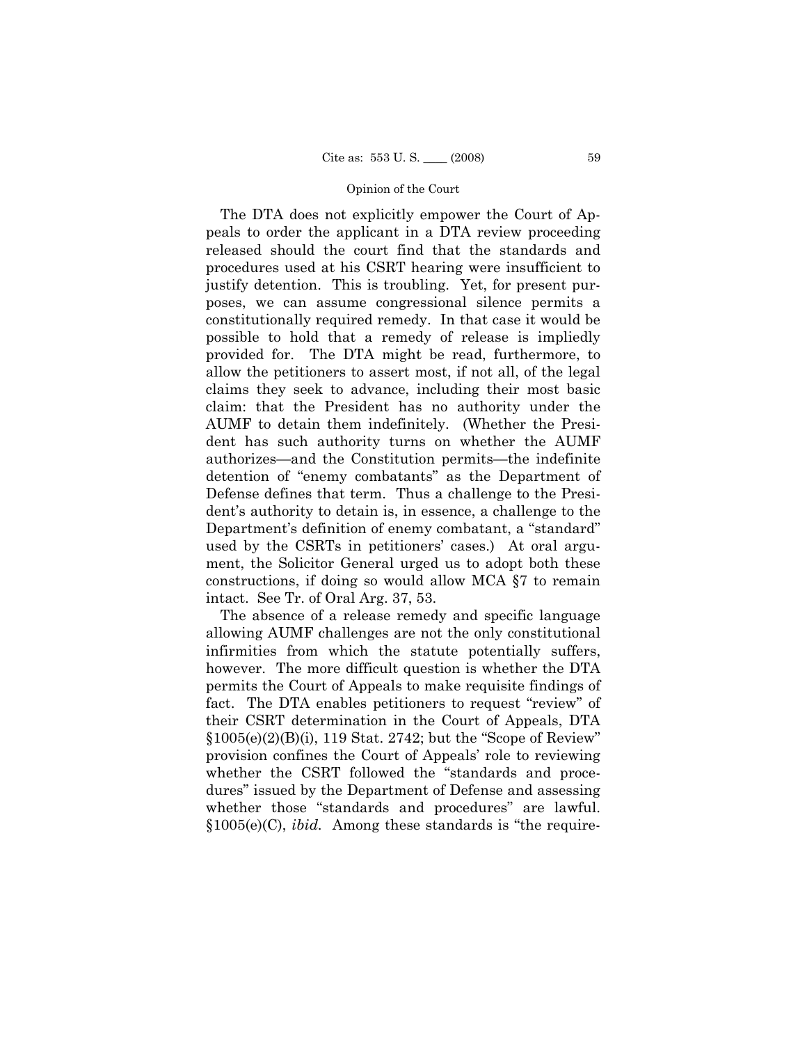The DTA does not explicitly empower the Court of Appeals to order the applicant in a DTA review proceeding released should the court find that the standards and procedures used at his CSRT hearing were insufficient to justify detention. This is troubling. Yet, for present purposes, we can assume congressional silence permits a constitutionally required remedy. In that case it would be possible to hold that a remedy of release is impliedly provided for. The DTA might be read, furthermore, to allow the petitioners to assert most, if not all, of the legal claims they seek to advance, including their most basic claim: that the President has no authority under the AUMF to detain them indefinitely. (Whether the President has such authority turns on whether the AUMF authorizes—and the Constitution permits—the indefinite detention of "enemy combatants" as the Department of Defense defines that term. Thus a challenge to the President's authority to detain is, in essence, a challenge to the Department's definition of enemy combatant, a "standard" used by the CSRTs in petitioners' cases.) At oral argument, the Solicitor General urged us to adopt both these constructions, if doing so would allow MCA §7 to remain intact. See Tr. of Oral Arg. 37, 53.

The absence of a release remedy and specific language allowing AUMF challenges are not the only constitutional infirmities from which the statute potentially suffers, however. The more difficult question is whether the DTA permits the Court of Appeals to make requisite findings of fact. The DTA enables petitioners to request "review" of their CSRT determination in the Court of Appeals, DTA §1005(e)(2)(B)(i), 119 Stat. 2742; but the "Scope of Review" provision confines the Court of Appeals' role to reviewing whether the CSRT followed the "standards and procedures" issued by the Department of Defense and assessing whether those "standards and procedures" are lawful. §1005(e)(C), *ibid.* Among these standards is "the require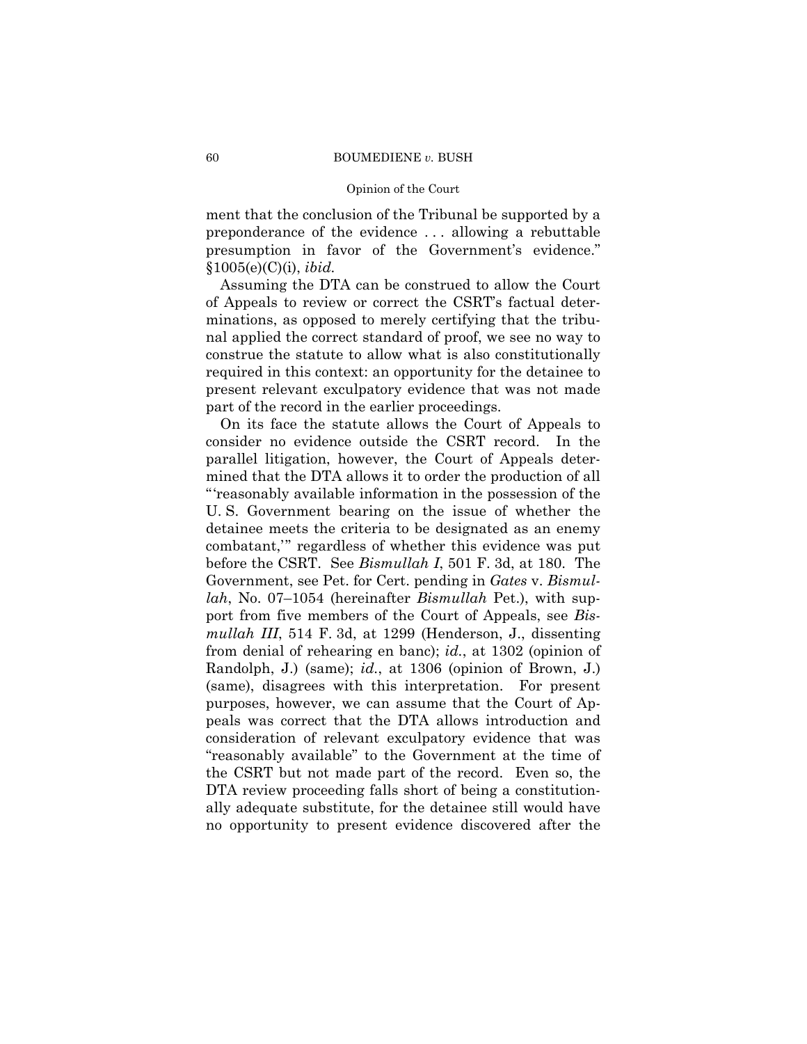# Opinion of the Court

ment that the conclusion of the Tribunal be supported by a preponderance of the evidence . . . allowing a rebuttable presumption in favor of the Government's evidence." §1005(e)(C)(i), *ibid.* 

Assuming the DTA can be construed to allow the Court of Appeals to review or correct the CSRT's factual determinations, as opposed to merely certifying that the tribunal applied the correct standard of proof, we see no way to construe the statute to allow what is also constitutionally required in this context: an opportunity for the detainee to present relevant exculpatory evidence that was not made part of the record in the earlier proceedings.

On its face the statute allows the Court of Appeals to consider no evidence outside the CSRT record. In the parallel litigation, however, the Court of Appeals determined that the DTA allows it to order the production of all "'reasonably available information in the possession of the U. S. Government bearing on the issue of whether the detainee meets the criteria to be designated as an enemy combatant,'" regardless of whether this evidence was put before the CSRT. See *Bismullah I*, 501 F. 3d, at 180. The Government, see Pet. for Cert. pending in *Gates* v. *Bismullah*, No. 07–1054 (hereinafter *Bismullah* Pet.), with support from five members of the Court of Appeals, see *Bismullah III*, 514 F. 3d, at 1299 (Henderson, J., dissenting from denial of rehearing en banc); *id.*, at 1302 (opinion of Randolph, J.) (same); *id.*, at 1306 (opinion of Brown, J.) (same), disagrees with this interpretation. For present purposes, however, we can assume that the Court of Appeals was correct that the DTA allows introduction and consideration of relevant exculpatory evidence that was "reasonably available" to the Government at the time of the CSRT but not made part of the record. Even so, the DTA review proceeding falls short of being a constitutionally adequate substitute, for the detainee still would have no opportunity to present evidence discovered after the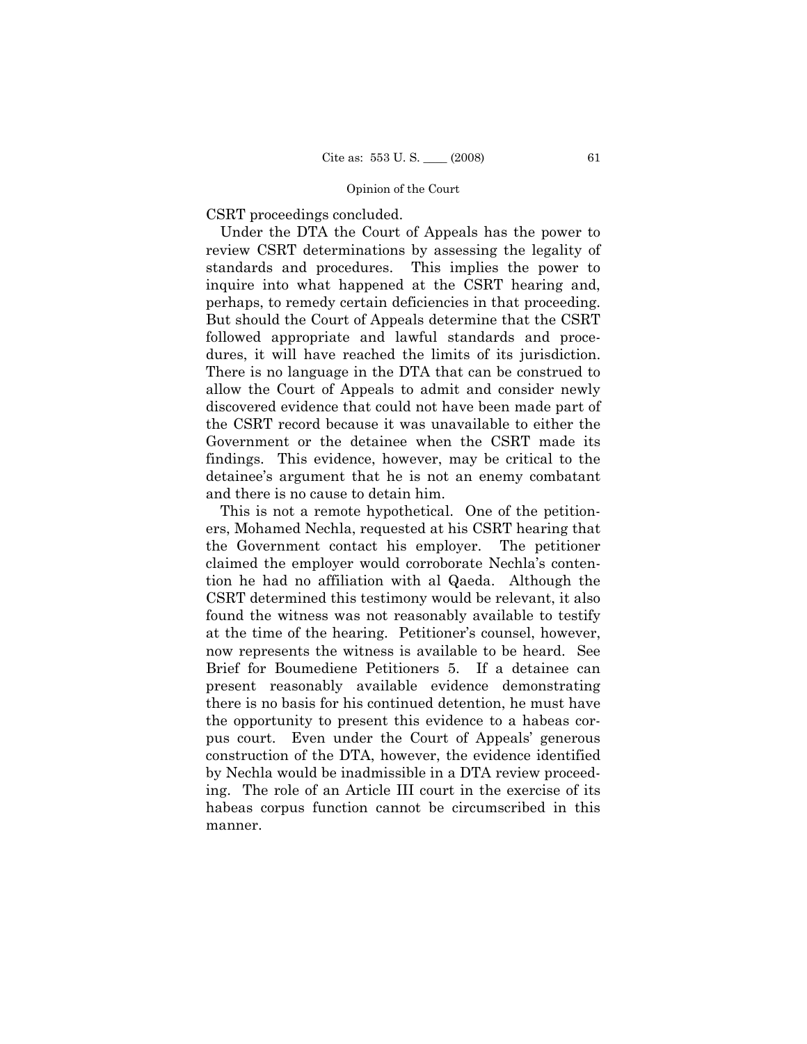CSRT proceedings concluded.

Under the DTA the Court of Appeals has the power to review CSRT determinations by assessing the legality of standards and procedures. This implies the power to inquire into what happened at the CSRT hearing and, perhaps, to remedy certain deficiencies in that proceeding. But should the Court of Appeals determine that the CSRT followed appropriate and lawful standards and procedures, it will have reached the limits of its jurisdiction. There is no language in the DTA that can be construed to allow the Court of Appeals to admit and consider newly discovered evidence that could not have been made part of the CSRT record because it was unavailable to either the Government or the detainee when the CSRT made its findings. This evidence, however, may be critical to the detainee's argument that he is not an enemy combatant and there is no cause to detain him.

This is not a remote hypothetical. One of the petitioners, Mohamed Nechla, requested at his CSRT hearing that the Government contact his employer. The petitioner claimed the employer would corroborate Nechla's contention he had no affiliation with al Qaeda. Although the CSRT determined this testimony would be relevant, it also found the witness was not reasonably available to testify at the time of the hearing. Petitioner's counsel, however, now represents the witness is available to be heard. See Brief for Boumediene Petitioners 5. If a detainee can present reasonably available evidence demonstrating there is no basis for his continued detention, he must have the opportunity to present this evidence to a habeas corpus court. Even under the Court of Appeals' generous construction of the DTA, however, the evidence identified by Nechla would be inadmissible in a DTA review proceeding. The role of an Article III court in the exercise of its habeas corpus function cannot be circumscribed in this manner.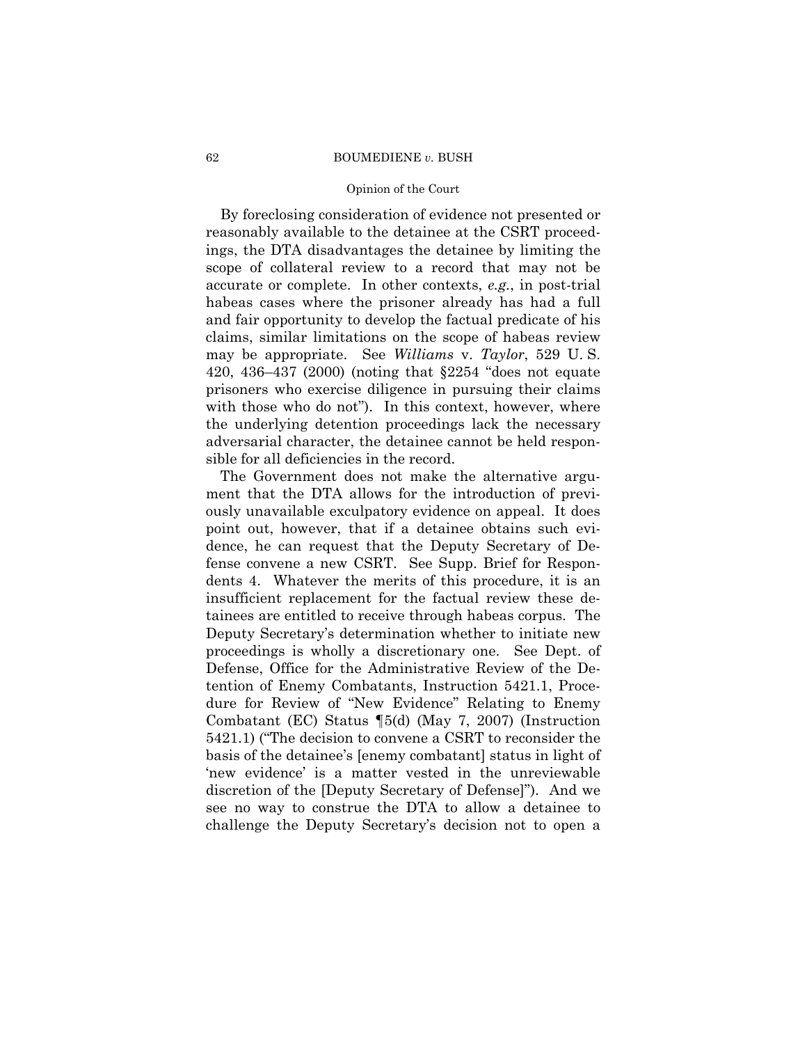# Opinion of the Court

By foreclosing consideration of evidence not presented or reasonably available to the detainee at the CSRT proceedings, the DTA disadvantages the detainee by limiting the scope of collateral review to a record that may not be accurate or complete. In other contexts, *e.g.*, in post-trial habeas cases where the prisoner already has had a full and fair opportunity to develop the factual predicate of his claims, similar limitations on the scope of habeas review may be appropriate. See *Williams* v. *Taylor*, 529 U. S. 420, 436–437 (2000) (noting that §2254 "does not equate prisoners who exercise diligence in pursuing their claims with those who do not"). In this context, however, where the underlying detention proceedings lack the necessary adversarial character, the detainee cannot be held responsible for all deficiencies in the record.

The Government does not make the alternative argument that the DTA allows for the introduction of previously unavailable exculpatory evidence on appeal. It does point out, however, that if a detainee obtains such evidence, he can request that the Deputy Secretary of Defense convene a new CSRT. See Supp. Brief for Respondents 4. Whatever the merits of this procedure, it is an insufficient replacement for the factual review these detainees are entitled to receive through habeas corpus. The Deputy Secretary's determination whether to initiate new proceedings is wholly a discretionary one. See Dept. of Defense, Office for the Administrative Review of the Detention of Enemy Combatants, Instruction 5421.1, Procedure for Review of "New Evidence" Relating to Enemy Combatant (EC) Status ¶5(d) (May 7, 2007) (Instruction 5421.1) ("The decision to convene a CSRT to reconsider the basis of the detainee's [enemy combatant] status in light of 'new evidence' is a matter vested in the unreviewable discretion of the [Deputy Secretary of Defense]"). And we see no way to construe the DTA to allow a detainee to challenge the Deputy Secretary's decision not to open a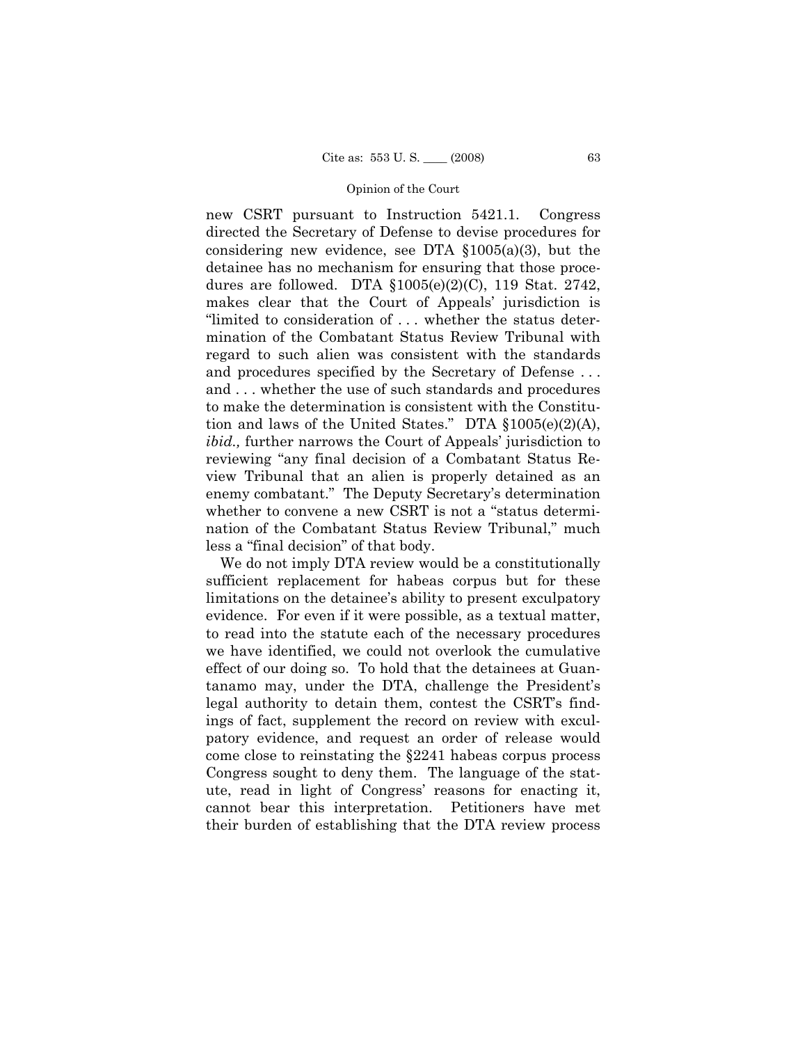new CSRT pursuant to Instruction 5421.1. Congress directed the Secretary of Defense to devise procedures for considering new evidence, see DTA §1005(a)(3), but the detainee has no mechanism for ensuring that those procedures are followed. DTA §1005(e)(2)(C), 119 Stat. 2742, makes clear that the Court of Appeals' jurisdiction is "limited to consideration of . . . whether the status determination of the Combatant Status Review Tribunal with regard to such alien was consistent with the standards and procedures specified by the Secretary of Defense . . . and . . . whether the use of such standards and procedures to make the determination is consistent with the Constitution and laws of the United States." DTA §1005(e)(2)(A), *ibid.,* further narrows the Court of Appeals' jurisdiction to reviewing "any final decision of a Combatant Status Review Tribunal that an alien is properly detained as an enemy combatant." The Deputy Secretary's determination whether to convene a new CSRT is not a "status determination of the Combatant Status Review Tribunal," much less a "final decision" of that body.

We do not imply DTA review would be a constitutionally sufficient replacement for habeas corpus but for these limitations on the detainee's ability to present exculpatory evidence. For even if it were possible, as a textual matter, to read into the statute each of the necessary procedures we have identified, we could not overlook the cumulative effect of our doing so. To hold that the detainees at Guantanamo may, under the DTA, challenge the President's legal authority to detain them, contest the CSRT's findings of fact, supplement the record on review with exculpatory evidence, and request an order of release would come close to reinstating the §2241 habeas corpus process Congress sought to deny them. The language of the statute, read in light of Congress' reasons for enacting it, cannot bear this interpretation. Petitioners have met their burden of establishing that the DTA review process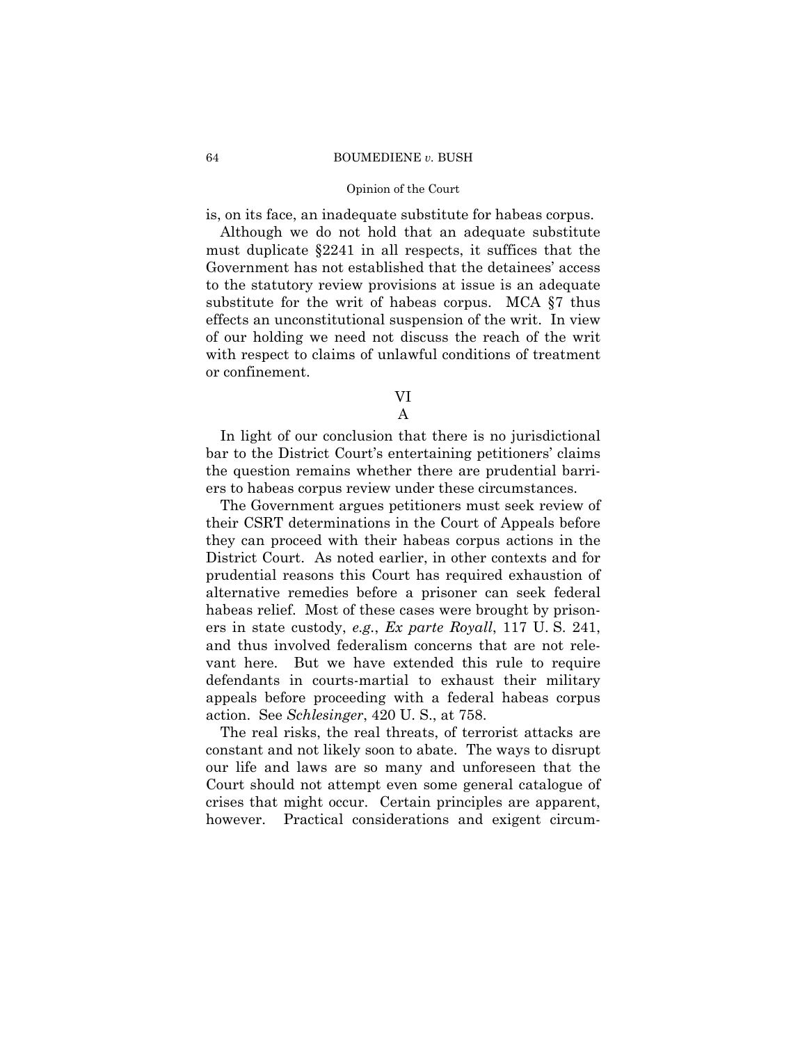# Opinion of the Court

is, on its face, an inadequate substitute for habeas corpus.

Although we do not hold that an adequate substitute must duplicate §2241 in all respects, it suffices that the Government has not established that the detainees' access to the statutory review provisions at issue is an adequate substitute for the writ of habeas corpus. MCA §7 thus effects an unconstitutional suspension of the writ. In view of our holding we need not discuss the reach of the writ with respect to claims of unlawful conditions of treatment or confinement.

VI

A

In light of our conclusion that there is no jurisdictional bar to the District Court's entertaining petitioners' claims the question remains whether there are prudential barriers to habeas corpus review under these circumstances.

The Government argues petitioners must seek review of their CSRT determinations in the Court of Appeals before they can proceed with their habeas corpus actions in the District Court. As noted earlier, in other contexts and for prudential reasons this Court has required exhaustion of alternative remedies before a prisoner can seek federal habeas relief. Most of these cases were brought by prisoners in state custody, *e.g.*, *Ex parte Royall*, 117 U. S. 241, and thus involved federalism concerns that are not relevant here. But we have extended this rule to require defendants in courts-martial to exhaust their military appeals before proceeding with a federal habeas corpus action. See *Schlesinger*, 420 U. S., at 758.

The real risks, the real threats, of terrorist attacks are constant and not likely soon to abate. The ways to disrupt our life and laws are so many and unforeseen that the Court should not attempt even some general catalogue of crises that might occur. Certain principles are apparent, however. Practical considerations and exigent circum-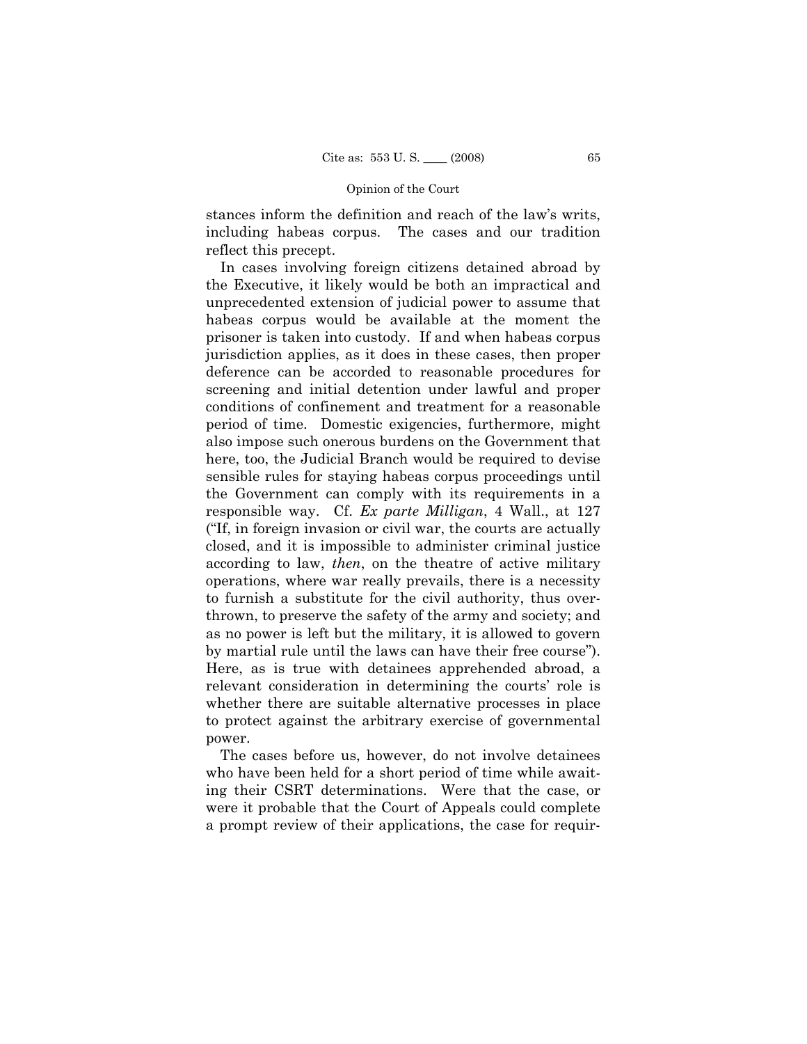# Opinion of the Court

stances inform the definition and reach of the law's writs, including habeas corpus. The cases and our tradition reflect this precept.

In cases involving foreign citizens detained abroad by the Executive, it likely would be both an impractical and unprecedented extension of judicial power to assume that habeas corpus would be available at the moment the prisoner is taken into custody. If and when habeas corpus jurisdiction applies, as it does in these cases, then proper deference can be accorded to reasonable procedures for screening and initial detention under lawful and proper conditions of confinement and treatment for a reasonable period of time. Domestic exigencies, furthermore, might also impose such onerous burdens on the Government that here, too, the Judicial Branch would be required to devise sensible rules for staying habeas corpus proceedings until the Government can comply with its requirements in a responsible way. Cf. *Ex parte Milligan*, 4 Wall., at 127 ("If, in foreign invasion or civil war, the courts are actually closed, and it is impossible to administer criminal justice according to law, *then*, on the theatre of active military operations, where war really prevails, there is a necessity to furnish a substitute for the civil authority, thus overthrown, to preserve the safety of the army and society; and as no power is left but the military, it is allowed to govern by martial rule until the laws can have their free course"). Here, as is true with detainees apprehended abroad, a relevant consideration in determining the courts' role is whether there are suitable alternative processes in place to protect against the arbitrary exercise of governmental power.

The cases before us, however, do not involve detainees who have been held for a short period of time while awaiting their CSRT determinations. Were that the case, or were it probable that the Court of Appeals could complete a prompt review of their applications, the case for requir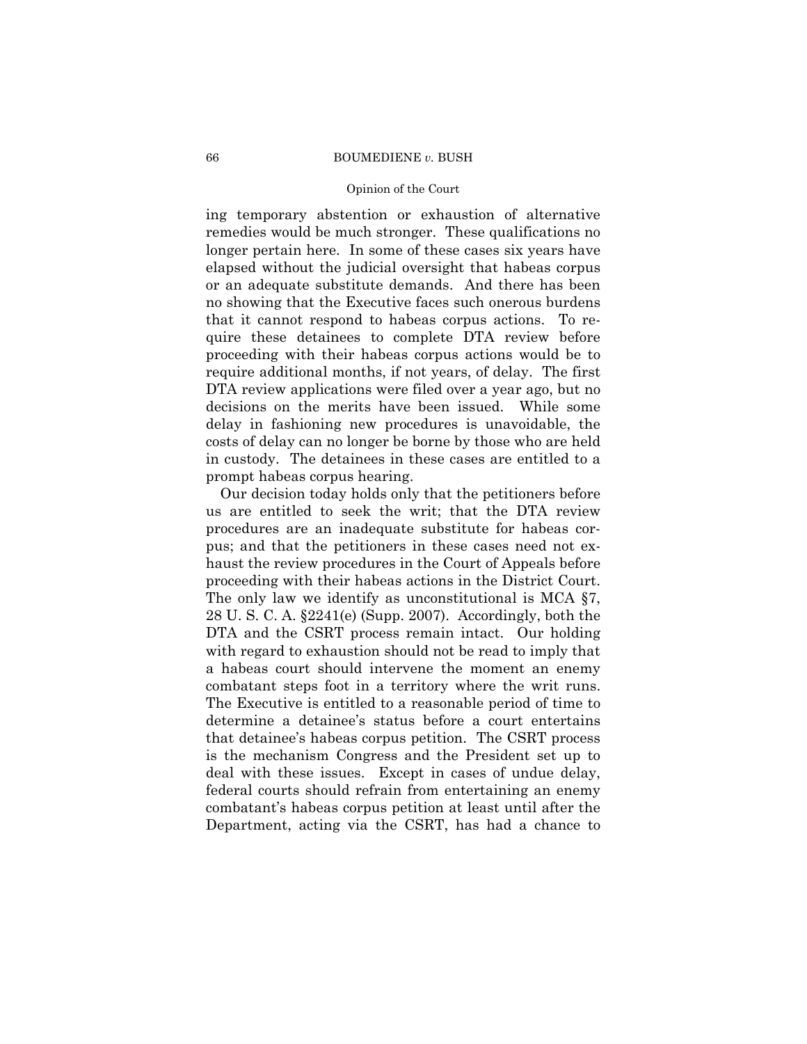# Opinion of the Court

ing temporary abstention or exhaustion of alternative remedies would be much stronger. These qualifications no longer pertain here. In some of these cases six years have elapsed without the judicial oversight that habeas corpus or an adequate substitute demands. And there has been no showing that the Executive faces such onerous burdens that it cannot respond to habeas corpus actions. To require these detainees to complete DTA review before proceeding with their habeas corpus actions would be to require additional months, if not years, of delay. The first DTA review applications were filed over a year ago, but no decisions on the merits have been issued. While some delay in fashioning new procedures is unavoidable, the costs of delay can no longer be borne by those who are held in custody. The detainees in these cases are entitled to a prompt habeas corpus hearing.

Our decision today holds only that the petitioners before us are entitled to seek the writ; that the DTA review procedures are an inadequate substitute for habeas corpus; and that the petitioners in these cases need not exhaust the review procedures in the Court of Appeals before proceeding with their habeas actions in the District Court. The only law we identify as unconstitutional is MCA §7, 28 U. S. C. A. §2241(e) (Supp. 2007). Accordingly, both the DTA and the CSRT process remain intact. Our holding with regard to exhaustion should not be read to imply that a habeas court should intervene the moment an enemy combatant steps foot in a territory where the writ runs. The Executive is entitled to a reasonable period of time to determine a detainee's status before a court entertains that detainee's habeas corpus petition. The CSRT process is the mechanism Congress and the President set up to deal with these issues. Except in cases of undue delay, federal courts should refrain from entertaining an enemy combatant's habeas corpus petition at least until after the Department, acting via the CSRT, has had a chance to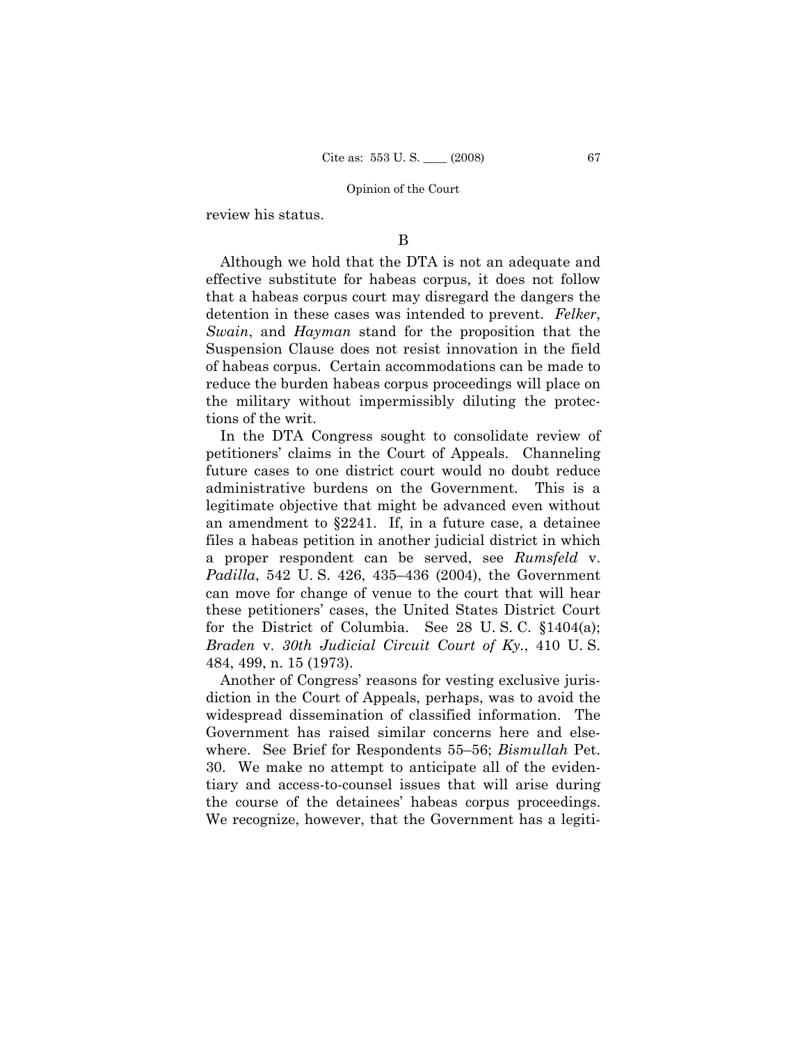## Opinion of the Court

review his status.

# B

Although we hold that the DTA is not an adequate and effective substitute for habeas corpus, it does not follow that a habeas corpus court may disregard the dangers the detention in these cases was intended to prevent. *Felker*, *Swain*, and *Hayman* stand for the proposition that the Suspension Clause does not resist innovation in the field of habeas corpus. Certain accommodations can be made to reduce the burden habeas corpus proceedings will place on the military without impermissibly diluting the protections of the writ.

In the DTA Congress sought to consolidate review of petitioners' claims in the Court of Appeals. Channeling future cases to one district court would no doubt reduce administrative burdens on the Government. This is a legitimate objective that might be advanced even without an amendment to §2241. If, in a future case, a detainee files a habeas petition in another judicial district in which a proper respondent can be served, see *Rumsfeld* v. *Padilla*, 542 U. S. 426, 435–436 (2004), the Government can move for change of venue to the court that will hear these petitioners' cases, the United States District Court for the District of Columbia. See 28 U. S. C. §1404(a); *Braden* v. *30th Judicial Circuit Court of Ky.*, 410 U. S. 484, 499, n. 15 (1973).

Another of Congress' reasons for vesting exclusive jurisdiction in the Court of Appeals, perhaps, was to avoid the widespread dissemination of classified information. The Government has raised similar concerns here and elsewhere. See Brief for Respondents 55–56; *Bismullah* Pet. 30. We make no attempt to anticipate all of the evidentiary and access-to-counsel issues that will arise during the course of the detainees' habeas corpus proceedings. We recognize, however, that the Government has a legiti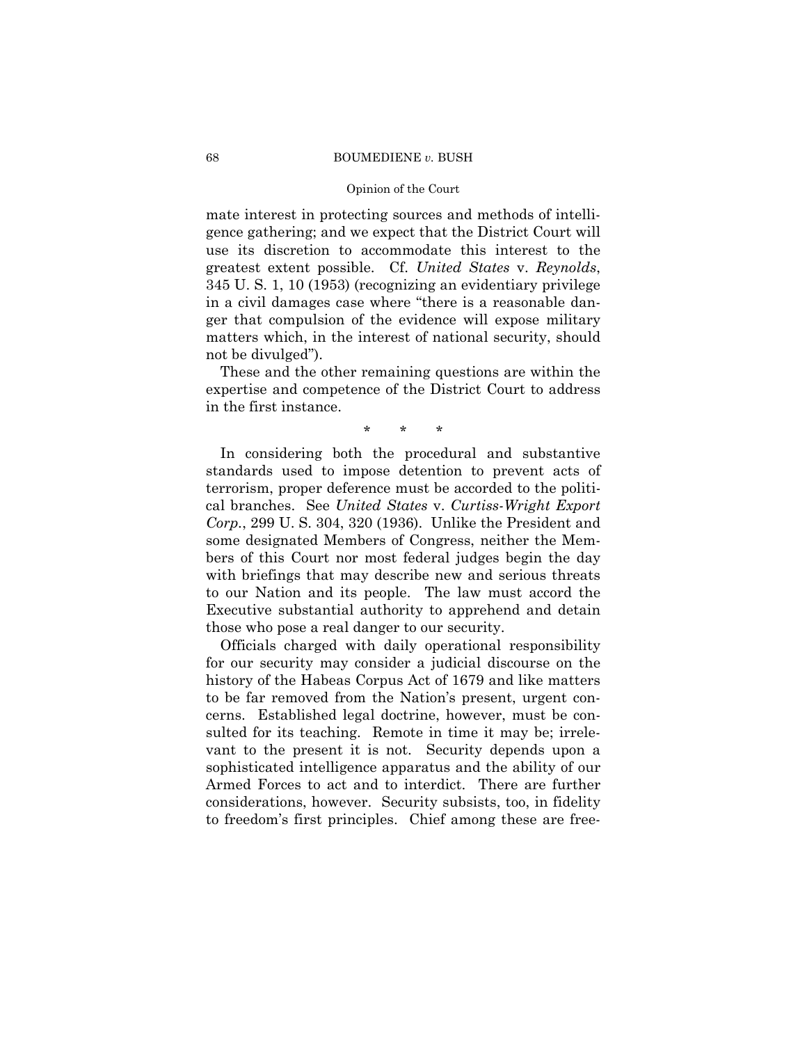# Opinion of the Court

mate interest in protecting sources and methods of intelligence gathering; and we expect that the District Court will use its discretion to accommodate this interest to the greatest extent possible. Cf. *United States* v. *Reynolds*, 345 U. S. 1, 10 (1953) (recognizing an evidentiary privilege in a civil damages case where "there is a reasonable danger that compulsion of the evidence will expose military matters which, in the interest of national security, should not be divulged").

 These and the other remaining questions are within the expertise and competence of the District Court to address in the first instance.

\* \* \*

In considering both the procedural and substantive standards used to impose detention to prevent acts of terrorism, proper deference must be accorded to the political branches. See *United States* v. *Curtiss-Wright Export Corp.*, 299 U. S. 304, 320 (1936). Unlike the President and some designated Members of Congress, neither the Members of this Court nor most federal judges begin the day with briefings that may describe new and serious threats to our Nation and its people. The law must accord the Executive substantial authority to apprehend and detain those who pose a real danger to our security.

Officials charged with daily operational responsibility for our security may consider a judicial discourse on the history of the Habeas Corpus Act of 1679 and like matters to be far removed from the Nation's present, urgent concerns. Established legal doctrine, however, must be consulted for its teaching. Remote in time it may be; irrelevant to the present it is not. Security depends upon a sophisticated intelligence apparatus and the ability of our Armed Forces to act and to interdict. There are further considerations, however. Security subsists, too, in fidelity to freedom's first principles. Chief among these are free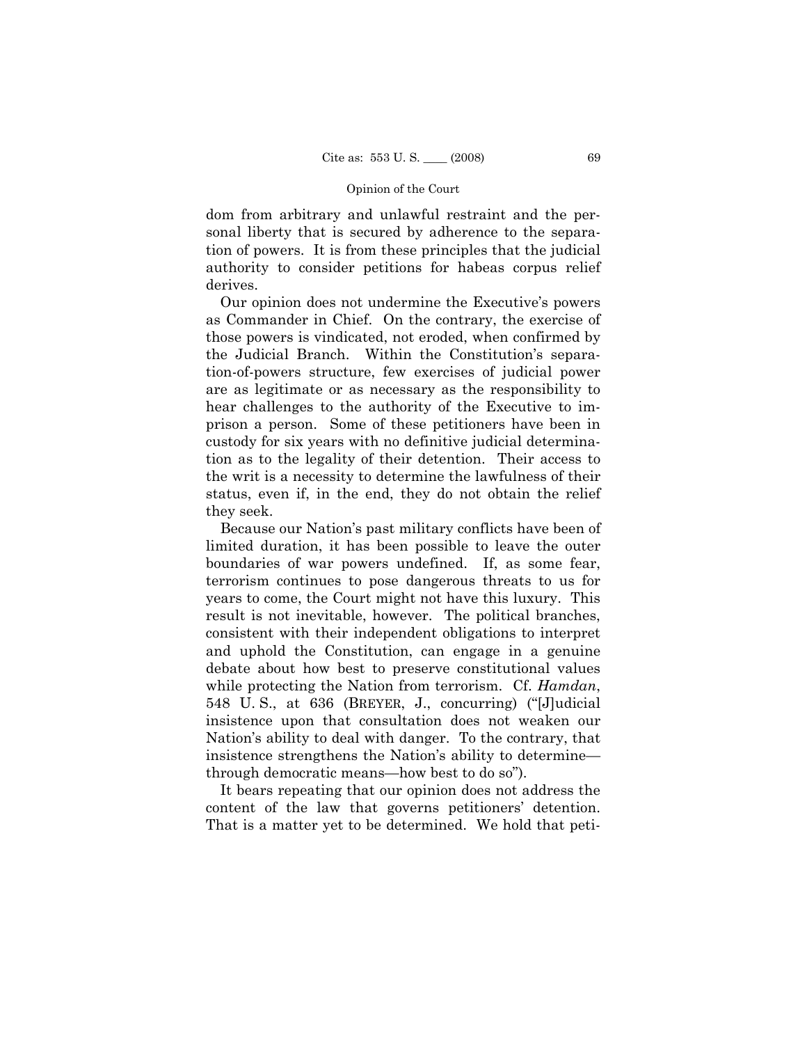## Opinion of the Court

dom from arbitrary and unlawful restraint and the personal liberty that is secured by adherence to the separation of powers. It is from these principles that the judicial authority to consider petitions for habeas corpus relief derives.

Our opinion does not undermine the Executive's powers as Commander in Chief. On the contrary, the exercise of those powers is vindicated, not eroded, when confirmed by the Judicial Branch. Within the Constitution's separation-of-powers structure, few exercises of judicial power are as legitimate or as necessary as the responsibility to hear challenges to the authority of the Executive to imprison a person. Some of these petitioners have been in custody for six years with no definitive judicial determination as to the legality of their detention. Their access to the writ is a necessity to determine the lawfulness of their status, even if, in the end, they do not obtain the relief they seek.

Because our Nation's past military conflicts have been of limited duration, it has been possible to leave the outer boundaries of war powers undefined. If, as some fear, terrorism continues to pose dangerous threats to us for years to come, the Court might not have this luxury. This result is not inevitable, however. The political branches, consistent with their independent obligations to interpret and uphold the Constitution, can engage in a genuine debate about how best to preserve constitutional values while protecting the Nation from terrorism. Cf. *Hamdan*, 548 U. S., at 636 (BREYER, J., concurring) ("[J]udicial insistence upon that consultation does not weaken our Nation's ability to deal with danger. To the contrary, that insistence strengthens the Nation's ability to determine through democratic means—how best to do so").

It bears repeating that our opinion does not address the content of the law that governs petitioners' detention. That is a matter yet to be determined. We hold that peti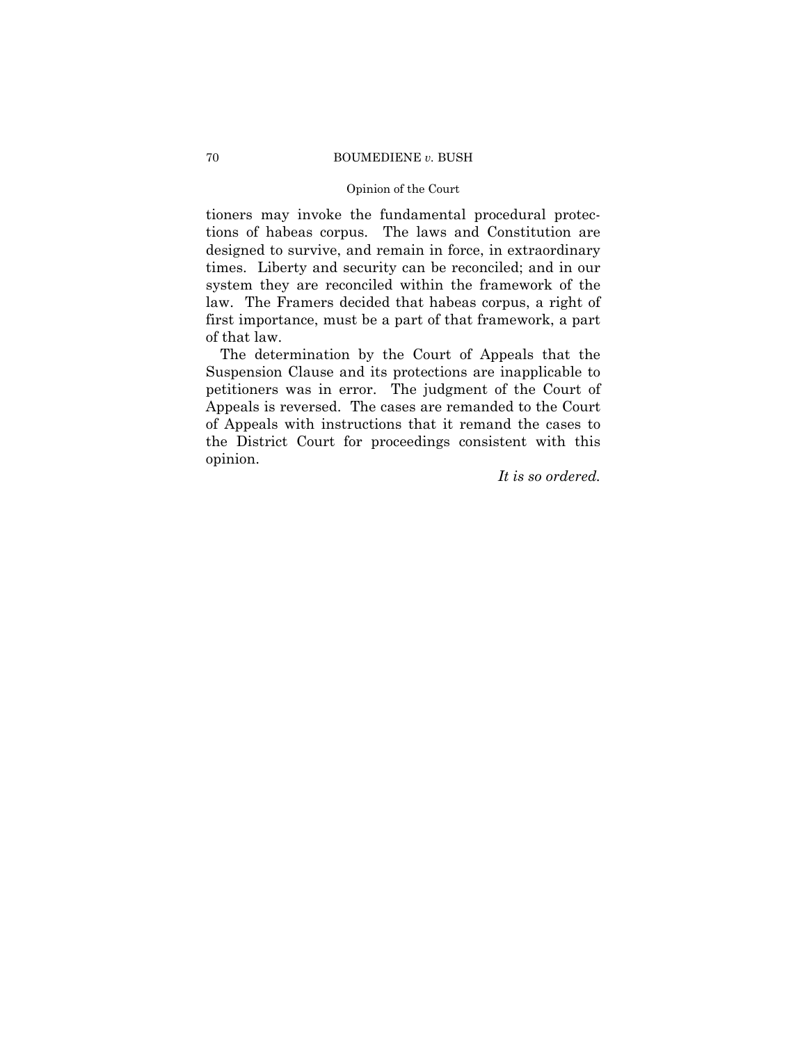# Opinion of the Court

tioners may invoke the fundamental procedural protections of habeas corpus. The laws and Constitution are designed to survive, and remain in force, in extraordinary times. Liberty and security can be reconciled; and in our system they are reconciled within the framework of the law. The Framers decided that habeas corpus, a right of first importance, must be a part of that framework, a part of that law.

The determination by the Court of Appeals that the Suspension Clause and its protections are inapplicable to petitioners was in error. The judgment of the Court of Appeals is reversed. The cases are remanded to the Court of Appeals with instructions that it remand the cases to the District Court for proceedings consistent with this opinion.

*It is so ordered.*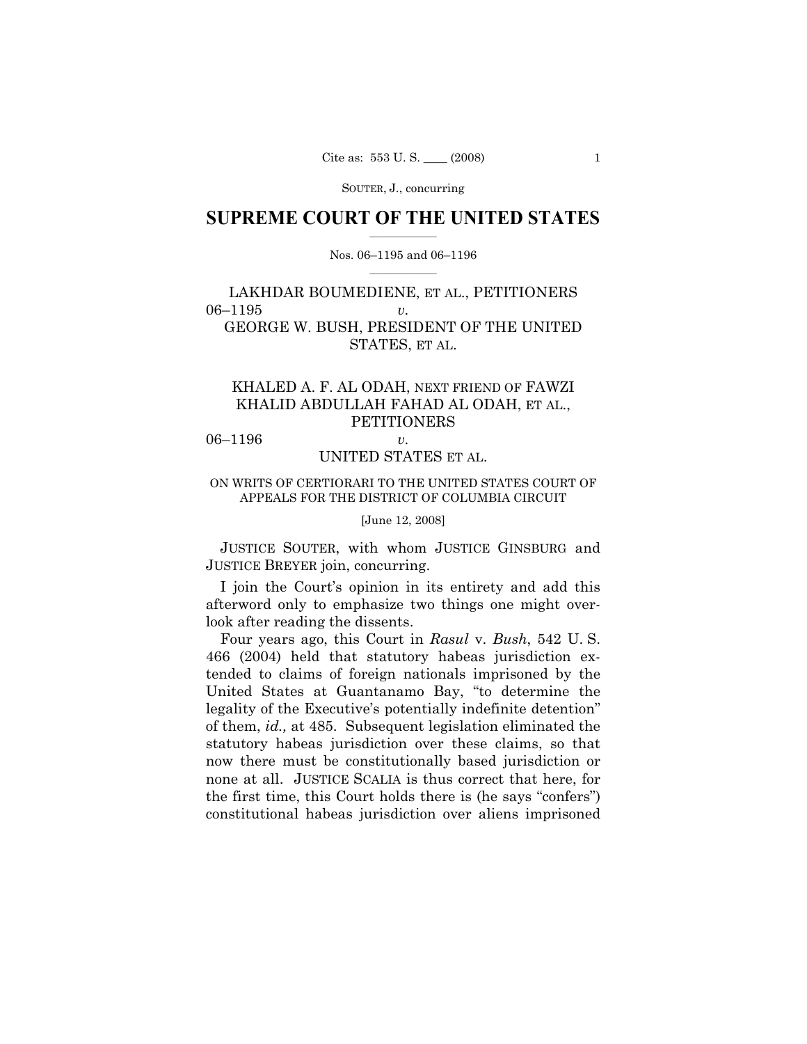SOUTER, J., concurring

# $\frac{1}{2}$  , where  $\frac{1}{2}$ **SUPREME COURT OF THE UNITED STATES**

# $\frac{1}{2}$  ,  $\frac{1}{2}$  ,  $\frac{1}{2}$  ,  $\frac{1}{2}$  ,  $\frac{1}{2}$  ,  $\frac{1}{2}$ Nos. 06–1195 and 06–1196

# LAKHDAR BOUMEDIENE, ET AL., PETITIONERS 06–1195 *v.*  GEORGE W. BUSH, PRESIDENT OF THE UNITED STATES, ET AL.

# KHALED A. F. AL ODAH, NEXT FRIEND OF FAWZI KHALID ABDULLAH FAHAD AL ODAH, ET AL., **PETITIONERS**

# 06–1196 *v.*  UNITED STATES ET AL.

# ON WRITS OF CERTIORARI TO THE UNITED STATES COURT OF APPEALS FOR THE DISTRICT OF COLUMBIA CIRCUIT

[June 12, 2008]

JUSTICE SOUTER, with whom JUSTICE GINSBURG and JUSTICE BREYER join, concurring.

I join the Court's opinion in its entirety and add this afterword only to emphasize two things one might overlook after reading the dissents.

Four years ago, this Court in *Rasul* v. *Bush*, 542 U. S. 466 (2004) held that statutory habeas jurisdiction extended to claims of foreign nationals imprisoned by the United States at Guantanamo Bay, "to determine the legality of the Executive's potentially indefinite detention" of them, *id.,* at 485. Subsequent legislation eliminated the statutory habeas jurisdiction over these claims, so that now there must be constitutionally based jurisdiction or none at all. JUSTICE SCALIA is thus correct that here, for the first time, this Court holds there is (he says "confers") constitutional habeas jurisdiction over aliens imprisoned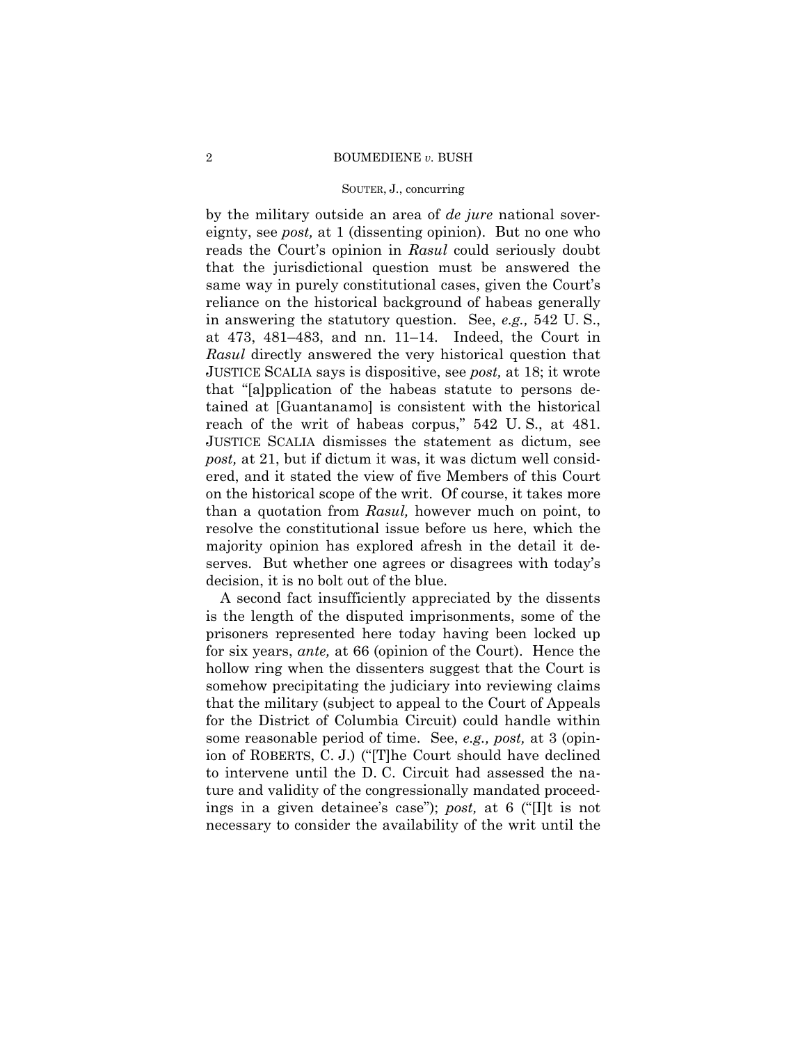# SOUTER, J., concurring

by the military outside an area of *de jure* national sovereignty, see *post,* at 1 (dissenting opinion). But no one who reads the Court's opinion in *Rasul* could seriously doubt that the jurisdictional question must be answered the same way in purely constitutional cases, given the Court's reliance on the historical background of habeas generally in answering the statutory question. See, *e.g.,* 542 U. S., at 473, 481–483, and nn. 11–14. Indeed, the Court in *Rasul* directly answered the very historical question that JUSTICE SCALIA says is dispositive, see *post,* at 18; it wrote that "[a]pplication of the habeas statute to persons detained at [Guantanamo] is consistent with the historical reach of the writ of habeas corpus," 542 U. S., at 481. JUSTICE SCALIA dismisses the statement as dictum, see *post,* at 21, but if dictum it was, it was dictum well considered, and it stated the view of five Members of this Court on the historical scope of the writ. Of course, it takes more than a quotation from *Rasul,* however much on point, to resolve the constitutional issue before us here, which the majority opinion has explored afresh in the detail it deserves. But whether one agrees or disagrees with today's decision, it is no bolt out of the blue.

A second fact insufficiently appreciated by the dissents is the length of the disputed imprisonments, some of the prisoners represented here today having been locked up for six years, *ante,* at 66 (opinion of the Court). Hence the hollow ring when the dissenters suggest that the Court is somehow precipitating the judiciary into reviewing claims that the military (subject to appeal to the Court of Appeals for the District of Columbia Circuit) could handle within some reasonable period of time. See, *e.g., post,* at 3 (opinion of ROBERTS, C. J.) ("[T]he Court should have declined to intervene until the D. C. Circuit had assessed the nature and validity of the congressionally mandated proceedings in a given detainee's case"); *post,* at 6 ("[I]t is not necessary to consider the availability of the writ until the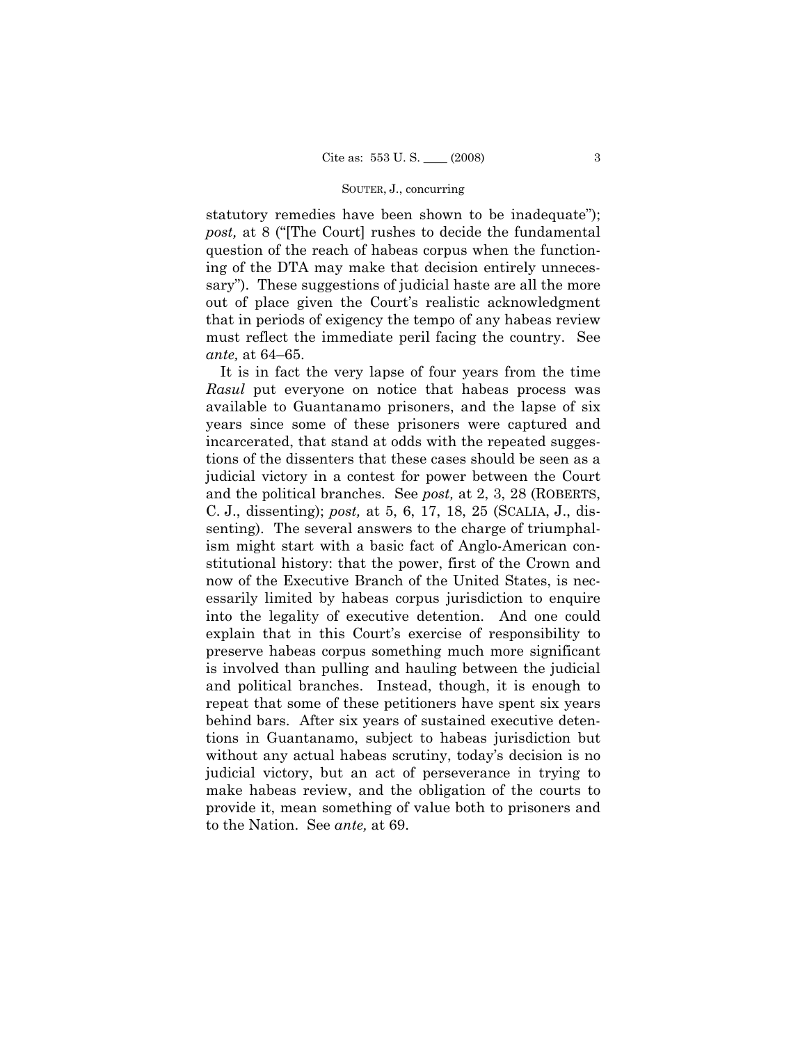## SOUTER, J., concurring

statutory remedies have been shown to be inadequate"); *post,* at 8 ("[The Court] rushes to decide the fundamental question of the reach of habeas corpus when the functioning of the DTA may make that decision entirely unnecessary"). These suggestions of judicial haste are all the more out of place given the Court's realistic acknowledgment that in periods of exigency the tempo of any habeas review must reflect the immediate peril facing the country. See *ante,* at 64–65.

It is in fact the very lapse of four years from the time *Rasul* put everyone on notice that habeas process was available to Guantanamo prisoners, and the lapse of six years since some of these prisoners were captured and incarcerated, that stand at odds with the repeated suggestions of the dissenters that these cases should be seen as a judicial victory in a contest for power between the Court and the political branches. See *post,* at 2, 3, 28 (ROBERTS, C. J., dissenting); *post,* at 5, 6, 17, 18, 25 (SCALIA, J., dissenting). The several answers to the charge of triumphalism might start with a basic fact of Anglo-American constitutional history: that the power, first of the Crown and now of the Executive Branch of the United States, is necessarily limited by habeas corpus jurisdiction to enquire into the legality of executive detention. And one could explain that in this Court's exercise of responsibility to preserve habeas corpus something much more significant is involved than pulling and hauling between the judicial and political branches. Instead, though, it is enough to repeat that some of these petitioners have spent six years behind bars. After six years of sustained executive detentions in Guantanamo, subject to habeas jurisdiction but without any actual habeas scrutiny, today's decision is no judicial victory, but an act of perseverance in trying to make habeas review, and the obligation of the courts to provide it, mean something of value both to prisoners and to the Nation. See *ante,* at 69.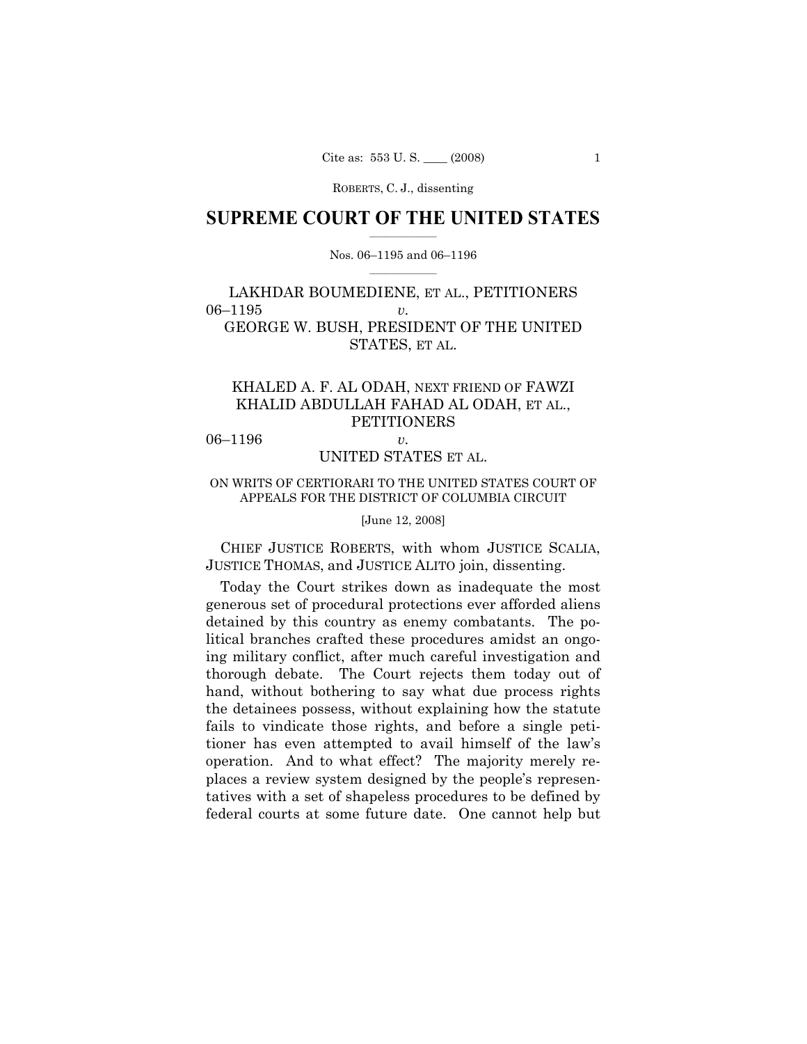# $\frac{1}{2}$  , where  $\frac{1}{2}$ **SUPREME COURT OF THE UNITED STATES**

# $\frac{1}{2}$  ,  $\frac{1}{2}$  ,  $\frac{1}{2}$  ,  $\frac{1}{2}$  ,  $\frac{1}{2}$  ,  $\frac{1}{2}$ Nos. 06–1195 and 06–1196

# LAKHDAR BOUMEDIENE, ET AL., PETITIONERS 06–1195 *v.*  GEORGE W. BUSH, PRESIDENT OF THE UNITED STATES, ET AL.

# KHALED A. F. AL ODAH, NEXT FRIEND OF FAWZI KHALID ABDULLAH FAHAD AL ODAH, ET AL., **PETITIONERS**

# 06–1196 *v.*  UNITED STATES ET AL.

# ON WRITS OF CERTIORARI TO THE UNITED STATES COURT OF APPEALS FOR THE DISTRICT OF COLUMBIA CIRCUIT

[June 12, 2008]

CHIEF JUSTICE ROBERTS, with whom JUSTICE SCALIA, JUSTICE THOMAS, and JUSTICE ALITO join, dissenting.

Today the Court strikes down as inadequate the most generous set of procedural protections ever afforded aliens detained by this country as enemy combatants. The political branches crafted these procedures amidst an ongoing military conflict, after much careful investigation and thorough debate. The Court rejects them today out of hand, without bothering to say what due process rights the detainees possess, without explaining how the statute fails to vindicate those rights, and before a single petitioner has even attempted to avail himself of the law's operation. And to what effect? The majority merely replaces a review system designed by the people's representatives with a set of shapeless procedures to be defined by federal courts at some future date. One cannot help but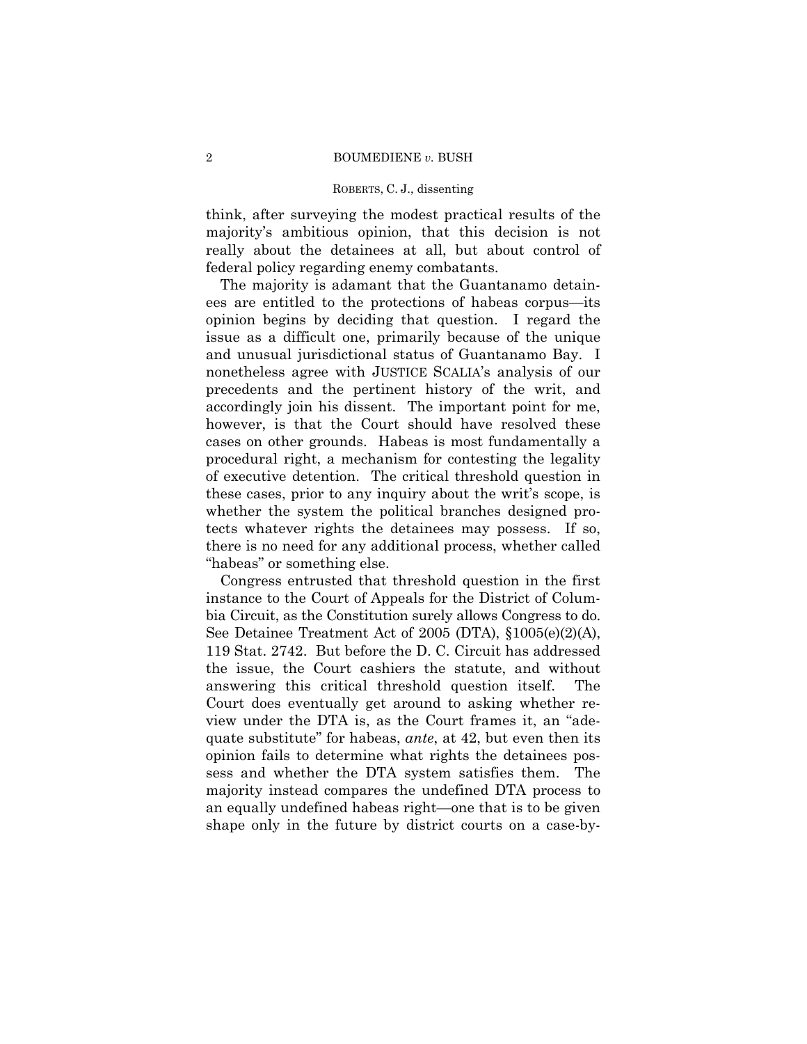think, after surveying the modest practical results of the majority's ambitious opinion, that this decision is not really about the detainees at all, but about control of federal policy regarding enemy combatants.

The majority is adamant that the Guantanamo detainees are entitled to the protections of habeas corpus—its opinion begins by deciding that question. I regard the issue as a difficult one, primarily because of the unique and unusual jurisdictional status of Guantanamo Bay. I nonetheless agree with JUSTICE SCALIA's analysis of our precedents and the pertinent history of the writ, and accordingly join his dissent. The important point for me, however, is that the Court should have resolved these cases on other grounds. Habeas is most fundamentally a procedural right, a mechanism for contesting the legality of executive detention. The critical threshold question in these cases, prior to any inquiry about the writ's scope, is whether the system the political branches designed protects whatever rights the detainees may possess. If so, there is no need for any additional process, whether called "habeas" or something else.

Congress entrusted that threshold question in the first instance to the Court of Appeals for the District of Columbia Circuit, as the Constitution surely allows Congress to do. See Detainee Treatment Act of 2005 (DTA), §1005(e)(2)(A), 119 Stat. 2742. But before the D. C. Circuit has addressed the issue, the Court cashiers the statute, and without answering this critical threshold question itself. The Court does eventually get around to asking whether review under the DTA is, as the Court frames it, an "adequate substitute" for habeas, *ante*, at 42, but even then its opinion fails to determine what rights the detainees possess and whether the DTA system satisfies them. The majority instead compares the undefined DTA process to an equally undefined habeas right—one that is to be given shape only in the future by district courts on a case-by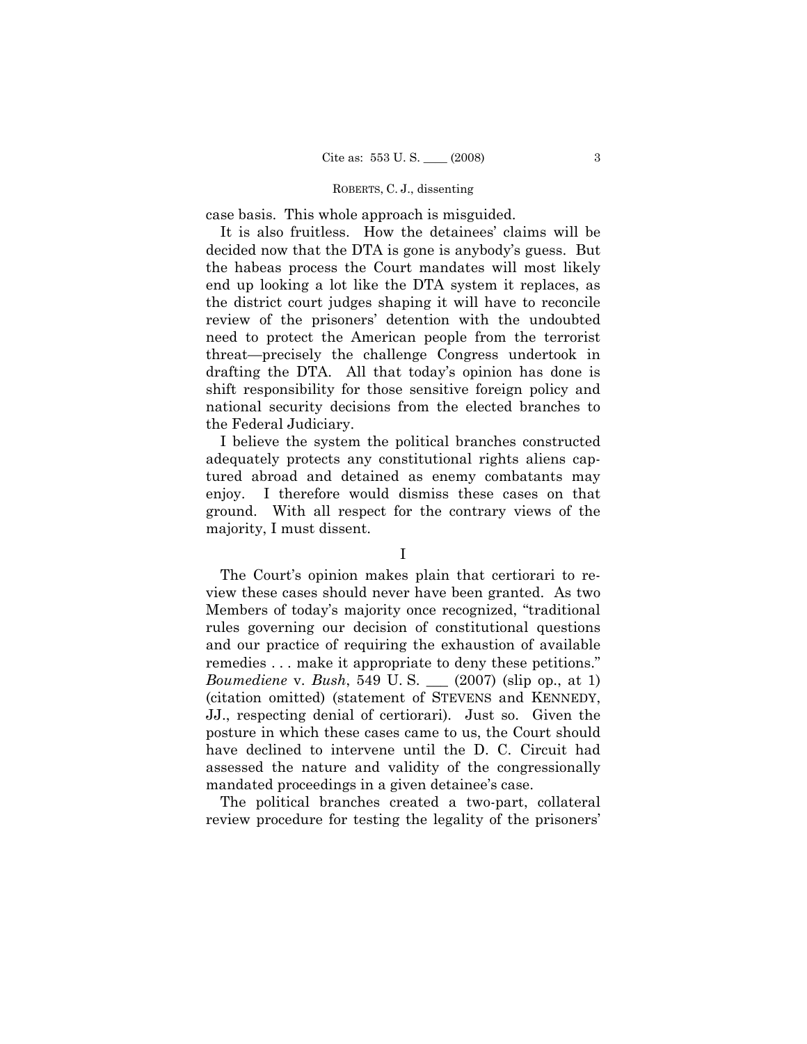case basis. This whole approach is misguided.

It is also fruitless. How the detainees' claims will be decided now that the DTA is gone is anybody's guess. But the habeas process the Court mandates will most likely end up looking a lot like the DTA system it replaces, as the district court judges shaping it will have to reconcile review of the prisoners' detention with the undoubted need to protect the American people from the terrorist threat—precisely the challenge Congress undertook in drafting the DTA. All that today's opinion has done is shift responsibility for those sensitive foreign policy and national security decisions from the elected branches to the Federal Judiciary.

I believe the system the political branches constructed adequately protects any constitutional rights aliens captured abroad and detained as enemy combatants may enjoy. I therefore would dismiss these cases on that ground. With all respect for the contrary views of the majority, I must dissent.

The Court's opinion makes plain that certiorari to review these cases should never have been granted. As two Members of today's majority once recognized, "traditional rules governing our decision of constitutional questions and our practice of requiring the exhaustion of available remedies . . . make it appropriate to deny these petitions." *Boumediene* v. *Bush*, 549 U. S. \_\_\_ (2007) (slip op., at 1) (citation omitted) (statement of STEVENS and KENNEDY, JJ., respecting denial of certiorari). Just so. Given the posture in which these cases came to us, the Court should have declined to intervene until the D. C. Circuit had assessed the nature and validity of the congressionally mandated proceedings in a given detainee's case.

The political branches created a two-part, collateral review procedure for testing the legality of the prisoners'

I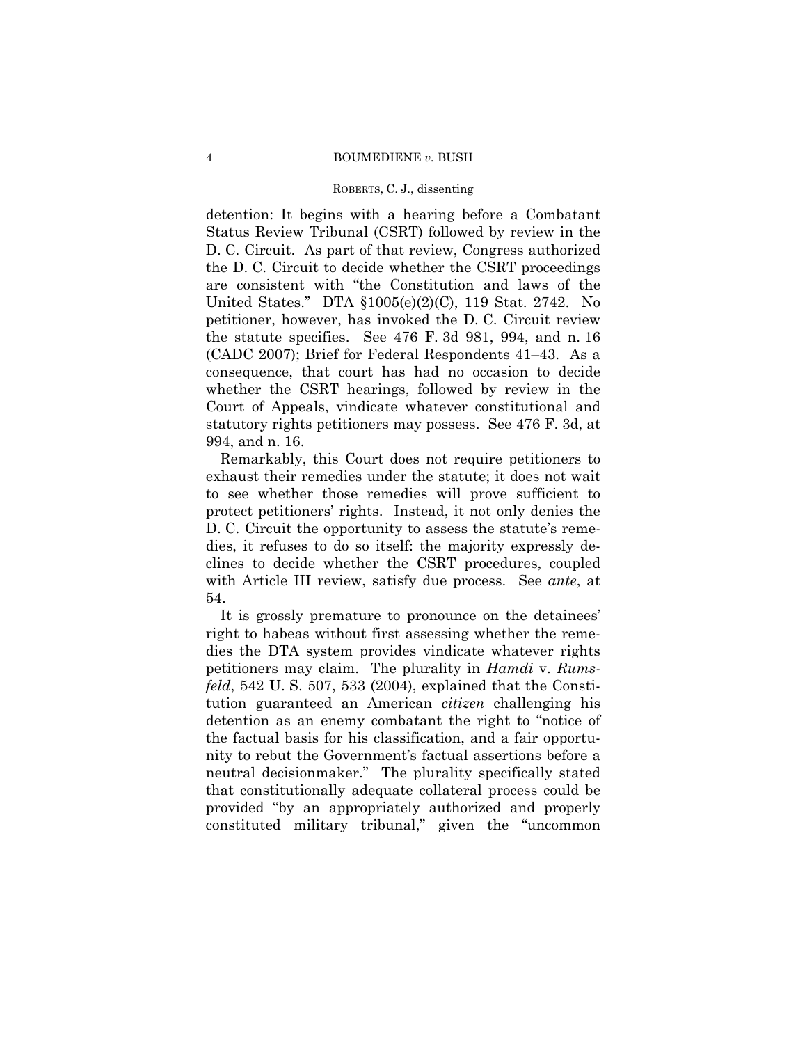detention: It begins with a hearing before a Combatant Status Review Tribunal (CSRT) followed by review in the D. C. Circuit. As part of that review, Congress authorized the D. C. Circuit to decide whether the CSRT proceedings are consistent with "the Constitution and laws of the United States." DTA §1005(e)(2)(C), 119 Stat. 2742. No petitioner, however, has invoked the D. C. Circuit review the statute specifies. See 476 F. 3d 981, 994, and n. 16 (CADC 2007); Brief for Federal Respondents 41–43. As a consequence, that court has had no occasion to decide whether the CSRT hearings, followed by review in the Court of Appeals, vindicate whatever constitutional and statutory rights petitioners may possess. See 476 F. 3d, at 994, and n. 16.

Remarkably, this Court does not require petitioners to exhaust their remedies under the statute; it does not wait to see whether those remedies will prove sufficient to protect petitioners' rights. Instead, it not only denies the D. C. Circuit the opportunity to assess the statute's remedies, it refuses to do so itself: the majority expressly declines to decide whether the CSRT procedures, coupled with Article III review, satisfy due process. See *ante*, at 54.

neutral decisionmaker." The plurality specifically stated It is grossly premature to pronounce on the detainees' right to habeas without first assessing whether the remedies the DTA system provides vindicate whatever rights petitioners may claim. The plurality in *Hamdi* v. *Rumsfeld*, 542 U. S. 507, 533 (2004), explained that the Constitution guaranteed an American *citizen* challenging his detention as an enemy combatant the right to "notice of the factual basis for his classification, and a fair opportunity to rebut the Government's factual assertions before a that constitutionally adequate collateral process could be provided "by an appropriately authorized and properly constituted military tribunal," given the "uncommon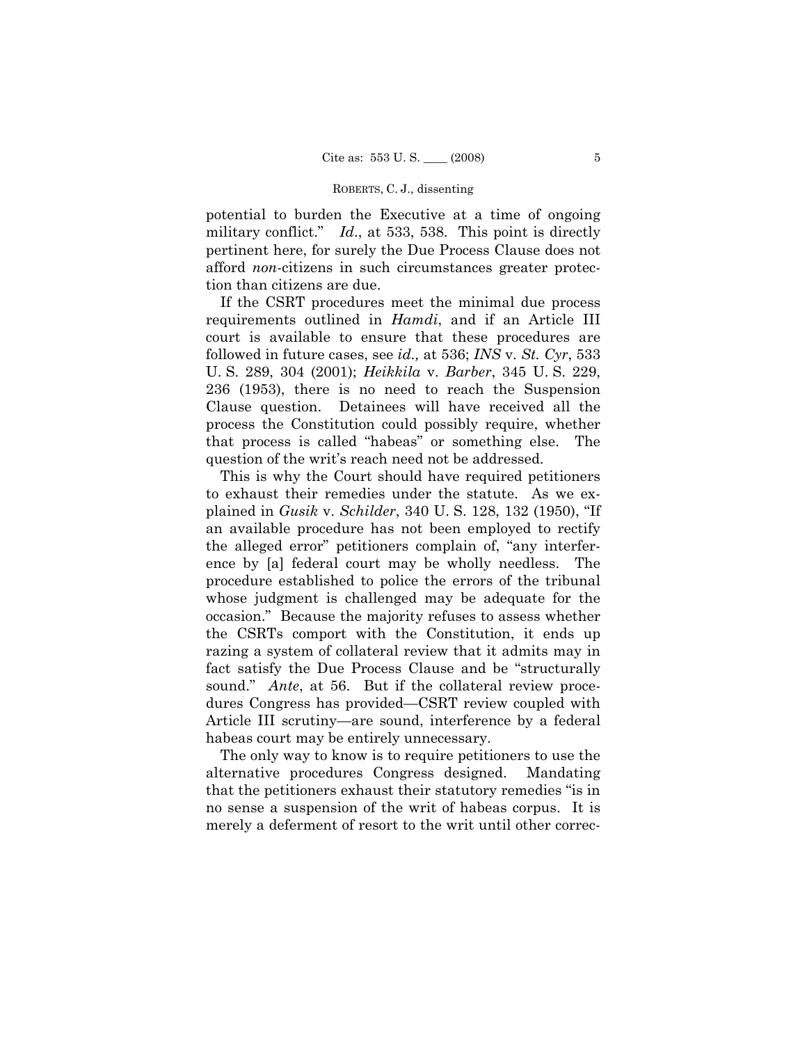potential to burden the Executive at a time of ongoing military conflict." *Id*., at 533, 538. This point is directly pertinent here, for surely the Due Process Clause does not afford *non*-citizens in such circumstances greater protection than citizens are due.

If the CSRT procedures meet the minimal due process requirements outlined in *Hamdi*, and if an Article III court is available to ensure that these procedures are followed in future cases, see *id.,* at 536; *INS* v. *St. Cyr*, 533 U. S. 289, 304 (2001); *Heikkila* v. *Barber*, 345 U. S. 229, 236 (1953), there is no need to reach the Suspension Clause question. Detainees will have received all the process the Constitution could possibly require, whether that process is called "habeas" or something else. The question of the writ's reach need not be addressed.

This is why the Court should have required petitioners to exhaust their remedies under the statute. As we explained in *Gusik* v. *Schilder*, 340 U. S. 128, 132 (1950), "If an available procedure has not been employed to rectify the alleged error" petitioners complain of, "any interference by [a] federal court may be wholly needless. The procedure established to police the errors of the tribunal whose judgment is challenged may be adequate for the occasion." Because the majority refuses to assess whether the CSRTs comport with the Constitution, it ends up razing a system of collateral review that it admits may in fact satisfy the Due Process Clause and be "structurally sound." *Ante*, at 56. But if the collateral review procedures Congress has provided—CSRT review coupled with Article III scrutiny—are sound, interference by a federal habeas court may be entirely unnecessary.

The only way to know is to require petitioners to use the alternative procedures Congress designed. Mandating that the petitioners exhaust their statutory remedies "is in no sense a suspension of the writ of habeas corpus. It is merely a deferment of resort to the writ until other correc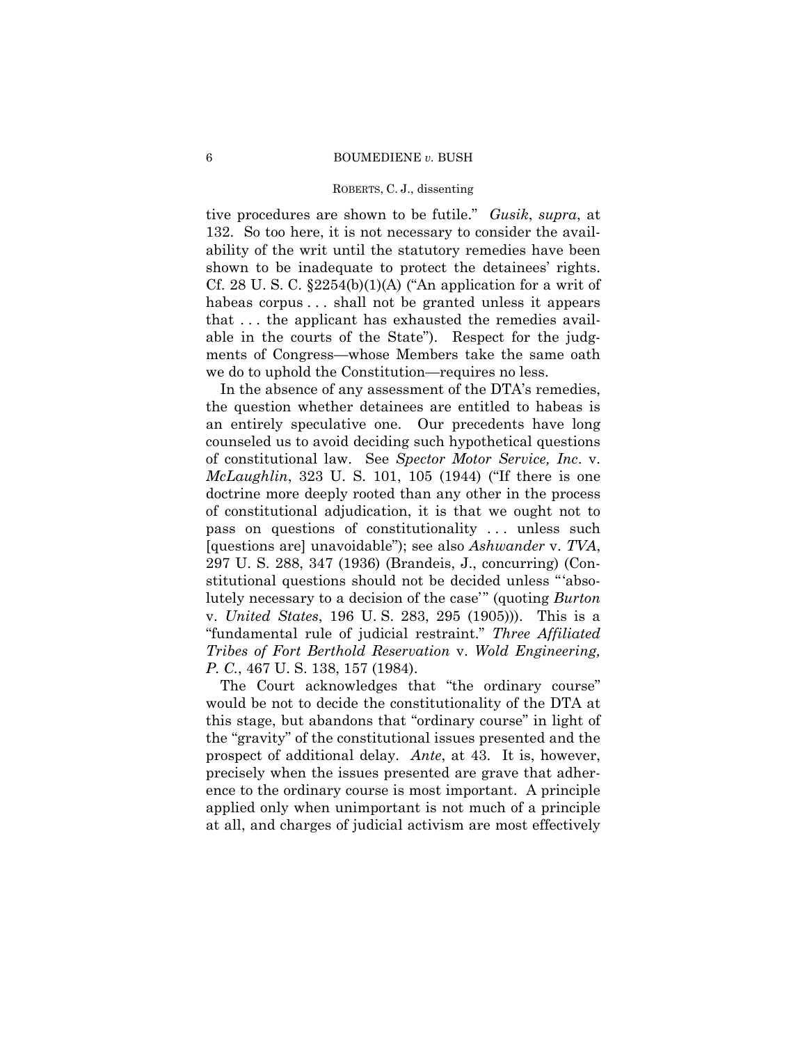tive procedures are shown to be futile." *Gusik*, *supra*, at 132. So too here, it is not necessary to consider the availability of the writ until the statutory remedies have been shown to be inadequate to protect the detainees' rights. Cf. 28 U.S.C.  $$2254(b)(1)(A)$  ("An application for a writ of habeas corpus ... shall not be granted unless it appears that . . . the applicant has exhausted the remedies available in the courts of the State"). Respect for the judgments of Congress—whose Members take the same oath we do to uphold the Constitution—requires no less.

In the absence of any assessment of the DTA's remedies, the question whether detainees are entitled to habeas is an entirely speculative one. Our precedents have long counseled us to avoid deciding such hypothetical questions of constitutional law. See *Spector Motor Service, Inc*. v. *McLaughlin*, 323 U. S. 101, 105 (1944) ("If there is one doctrine more deeply rooted than any other in the process of constitutional adjudication, it is that we ought not to pass on questions of constitutionality ... unless such [questions are] unavoidable"); see also *Ashwander* v. *TVA*, 297 U. S. 288, 347 (1936) (Brandeis, J., concurring) (Constitutional questions should not be decided unless " 'absolutely necessary to a decision of the case'" (quoting *Burton*  v. *United States*, 196 U. S. 283, 295 (1905))). This is a "fundamental rule of judicial restraint." *Three Affiliated Tribes of Fort Berthold Reservation* v. *Wold Engineering, P. C.*, 467 U. S. 138, 157 (1984).

The Court acknowledges that "the ordinary course" would be not to decide the constitutionality of the DTA at this stage, but abandons that "ordinary course" in light of the "gravity" of the constitutional issues presented and the prospect of additional delay. *Ante*, at 43. It is, however, precisely when the issues presented are grave that adherence to the ordinary course is most important. A principle applied only when unimportant is not much of a principle at all, and charges of judicial activism are most effectively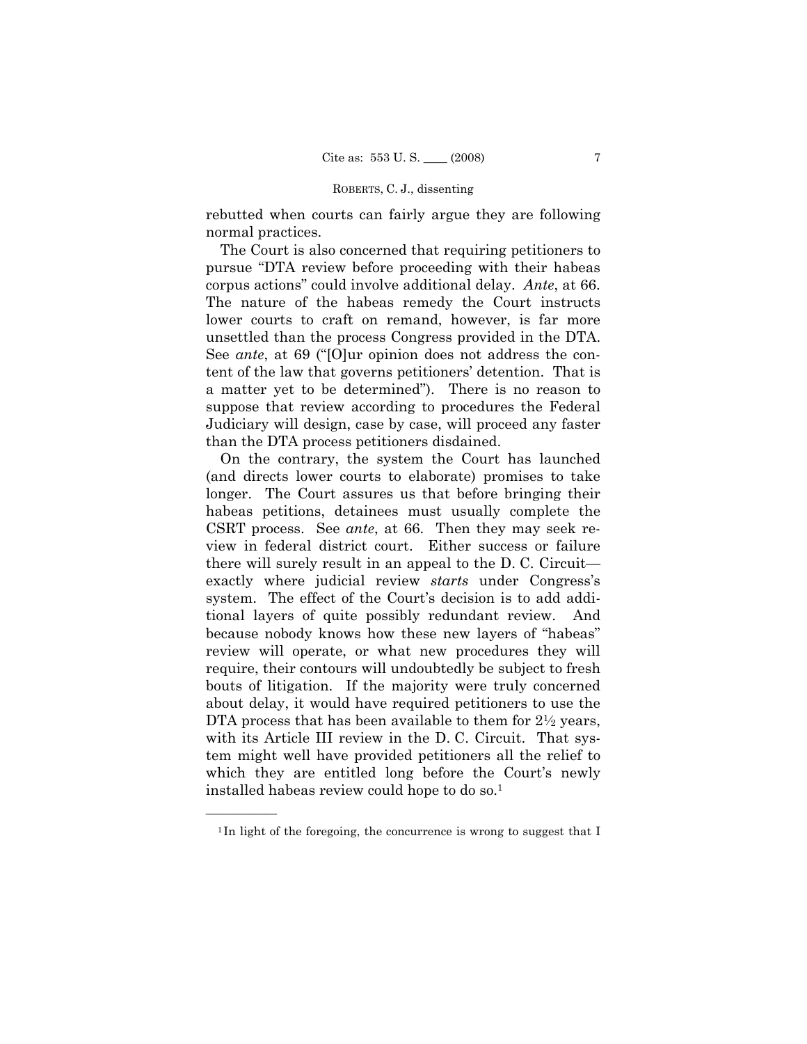rebutted when courts can fairly argue they are following normal practices.

 corpus actions" could involve additional delay. *Ante*, at 66. The nature of the habeas remedy the Court instructs The Court is also concerned that requiring petitioners to pursue "DTA review before proceeding with their habeas lower courts to craft on remand, however, is far more unsettled than the process Congress provided in the DTA. See *ante*, at 69 ("[O]ur opinion does not address the content of the law that governs petitioners' detention. That is a matter yet to be determined"). There is no reason to suppose that review according to procedures the Federal Judiciary will design, case by case, will proceed any faster than the DTA process petitioners disdained.

On the contrary, the system the Court has launched (and directs lower courts to elaborate) promises to take longer. The Court assures us that before bringing their habeas petitions, detainees must usually complete the CSRT process. See *ante*, at 66. Then they may seek review in federal district court. Either success or failure there will surely result in an appeal to the D. C. Circuit exactly where judicial review *starts* under Congress's system. The effect of the Court's decision is to add additional layers of quite possibly redundant review. And because nobody knows how these new layers of "habeas" review will operate, or what new procedures they will require, their contours will undoubtedly be subject to fresh bouts of litigation. If the majority were truly concerned about delay, it would have required petitioners to use the DTA process that has been available to them for  $2\frac{1}{2}$  years, with its Article III review in the D. C. Circuit. That system might well have provided petitioners all the relief to which they are entitled long before the Court's newly installed habeas review could hope to do so.<sup>1</sup>

——————

<sup>&</sup>lt;sup>1</sup>In light of the foregoing, the concurrence is wrong to suggest that I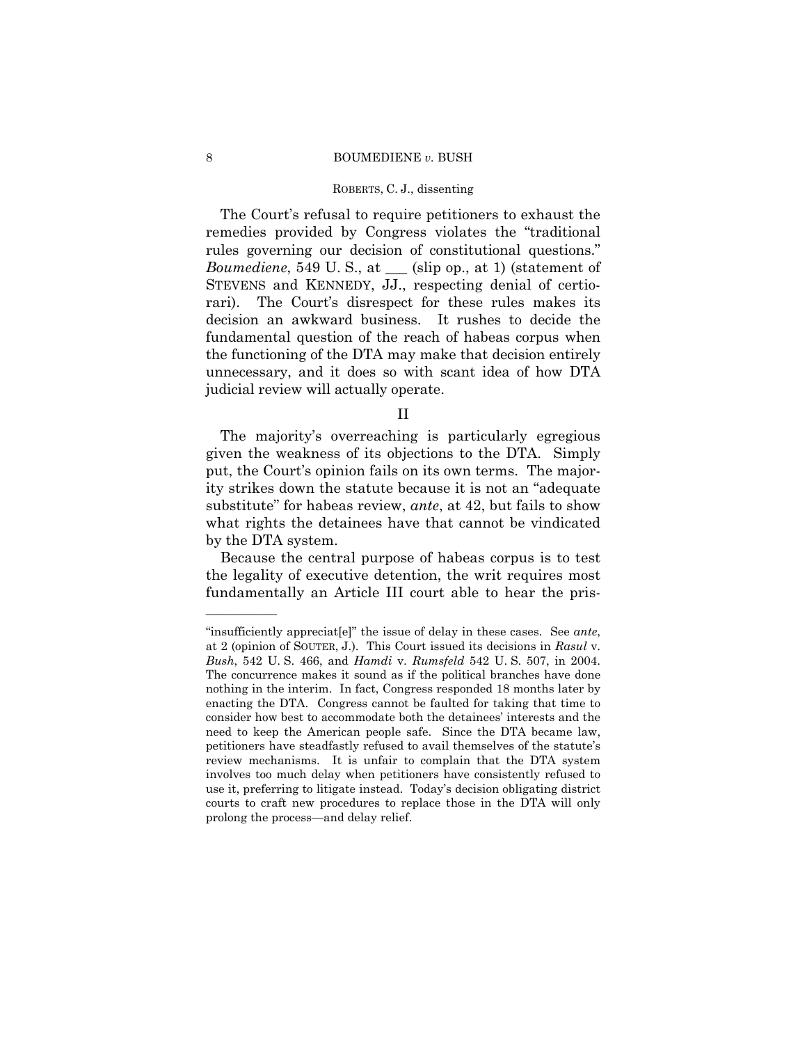#### ROBERTS, C. J., dissenting

 rules governing our decision of constitutional questions." rari). The Court's refusal to require petitioners to exhaust the remedies provided by Congress violates the "traditional *Boumediene*, 549 U.S., at \_\_\_ (slip op., at 1) (statement of STEVENS and KENNEDY, JJ., respecting denial of certio-The Court's disrespect for these rules makes its decision an awkward business. It rushes to decide the fundamental question of the reach of habeas corpus when the functioning of the DTA may make that decision entirely unnecessary, and it does so with scant idea of how DTA judicial review will actually operate.

II

The majority's overreaching is particularly egregious given the weakness of its objections to the DTA. Simply put, the Court's opinion fails on its own terms. The majority strikes down the statute because it is not an "adequate substitute" for habeas review, *ante*, at 42, but fails to show what rights the detainees have that cannot be vindicated by the DTA system.

Because the central purpose of habeas corpus is to test the legality of executive detention, the writ requires most fundamentally an Article III court able to hear the pris

——————

<sup>&</sup>quot;insufficiently appreciat[e]" the issue of delay in these cases. See *ante*, at 2 (opinion of SOUTER, J.). This Court issued its decisions in *Rasul* v. *Bush*, 542 U. S. 466, and *Hamdi* v. *Rumsfeld* 542 U. S. 507, in 2004. The concurrence makes it sound as if the political branches have done nothing in the interim. In fact, Congress responded 18 months later by enacting the DTA. Congress cannot be faulted for taking that time to consider how best to accommodate both the detainees' interests and the need to keep the American people safe. Since the DTA became law, petitioners have steadfastly refused to avail themselves of the statute's review mechanisms. It is unfair to complain that the DTA system involves too much delay when petitioners have consistently refused to use it, preferring to litigate instead. Today's decision obligating district courts to craft new procedures to replace those in the DTA will only prolong the process—and delay relief.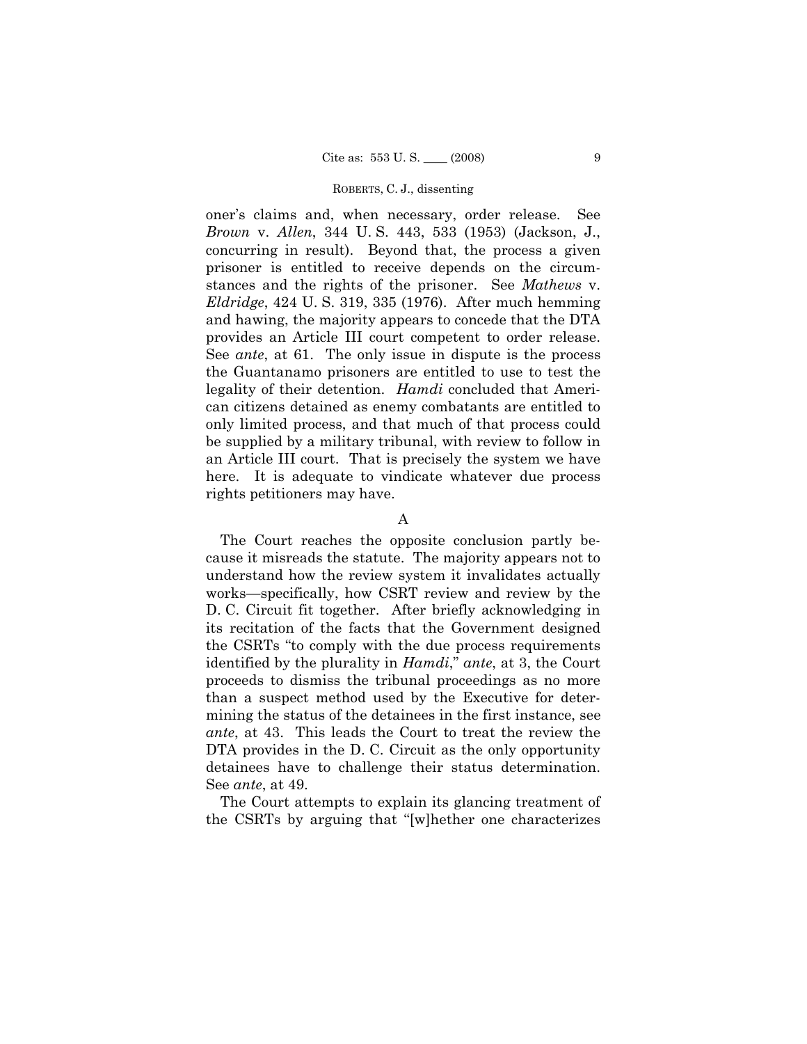oner's claims and, when necessary, order release. See *Brown* v. *Allen*, 344 U. S. 443, 533 (1953) (Jackson, J., concurring in result). Beyond that, the process a given prisoner is entitled to receive depends on the circumstances and the rights of the prisoner. See *Mathews* v. *Eldridge*, 424 U. S. 319, 335 (1976). After much hemming and hawing, the majority appears to concede that the DTA provides an Article III court competent to order release. See *ante*, at 61. The only issue in dispute is the process the Guantanamo prisoners are entitled to use to test the legality of their detention. *Hamdi* concluded that American citizens detained as enemy combatants are entitled to only limited process, and that much of that process could be supplied by a military tribunal, with review to follow in an Article III court. That is precisely the system we have here. It is adequate to vindicate whatever due process rights petitioners may have.

# A

The Court reaches the opposite conclusion partly because it misreads the statute. The majority appears not to understand how the review system it invalidates actually works—specifically, how CSRT review and review by the D. C. Circuit fit together. After briefly acknowledging in its recitation of the facts that the Government designed the CSRTs "to comply with the due process requirements identified by the plurality in *Hamdi*," *ante*, at 3, the Court proceeds to dismiss the tribunal proceedings as no more than a suspect method used by the Executive for determining the status of the detainees in the first instance, see *ante*, at 43. This leads the Court to treat the review the DTA provides in the D. C. Circuit as the only opportunity detainees have to challenge their status determination. See *ante*, at 49.

The Court attempts to explain its glancing treatment of the CSRTs by arguing that "[w]hether one characterizes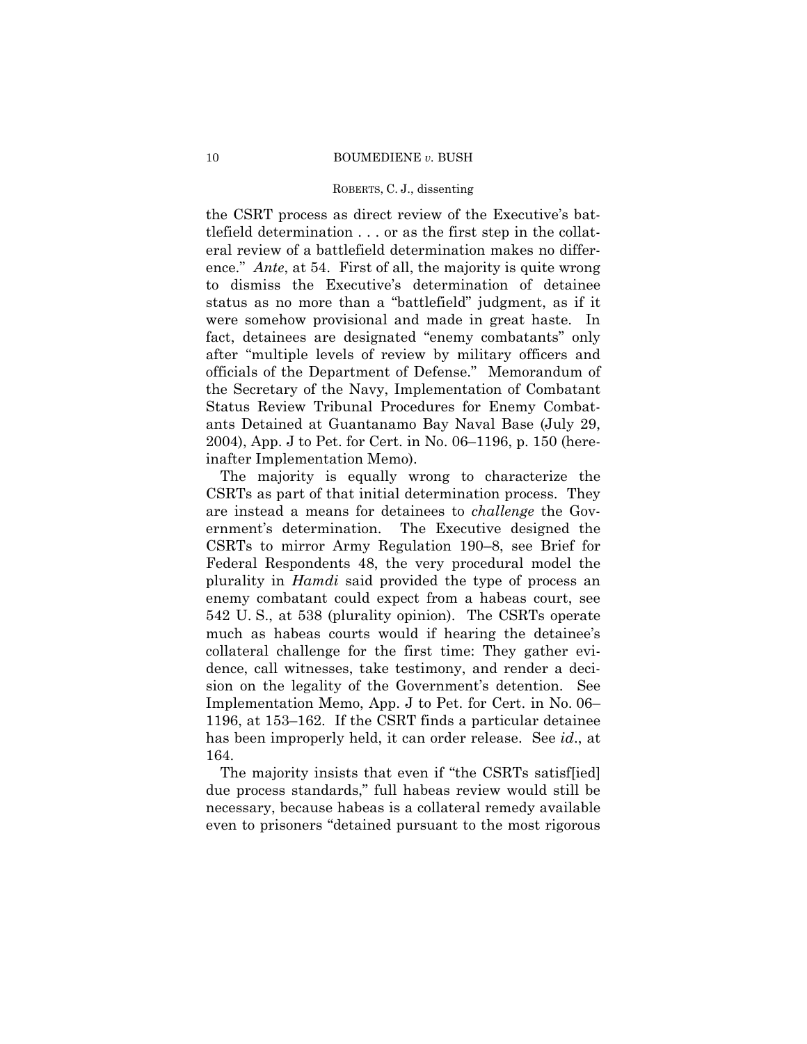#### ROBERTS, C. J., dissenting

the CSRT process as direct review of the Executive's battlefield determination . . . or as the first step in the collateral review of a battlefield determination makes no difference." *Ante*, at 54. First of all, the majority is quite wrong to dismiss the Executive's determination of detainee status as no more than a "battlefield" judgment, as if it were somehow provisional and made in great haste. In fact, detainees are designated "enemy combatants" only after "multiple levels of review by military officers and officials of the Department of Defense." Memorandum of the Secretary of the Navy, Implementation of Combatant Status Review Tribunal Procedures for Enemy Combatants Detained at Guantanamo Bay Naval Base (July 29, 2004), App. J to Pet. for Cert. in No. 06–1196, p. 150 (hereinafter Implementation Memo).

The majority is equally wrong to characterize the CSRTs as part of that initial determination process. They are instead a means for detainees to *challenge* the Government's determination. The Executive designed the CSRTs to mirror Army Regulation 190–8, see Brief for Federal Respondents 48, the very procedural model the plurality in *Hamdi* said provided the type of process an enemy combatant could expect from a habeas court, see 542 U. S., at 538 (plurality opinion). The CSRTs operate much as habeas courts would if hearing the detainee's collateral challenge for the first time: They gather evidence, call witnesses, take testimony, and render a decision on the legality of the Government's detention. See Implementation Memo, App. J to Pet. for Cert. in No. 06– 1196, at 153–162. If the CSRT finds a particular detainee has been improperly held, it can order release. See *id*., at 164.

The majority insists that even if "the CSRTs satisf[ied] due process standards," full habeas review would still be necessary, because habeas is a collateral remedy available even to prisoners "detained pursuant to the most rigorous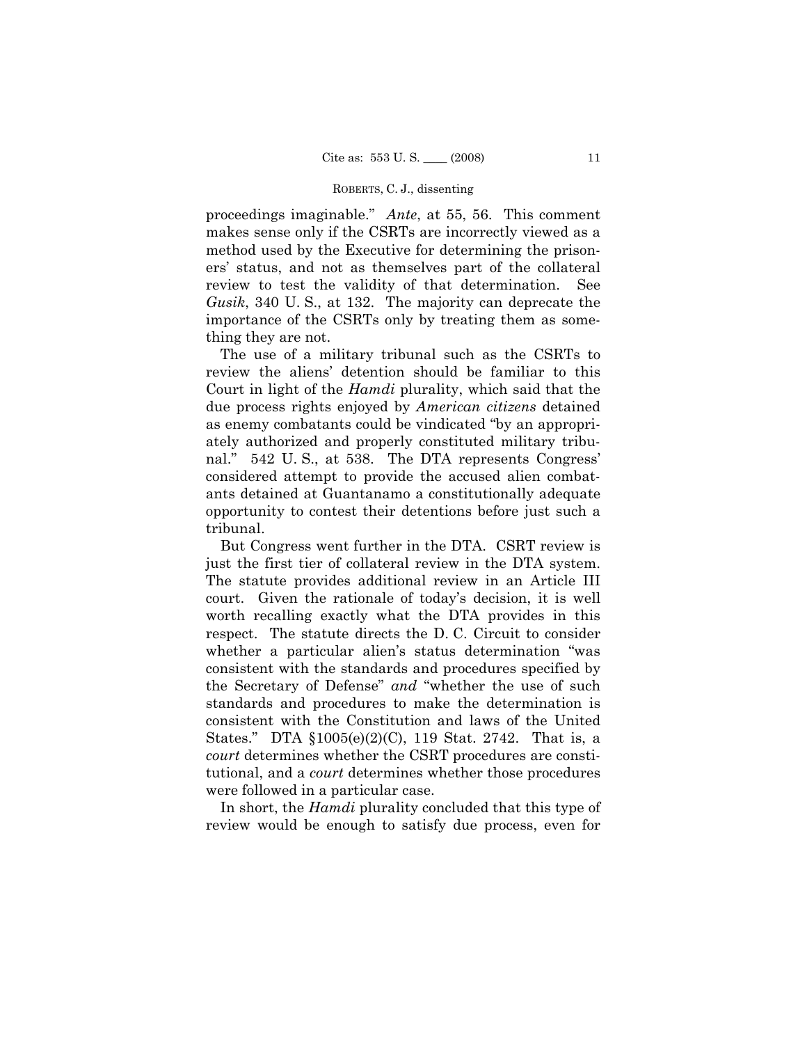proceedings imaginable." *Ante*, at 55, 56. This comment makes sense only if the CSRTs are incorrectly viewed as a method used by the Executive for determining the prisoners' status, and not as themselves part of the collateral review to test the validity of that determination. See *Gusik*, 340 U. S., at 132. The majority can deprecate the importance of the CSRTs only by treating them as something they are not.

The use of a military tribunal such as the CSRTs to review the aliens' detention should be familiar to this Court in light of the *Hamdi* plurality, which said that the due process rights enjoyed by *American citizens* detained as enemy combatants could be vindicated "by an appropriately authorized and properly constituted military tribunal." 542 U. S., at 538. The DTA represents Congress' considered attempt to provide the accused alien combatants detained at Guantanamo a constitutionally adequate opportunity to contest their detentions before just such a tribunal.

But Congress went further in the DTA. CSRT review is just the first tier of collateral review in the DTA system. The statute provides additional review in an Article III court. Given the rationale of today's decision, it is well worth recalling exactly what the DTA provides in this respect. The statute directs the D. C. Circuit to consider whether a particular alien's status determination "was consistent with the standards and procedures specified by the Secretary of Defense" *and* "whether the use of such standards and procedures to make the determination is consistent with the Constitution and laws of the United States." DTA §1005(e)(2)(C), 119 Stat. 2742. That is, a *court* determines whether the CSRT procedures are constitutional, and a *court* determines whether those procedures were followed in a particular case.

In short, the *Hamdi* plurality concluded that this type of review would be enough to satisfy due process, even for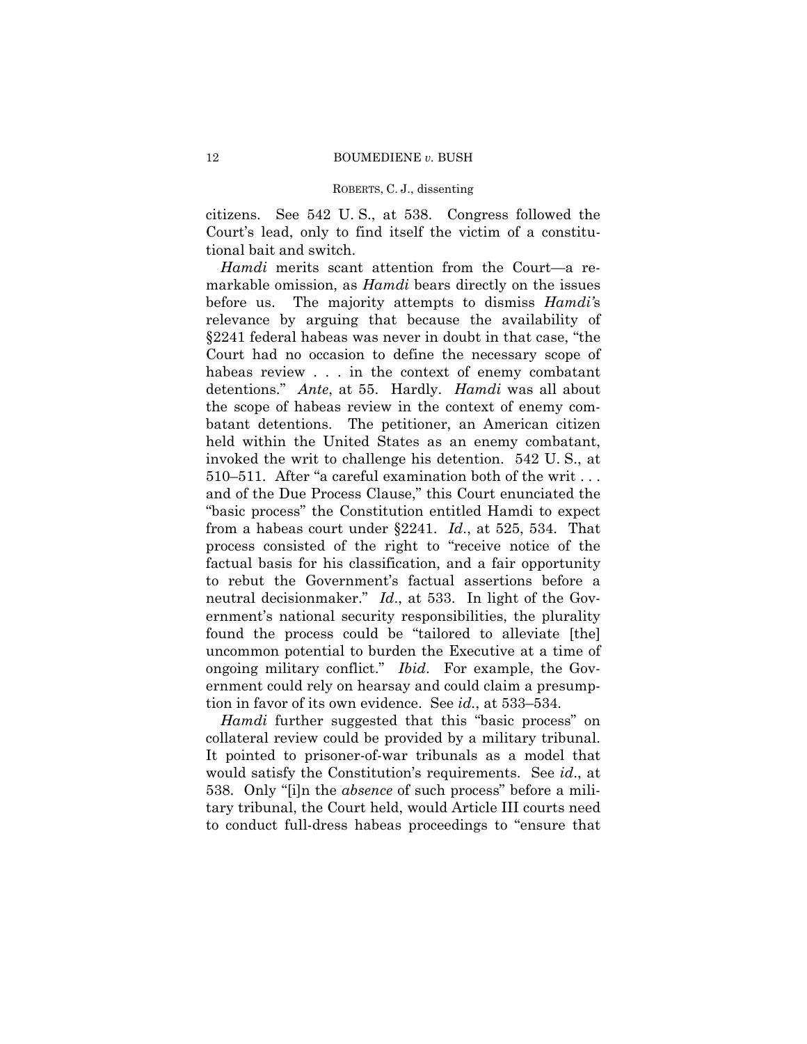citizens. See 542 U. S., at 538. Congress followed the Court's lead, only to find itself the victim of a constitutional bait and switch.

 detentions." *Ante*, at 55. Hardly. *Hamdi* was all about from a habeas court under §2241. *Id*., at 525, 534. That *Hamdi* merits scant attention from the Court—a remarkable omission, as *Hamdi* bears directly on the issues before us. The majority attempts to dismiss *Hamdi'*s relevance by arguing that because the availability of §2241 federal habeas was never in doubt in that case, "the Court had no occasion to define the necessary scope of habeas review . . . in the context of enemy combatant the scope of habeas review in the context of enemy combatant detentions. The petitioner, an American citizen held within the United States as an enemy combatant, invoked the writ to challenge his detention. 542 U. S., at 510–511. After "a careful examination both of the writ . . . and of the Due Process Clause," this Court enunciated the "basic process" the Constitution entitled Hamdi to expect process consisted of the right to "receive notice of the factual basis for his classification, and a fair opportunity to rebut the Government's factual assertions before a neutral decisionmaker." *Id*., at 533. In light of the Government's national security responsibilities, the plurality found the process could be "tailored to alleviate [the] uncommon potential to burden the Executive at a time of ongoing military conflict." *Ibid*. For example, the Government could rely on hearsay and could claim a presumption in favor of its own evidence. See *id.*, at 533–534*.*

 *Hamdi* further suggested that this "basic process" on collateral review could be provided by a military tribunal. It pointed to prisoner-of-war tribunals as a model that would satisfy the Constitution's requirements. See *id*., at 538. Only "[i]n the *absence* of such process" before a military tribunal, the Court held, would Article III courts need to conduct full-dress habeas proceedings to "ensure that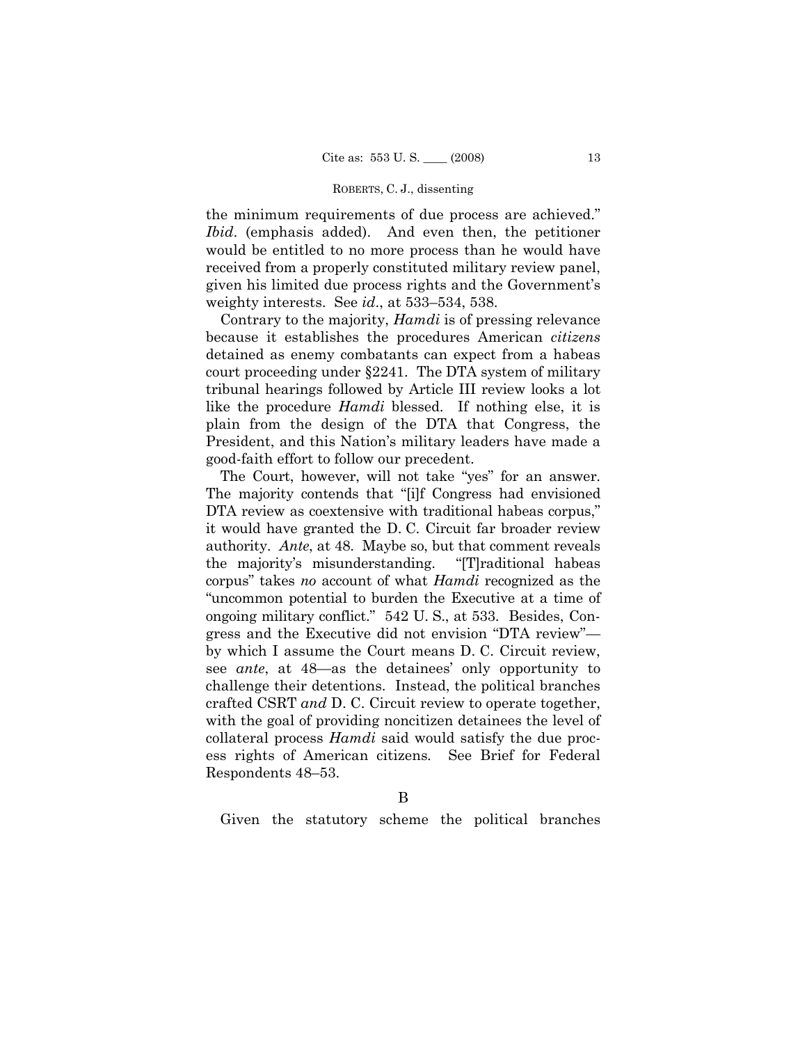the minimum requirements of due process are achieved." *Ibid*. (emphasis added). And even then, the petitioner would be entitled to no more process than he would have received from a properly constituted military review panel, given his limited due process rights and the Government's weighty interests. See *id*., at 533–534, 538.

 court proceeding under §2241. The DTA system of military Contrary to the majority, *Hamdi* is of pressing relevance because it establishes the procedures American *citizens*  detained as enemy combatants can expect from a habeas tribunal hearings followed by Article III review looks a lot like the procedure *Hamdi* blessed. If nothing else, it is plain from the design of the DTA that Congress, the President, and this Nation's military leaders have made a good-faith effort to follow our precedent.

 authority. *Ante*, at 48. Maybe so, but that comment reveals ongoing military conflict." 542 U. S., at 533. Besides, Con-The Court, however, will not take "yes" for an answer. The majority contends that "[i]f Congress had envisioned DTA review as coextensive with traditional habeas corpus," it would have granted the D. C. Circuit far broader review the majority's misunderstanding. "[T]raditional habeas corpus" takes *no* account of what *Hamdi* recognized as the "uncommon potential to burden the Executive at a time of gress and the Executive did not envision "DTA review" by which I assume the Court means D. C. Circuit review, see *ante*, at 48—as the detainees' only opportunity to challenge their detentions. Instead, the political branches crafted CSRT *and* D. C. Circuit review to operate together, with the goal of providing noncitizen detainees the level of collateral process *Hamdi* said would satisfy the due process rights of American citizens*.* See Brief for Federal Respondents 48–53.

Given the statutory scheme the political branches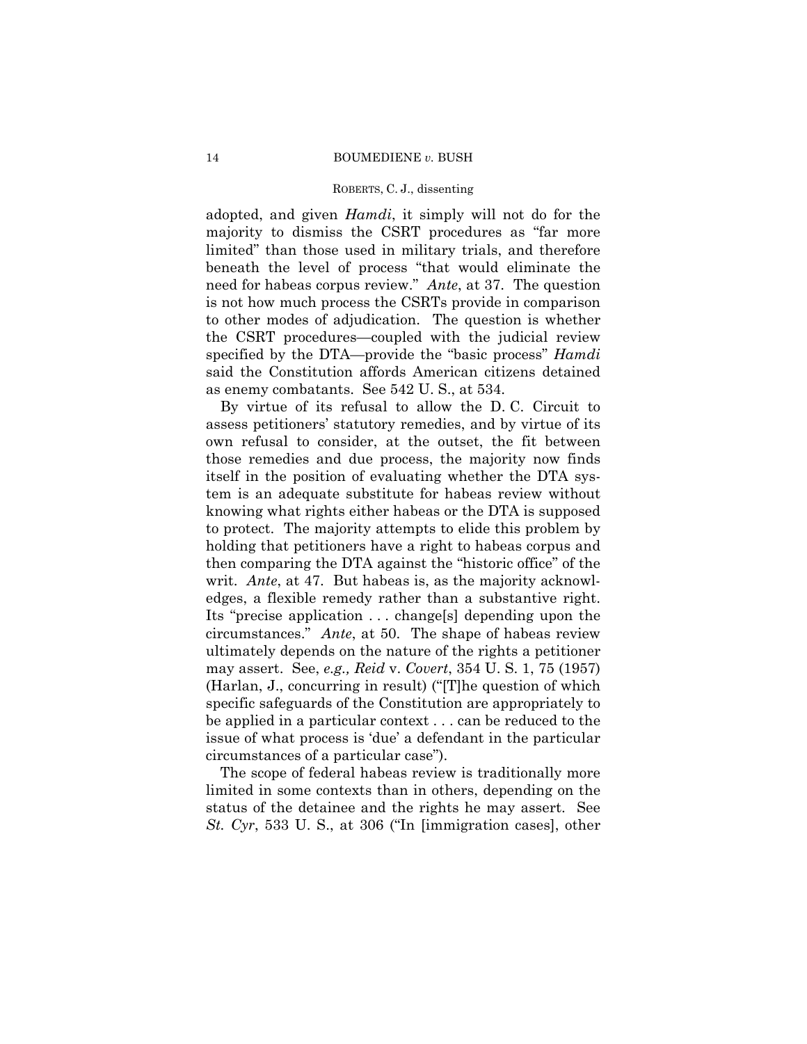adopted, and given *Hamdi*, it simply will not do for the majority to dismiss the CSRT procedures as "far more limited" than those used in military trials, and therefore beneath the level of process "that would eliminate the need for habeas corpus review." *Ante*, at 37. The question is not how much process the CSRTs provide in comparison to other modes of adjudication. The question is whether the CSRT procedures—coupled with the judicial review specified by the DTA—provide the "basic process" *Hamdi*  said the Constitution affords American citizens detained as enemy combatants. See 542 U. S., at 534.

 By virtue of its refusal to allow the D. C. Circuit to assess petitioners' statutory remedies, and by virtue of its own refusal to consider, at the outset, the fit between those remedies and due process, the majority now finds itself in the position of evaluating whether the DTA system is an adequate substitute for habeas review without knowing what rights either habeas or the DTA is supposed to protect. The majority attempts to elide this problem by holding that petitioners have a right to habeas corpus and then comparing the DTA against the "historic office" of the writ. *Ante*, at 47. But habeas is, as the majority acknowledges, a flexible remedy rather than a substantive right. Its "precise application . . . change[s] depending upon the circumstances." *Ante*, at 50. The shape of habeas review ultimately depends on the nature of the rights a petitioner may assert. See, *e.g., Reid* v. *Covert*, 354 U. S. 1, 75 (1957) (Harlan, J., concurring in result) ("[T]he question of which specific safeguards of the Constitution are appropriately to be applied in a particular context . . . can be reduced to the issue of what process is 'due' a defendant in the particular circumstances of a particular case").

The scope of federal habeas review is traditionally more limited in some contexts than in others, depending on the status of the detainee and the rights he may assert. See *St. Cyr*, 533 U. S., at 306 ("In [immigration cases], other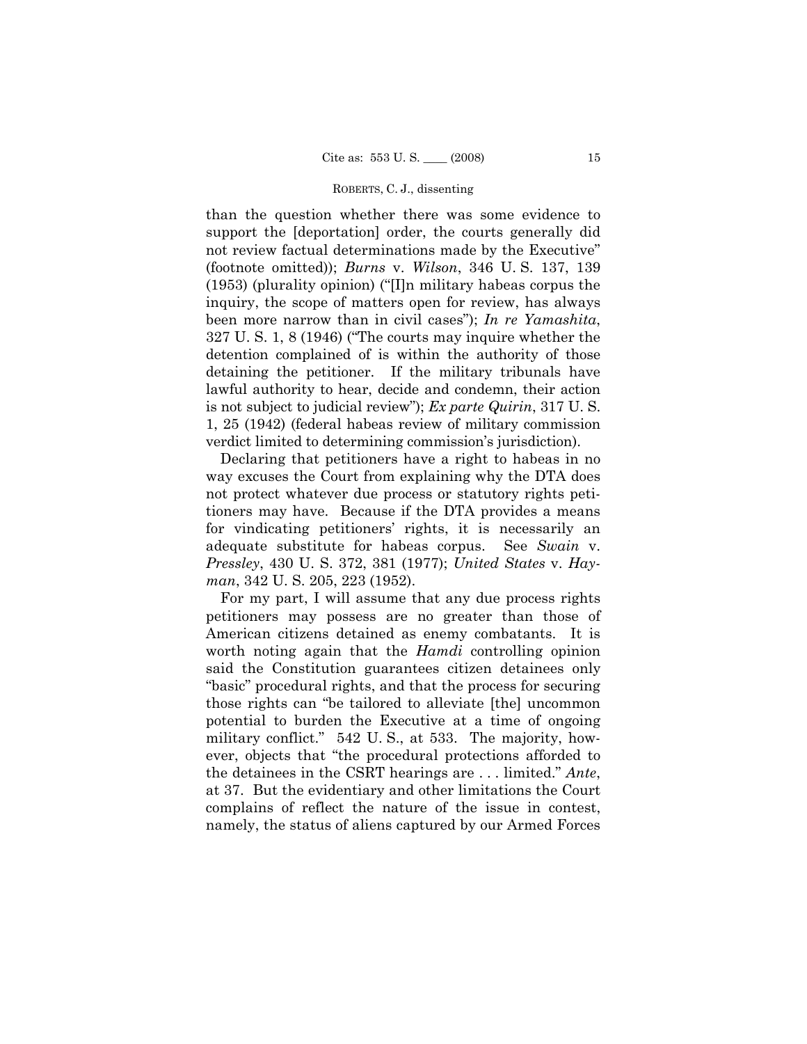lawful authority to hear, decide and condemn, their action than the question whether there was some evidence to support the [deportation] order, the courts generally did not review factual determinations made by the Executive" (footnote omitted)); *Burns* v. *Wilson*, 346 U. S. 137, 139 (1953) (plurality opinion) ("[I]n military habeas corpus the inquiry, the scope of matters open for review, has always been more narrow than in civil cases"); *In re Yamashita*, 327 U. S. 1, 8 (1946) ("The courts may inquire whether the detention complained of is within the authority of those detaining the petitioner. If the military tribunals have is not subject to judicial review"); *Ex parte Quirin*, 317 U. S. 1, 25 (1942) (federal habeas review of military commission verdict limited to determining commission's jurisdiction).

Declaring that petitioners have a right to habeas in no way excuses the Court from explaining why the DTA does not protect whatever due process or statutory rights petitioners may have. Because if the DTA provides a means for vindicating petitioners' rights, it is necessarily an adequate substitute for habeas corpus. See *Swain* v. *Pressley*, 430 U. S. 372, 381 (1977); *United States* v. *Hayman*, 342 U. S. 205, 223 (1952).

For my part, I will assume that any due process rights petitioners may possess are no greater than those of American citizens detained as enemy combatants. It is worth noting again that the *Hamdi* controlling opinion said the Constitution guarantees citizen detainees only "basic" procedural rights, and that the process for securing those rights can "be tailored to alleviate [the] uncommon potential to burden the Executive at a time of ongoing military conflict." 542 U. S., at 533. The majority, however, objects that "the procedural protections afforded to the detainees in the CSRT hearings are . . . limited." *Ante*, at 37. But the evidentiary and other limitations the Court complains of reflect the nature of the issue in contest, namely, the status of aliens captured by our Armed Forces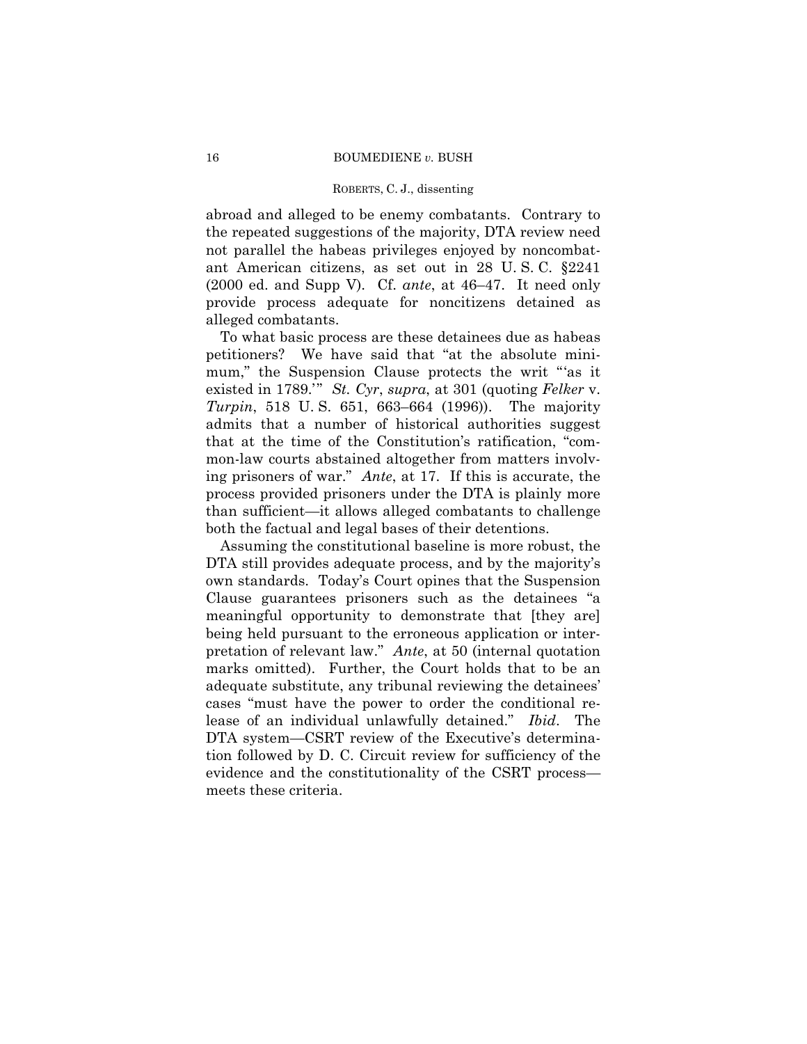abroad and alleged to be enemy combatants. Contrary to the repeated suggestions of the majority, DTA review need not parallel the habeas privileges enjoyed by noncombatant American citizens, as set out in 28 U. S. C. §2241 (2000 ed. and Supp V). Cf. *ante*, at 46–47. It need only provide process adequate for noncitizens detained as alleged combatants.

To what basic process are these detainees due as habeas petitioners? We have said that "at the absolute minimum," the Suspension Clause protects the writ "'as it existed in 1789.'" *St. Cyr*, *supra*, at 301 (quoting *Felker* v. *Turpin*, 518 U. S. 651, 663–664 (1996)). The majority admits that a number of historical authorities suggest that at the time of the Constitution's ratification, "common-law courts abstained altogether from matters involving prisoners of war." *Ante*, at 17. If this is accurate, the process provided prisoners under the DTA is plainly more than sufficient—it allows alleged combatants to challenge both the factual and legal bases of their detentions.

Assuming the constitutional baseline is more robust, the DTA still provides adequate process, and by the majority's own standards. Today's Court opines that the Suspension Clause guarantees prisoners such as the detainees "a meaningful opportunity to demonstrate that [they are] being held pursuant to the erroneous application or interpretation of relevant law." *Ante*, at 50 (internal quotation marks omitted). Further, the Court holds that to be an adequate substitute, any tribunal reviewing the detainees' cases "must have the power to order the conditional release of an individual unlawfully detained." *Ibid*. The DTA system—CSRT review of the Executive's determination followed by D. C. Circuit review for sufficiency of the evidence and the constitutionality of the CSRT process meets these criteria.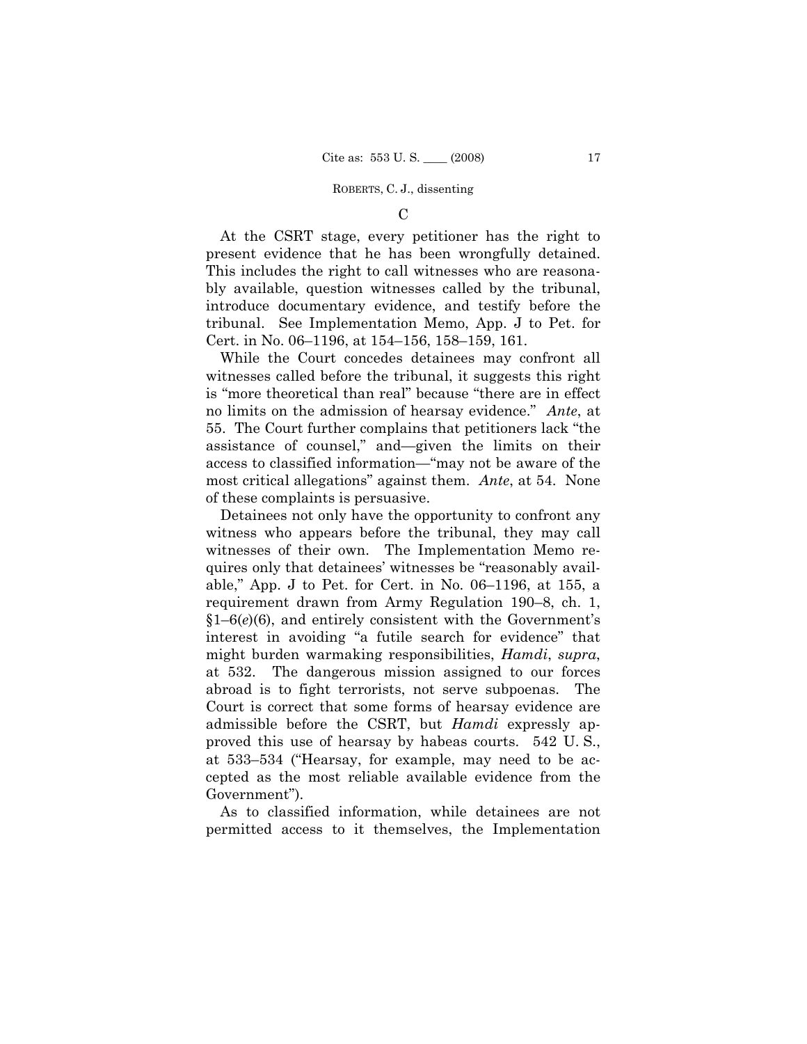$\mathcal{C}$ 

At the CSRT stage, every petitioner has the right to present evidence that he has been wrongfully detained. This includes the right to call witnesses who are reasonably available, question witnesses called by the tribunal, introduce documentary evidence, and testify before the tribunal. See Implementation Memo, App. J to Pet. for Cert. in No. 06–1196, at 154–156, 158–159, 161.

While the Court concedes detainees may confront all witnesses called before the tribunal, it suggests this right is "more theoretical than real" because "there are in effect no limits on the admission of hearsay evidence." *Ante*, at 55. The Court further complains that petitioners lack "the assistance of counsel," and—given the limits on their access to classified information—"may not be aware of the most critical allegations" against them. *Ante*, at 54. None of these complaints is persuasive.

Detainees not only have the opportunity to confront any witness who appears before the tribunal, they may call witnesses of their own. The Implementation Memo requires only that detainees' witnesses be "reasonably available," App. J to Pet. for Cert. in No. 06–1196, at 155, a requirement drawn from Army Regulation 190–8, ch. 1, §1–6(*e*)(6), and entirely consistent with the Government's interest in avoiding "a futile search for evidence" that might burden warmaking responsibilities, *Hamdi*, *supra*, at 532. The dangerous mission assigned to our forces abroad is to fight terrorists, not serve subpoenas. The Court is correct that some forms of hearsay evidence are admissible before the CSRT, but *Hamdi* expressly approved this use of hearsay by habeas courts. 542 U. S., at 533–534 ("Hearsay, for example, may need to be accepted as the most reliable available evidence from the Government").

As to classified information, while detainees are not permitted access to it themselves, the Implementation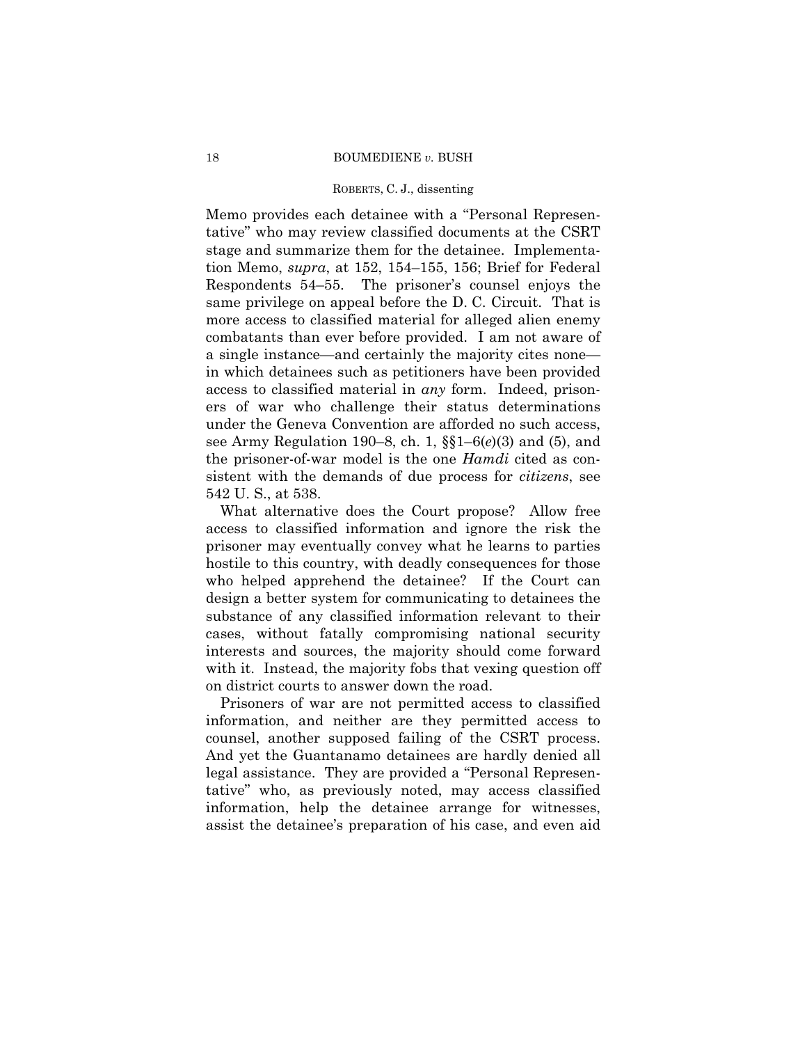Memo provides each detainee with a "Personal Representative" who may review classified documents at the CSRT stage and summarize them for the detainee. Implementation Memo, *supra*, at 152, 154–155, 156; Brief for Federal Respondents 54–55. The prisoner's counsel enjoys the same privilege on appeal before the D. C. Circuit. That is more access to classified material for alleged alien enemy combatants than ever before provided. I am not aware of a single instance—and certainly the majority cites none in which detainees such as petitioners have been provided access to classified material in *any* form. Indeed, prisoners of war who challenge their status determinations under the Geneva Convention are afforded no such access, see Army Regulation 190–8, ch. 1, §§1–6(*e*)(3) and (5), and the prisoner-of-war model is the one *Hamdi* cited as consistent with the demands of due process for *citizens*, see 542 U. S., at 538.

What alternative does the Court propose? Allow free access to classified information and ignore the risk the prisoner may eventually convey what he learns to parties hostile to this country, with deadly consequences for those who helped apprehend the detainee? If the Court can design a better system for communicating to detainees the substance of any classified information relevant to their cases, without fatally compromising national security interests and sources, the majority should come forward with it. Instead, the majority fobs that vexing question off on district courts to answer down the road.

Prisoners of war are not permitted access to classified information, and neither are they permitted access to counsel, another supposed failing of the CSRT process. And yet the Guantanamo detainees are hardly denied all legal assistance. They are provided a "Personal Representative" who, as previously noted, may access classified information, help the detainee arrange for witnesses, assist the detainee's preparation of his case, and even aid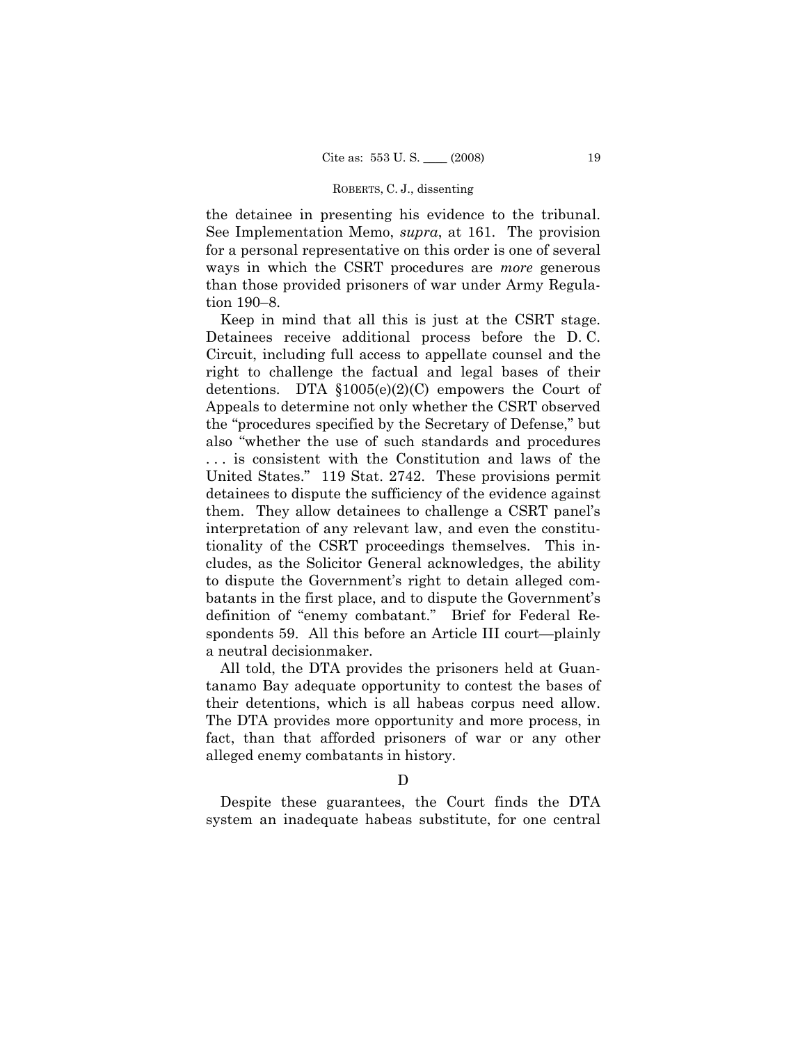the detainee in presenting his evidence to the tribunal. See Implementation Memo, *supra*, at 161. The provision for a personal representative on this order is one of several ways in which the CSRT procedures are *more* generous than those provided prisoners of war under Army Regulation 190–8.

Keep in mind that all this is just at the CSRT stage. Detainees receive additional process before the D. C. Circuit, including full access to appellate counsel and the right to challenge the factual and legal bases of their detentions. DTA  $$1005(e)(2)(C)$  empowers the Court of Appeals to determine not only whether the CSRT observed the "procedures specified by the Secretary of Defense," but also "whether the use of such standards and procedures . . . is consistent with the Constitution and laws of the United States." 119 Stat. 2742. These provisions permit detainees to dispute the sufficiency of the evidence against them. They allow detainees to challenge a CSRT panel's interpretation of any relevant law, and even the constitutionality of the CSRT proceedings themselves. This includes, as the Solicitor General acknowledges, the ability to dispute the Government's right to detain alleged combatants in the first place, and to dispute the Government's definition of "enemy combatant." Brief for Federal Respondents 59. All this before an Article III court—plainly a neutral decisionmaker.

All told, the DTA provides the prisoners held at Guantanamo Bay adequate opportunity to contest the bases of their detentions, which is all habeas corpus need allow. The DTA provides more opportunity and more process, in fact, than that afforded prisoners of war or any other alleged enemy combatants in history.

 $\mathbf D$ 

Despite these guarantees, the Court finds the DTA system an inadequate habeas substitute, for one central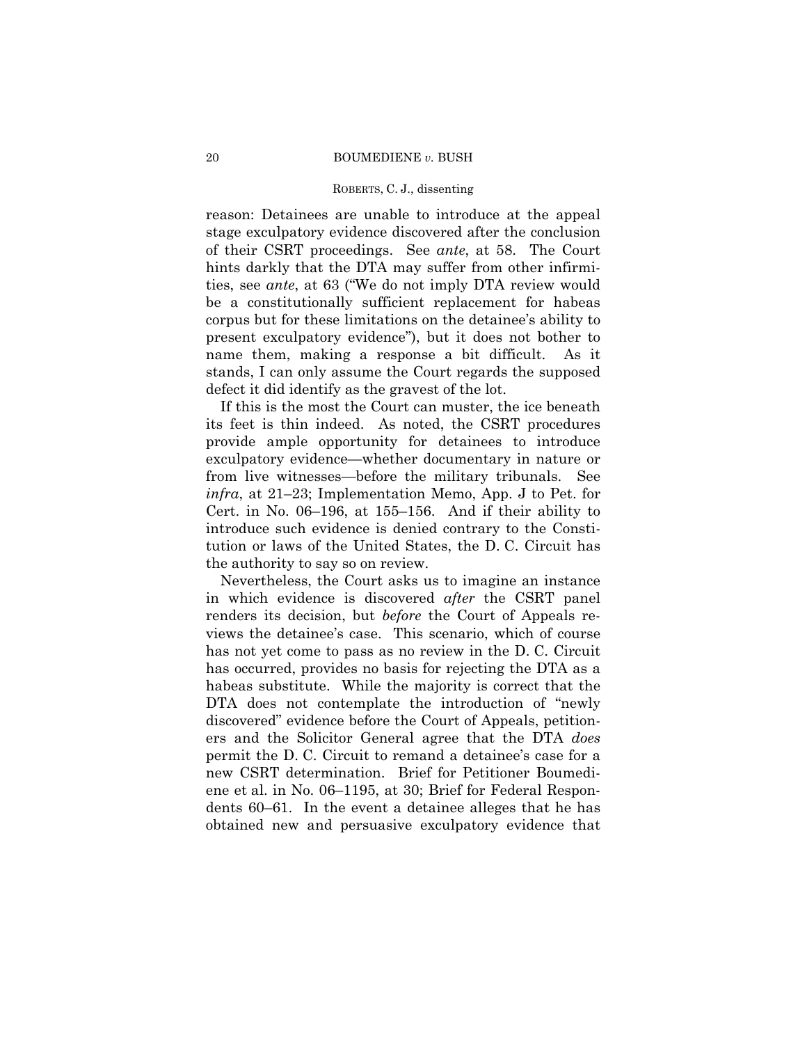#### ROBERTS, C. J., dissenting

reason: Detainees are unable to introduce at the appeal stage exculpatory evidence discovered after the conclusion of their CSRT proceedings. See *ante*, at 58. The Court hints darkly that the DTA may suffer from other infirmities, see *ante*, at 63 ("We do not imply DTA review would be a constitutionally sufficient replacement for habeas corpus but for these limitations on the detainee's ability to present exculpatory evidence"), but it does not bother to name them, making a response a bit difficult. As it stands, I can only assume the Court regards the supposed defect it did identify as the gravest of the lot.

If this is the most the Court can muster, the ice beneath its feet is thin indeed. As noted, the CSRT procedures provide ample opportunity for detainees to introduce exculpatory evidence—whether documentary in nature or from live witnesses—before the military tribunals. See *infra*, at 21–23; Implementation Memo, App. J to Pet. for Cert. in No. 06–196, at 155–156. And if their ability to introduce such evidence is denied contrary to the Constitution or laws of the United States, the D. C. Circuit has the authority to say so on review.

Nevertheless, the Court asks us to imagine an instance in which evidence is discovered *after* the CSRT panel renders its decision, but *before* the Court of Appeals reviews the detainee's case. This scenario, which of course has not yet come to pass as no review in the D. C. Circuit has occurred, provides no basis for rejecting the DTA as a habeas substitute. While the majority is correct that the DTA does not contemplate the introduction of "newly discovered" evidence before the Court of Appeals, petitioners and the Solicitor General agree that the DTA *does*  permit the D. C. Circuit to remand a detainee's case for a new CSRT determination. Brief for Petitioner Boumediene et al. in No. 06–1195, at 30; Brief for Federal Respondents 60–61. In the event a detainee alleges that he has obtained new and persuasive exculpatory evidence that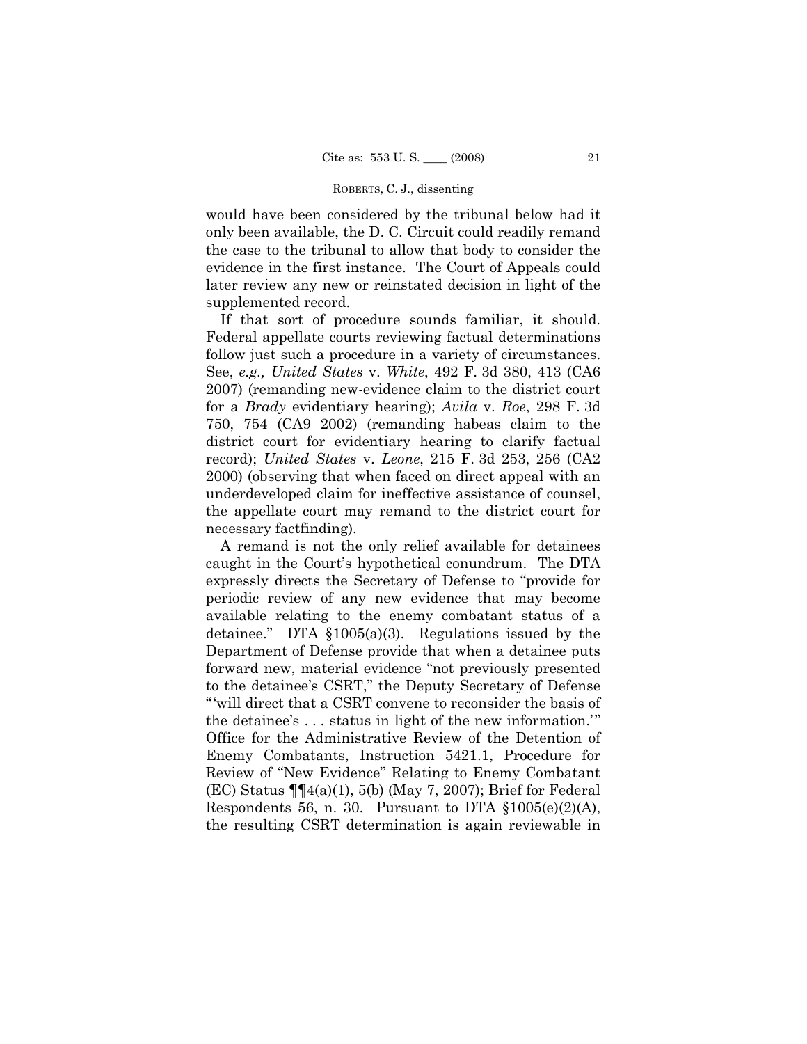would have been considered by the tribunal below had it only been available, the D. C. Circuit could readily remand the case to the tribunal to allow that body to consider the evidence in the first instance. The Court of Appeals could later review any new or reinstated decision in light of the supplemented record.

If that sort of procedure sounds familiar, it should. Federal appellate courts reviewing factual determinations follow just such a procedure in a variety of circumstances. See, *e.g., United States* v. *White*, 492 F. 3d 380, 413 (CA6 2007) (remanding new-evidence claim to the district court for a *Brady* evidentiary hearing); *Avila* v. *Roe*, 298 F. 3d 750, 754 (CA9 2002) (remanding habeas claim to the district court for evidentiary hearing to clarify factual record); *United States* v. *Leone*, 215 F. 3d 253, 256 (CA2 2000) (observing that when faced on direct appeal with an underdeveloped claim for ineffective assistance of counsel, the appellate court may remand to the district court for necessary factfinding).

A remand is not the only relief available for detainees caught in the Court's hypothetical conundrum. The DTA expressly directs the Secretary of Defense to "provide for periodic review of any new evidence that may become available relating to the enemy combatant status of a detainee." DTA §1005(a)(3). Regulations issued by the Department of Defense provide that when a detainee puts forward new, material evidence "not previously presented to the detainee's CSRT," the Deputy Secretary of Defense "'will direct that a CSRT convene to reconsider the basis of the detainee's . . . status in light of the new information.'" Office for the Administrative Review of the Detention of Enemy Combatants, Instruction 5421.1, Procedure for Review of "New Evidence" Relating to Enemy Combatant (EC) Status  $\P\P(4(a)(1), 5(b)$  (May 7, 2007); Brief for Federal Respondents 56, n. 30. Pursuant to DTA  $$1005(e)(2)(A),$ the resulting CSRT determination is again reviewable in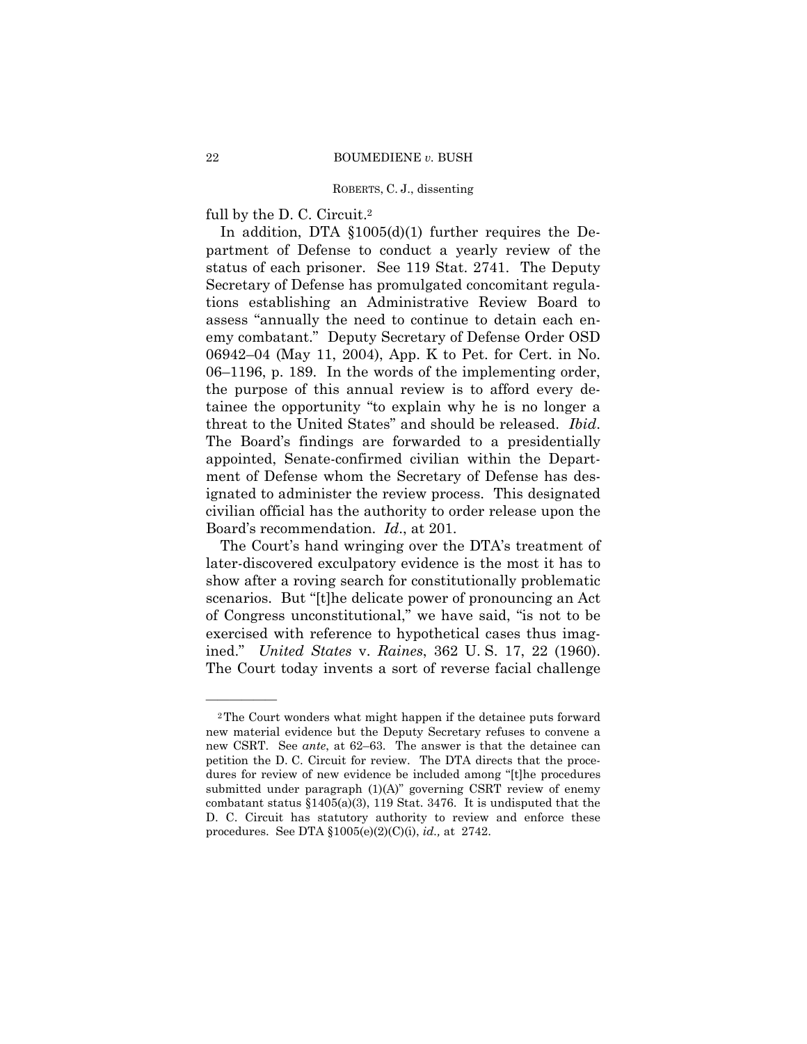full by the D. C. Circuit.<sup>2</sup>

In addition, DTA §1005(d)(1) further requires the Department of Defense to conduct a yearly review of the status of each prisoner. See 119 Stat. 2741. The Deputy Secretary of Defense has promulgated concomitant regulations establishing an Administrative Review Board to assess "annually the need to continue to detain each enemy combatant." Deputy Secretary of Defense Order OSD 06942–04 (May 11, 2004), App. K to Pet. for Cert. in No. 06–1196, p. 189. In the words of the implementing order, the purpose of this annual review is to afford every detainee the opportunity "to explain why he is no longer a threat to the United States" and should be released. *Ibid*. The Board's findings are forwarded to a presidentially appointed, Senate-confirmed civilian within the Department of Defense whom the Secretary of Defense has designated to administer the review process. This designated civilian official has the authority to order release upon the Board's recommendation. *Id*., at 201.

The Court's hand wringing over the DTA's treatment of later-discovered exculpatory evidence is the most it has to show after a roving search for constitutionally problematic scenarios. But "[t]he delicate power of pronouncing an Act of Congress unconstitutional," we have said, "is not to be exercised with reference to hypothetical cases thus imagined." *United States* v. *Raines*, 362 U. S. 17, 22 (1960). The Court today invents a sort of reverse facial challenge

——————

 petition the D. C. Circuit for review. The DTA directs that the proce-2The Court wonders what might happen if the detainee puts forward new material evidence but the Deputy Secretary refuses to convene a new CSRT. See *ante*, at 62–63. The answer is that the detainee can dures for review of new evidence be included among "[t]he procedures submitted under paragraph (1)(A)" governing CSRT review of enemy combatant status §1405(a)(3), 119 Stat. 3476. It is undisputed that the D. C. Circuit has statutory authority to review and enforce these procedures. See DTA §1005(e)(2)(C)(i), *id.,* at 2742.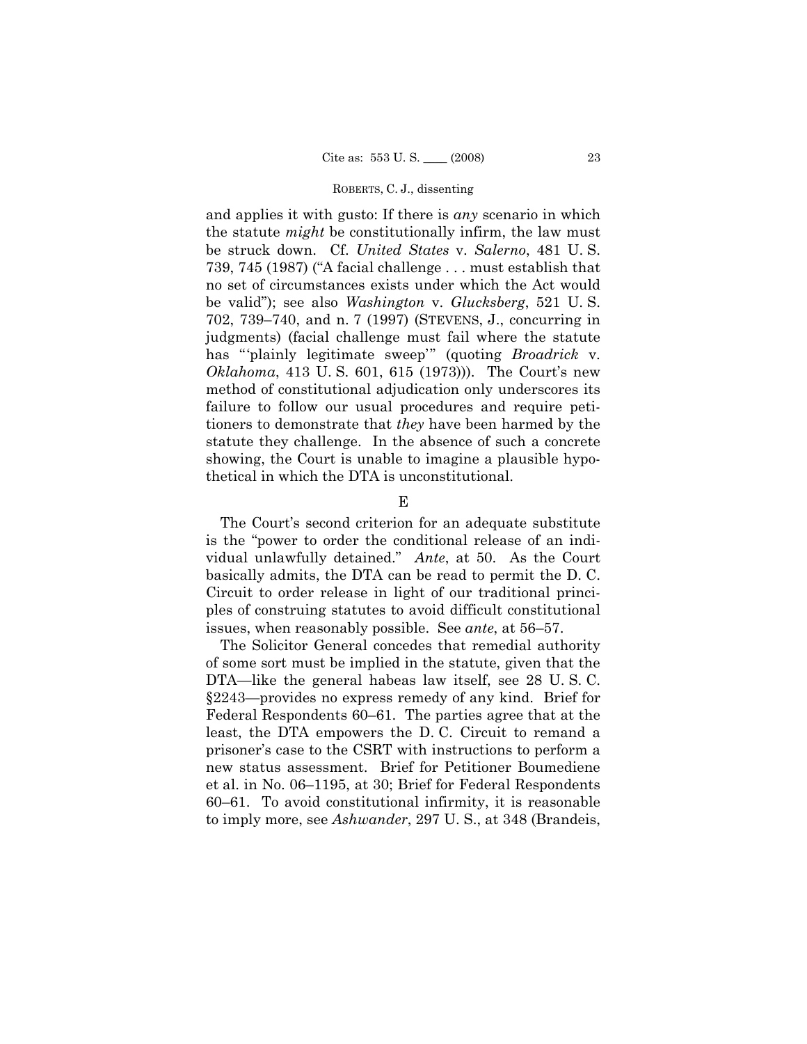and applies it with gusto: If there is *any* scenario in which the statute *might* be constitutionally infirm, the law must be struck down. Cf. *United States* v. *Salerno*, 481 U. S. 739, 745 (1987) ("A facial challenge . . . must establish that no set of circumstances exists under which the Act would be valid"); see also *Washington* v. *Glucksberg*, 521 U. S. 702, 739–740, and n. 7 (1997) (STEVENS, J., concurring in judgments) (facial challenge must fail where the statute has "'plainly legitimate sweep'" (quoting *Broadrick* v. *Oklahoma*, 413 U. S. 601, 615 (1973))). The Court's new method of constitutional adjudication only underscores its failure to follow our usual procedures and require petitioners to demonstrate that *they* have been harmed by the statute they challenge. In the absence of such a concrete showing, the Court is unable to imagine a plausible hypothetical in which the DTA is unconstitutional.

E

The Court's second criterion for an adequate substitute is the "power to order the conditional release of an individual unlawfully detained." *Ante*, at 50. As the Court basically admits, the DTA can be read to permit the D. C. Circuit to order release in light of our traditional principles of construing statutes to avoid difficult constitutional issues, when reasonably possible. See *ante*, at 56–57.

The Solicitor General concedes that remedial authority of some sort must be implied in the statute, given that the DTA—like the general habeas law itself, see 28 U. S. C. §2243—provides no express remedy of any kind. Brief for Federal Respondents 60–61. The parties agree that at the least, the DTA empowers the D. C. Circuit to remand a prisoner's case to the CSRT with instructions to perform a new status assessment. Brief for Petitioner Boumediene et al. in No. 06–1195, at 30; Brief for Federal Respondents 60–61. To avoid constitutional infirmity, it is reasonable to imply more, see *Ashwander*, 297 U. S., at 348 (Brandeis,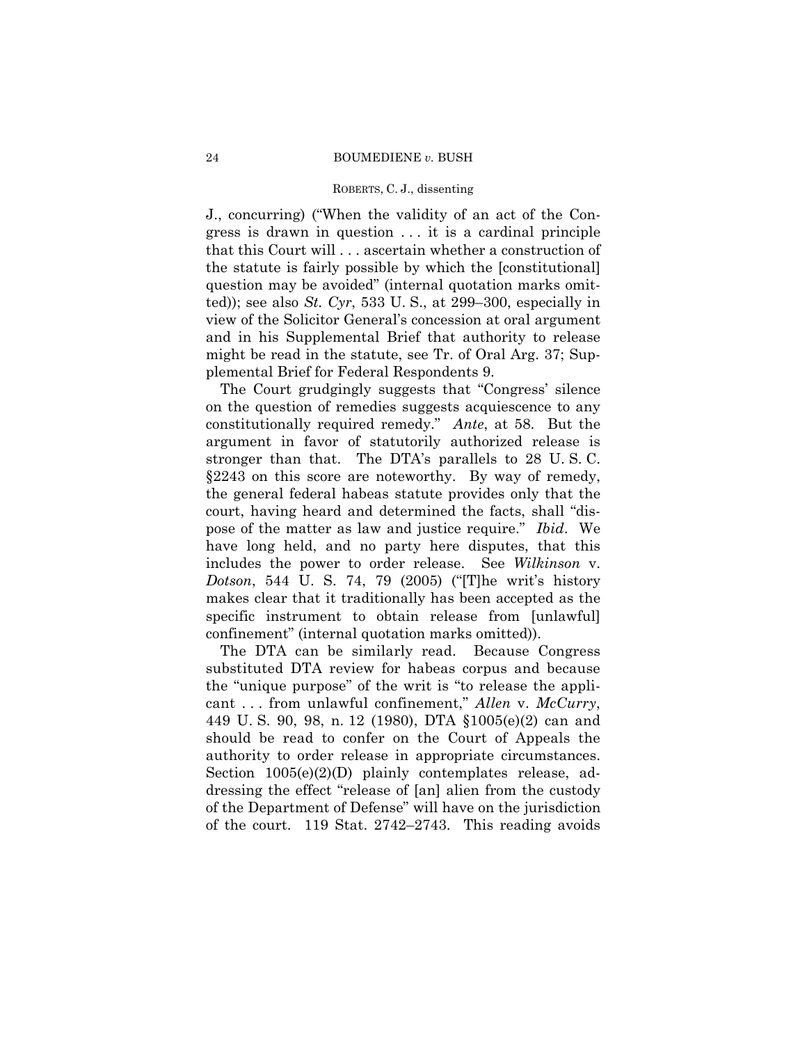### ROBERTS, C. J., dissenting

J., concurring) ("When the validity of an act of the Congress is drawn in question . . . it is a cardinal principle that this Court will . . . ascertain whether a construction of the statute is fairly possible by which the [constitutional] question may be avoided" (internal quotation marks omitted)); see also *St. Cyr*, 533 U. S., at 299–300, especially in view of the Solicitor General's concession at oral argument and in his Supplemental Brief that authority to release might be read in the statute, see Tr. of Oral Arg. 37; Supplemental Brief for Federal Respondents 9.

The Court grudgingly suggests that "Congress' silence on the question of remedies suggests acquiescence to any constitutionally required remedy." *Ante*, at 58. But the argument in favor of statutorily authorized release is stronger than that. The DTA's parallels to 28 U. S. C. §2243 on this score are noteworthy. By way of remedy, the general federal habeas statute provides only that the court, having heard and determined the facts, shall "dispose of the matter as law and justice require." *Ibid*. We have long held, and no party here disputes, that this includes the power to order release. See *Wilkinson* v. *Dotson*, 544 U. S. 74, 79 (2005) ("[T]he writ's history makes clear that it traditionally has been accepted as the specific instrument to obtain release from [unlawful] confinement" (internal quotation marks omitted)).

The DTA can be similarly read. Because Congress substituted DTA review for habeas corpus and because the "unique purpose" of the writ is "to release the applicant . . . from unlawful confinement," *Allen* v. *McCurry*, 449 U. S. 90, 98, n. 12 (1980), DTA §1005(e)(2) can and should be read to confer on the Court of Appeals the authority to order release in appropriate circumstances. Section  $1005(e)(2)(D)$  plainly contemplates release, addressing the effect "release of [an] alien from the custody of the Department of Defense" will have on the jurisdiction of the court. 119 Stat. 2742–2743. This reading avoids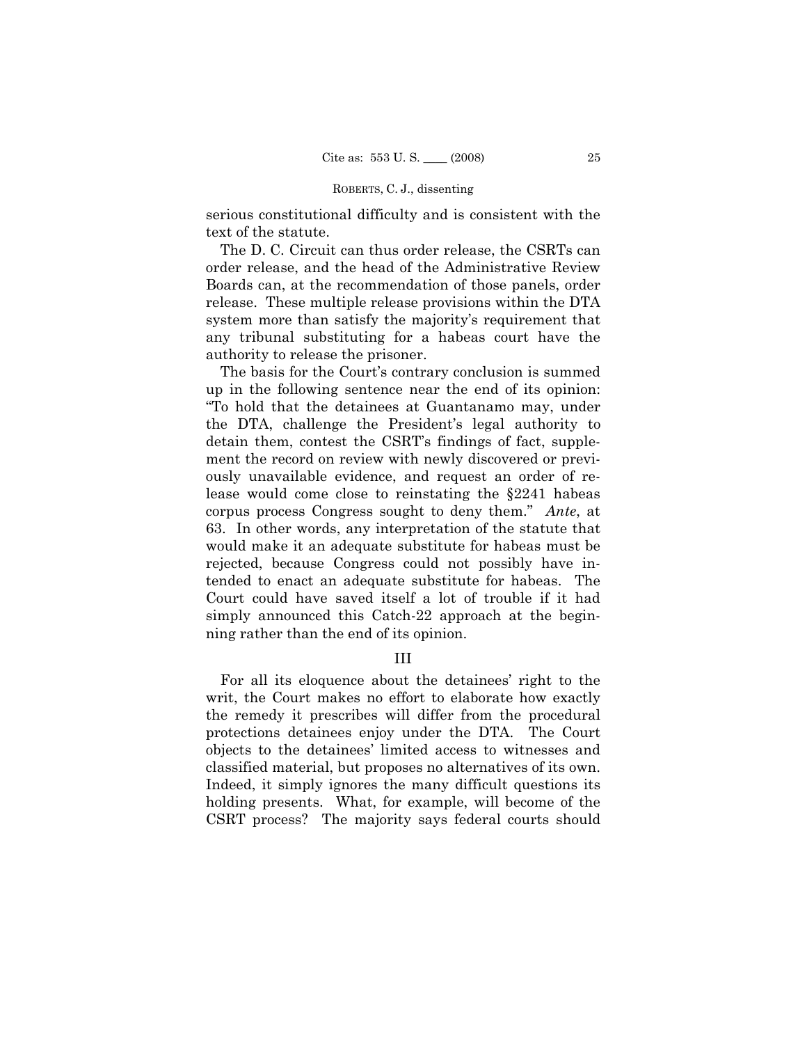serious constitutional difficulty and is consistent with the text of the statute.

The D. C. Circuit can thus order release, the CSRTs can order release, and the head of the Administrative Review Boards can, at the recommendation of those panels, order release. These multiple release provisions within the DTA system more than satisfy the majority's requirement that any tribunal substituting for a habeas court have the authority to release the prisoner.

The basis for the Court's contrary conclusion is summed up in the following sentence near the end of its opinion: "To hold that the detainees at Guantanamo may, under the DTA, challenge the President's legal authority to detain them, contest the CSRT's findings of fact, supplement the record on review with newly discovered or previously unavailable evidence, and request an order of release would come close to reinstating the §2241 habeas corpus process Congress sought to deny them." *Ante*, at 63. In other words, any interpretation of the statute that would make it an adequate substitute for habeas must be rejected, because Congress could not possibly have intended to enact an adequate substitute for habeas. The Court could have saved itself a lot of trouble if it had simply announced this Catch-22 approach at the beginning rather than the end of its opinion.

# III

For all its eloquence about the detainees' right to the writ, the Court makes no effort to elaborate how exactly the remedy it prescribes will differ from the procedural protections detainees enjoy under the DTA. The Court objects to the detainees' limited access to witnesses and classified material, but proposes no alternatives of its own. Indeed, it simply ignores the many difficult questions its holding presents. What, for example, will become of the CSRT process? The majority says federal courts should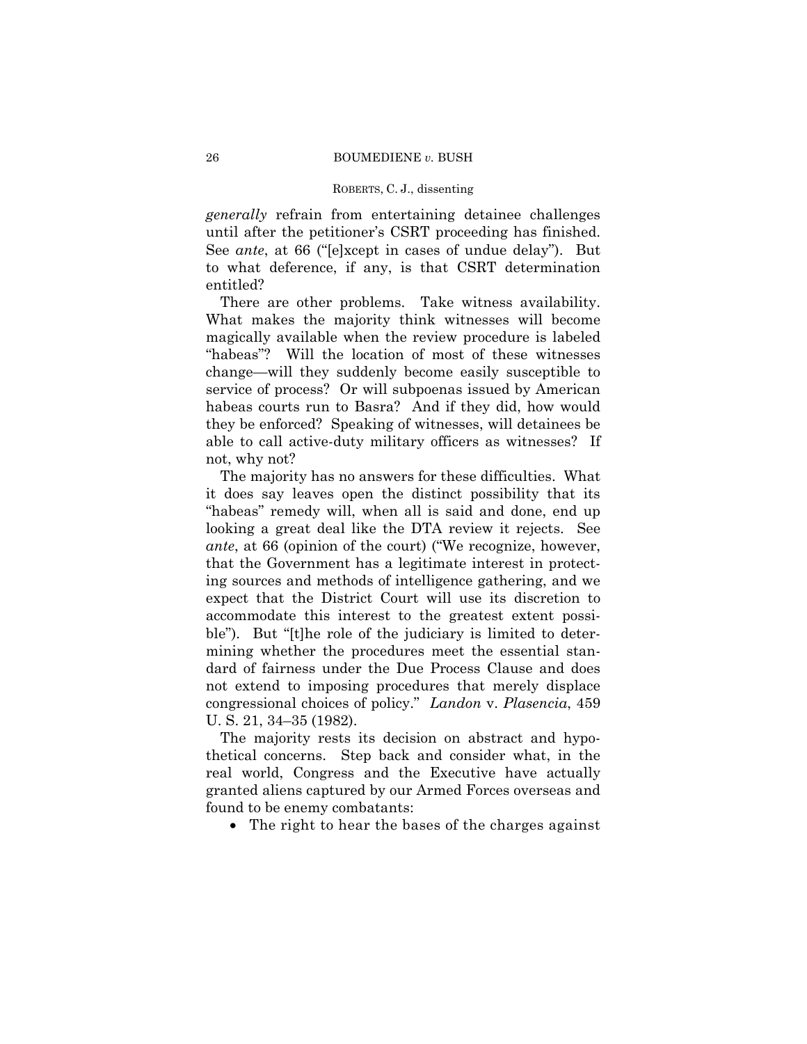*generally* refrain from entertaining detainee challenges until after the petitioner's CSRT proceeding has finished. See *ante*, at 66 ("[e]xcept in cases of undue delay"). But to what deference, if any, is that CSRT determination entitled?

There are other problems. Take witness availability. What makes the majority think witnesses will become magically available when the review procedure is labeled "habeas"? Will the location of most of these witnesses change—will they suddenly become easily susceptible to service of process? Or will subpoenas issued by American habeas courts run to Basra? And if they did, how would they be enforced? Speaking of witnesses, will detainees be able to call active-duty military officers as witnesses? If not, why not?

The majority has no answers for these difficulties. What it does say leaves open the distinct possibility that its "habeas" remedy will, when all is said and done, end up looking a great deal like the DTA review it rejects. See *ante*, at 66 (opinion of the court) ("We recognize, however, that the Government has a legitimate interest in protecting sources and methods of intelligence gathering, and we expect that the District Court will use its discretion to accommodate this interest to the greatest extent possible"). But "[t]he role of the judiciary is limited to determining whether the procedures meet the essential standard of fairness under the Due Process Clause and does not extend to imposing procedures that merely displace congressional choices of policy." *Landon* v. *Plasencia*, 459 U. S. 21, 34–35 (1982).

The majority rests its decision on abstract and hypothetical concerns. Step back and consider what, in the real world, Congress and the Executive have actually granted aliens captured by our Armed Forces overseas and found to be enemy combatants:

• The right to hear the bases of the charges against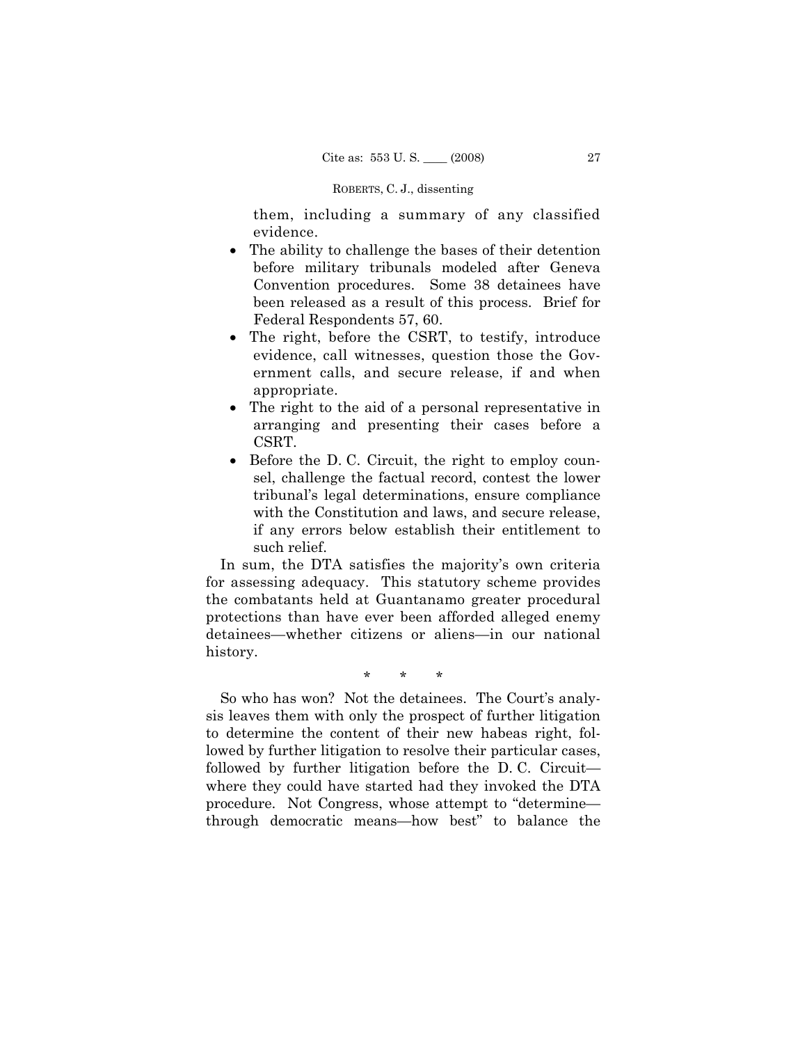them, including a summary of any classified evidence.

- The ability to challenge the bases of their detention before military tribunals modeled after Geneva Convention procedures. Some 38 detainees have been released as a result of this process. Brief for Federal Respondents 57, 60.
- • The right, before the CSRT, to testify, introduce evidence, call witnesses, question those the Government calls, and secure release, if and when appropriate.
- The right to the aid of a personal representative in arranging and presenting their cases before a CSRT.
- • Before the D. C. Circuit, the right to employ counsel, challenge the factual record, contest the lower tribunal's legal determinations, ensure compliance with the Constitution and laws, and secure release, if any errors below establish their entitlement to such relief.

In sum, the DTA satisfies the majority's own criteria for assessing adequacy. This statutory scheme provides the combatants held at Guantanamo greater procedural protections than have ever been afforded alleged enemy detainees—whether citizens or aliens—in our national history.

\* \* \*

So who has won? Not the detainees. The Court's analysis leaves them with only the prospect of further litigation to determine the content of their new habeas right, followed by further litigation to resolve their particular cases, followed by further litigation before the D. C. Circuit where they could have started had they invoked the DTA procedure. Not Congress, whose attempt to "determine through democratic means—how best" to balance the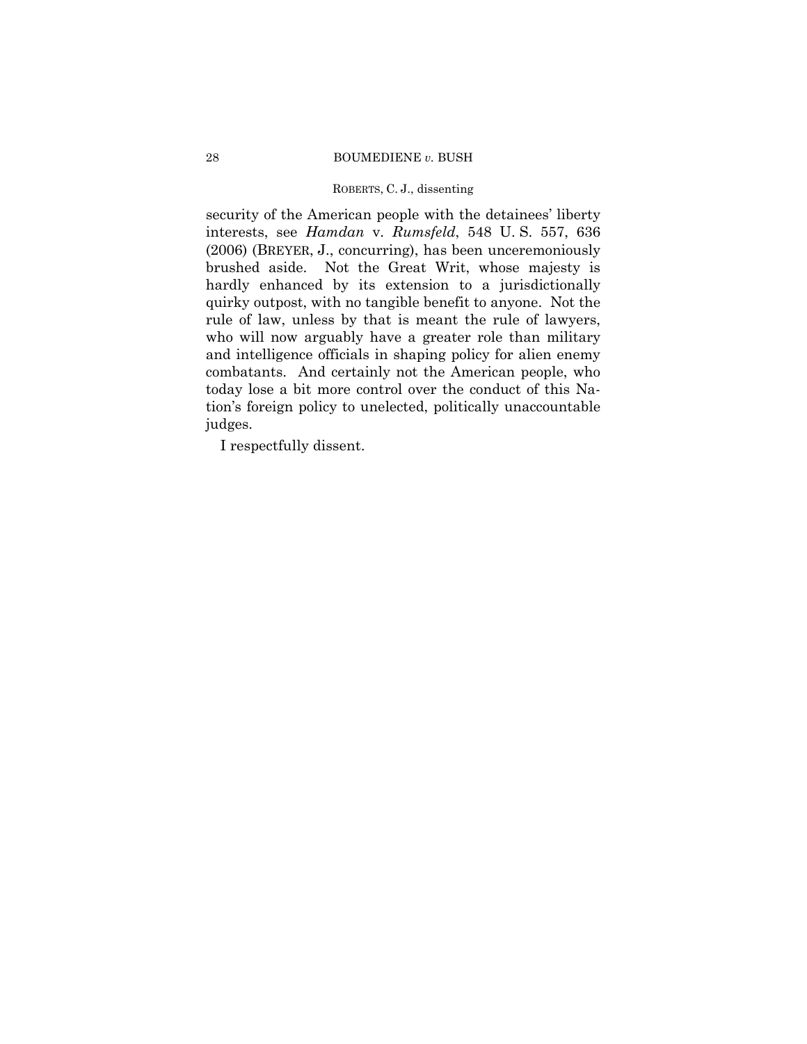#### ROBERTS, C. J., dissenting

security of the American people with the detainees' liberty interests, see *Hamdan* v. *Rumsfeld*, 548 U. S. 557, 636 (2006) (BREYER, J., concurring), has been unceremoniously brushed aside. Not the Great Writ, whose majesty is hardly enhanced by its extension to a jurisdictionally quirky outpost, with no tangible benefit to anyone. Not the rule of law, unless by that is meant the rule of lawyers, who will now arguably have a greater role than military and intelligence officials in shaping policy for alien enemy combatants. And certainly not the American people, who today lose a bit more control over the conduct of this Nation's foreign policy to unelected, politically unaccountable judges.

I respectfully dissent.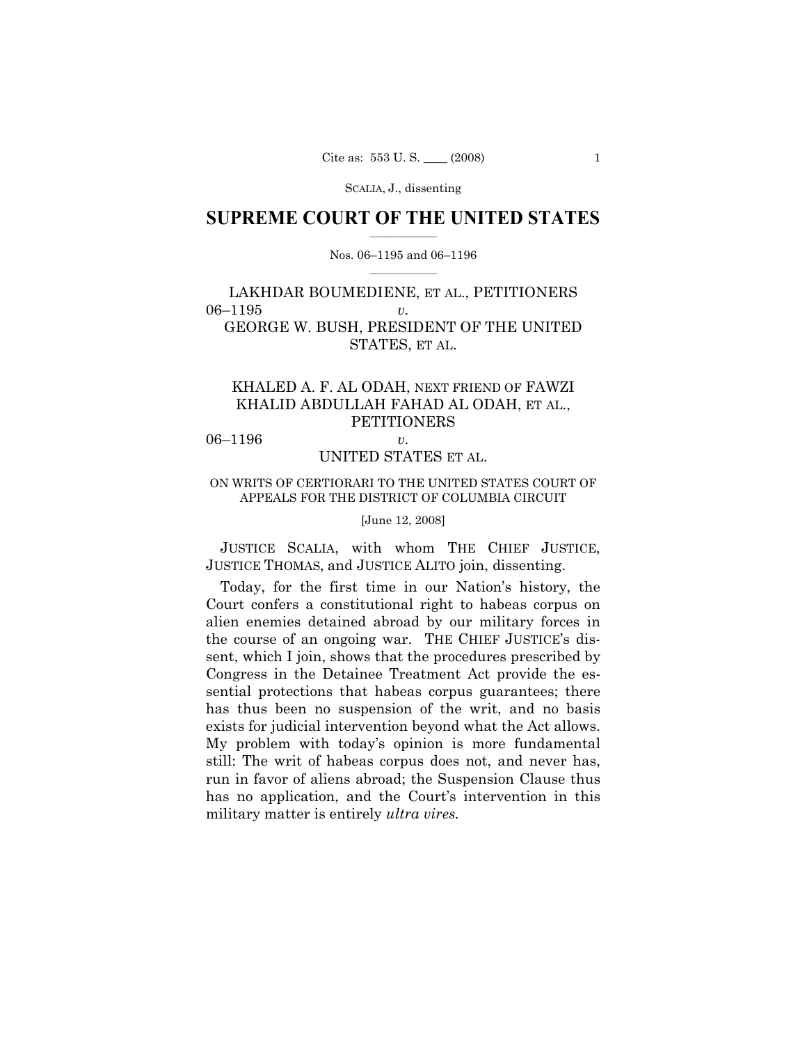# $\frac{1}{2}$  ,  $\frac{1}{2}$  ,  $\frac{1}{2}$  ,  $\frac{1}{2}$  ,  $\frac{1}{2}$  ,  $\frac{1}{2}$  ,  $\frac{1}{2}$ **SUPREME COURT OF THE UNITED STATES**

# $\frac{1}{2}$  ,  $\frac{1}{2}$  ,  $\frac{1}{2}$  ,  $\frac{1}{2}$  ,  $\frac{1}{2}$  ,  $\frac{1}{2}$ Nos. 06–1195 and 06–1196

# LAKHDAR BOUMEDIENE, ET AL., PETITIONERS 06–1195 *v.*  GEORGE W. BUSH, PRESIDENT OF THE UNITED STATES, ET AL.

# KHALED A. F. AL ODAH, NEXT FRIEND OF FAWZI KHALID ABDULLAH FAHAD AL ODAH, ET AL., **PETITIONERS**

# 06–1196 *v.*  UNITED STATES ET AL.

# ON WRITS OF CERTIORARI TO THE UNITED STATES COURT OF APPEALS FOR THE DISTRICT OF COLUMBIA CIRCUIT

[June 12, 2008]

JUSTICE SCALIA, with whom THE CHIEF JUSTICE, JUSTICE THOMAS, and JUSTICE ALITO join, dissenting.

Today, for the first time in our Nation's history, the Court confers a constitutional right to habeas corpus on alien enemies detained abroad by our military forces in the course of an ongoing war. THE CHIEF JUSTICE's dissent, which I join, shows that the procedures prescribed by Congress in the Detainee Treatment Act provide the essential protections that habeas corpus guarantees; there has thus been no suspension of the writ, and no basis exists for judicial intervention beyond what the Act allows. My problem with today's opinion is more fundamental still: The writ of habeas corpus does not, and never has, run in favor of aliens abroad; the Suspension Clause thus has no application, and the Court's intervention in this military matter is entirely *ultra vires.*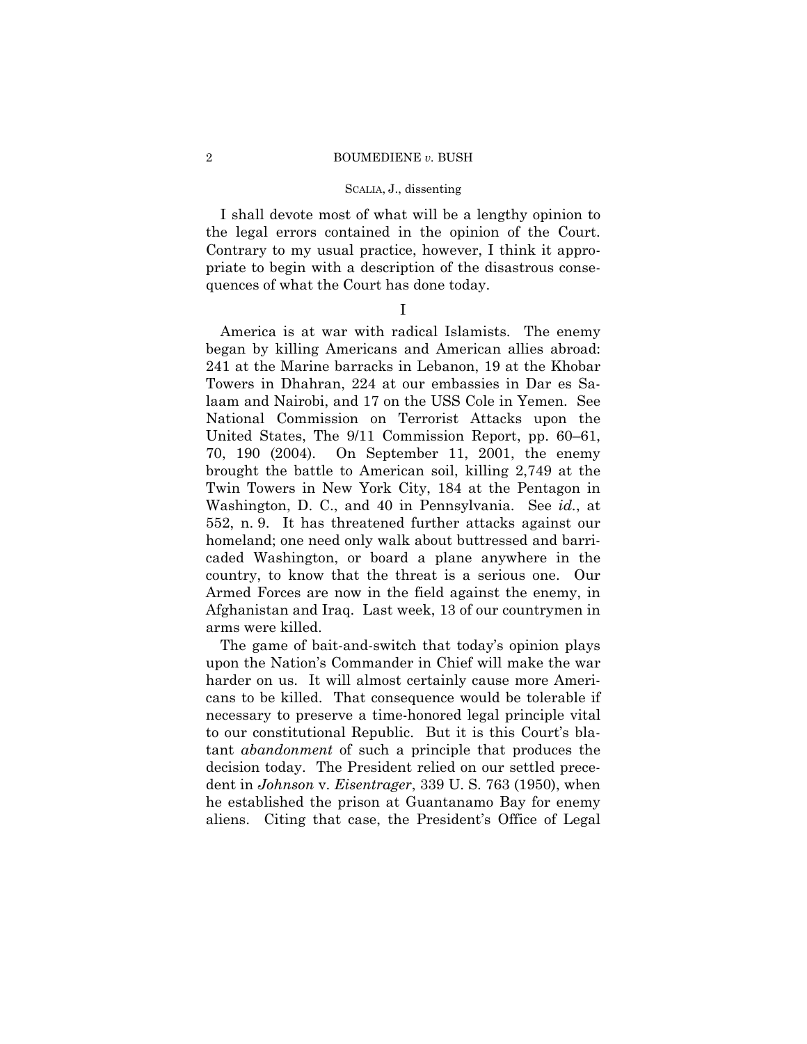# SCALIA, J., dissenting

I shall devote most of what will be a lengthy opinion to the legal errors contained in the opinion of the Court. Contrary to my usual practice, however, I think it appropriate to begin with a description of the disastrous consequences of what the Court has done today.

I

America is at war with radical Islamists. The enemy began by killing Americans and American allies abroad: 241 at the Marine barracks in Lebanon, 19 at the Khobar Towers in Dhahran, 224 at our embassies in Dar es Salaam and Nairobi, and 17 on the USS Cole in Yemen. See National Commission on Terrorist Attacks upon the United States, The 9/11 Commission Report, pp. 60–61, 70, 190 (2004). On September 11, 2001, the enemy brought the battle to American soil, killing 2,749 at the Twin Towers in New York City, 184 at the Pentagon in Washington, D. C., and 40 in Pennsylvania. See *id.*, at 552, n. 9. It has threatened further attacks against our homeland; one need only walk about buttressed and barricaded Washington, or board a plane anywhere in the country, to know that the threat is a serious one. Our Armed Forces are now in the field against the enemy, in Afghanistan and Iraq. Last week, 13 of our countrymen in arms were killed.

The game of bait-and-switch that today's opinion plays upon the Nation's Commander in Chief will make the war harder on us. It will almost certainly cause more Americans to be killed. That consequence would be tolerable if necessary to preserve a time-honored legal principle vital to our constitutional Republic. But it is this Court's blatant *abandonment* of such a principle that produces the decision today. The President relied on our settled precedent in *Johnson* v. *Eisentrager*, 339 U. S. 763 (1950), when he established the prison at Guantanamo Bay for enemy aliens. Citing that case, the President's Office of Legal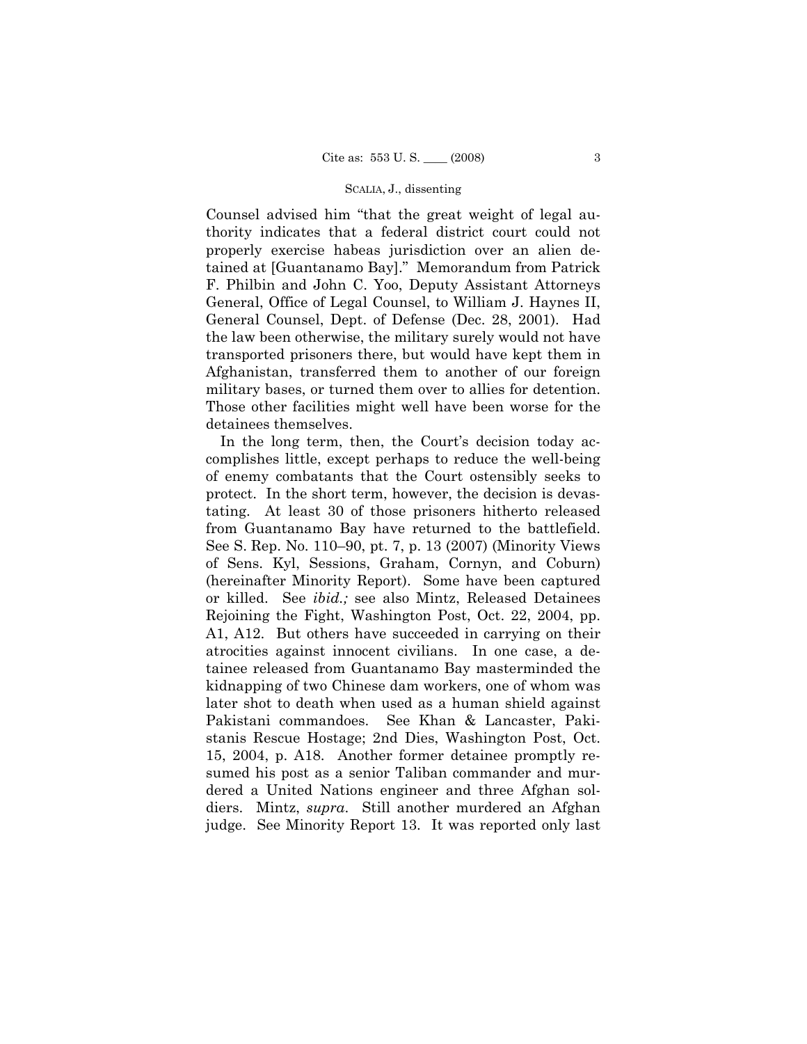Counsel advised him "that the great weight of legal authority indicates that a federal district court could not properly exercise habeas jurisdiction over an alien detained at [Guantanamo Bay]." Memorandum from Patrick F. Philbin and John C. Yoo, Deputy Assistant Attorneys General, Office of Legal Counsel, to William J. Haynes II, General Counsel, Dept. of Defense (Dec. 28, 2001). Had the law been otherwise, the military surely would not have transported prisoners there, but would have kept them in Afghanistan, transferred them to another of our foreign military bases, or turned them over to allies for detention. Those other facilities might well have been worse for the detainees themselves.

In the long term, then, the Court's decision today accomplishes little, except perhaps to reduce the well-being of enemy combatants that the Court ostensibly seeks to protect. In the short term, however, the decision is devastating. At least 30 of those prisoners hitherto released from Guantanamo Bay have returned to the battlefield. See S. Rep. No. 110–90, pt. 7, p. 13 (2007) (Minority Views of Sens. Kyl, Sessions, Graham, Cornyn, and Coburn) (hereinafter Minority Report). Some have been captured or killed. See *ibid.;* see also Mintz, Released Detainees Rejoining the Fight, Washington Post, Oct. 22, 2004, pp. A1, A12. But others have succeeded in carrying on their atrocities against innocent civilians. In one case, a detainee released from Guantanamo Bay masterminded the kidnapping of two Chinese dam workers, one of whom was later shot to death when used as a human shield against Pakistani commandoes. See Khan & Lancaster, Pakistanis Rescue Hostage; 2nd Dies, Washington Post, Oct. 15, 2004, p. A18. Another former detainee promptly resumed his post as a senior Taliban commander and murdered a United Nations engineer and three Afghan soldiers. Mintz, *supra*. Still another murdered an Afghan judge. See Minority Report 13. It was reported only last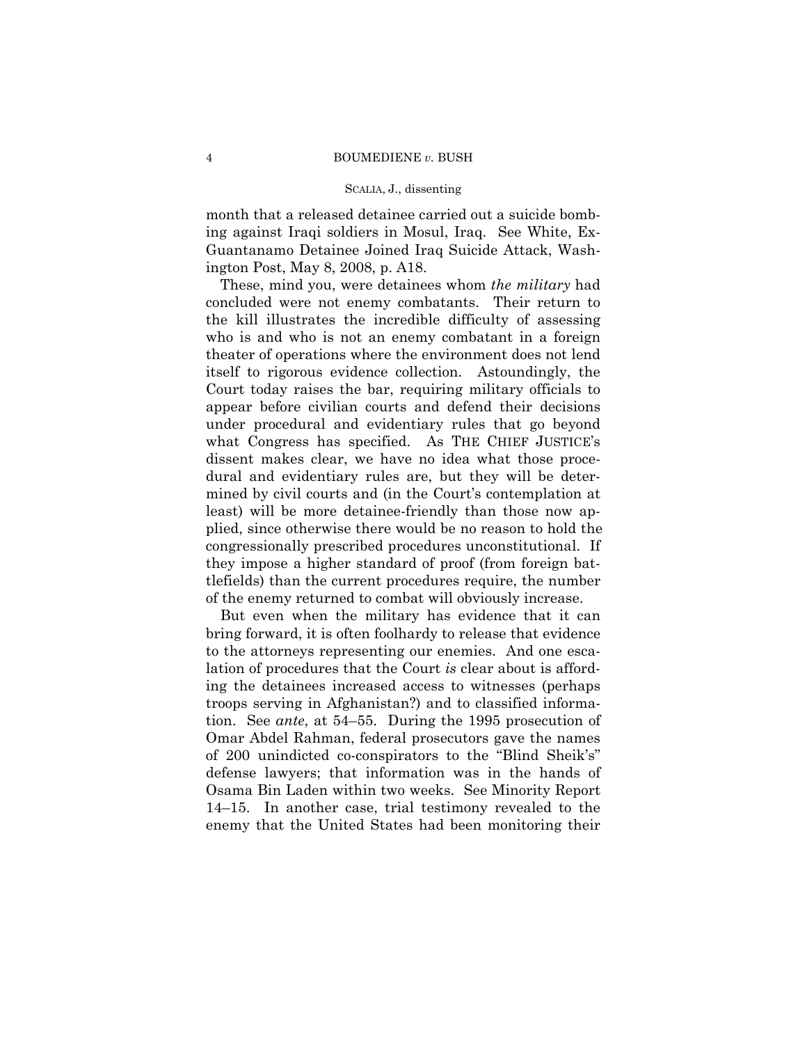month that a released detainee carried out a suicide bombing against Iraqi soldiers in Mosul, Iraq. See White, Ex-Guantanamo Detainee Joined Iraq Suicide Attack, Washington Post, May 8, 2008, p. A18.

These, mind you, were detainees whom *the military* had concluded were not enemy combatants. Their return to the kill illustrates the incredible difficulty of assessing who is and who is not an enemy combatant in a foreign theater of operations where the environment does not lend itself to rigorous evidence collection. Astoundingly, the Court today raises the bar, requiring military officials to appear before civilian courts and defend their decisions under procedural and evidentiary rules that go beyond what Congress has specified. As THE CHIEF JUSTICE's dissent makes clear, we have no idea what those procedural and evidentiary rules are, but they will be determined by civil courts and (in the Court's contemplation at least) will be more detainee-friendly than those now applied, since otherwise there would be no reason to hold the congressionally prescribed procedures unconstitutional. If they impose a higher standard of proof (from foreign battlefields) than the current procedures require, the number of the enemy returned to combat will obviously increase.

But even when the military has evidence that it can bring forward, it is often foolhardy to release that evidence to the attorneys representing our enemies. And one escalation of procedures that the Court *is* clear about is affording the detainees increased access to witnesses (perhaps troops serving in Afghanistan?) and to classified information. See *ante*, at 54–55. During the 1995 prosecution of Omar Abdel Rahman, federal prosecutors gave the names of 200 unindicted co-conspirators to the "Blind Sheik's" defense lawyers; that information was in the hands of Osama Bin Laden within two weeks. See Minority Report 14–15. In another case, trial testimony revealed to the enemy that the United States had been monitoring their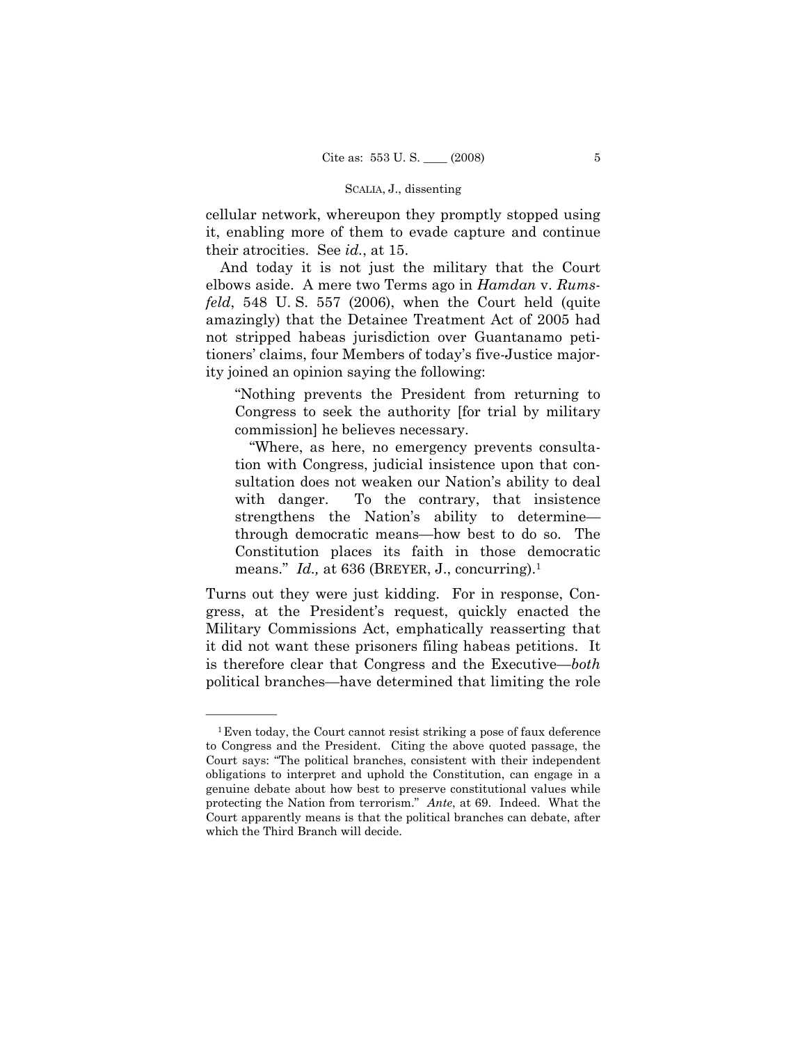cellular network, whereupon they promptly stopped using it, enabling more of them to evade capture and continue their atrocities. See *id.*, at 15.

And today it is not just the military that the Court elbows aside. A mere two Terms ago in *Hamdan* v. *Rumsfeld*, 548 U. S. 557 (2006), when the Court held (quite amazingly) that the Detainee Treatment Act of 2005 had not stripped habeas jurisdiction over Guantanamo petitioners' claims, four Members of today's five-Justice majority joined an opinion saying the following:

"Nothing prevents the President from returning to Congress to seek the authority [for trial by military commission] he believes necessary.

"Where, as here, no emergency prevents consultation with Congress, judicial insistence upon that consultation does not weaken our Nation's ability to deal with danger. To the contrary, that insistence strengthens the Nation's ability to determine through democratic means—how best to do so. The Constitution places its faith in those democratic means." *Id.*, at 636 (BREYER, J., concurring).<sup>1</sup>

Turns out they were just kidding. For in response, Congress, at the President's request, quickly enacted the Military Commissions Act, emphatically reasserting that it did not want these prisoners filing habeas petitions. It is therefore clear that Congress and the Executive—*both*  political branches—have determined that limiting the role

<sup>1</sup>Even today, the Court cannot resist striking a pose of faux deference to Congress and the President. Citing the above quoted passage, the Court says: "The political branches, consistent with their independent obligations to interpret and uphold the Constitution, can engage in a genuine debate about how best to preserve constitutional values while protecting the Nation from terrorism." *Ante*, at 69. Indeed. What the Court apparently means is that the political branches can debate, after which the Third Branch will decide.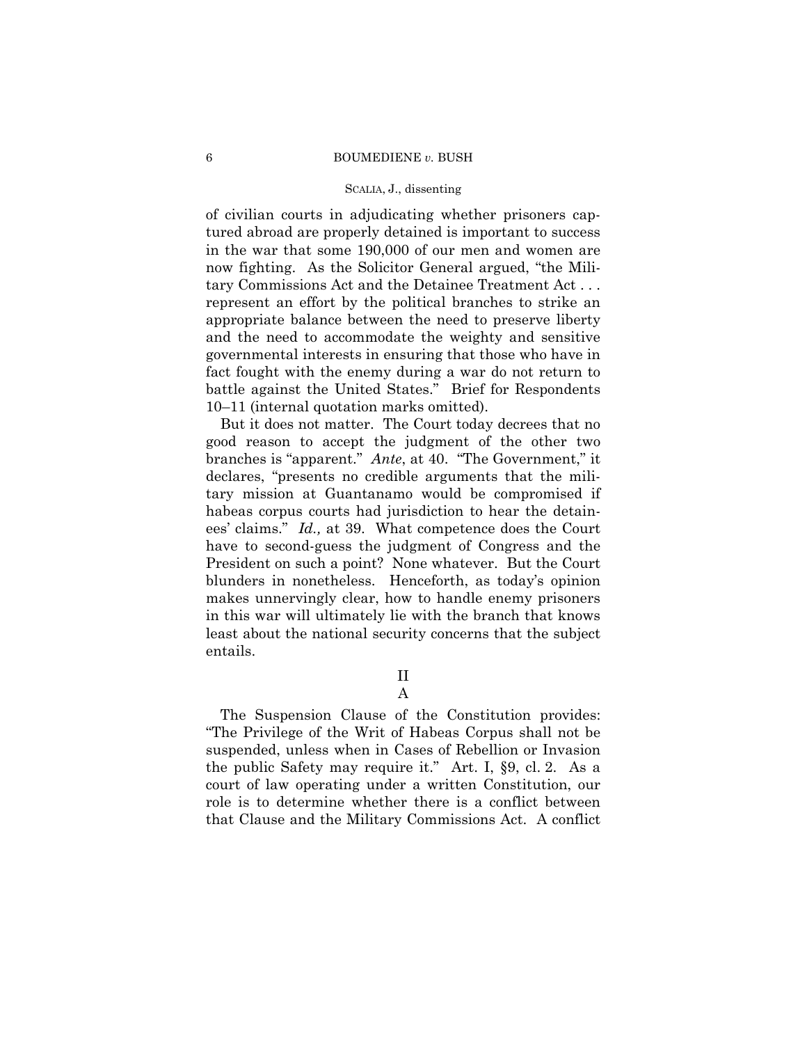# SCALIA, J., dissenting

of civilian courts in adjudicating whether prisoners captured abroad are properly detained is important to success in the war that some 190,000 of our men and women are now fighting. As the Solicitor General argued, "the Military Commissions Act and the Detainee Treatment Act . . . represent an effort by the political branches to strike an appropriate balance between the need to preserve liberty and the need to accommodate the weighty and sensitive governmental interests in ensuring that those who have in fact fought with the enemy during a war do not return to battle against the United States." Brief for Respondents 10–11 (internal quotation marks omitted).

 ees' claims." *Id.,* at 39. What competence does the Court But it does not matter. The Court today decrees that no good reason to accept the judgment of the other two branches is "apparent." *Ante*, at 40. "The Government," it declares, "presents no credible arguments that the military mission at Guantanamo would be compromised if habeas corpus courts had jurisdiction to hear the detainhave to second-guess the judgment of Congress and the President on such a point? None whatever. But the Court blunders in nonetheless. Henceforth, as today's opinion makes unnervingly clear, how to handle enemy prisoners in this war will ultimately lie with the branch that knows least about the national security concerns that the subject entails.

II

# A

The Suspension Clause of the Constitution provides: "The Privilege of the Writ of Habeas Corpus shall not be suspended, unless when in Cases of Rebellion or Invasion the public Safety may require it." Art. I, §9, cl. 2. As a court of law operating under a written Constitution, our role is to determine whether there is a conflict between that Clause and the Military Commissions Act. A conflict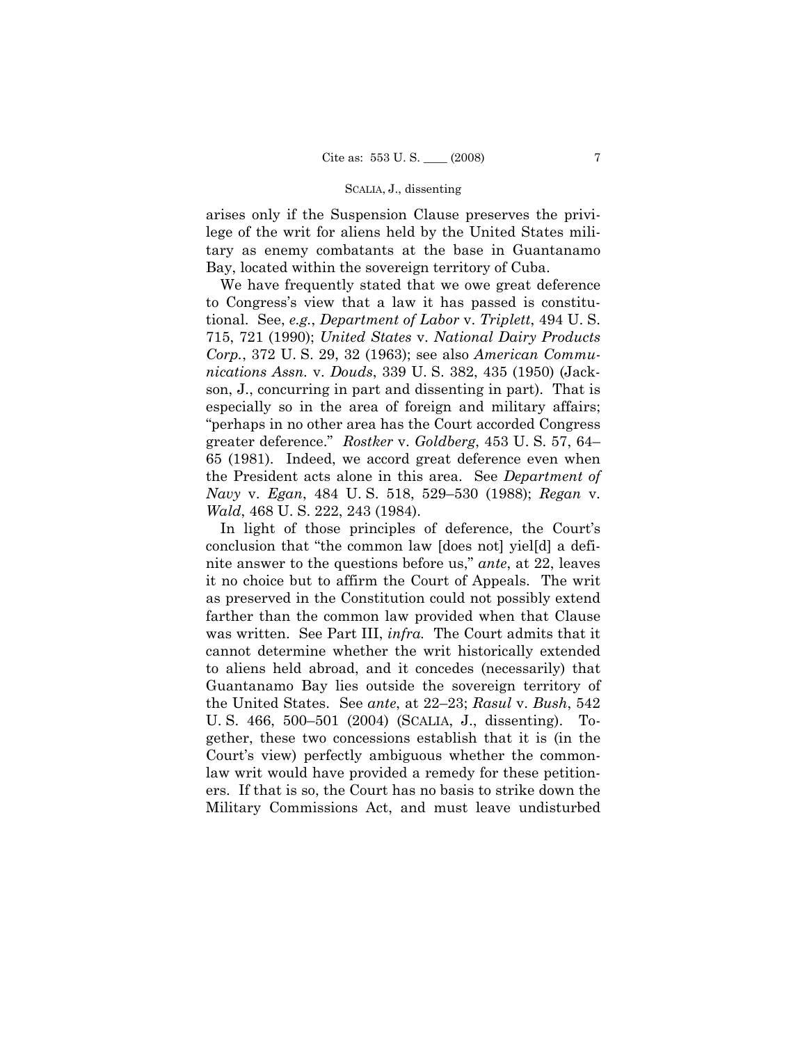arises only if the Suspension Clause preserves the privilege of the writ for aliens held by the United States military as enemy combatants at the base in Guantanamo Bay, located within the sovereign territory of Cuba.

We have frequently stated that we owe great deference to Congress's view that a law it has passed is constitutional. See, *e.g.*, *Department of Labor* v. *Triplett*, 494 U. S. 715, 721 (1990); *United States* v. *National Dairy Products Corp.*, 372 U. S. 29, 32 (1963); see also *American Communications Assn.* v. *Douds*, 339 U. S. 382, 435 (1950) (Jackson, J., concurring in part and dissenting in part). That is especially so in the area of foreign and military affairs; "perhaps in no other area has the Court accorded Congress greater deference." *Rostker* v. *Goldberg*, 453 U. S. 57, 64– 65 (1981). Indeed, we accord great deference even when the President acts alone in this area. See *Department of Navy* v. *Egan*, 484 U. S. 518, 529–530 (1988); *Regan* v. *Wald*, 468 U. S. 222, 243 (1984).

 was written. See Part III, *infra.* The Court admits that it In light of those principles of deference, the Court's conclusion that "the common law [does not] yiel[d] a definite answer to the questions before us," *ante*, at 22, leaves it no choice but to affirm the Court of Appeals. The writ as preserved in the Constitution could not possibly extend farther than the common law provided when that Clause cannot determine whether the writ historically extended to aliens held abroad, and it concedes (necessarily) that Guantanamo Bay lies outside the sovereign territory of the United States. See *ante*, at 22–23; *Rasul* v. *Bush*, 542 U. S. 466, 500–501 (2004) (SCALIA, J., dissenting). Together, these two concessions establish that it is (in the Court's view) perfectly ambiguous whether the commonlaw writ would have provided a remedy for these petitioners. If that is so, the Court has no basis to strike down the Military Commissions Act, and must leave undisturbed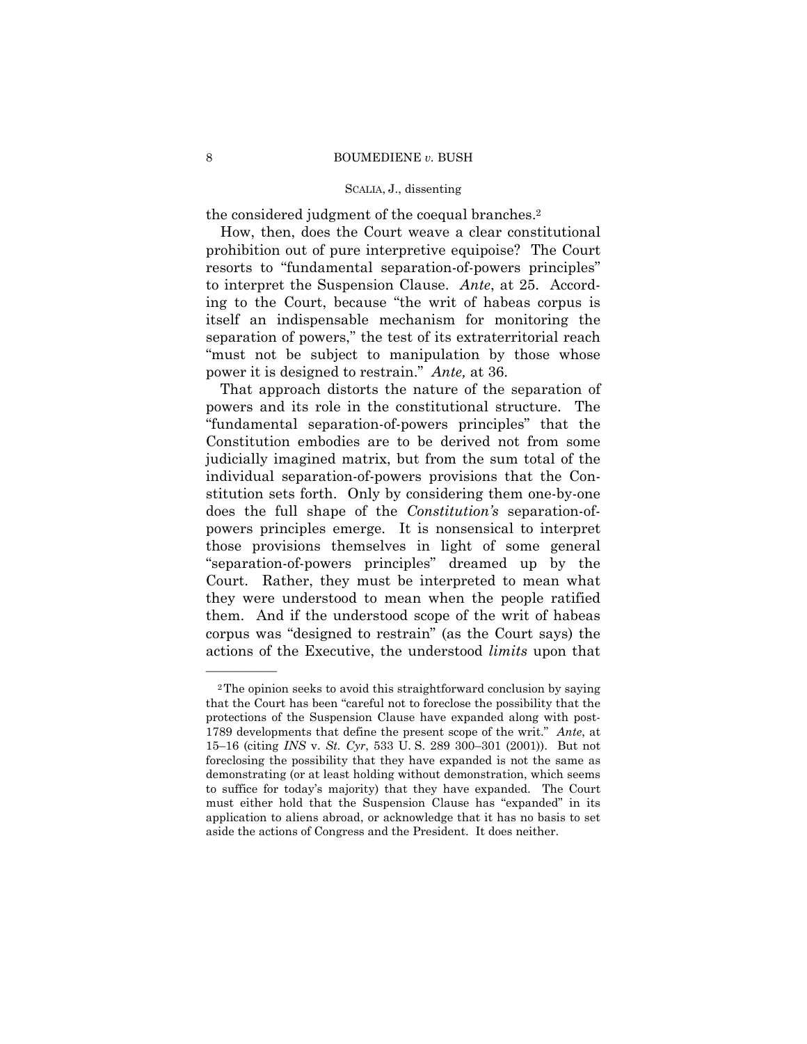the considered judgment of the coequal branches.<sup>2</sup>

How, then, does the Court weave a clear constitutional prohibition out of pure interpretive equipoise? The Court resorts to "fundamental separation-of-powers principles" to interpret the Suspension Clause. *Ante*, at 25. According to the Court, because "the writ of habeas corpus is itself an indispensable mechanism for monitoring the separation of powers," the test of its extraterritorial reach "must not be subject to manipulation by those whose power it is designed to restrain." *Ante,* at 36.

 stitution sets forth. Only by considering them one-by-one That approach distorts the nature of the separation of powers and its role in the constitutional structure. The "fundamental separation-of-powers principles" that the Constitution embodies are to be derived not from some judicially imagined matrix, but from the sum total of the individual separation-of-powers provisions that the Condoes the full shape of the *Constitution's* separation-ofpowers principles emerge. It is nonsensical to interpret those provisions themselves in light of some general "separation-of-powers principles" dreamed up by the Court. Rather, they must be interpreted to mean what they were understood to mean when the people ratified them. And if the understood scope of the writ of habeas corpus was "designed to restrain" (as the Court says) the actions of the Executive, the understood *limits* upon that

<sup>2</sup>The opinion seeks to avoid this straightforward conclusion by saying that the Court has been "careful not to foreclose the possibility that the protections of the Suspension Clause have expanded along with post-1789 developments that define the present scope of the writ." *Ante*, at 15–16 (citing *INS* v. *St. Cyr*, 533 U. S. 289 300–301 (2001)). But not foreclosing the possibility that they have expanded is not the same as demonstrating (or at least holding without demonstration, which seems to suffice for today's majority) that they have expanded. The Court must either hold that the Suspension Clause has "expanded" in its application to aliens abroad, or acknowledge that it has no basis to set aside the actions of Congress and the President. It does neither.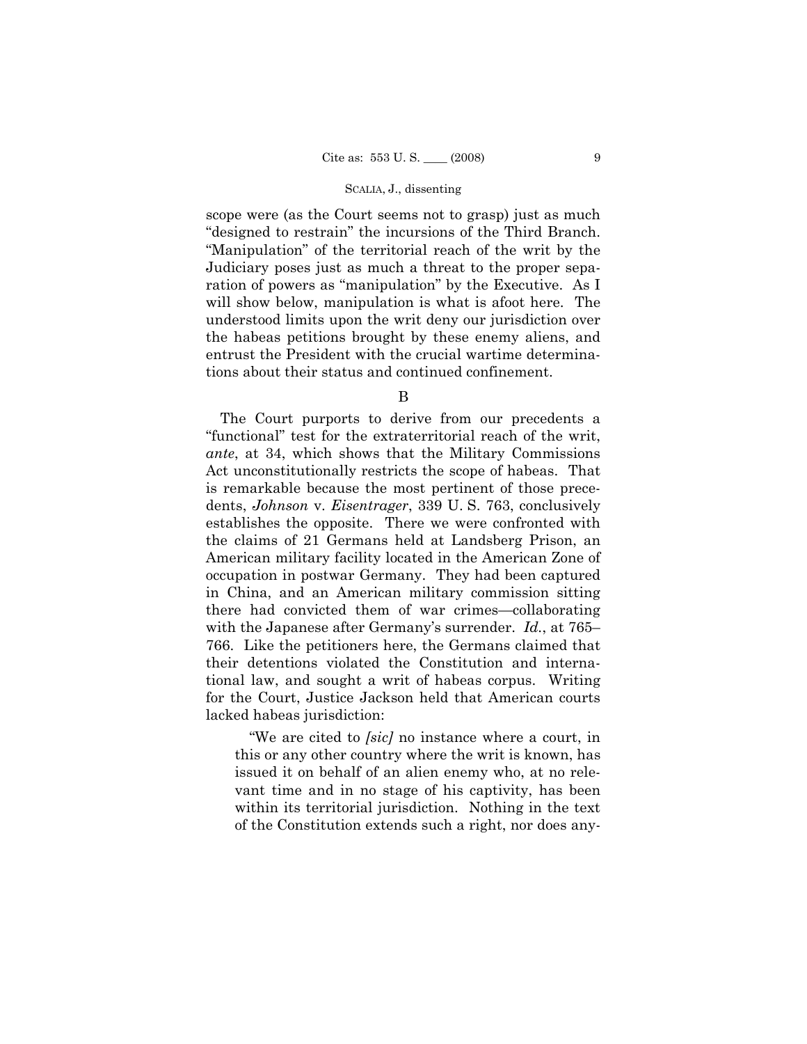scope were (as the Court seems not to grasp) just as much "designed to restrain" the incursions of the Third Branch. "Manipulation" of the territorial reach of the writ by the Judiciary poses just as much a threat to the proper separation of powers as "manipulation" by the Executive. As I will show below, manipulation is what is afoot here. The understood limits upon the writ deny our jurisdiction over the habeas petitions brought by these enemy aliens, and entrust the President with the crucial wartime determinations about their status and continued confinement.

B

The Court purports to derive from our precedents a "functional" test for the extraterritorial reach of the writ, *ante*, at 34, which shows that the Military Commissions Act unconstitutionally restricts the scope of habeas. That is remarkable because the most pertinent of those precedents, *Johnson* v. *Eisentrager*, 339 U. S. 763, conclusively establishes the opposite. There we were confronted with the claims of 21 Germans held at Landsberg Prison, an American military facility located in the American Zone of occupation in postwar Germany. They had been captured in China, and an American military commission sitting there had convicted them of war crimes—collaborating with the Japanese after Germany's surrender. *Id.*, at 765– 766. Like the petitioners here, the Germans claimed that their detentions violated the Constitution and international law, and sought a writ of habeas corpus. Writing for the Court, Justice Jackson held that American courts lacked habeas jurisdiction:

"We are cited to *[sic]* no instance where a court, in this or any other country where the writ is known, has issued it on behalf of an alien enemy who, at no relevant time and in no stage of his captivity, has been within its territorial jurisdiction. Nothing in the text of the Constitution extends such a right, nor does any-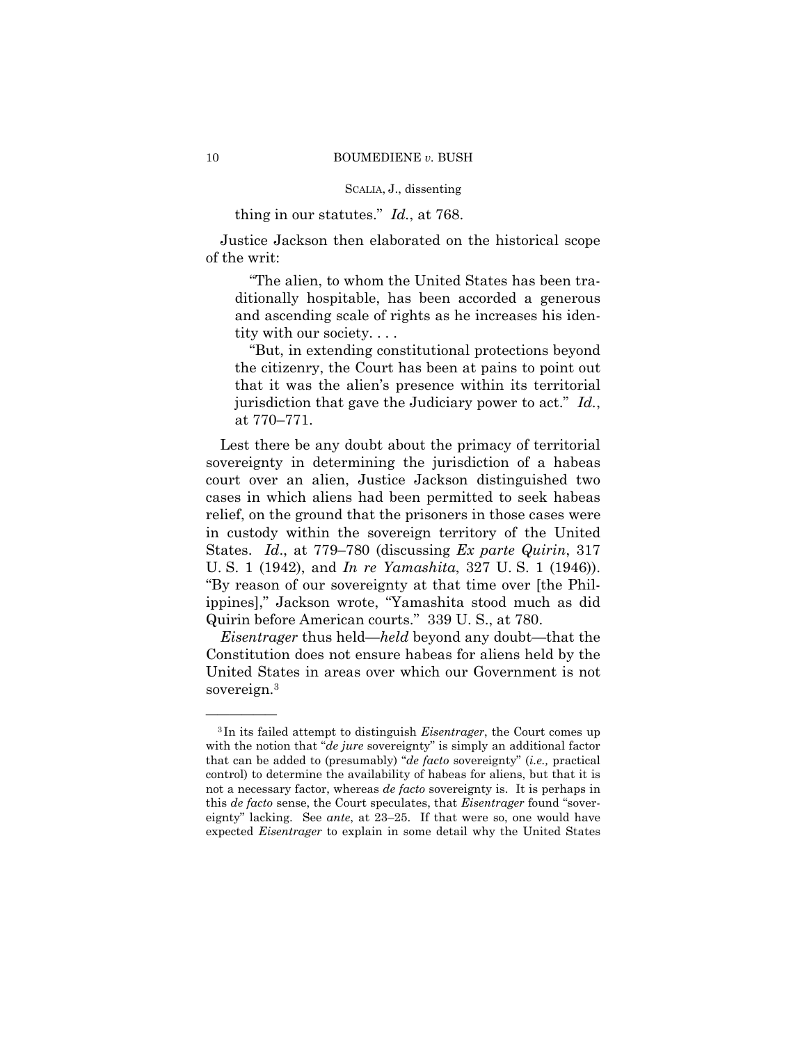thing in our statutes." *Id.*, at 768.

Justice Jackson then elaborated on the historical scope of the writ:

 ditionally hospitable, has been accorded a generous "The alien, to whom the United States has been traand ascending scale of rights as he increases his identity with our society. . . .

"But, in extending constitutional protections beyond the citizenry, the Court has been at pains to point out that it was the alien's presence within its territorial jurisdiction that gave the Judiciary power to act." *Id.*, at 770–771.

Lest there be any doubt about the primacy of territorial sovereignty in determining the jurisdiction of a habeas court over an alien, Justice Jackson distinguished two cases in which aliens had been permitted to seek habeas relief, on the ground that the prisoners in those cases were in custody within the sovereign territory of the United States. *Id*., at 779–780 (discussing *Ex parte Quirin*, 317 U. S. 1 (1942), and *In re Yamashita*, 327 U. S. 1 (1946)). "By reason of our sovereignty at that time over [the Philippines]," Jackson wrote, "Yamashita stood much as did Quirin before American courts." 339 U. S., at 780.

*Eisentrager* thus held—*held* beyond any doubt—that the Constitution does not ensure habeas for aliens held by the United States in areas over which our Government is not sovereign.<sup>3</sup>

<sup>3</sup> In its failed attempt to distinguish *Eisentrager*, the Court comes up with the notion that "*de jure* sovereignty" is simply an additional factor that can be added to (presumably) "*de facto* sovereignty" (*i.e.,* practical control) to determine the availability of habeas for aliens, but that it is not a necessary factor, whereas *de facto* sovereignty is. It is perhaps in this *de facto* sense, the Court speculates, that *Eisentrager* found "sovereignty" lacking. See *ante*, at 23–25. If that were so, one would have expected *Eisentrager* to explain in some detail why the United States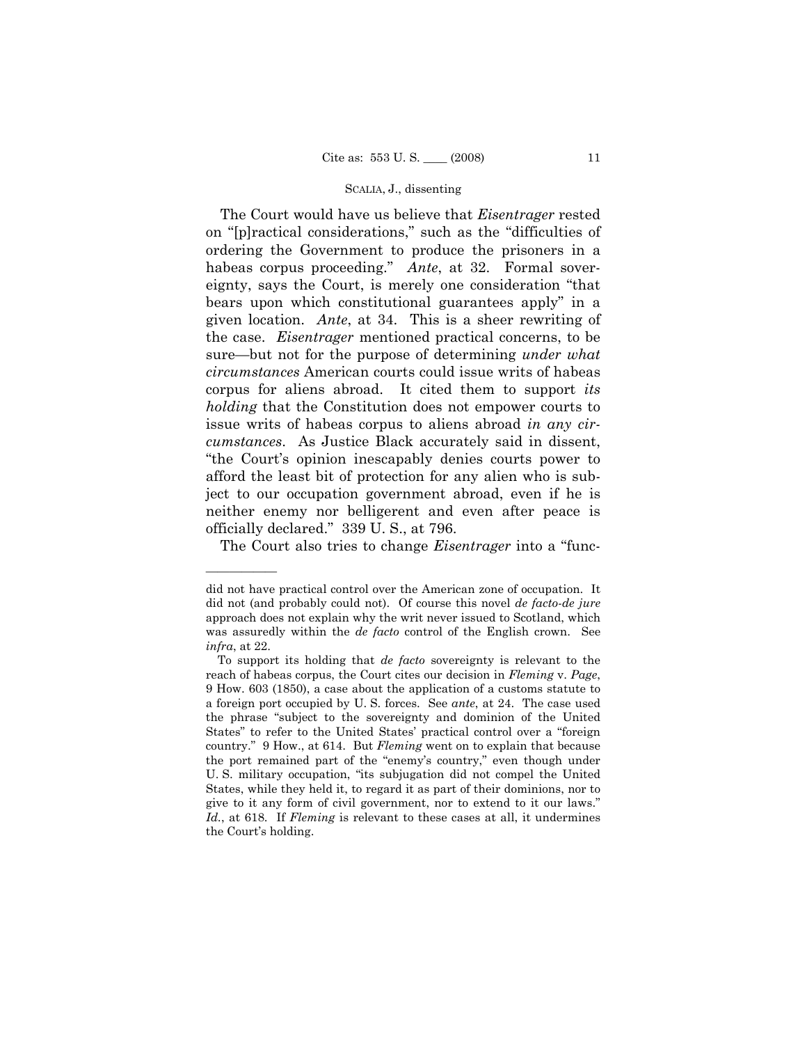ject to our occupation government abroad, even if he is The Court would have us believe that *Eisentrager* rested on "[p]ractical considerations," such as the "difficulties of ordering the Government to produce the prisoners in a habeas corpus proceeding." *Ante*, at 32. Formal sovereignty, says the Court, is merely one consideration "that bears upon which constitutional guarantees apply" in a given location. *Ante*, at 34. This is a sheer rewriting of the case. *Eisentrager* mentioned practical concerns, to be sure—but not for the purpose of determining *under what circumstances* American courts could issue writs of habeas corpus for aliens abroad. It cited them to support *its holding* that the Constitution does not empower courts to issue writs of habeas corpus to aliens abroad *in any circumstances*. As Justice Black accurately said in dissent, "the Court's opinion inescapably denies courts power to afford the least bit of protection for any alien who is subneither enemy nor belligerent and even after peace is officially declared." 339 U. S., at 796.

The Court also tries to change *Eisentrager* into a "func-

did not have practical control over the American zone of occupation. It did not (and probably could not). Of course this novel *de facto-de jure*  approach does not explain why the writ never issued to Scotland, which was assuredly within the *de facto* control of the English crown. See *infra*, at 22.

 give to it any form of civil government, nor to extend to it our laws." To support its holding that *de facto* sovereignty is relevant to the reach of habeas corpus, the Court cites our decision in *Fleming* v. *Page*, 9 How. 603 (1850), a case about the application of a customs statute to a foreign port occupied by U. S. forces. See *ante*, at 24. The case used the phrase "subject to the sovereignty and dominion of the United States" to refer to the United States' practical control over a "foreign country." 9 How., at 614. But *Fleming* went on to explain that because the port remained part of the "enemy's country," even though under U. S. military occupation, "its subjugation did not compel the United States, while they held it, to regard it as part of their dominions, nor to *Id.*, at 618. If *Fleming* is relevant to these cases at all, it undermines the Court's holding.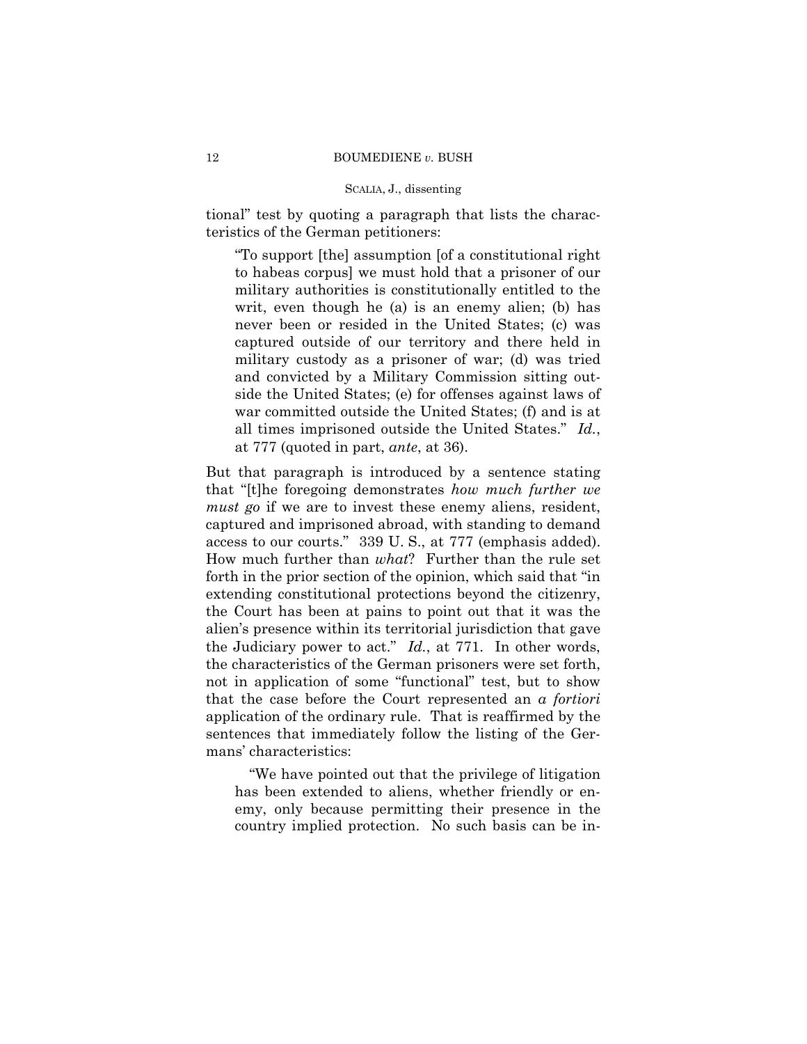tional" test by quoting a paragraph that lists the characteristics of the German petitioners:

"To support [the] assumption [of a constitutional right to habeas corpus] we must hold that a prisoner of our military authorities is constitutionally entitled to the writ, even though he (a) is an enemy alien; (b) has never been or resided in the United States; (c) was captured outside of our territory and there held in military custody as a prisoner of war; (d) was tried and convicted by a Military Commission sitting outside the United States; (e) for offenses against laws of war committed outside the United States; (f) and is at all times imprisoned outside the United States." *Id.*, at 777 (quoted in part, *ante*, at 36).

 access to our courts." 339 U. S., at 777 (emphasis added). the Judiciary power to act." *Id.*, at 771. In other words, But that paragraph is introduced by a sentence stating that "[t]he foregoing demonstrates *how much further we must go* if we are to invest these enemy aliens, resident, captured and imprisoned abroad, with standing to demand How much further than *what*? Further than the rule set forth in the prior section of the opinion, which said that "in extending constitutional protections beyond the citizenry, the Court has been at pains to point out that it was the alien's presence within its territorial jurisdiction that gave the characteristics of the German prisoners were set forth, not in application of some "functional" test, but to show that the case before the Court represented an *a fortiori*  application of the ordinary rule. That is reaffirmed by the sentences that immediately follow the listing of the Germans' characteristics:

"We have pointed out that the privilege of litigation has been extended to aliens, whether friendly or enemy, only because permitting their presence in the country implied protection. No such basis can be in-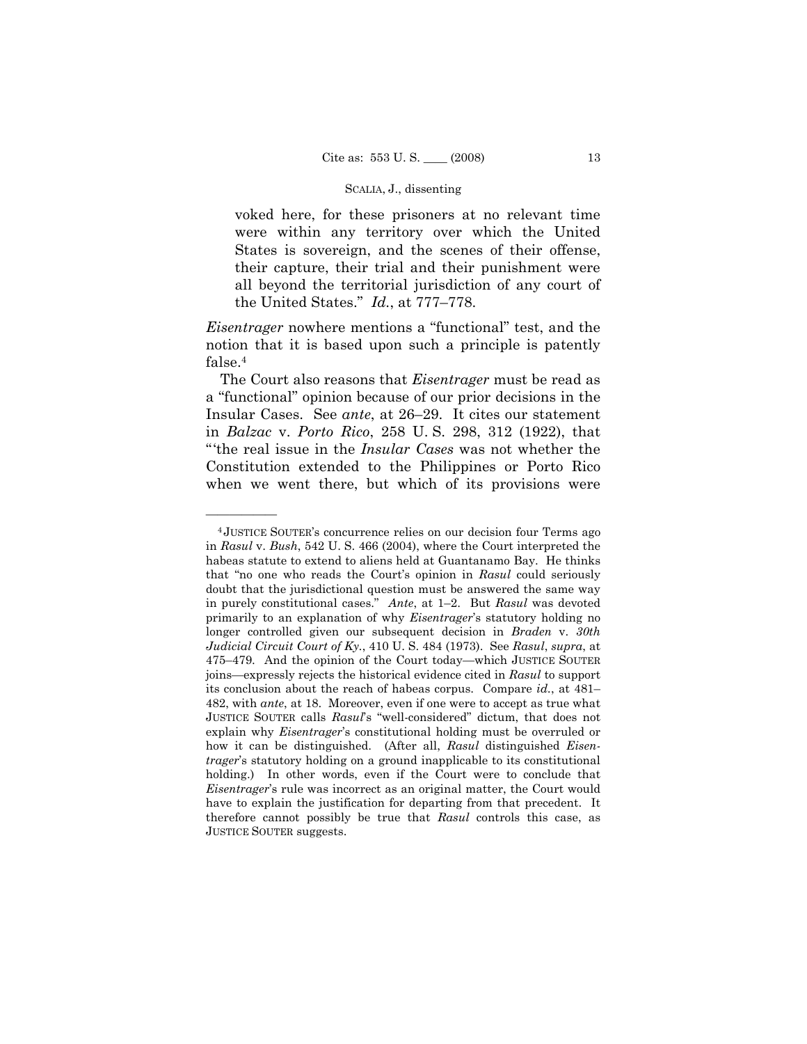voked here, for these prisoners at no relevant time were within any territory over which the United States is sovereign, and the scenes of their offense, their capture, their trial and their punishment were all beyond the territorial jurisdiction of any court of the United States." *Id.*, at 777–778.

*Eisentrager* nowhere mentions a "functional" test, and the notion that it is based upon such a principle is patently false.4

The Court also reasons that *Eisentrager* must be read as a "functional" opinion because of our prior decisions in the Insular Cases. See *ante*, at 26–29. It cites our statement in *Balzac* v. *Porto Rico*, 258 U. S. 298, 312 (1922), that "'the real issue in the *Insular Cases* was not whether the Constitution extended to the Philippines or Porto Rico when we went there, but which of its provisions were

<sup>4</sup> JUSTICE SOUTER's concurrence relies on our decision four Terms ago in *Rasul* v. *Bush*, 542 U. S. 466 (2004), where the Court interpreted the habeas statute to extend to aliens held at Guantanamo Bay. He thinks that "no one who reads the Court's opinion in *Rasul* could seriously doubt that the jurisdictional question must be answered the same way in purely constitutional cases." *Ante*, at 1–2. But *Rasul* was devoted primarily to an explanation of why *Eisentrager*'s statutory holding no longer controlled given our subsequent decision in *Braden* v. *30th Judicial Circuit Court of Ky.*, 410 U. S. 484 (1973). See *Rasul*, *supra*, at 475–479. And the opinion of the Court today—which JUSTICE SOUTER joins—expressly rejects the historical evidence cited in *Rasul* to support its conclusion about the reach of habeas corpus. Compare *id.*, at 481– 482, with *ante*, at 18. Moreover, even if one were to accept as true what JUSTICE SOUTER calls *Rasul*'s "well-considered" dictum, that does not explain why *Eisentrager*'s constitutional holding must be overruled or how it can be distinguished. (After all, *Rasul* distinguished *Eisentrager*'s statutory holding on a ground inapplicable to its constitutional holding.) In other words, even if the Court were to conclude that *Eisentrager*'s rule was incorrect as an original matter, the Court would have to explain the justification for departing from that precedent. It therefore cannot possibly be true that *Rasul* controls this case, as JUSTICE SOUTER suggests.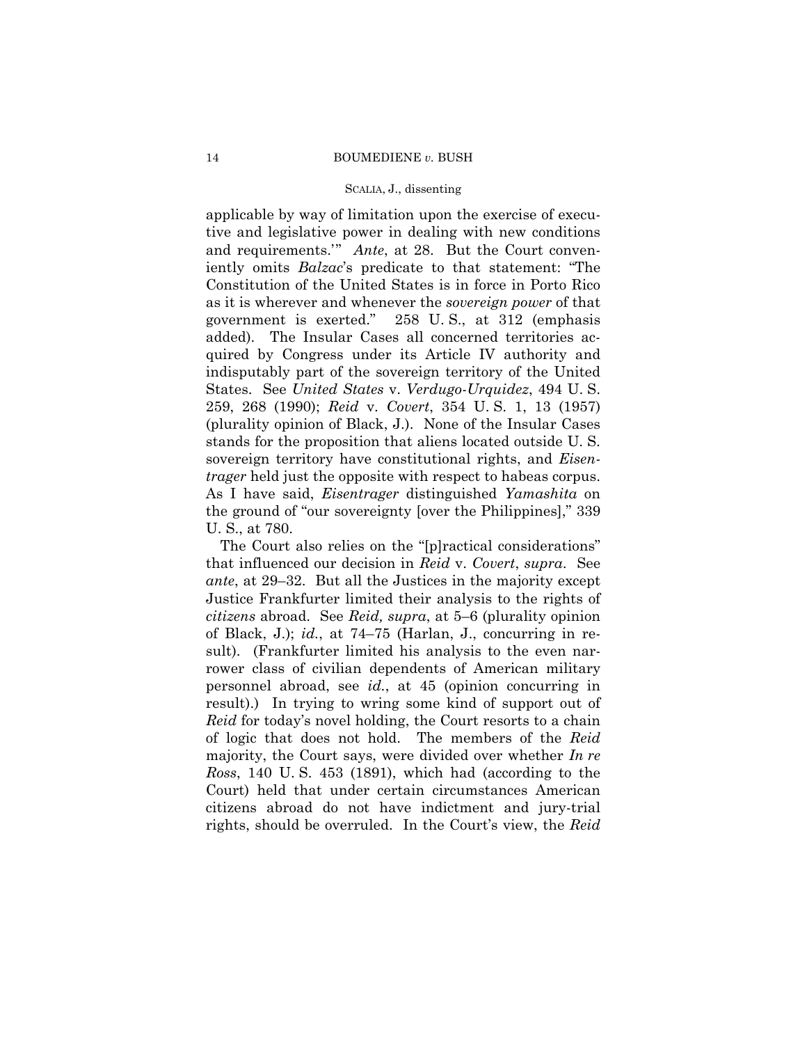## SCALIA, J., dissenting

applicable by way of limitation upon the exercise of executive and legislative power in dealing with new conditions and requirements.'" *Ante*, at 28. But the Court conveniently omits *Balzac*'s predicate to that statement: "The Constitution of the United States is in force in Porto Rico as it is wherever and whenever the *sovereign power* of that government is exerted." 258 U. S., at 312 (emphasis added). The Insular Cases all concerned territories acquired by Congress under its Article IV authority and indisputably part of the sovereign territory of the United States. See *United States* v. *Verdugo-Urquidez*, 494 U. S. 259, 268 (1990); *Reid* v. *Covert*, 354 U. S. 1, 13 (1957) (plurality opinion of Black, J.). None of the Insular Cases stands for the proposition that aliens located outside U. S. sovereign territory have constitutional rights, and *Eisentrager* held just the opposite with respect to habeas corpus. As I have said, *Eisentrager* distinguished *Yamashita* on the ground of "our sovereignty [over the Philippines]," 339 U. S., at 780.

The Court also relies on the "[p]ractical considerations" that influenced our decision in *Reid* v. *Covert*, *supra*. See *ante*, at 29–32. But all the Justices in the majority except Justice Frankfurter limited their analysis to the rights of *citizens* abroad. See *Reid, supra*, at 5–6 (plurality opinion of Black, J.); *id.*, at 74–75 (Harlan, J., concurring in result). (Frankfurter limited his analysis to the even narrower class of civilian dependents of American military personnel abroad, see *id.*, at 45 (opinion concurring in result).) In trying to wring some kind of support out of *Reid* for today's novel holding, the Court resorts to a chain of logic that does not hold. The members of the *Reid*  majority, the Court says, were divided over whether *In re Ross*, 140 U. S. 453 (1891), which had (according to the Court) held that under certain circumstances American citizens abroad do not have indictment and jury-trial rights, should be overruled. In the Court's view, the *Reid*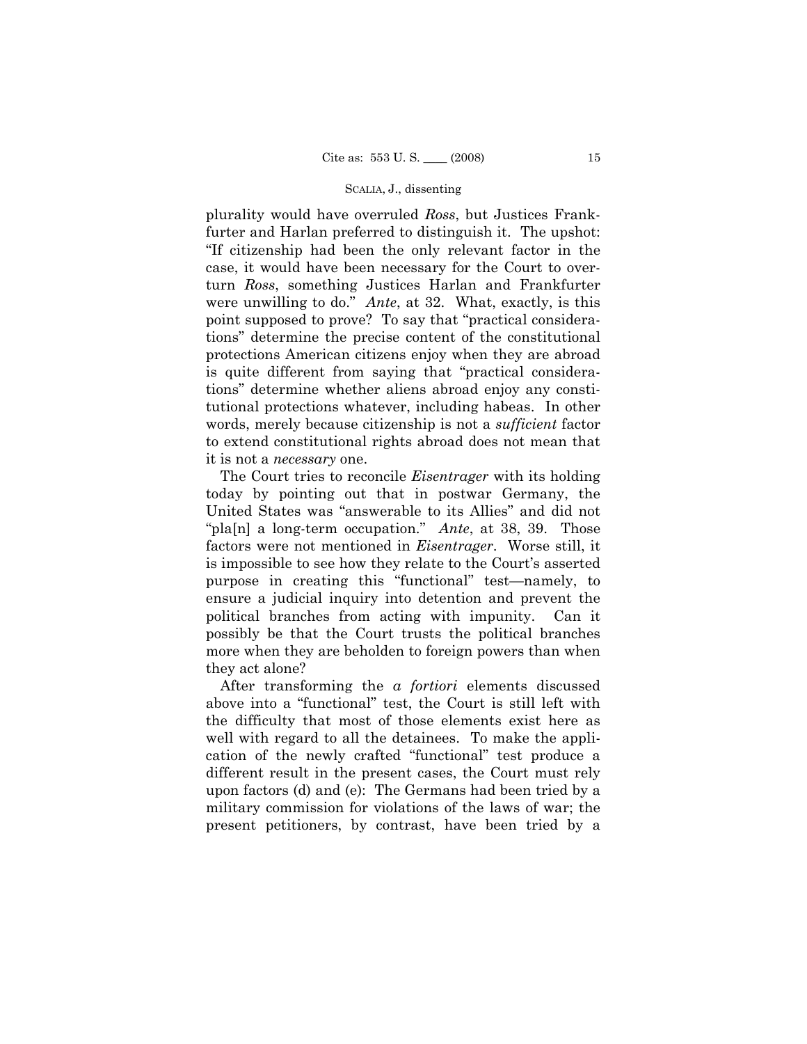plurality would have overruled *Ross*, but Justices Frankfurter and Harlan preferred to distinguish it. The upshot: "If citizenship had been the only relevant factor in the case, it would have been necessary for the Court to overturn *Ross*, something Justices Harlan and Frankfurter were unwilling to do." *Ante*, at 32. What, exactly, is this point supposed to prove? To say that "practical considerations" determine the precise content of the constitutional protections American citizens enjoy when they are abroad is quite different from saying that "practical considerations" determine whether aliens abroad enjoy any constitutional protections whatever, including habeas. In other words, merely because citizenship is not a *sufficient* factor to extend constitutional rights abroad does not mean that it is not a *necessary* one.

The Court tries to reconcile *Eisentrager* with its holding today by pointing out that in postwar Germany, the United States was "answerable to its Allies" and did not "pla[n] a long-term occupation." *Ante*, at 38, 39. Those factors were not mentioned in *Eisentrager*. Worse still, it is impossible to see how they relate to the Court's asserted purpose in creating this "functional" test—namely, to ensure a judicial inquiry into detention and prevent the political branches from acting with impunity. Can it possibly be that the Court trusts the political branches more when they are beholden to foreign powers than when they act alone?

After transforming the *a fortiori* elements discussed above into a "functional" test, the Court is still left with the difficulty that most of those elements exist here as well with regard to all the detainees. To make the application of the newly crafted "functional" test produce a different result in the present cases, the Court must rely upon factors (d) and (e): The Germans had been tried by a military commission for violations of the laws of war; the present petitioners, by contrast, have been tried by a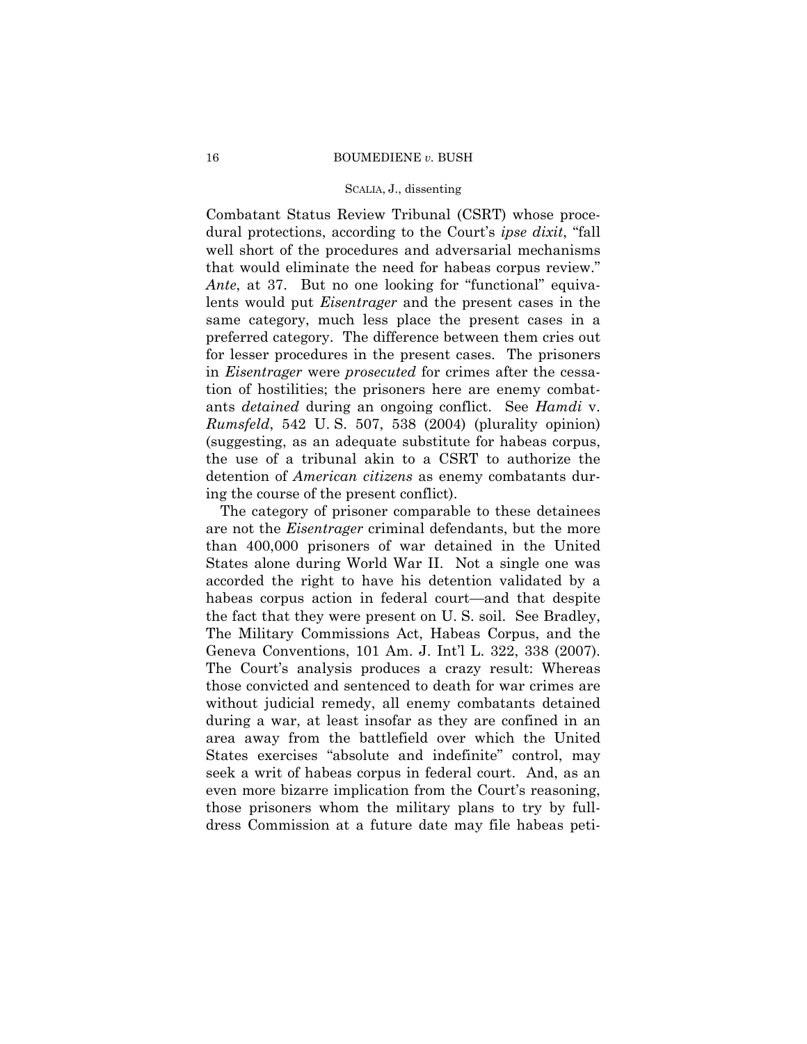# SCALIA, J., dissenting

Combatant Status Review Tribunal (CSRT) whose procedural protections, according to the Court's *ipse dixit*, "fall well short of the procedures and adversarial mechanisms that would eliminate the need for habeas corpus review." *Ante*, at 37. But no one looking for "functional" equivalents would put *Eisentrager* and the present cases in the same category, much less place the present cases in a preferred category. The difference between them cries out for lesser procedures in the present cases. The prisoners in *Eisentrager* were *prosecuted* for crimes after the cessation of hostilities; the prisoners here are enemy combatants *detained* during an ongoing conflict. See *Hamdi* v. *Rumsfeld*, 542 U. S. 507, 538 (2004) (plurality opinion) (suggesting, as an adequate substitute for habeas corpus, the use of a tribunal akin to a CSRT to authorize the detention of *American citizens* as enemy combatants during the course of the present conflict).

The category of prisoner comparable to these detainees are not the *Eisentrager* criminal defendants, but the more than 400,000 prisoners of war detained in the United States alone during World War II. Not a single one was accorded the right to have his detention validated by a habeas corpus action in federal court—and that despite the fact that they were present on U. S. soil. See Bradley, The Military Commissions Act, Habeas Corpus, and the Geneva Conventions, 101 Am. J. Int'l L. 322, 338 (2007). The Court's analysis produces a crazy result: Whereas those convicted and sentenced to death for war crimes are without judicial remedy, all enemy combatants detained during a war, at least insofar as they are confined in an area away from the battlefield over which the United States exercises "absolute and indefinite" control, may seek a writ of habeas corpus in federal court. And, as an even more bizarre implication from the Court's reasoning, those prisoners whom the military plans to try by fulldress Commission at a future date may file habeas peti-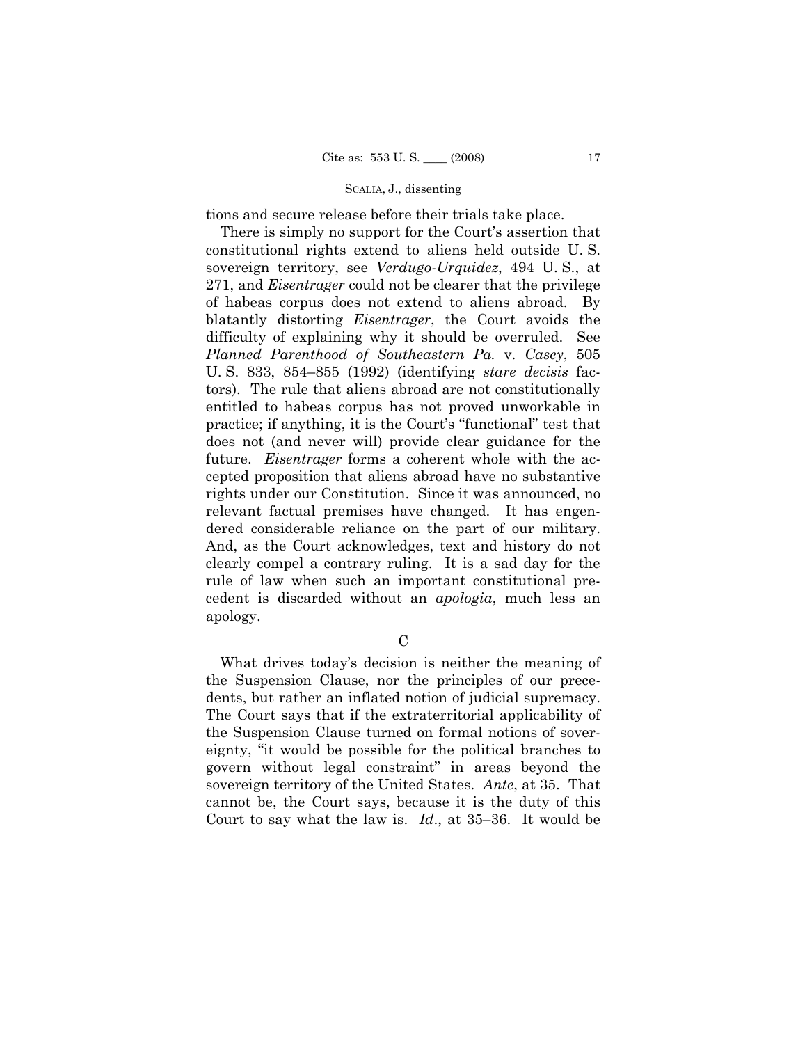tions and secure release before their trials take place.

There is simply no support for the Court's assertion that constitutional rights extend to aliens held outside U. S. sovereign territory, see *Verdugo-Urquidez*, 494 U. S., at 271, and *Eisentrager* could not be clearer that the privilege of habeas corpus does not extend to aliens abroad. By blatantly distorting *Eisentrager*, the Court avoids the difficulty of explaining why it should be overruled. See *Planned Parenthood of Southeastern Pa.* v. *Casey*, 505 U. S. 833, 854–855 (1992) (identifying *stare decisis* factors). The rule that aliens abroad are not constitutionally entitled to habeas corpus has not proved unworkable in practice; if anything, it is the Court's "functional" test that does not (and never will) provide clear guidance for the future. *Eisentrager* forms a coherent whole with the accepted proposition that aliens abroad have no substantive rights under our Constitution. Since it was announced, no relevant factual premises have changed. It has engendered considerable reliance on the part of our military. And, as the Court acknowledges, text and history do not clearly compel a contrary ruling. It is a sad day for the rule of law when such an important constitutional precedent is discarded without an *apologia*, much less an apology.

 $\mathcal{C}$ 

What drives today's decision is neither the meaning of the Suspension Clause, nor the principles of our precedents, but rather an inflated notion of judicial supremacy. The Court says that if the extraterritorial applicability of the Suspension Clause turned on formal notions of sovereignty, "it would be possible for the political branches to govern without legal constraint" in areas beyond the sovereign territory of the United States. *Ante*, at 35. That cannot be, the Court says, because it is the duty of this Court to say what the law is. *Id*., at 35–36. It would be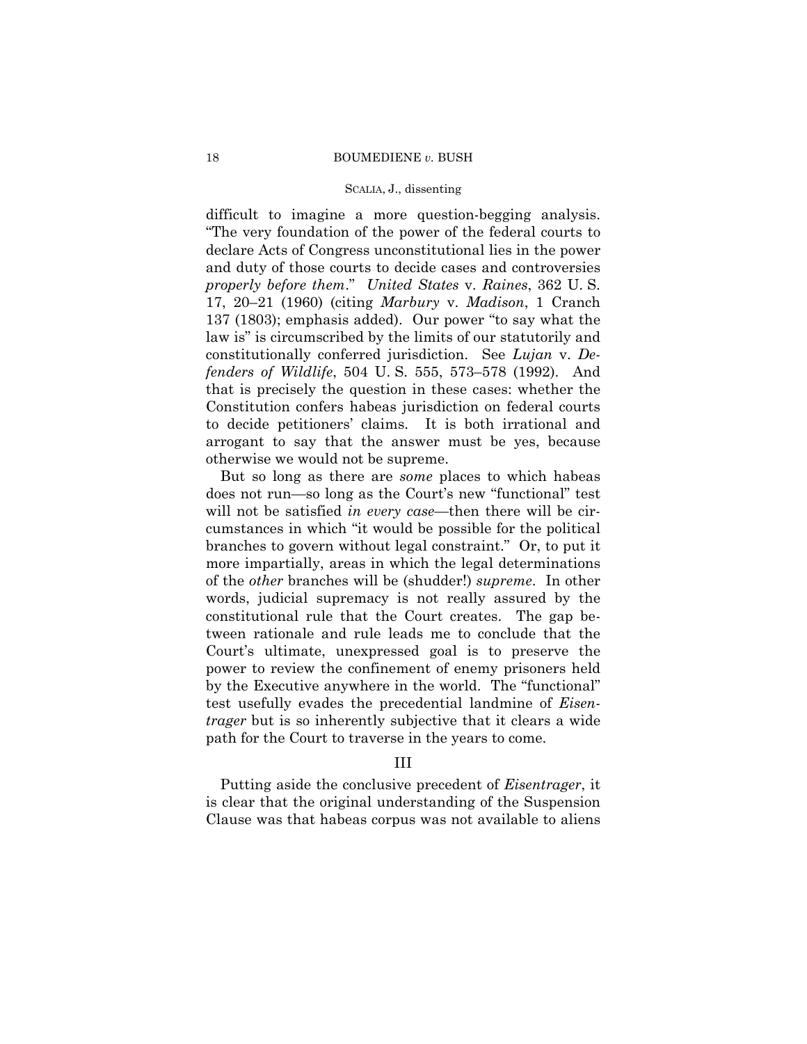# SCALIA, J., dissenting

difficult to imagine a more question-begging analysis. "The very foundation of the power of the federal courts to declare Acts of Congress unconstitutional lies in the power and duty of those courts to decide cases and controversies *properly before them*." *United States* v. *Raines*, 362 U. S. 17, 20–21 (1960) (citing *Marbury* v. *Madison*, 1 Cranch 137 (1803); emphasis added). Our power "to say what the law is" is circumscribed by the limits of our statutorily and constitutionally conferred jurisdiction. See *Lujan* v. *Defenders of Wildlife*, 504 U. S. 555, 573–578 (1992). And that is precisely the question in these cases: whether the Constitution confers habeas jurisdiction on federal courts to decide petitioners' claims. It is both irrational and arrogant to say that the answer must be yes, because otherwise we would not be supreme.

But so long as there are *some* places to which habeas does not run—so long as the Court's new "functional" test will not be satisfied *in every case*—then there will be circumstances in which "it would be possible for the political branches to govern without legal constraint." Or, to put it more impartially, areas in which the legal determinations of the *other* branches will be (shudder!) *supreme*. In other words, judicial supremacy is not really assured by the constitutional rule that the Court creates. The gap between rationale and rule leads me to conclude that the Court's ultimate, unexpressed goal is to preserve the power to review the confinement of enemy prisoners held by the Executive anywhere in the world. The "functional" test usefully evades the precedential landmine of *Eisentrager* but is so inherently subjective that it clears a wide path for the Court to traverse in the years to come.

# III

Putting aside the conclusive precedent of *Eisentrager*, it is clear that the original understanding of the Suspension Clause was that habeas corpus was not available to aliens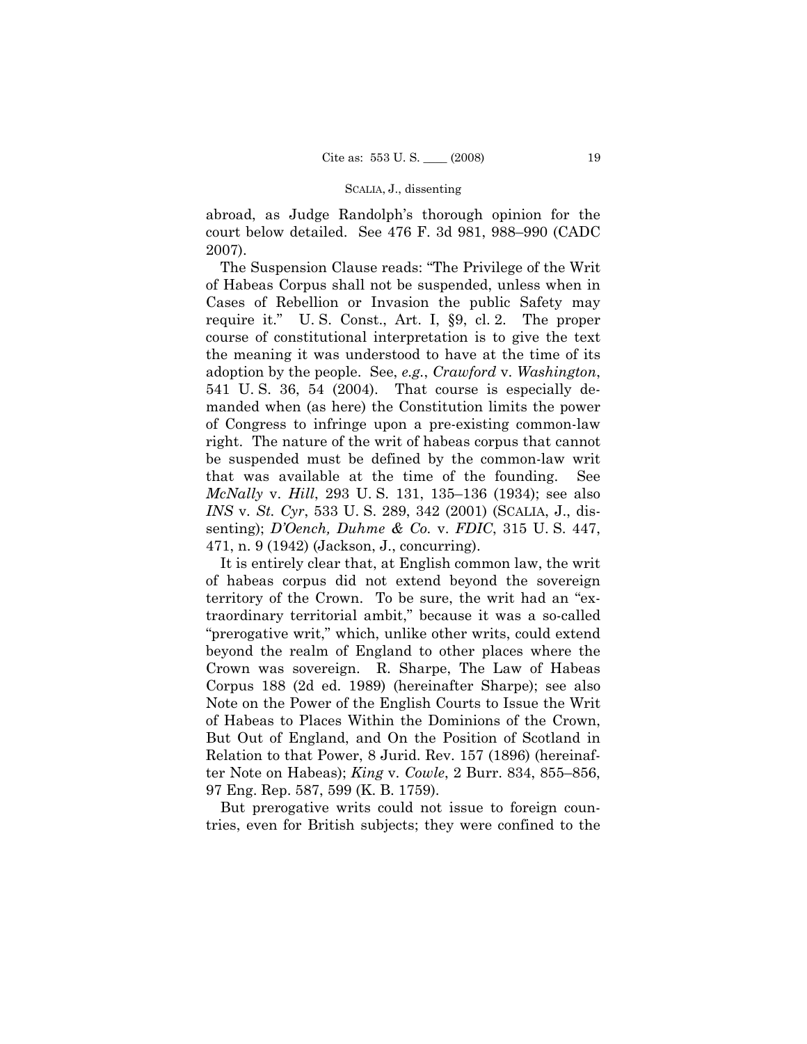abroad, as Judge Randolph's thorough opinion for the court below detailed. See 476 F. 3d 981, 988–990 (CADC 2007).

The Suspension Clause reads: "The Privilege of the Writ of Habeas Corpus shall not be suspended, unless when in Cases of Rebellion or Invasion the public Safety may require it." U. S. Const., Art. I, §9, cl. 2. The proper course of constitutional interpretation is to give the text the meaning it was understood to have at the time of its adoption by the people. See, *e.g.*, *Crawford* v. *Washington*, 541 U. S. 36, 54 (2004). That course is especially demanded when (as here) the Constitution limits the power of Congress to infringe upon a pre-existing common-law right. The nature of the writ of habeas corpus that cannot be suspended must be defined by the common-law writ that was available at the time of the founding. See *McNally* v. *Hill*, 293 U. S. 131, 135–136 (1934); see also *INS* v. *St. Cyr*, 533 U. S. 289, 342 (2001) (SCALIA, J., dissenting); *D'Oench, Duhme & Co.* v. *FDIC*, 315 U. S. 447, 471, n. 9 (1942) (Jackson, J., concurring).

It is entirely clear that, at English common law, the writ of habeas corpus did not extend beyond the sovereign territory of the Crown. To be sure, the writ had an "extraordinary territorial ambit," because it was a so-called "prerogative writ," which, unlike other writs, could extend beyond the realm of England to other places where the Crown was sovereign. R. Sharpe, The Law of Habeas Corpus 188 (2d ed. 1989) (hereinafter Sharpe); see also Note on the Power of the English Courts to Issue the Writ of Habeas to Places Within the Dominions of the Crown, But Out of England, and On the Position of Scotland in Relation to that Power, 8 Jurid. Rev. 157 (1896) (hereinafter Note on Habeas); *King* v. *Cowle*, 2 Burr. 834, 855–856, 97 Eng. Rep. 587, 599 (K. B. 1759).

But prerogative writs could not issue to foreign countries, even for British subjects; they were confined to the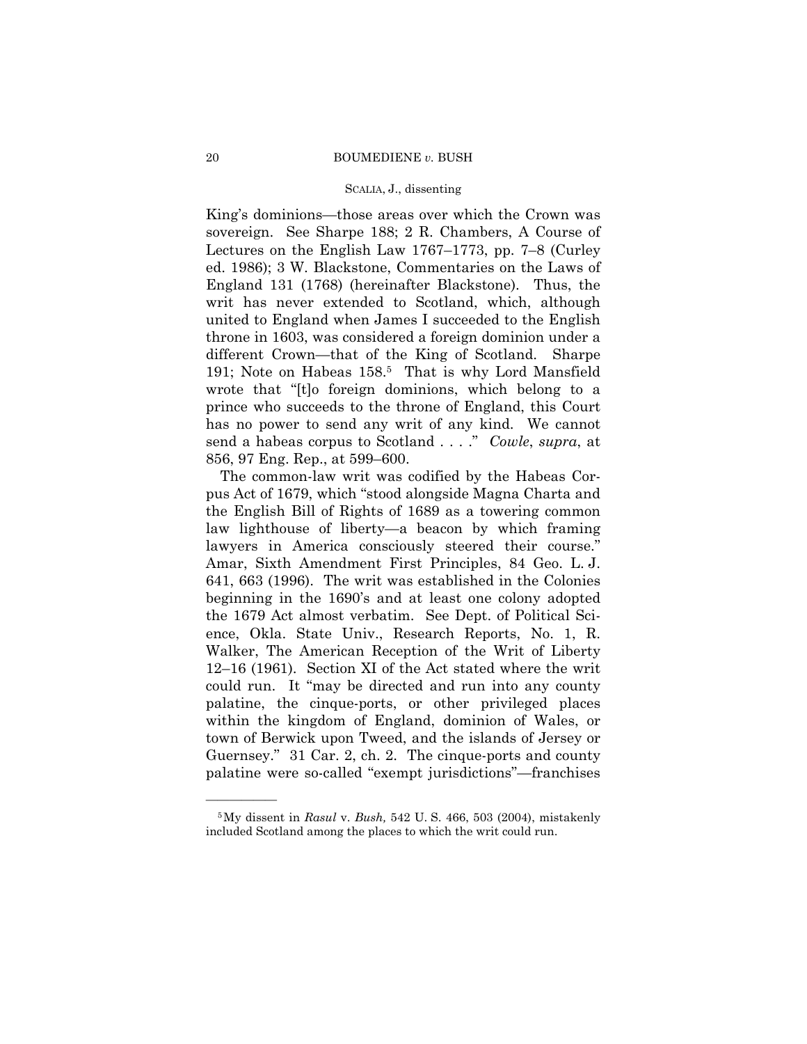## SCALIA, J., dissenting

King's dominions—those areas over which the Crown was sovereign. See Sharpe 188; 2 R. Chambers, A Course of Lectures on the English Law 1767–1773, pp. 7–8 (Curley ed. 1986); 3 W. Blackstone, Commentaries on the Laws of England 131 (1768) (hereinafter Blackstone). Thus, the writ has never extended to Scotland, which, although united to England when James I succeeded to the English throne in 1603, was considered a foreign dominion under a different Crown—that of the King of Scotland. Sharpe 191; Note on Habeas 158.5 That is why Lord Mansfield wrote that "[t]o foreign dominions, which belong to a prince who succeeds to the throne of England, this Court has no power to send any writ of any kind. We cannot send a habeas corpus to Scotland . . . ." *Cowle*, *supra*, at 856, 97 Eng. Rep., at 599–600.

The common-law writ was codified by the Habeas Corpus Act of 1679, which "stood alongside Magna Charta and the English Bill of Rights of 1689 as a towering common law lighthouse of liberty—a beacon by which framing lawyers in America consciously steered their course." Amar, Sixth Amendment First Principles, 84 Geo. L. J. 641, 663 (1996). The writ was established in the Colonies beginning in the 1690's and at least one colony adopted the 1679 Act almost verbatim. See Dept. of Political Science, Okla. State Univ., Research Reports, No. 1, R. Walker, The American Reception of the Writ of Liberty 12–16 (1961). Section XI of the Act stated where the writ could run. It "may be directed and run into any county palatine, the cinque-ports, or other privileged places within the kingdom of England, dominion of Wales, or town of Berwick upon Tweed, and the islands of Jersey or Guernsey." 31 Car. 2, ch. 2. The cinque-ports and county palatine were so-called "exempt jurisdictions"—franchises

<sup>5</sup>My dissent in *Rasul* v. *Bush,* 542 U. S. 466, 503 (2004), mistakenly included Scotland among the places to which the writ could run.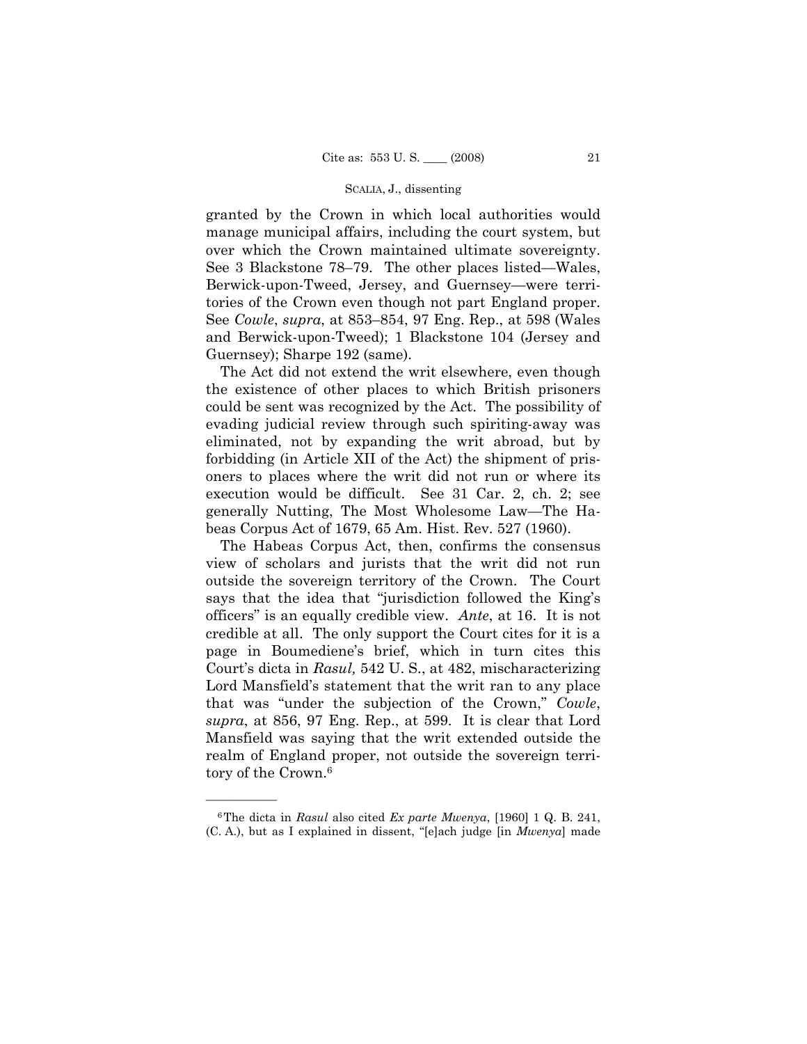granted by the Crown in which local authorities would manage municipal affairs, including the court system, but over which the Crown maintained ultimate sovereignty. See 3 Blackstone 78–79. The other places listed—Wales, Berwick-upon-Tweed, Jersey, and Guernsey—were territories of the Crown even though not part England proper. See *Cowle*, *supra*, at 853–854, 97 Eng. Rep., at 598 (Wales and Berwick-upon-Tweed); 1 Blackstone 104 (Jersey and Guernsey); Sharpe 192 (same).

The Act did not extend the writ elsewhere, even though the existence of other places to which British prisoners could be sent was recognized by the Act. The possibility of evading judicial review through such spiriting-away was eliminated, not by expanding the writ abroad, but by forbidding (in Article XII of the Act) the shipment of prisoners to places where the writ did not run or where its execution would be difficult. See 31 Car. 2, ch. 2; see generally Nutting, The Most Wholesome Law—The Habeas Corpus Act of 1679, 65 Am. Hist. Rev. 527 (1960).

The Habeas Corpus Act, then, confirms the consensus view of scholars and jurists that the writ did not run outside the sovereign territory of the Crown. The Court says that the idea that "jurisdiction followed the King's officers" is an equally credible view. *Ante*, at 16. It is not credible at all. The only support the Court cites for it is a page in Boumediene's brief, which in turn cites this Court's dicta in *Rasul,* 542 U. S., at 482, mischaracterizing Lord Mansfield's statement that the writ ran to any place that was "under the subjection of the Crown," *Cowle*, *supra*, at 856, 97 Eng. Rep., at 599. It is clear that Lord Mansfield was saying that the writ extended outside the realm of England proper, not outside the sovereign territory of the Crown.<sup>6</sup>

<sup>6</sup>The dicta in *Rasul* also cited *Ex parte Mwenya*, [1960] 1 Q. B. 241, (C. A.), but as I explained in dissent, "[e]ach judge [in *Mwenya*] made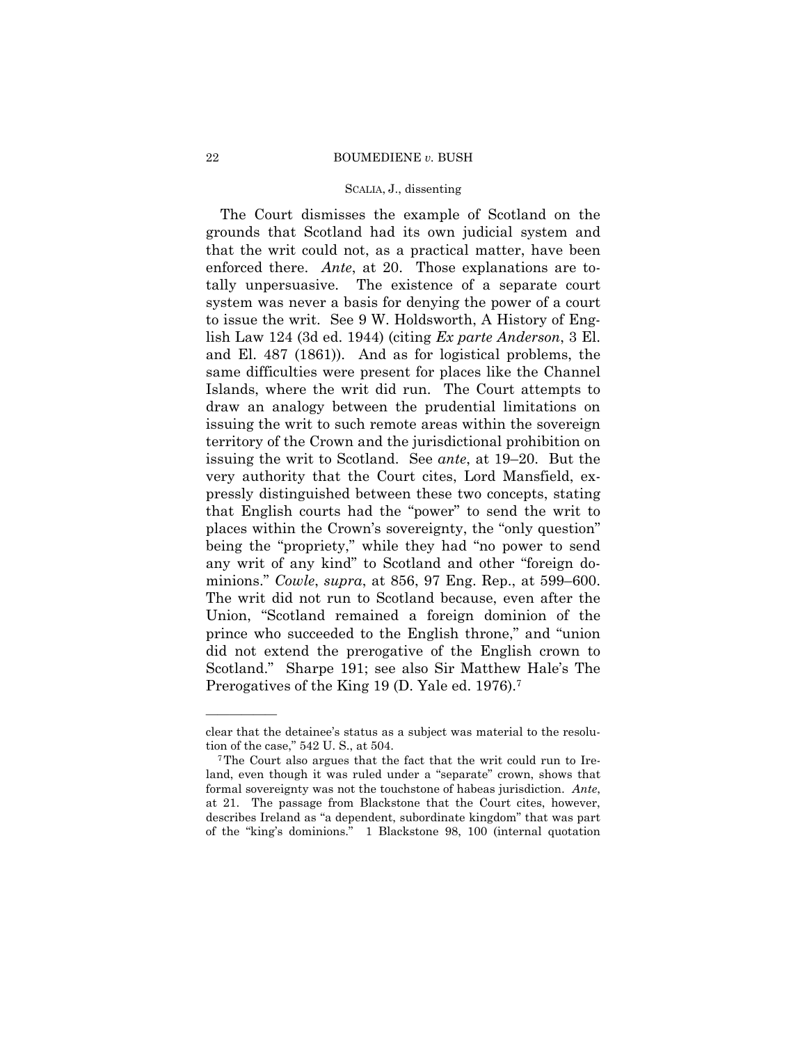# SCALIA, J., dissenting

The Court dismisses the example of Scotland on the grounds that Scotland had its own judicial system and that the writ could not, as a practical matter, have been enforced there. *Ante*, at 20. Those explanations are totally unpersuasive. The existence of a separate court system was never a basis for denying the power of a court to issue the writ. See 9 W. Holdsworth, A History of English Law 124 (3d ed. 1944) (citing *Ex parte Anderson*, 3 El. and El. 487 (1861)). And as for logistical problems, the same difficulties were present for places like the Channel Islands, where the writ did run. The Court attempts to draw an analogy between the prudential limitations on issuing the writ to such remote areas within the sovereign territory of the Crown and the jurisdictional prohibition on issuing the writ to Scotland. See *ante*, at 19–20. But the very authority that the Court cites, Lord Mansfield, expressly distinguished between these two concepts, stating that English courts had the "power" to send the writ to places within the Crown's sovereignty, the "only question" being the "propriety," while they had "no power to send any writ of any kind" to Scotland and other "foreign dominions." *Cowle*, *supra*, at 856, 97 Eng. Rep., at 599–600. The writ did not run to Scotland because, even after the Union, "Scotland remained a foreign dominion of the prince who succeeded to the English throne," and "union did not extend the prerogative of the English crown to Scotland." Sharpe 191; see also Sir Matthew Hale's The Prerogatives of the King 19 (D. Yale ed. 1976).7

clear that the detainee's status as a subject was material to the resolu-

tion of the case," 542 U. S., at 504.<br>The Court also argues that the fact that the writ could run to Ireland, even though it was ruled under a "separate" crown, shows that formal sovereignty was not the touchstone of habeas jurisdiction. *Ante*, at 21. The passage from Blackstone that the Court cites, however, describes Ireland as "a dependent, subordinate kingdom" that was part of the "king's dominions." 1 Blackstone 98, 100 (internal quotation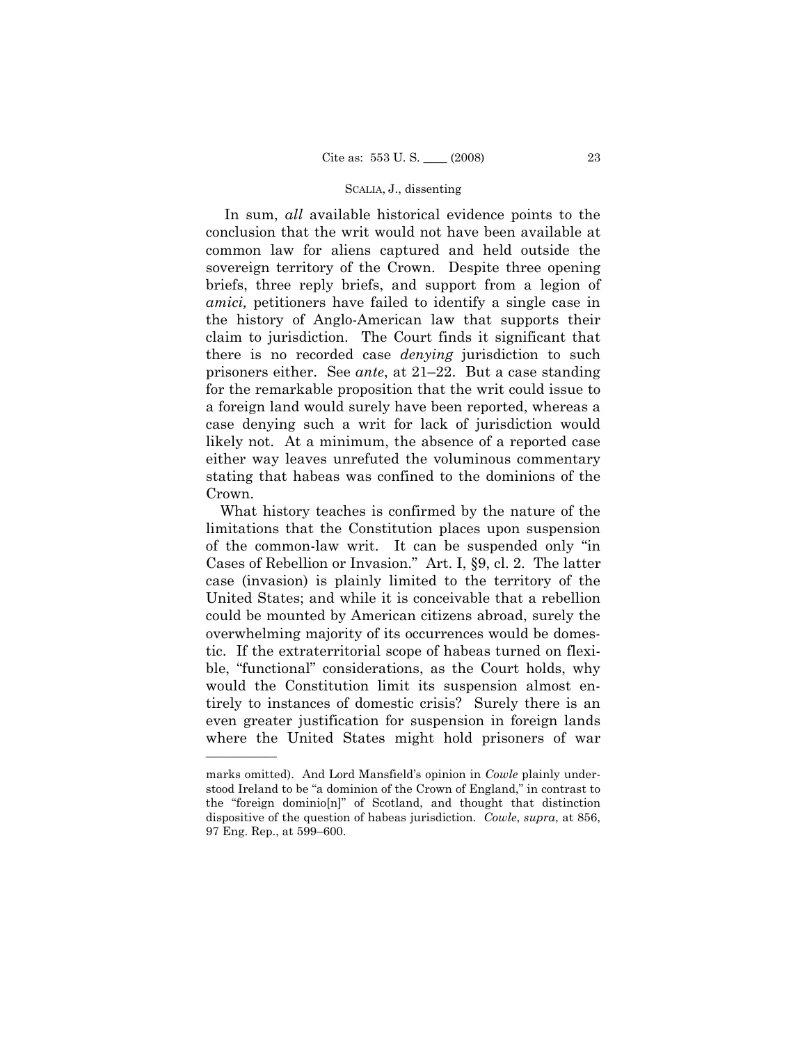In sum, *all* available historical evidence points to the conclusion that the writ would not have been available at common law for aliens captured and held outside the sovereign territory of the Crown. Despite three opening briefs, three reply briefs, and support from a legion of *amici,* petitioners have failed to identify a single case in the history of Anglo-American law that supports their claim to jurisdiction. The Court finds it significant that there is no recorded case *denying* jurisdiction to such prisoners either. See *ante*, at 21–22. But a case standing for the remarkable proposition that the writ could issue to a foreign land would surely have been reported, whereas a case denying such a writ for lack of jurisdiction would likely not. At a minimum, the absence of a reported case either way leaves unrefuted the voluminous commentary stating that habeas was confined to the dominions of the Crown.

What history teaches is confirmed by the nature of the limitations that the Constitution places upon suspension of the common-law writ. It can be suspended only "in Cases of Rebellion or Invasion." Art. I, §9, cl. 2. The latter case (invasion) is plainly limited to the territory of the United States; and while it is conceivable that a rebellion could be mounted by American citizens abroad, surely the overwhelming majority of its occurrences would be domestic. If the extraterritorial scope of habeas turned on flexible, "functional" considerations, as the Court holds, why would the Constitution limit its suspension almost entirely to instances of domestic crisis? Surely there is an even greater justification for suspension in foreign lands where the United States might hold prisoners of war

marks omitted). And Lord Mansfield's opinion in *Cowle* plainly understood Ireland to be "a dominion of the Crown of England," in contrast to the "foreign dominio[n]" of Scotland, and thought that distinction dispositive of the question of habeas jurisdiction. *Cowle*, *supra*, at 856, 97 Eng. Rep., at 599–600.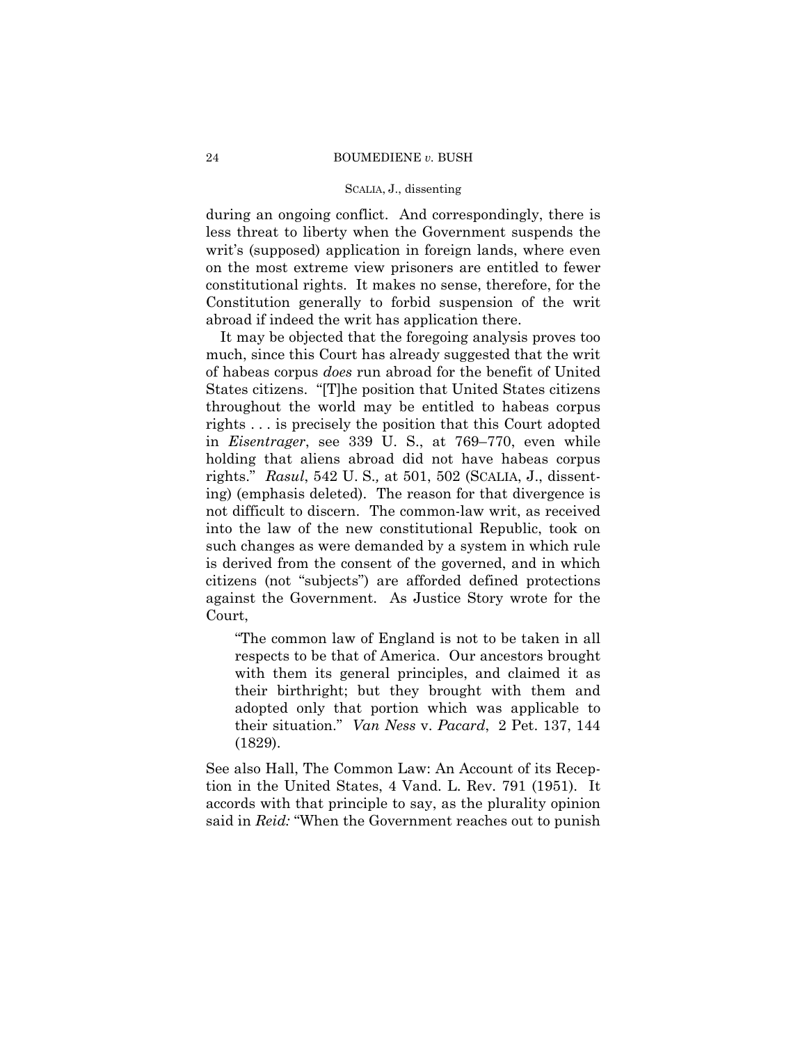# SCALIA, J., dissenting

during an ongoing conflict. And correspondingly, there is less threat to liberty when the Government suspends the writ's (supposed) application in foreign lands, where even on the most extreme view prisoners are entitled to fewer constitutional rights. It makes no sense, therefore, for the Constitution generally to forbid suspension of the writ abroad if indeed the writ has application there.

It may be objected that the foregoing analysis proves too much, since this Court has already suggested that the writ of habeas corpus *does* run abroad for the benefit of United States citizens. "[T]he position that United States citizens throughout the world may be entitled to habeas corpus rights . . . is precisely the position that this Court adopted in *Eisentrager*, see 339 U. S., at 769–770, even while holding that aliens abroad did not have habeas corpus rights." *Rasul*, 542 U. S.*,* at 501, 502 (SCALIA, J., dissenting) (emphasis deleted). The reason for that divergence is not difficult to discern. The common-law writ, as received into the law of the new constitutional Republic, took on such changes as were demanded by a system in which rule is derived from the consent of the governed, and in which citizens (not "subjects") are afforded defined protections against the Government. As Justice Story wrote for the Court,

"The common law of England is not to be taken in all respects to be that of America. Our ancestors brought with them its general principles, and claimed it as their birthright; but they brought with them and adopted only that portion which was applicable to their situation." *Van Ness* v. *Pacard*, 2 Pet. 137, 144 (1829).

See also Hall, The Common Law: An Account of its Reception in the United States, 4 Vand. L. Rev. 791 (1951). It accords with that principle to say, as the plurality opinion said in *Reid:* "When the Government reaches out to punish